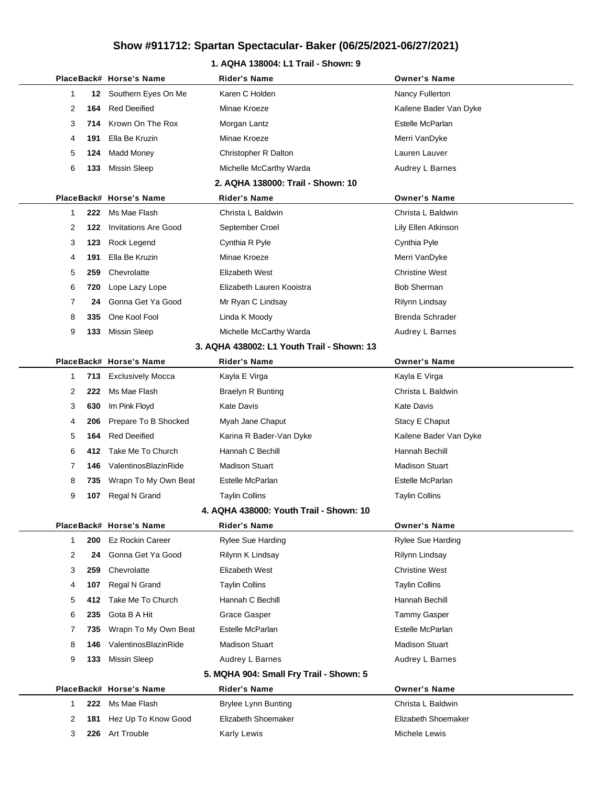### **1. AQHA 138004: L1 Trail - Shown: 9**

|                |     | PlaceBack# Horse's Name     | Rider's Name                               | <b>Owner's Name</b>    |
|----------------|-----|-----------------------------|--------------------------------------------|------------------------|
| 1              | 12  | Southern Eyes On Me         | Karen C Holden                             | Nancy Fullerton        |
| 2              | 164 | <b>Red Deeified</b>         | Minae Kroeze                               | Kailene Bader Van Dyke |
| 3              | 714 | Krown On The Rox            | Morgan Lantz                               | Estelle McParlan       |
| 4              | 191 | Ella Be Kruzin              | Minae Kroeze                               | Merri VanDyke          |
| 5              | 124 | <b>Madd Money</b>           | Christopher R Dalton                       | Lauren Lauver          |
| 6              | 133 | <b>Missin Sleep</b>         | Michelle McCarthy Warda                    | Audrey L Barnes        |
|                |     |                             | 2. AQHA 138000: Trail - Shown: 10          |                        |
|                |     | PlaceBack# Horse's Name     | <b>Rider's Name</b>                        | <b>Owner's Name</b>    |
| 1              | 222 | Ms Mae Flash                | Christa L Baldwin                          | Christa L Baldwin      |
| 2              | 122 | <b>Invitations Are Good</b> | September Croel                            | Lily Ellen Atkinson    |
| 3              | 123 | Rock Legend                 | Cynthia R Pyle                             | Cynthia Pyle           |
| 4              | 191 | Ella Be Kruzin              | Minae Kroeze                               | Merri VanDyke          |
| 5              | 259 | Chevrolatte                 | Elizabeth West                             | <b>Christine West</b>  |
| 6              | 720 | Lope Lazy Lope              | Elizabeth Lauren Kooistra                  | <b>Bob Sherman</b>     |
| 7              | 24  | Gonna Get Ya Good           | Mr Ryan C Lindsay                          | Rilynn Lindsay         |
| 8              | 335 | One Kool Fool               | Linda K Moody                              | <b>Brenda Schrader</b> |
| 9              | 133 | <b>Missin Sleep</b>         | Michelle McCarthy Warda                    | Audrey L Barnes        |
|                |     |                             | 3. AQHA 438002: L1 Youth Trail - Shown: 13 |                        |
|                |     | PlaceBack# Horse's Name     | Rider's Name                               | <b>Owner's Name</b>    |
| 1              | 713 | <b>Exclusively Mocca</b>    | Kayla E Virga                              | Kayla E Virga          |
| 2              | 222 | Ms Mae Flash                | <b>Braelyn R Bunting</b>                   | Christa L Baldwin      |
| 3              | 630 | Im Pink Floyd               | Kate Davis                                 | Kate Davis             |
| 4              | 206 | Prepare To B Shocked        | Myah Jane Chaput                           | Stacy E Chaput         |
| 5              | 164 | <b>Red Deeified</b>         | Karina R Bader-Van Dyke                    | Kailene Bader Van Dyke |
| 6              | 412 | Take Me To Church           | Hannah C Bechill                           | Hannah Bechill         |
| 7              | 146 | ValentinosBlazinRide        | <b>Madison Stuart</b>                      | <b>Madison Stuart</b>  |
| 8              | 735 | Wrapn To My Own Beat        | Estelle McParlan                           | Estelle McParlan       |
| 9              | 107 | Regal N Grand               | <b>Taylin Collins</b>                      | <b>Taylin Collins</b>  |
|                |     |                             | 4. AQHA 438000: Youth Trail - Shown: 10    |                        |
|                |     | PlaceBack# Horse's Name     | <b>Rider's Name</b>                        | <b>Owner's Name</b>    |
| 1              | 200 | <b>Ez Rockin Career</b>     | Rylee Sue Harding                          | Rylee Sue Harding      |
| $\overline{2}$ | 24  | Gonna Get Ya Good           | Rilynn K Lindsay                           | Rilynn Lindsay         |
| 3              | 259 | Chevrolatte                 | Elizabeth West                             | <b>Christine West</b>  |
| 4              | 107 | Regal N Grand               | <b>Taylin Collins</b>                      | <b>Taylin Collins</b>  |
| 5              | 412 | Take Me To Church           | Hannah C Bechill                           | Hannah Bechill         |
| 6              | 235 | Gota B A Hit                | Grace Gasper                               | Tammy Gasper           |
| 7              | 735 | Wrapn To My Own Beat        | Estelle McParlan                           | Estelle McParlan       |
| 8              | 146 | ValentinosBlazinRide        | Madison Stuart                             | <b>Madison Stuart</b>  |
| 9              | 133 | Missin Sleep                | Audrey L Barnes                            | Audrey L Barnes        |
|                |     |                             | 5. MQHA 904: Small Fry Trail - Shown: 5    |                        |
|                |     | PlaceBack# Horse's Name     | <b>Rider's Name</b>                        | <b>Owner's Name</b>    |
| 1              | 222 | Ms Mae Flash                | <b>Brylee Lynn Bunting</b>                 | Christa L Baldwin      |
| 2              | 181 | Hez Up To Know Good         | Elizabeth Shoemaker                        | Elizabeth Shoemaker    |
| 3              | 226 | Art Trouble                 | Karly Lewis                                | Michele Lewis          |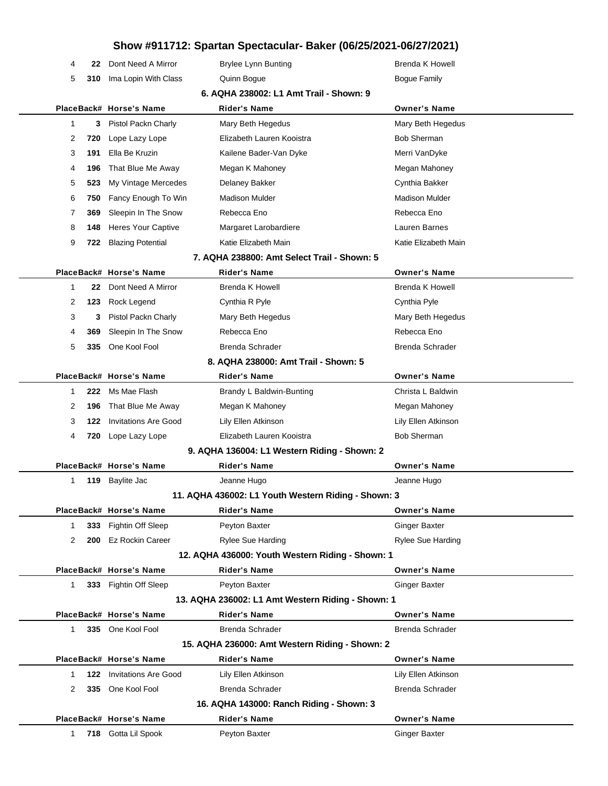|              |     |                             | $10W$ $\pi$ 311112. Openten Opcotavenen Danci (00/20/2021 00/21/2021) |                          |
|--------------|-----|-----------------------------|-----------------------------------------------------------------------|--------------------------|
| 4            | 22  | Dont Need A Mirror          | <b>Brylee Lynn Bunting</b>                                            | <b>Brenda K Howell</b>   |
| 5            | 310 | Ima Lopin With Class        | Quinn Bogue                                                           | Bogue Family             |
|              |     |                             | 6. AQHA 238002: L1 Amt Trail - Shown: 9                               |                          |
|              |     | PlaceBack# Horse's Name     | Rider's Name                                                          | <b>Owner's Name</b>      |
| 1            | 3   | Pistol Packn Charly         | Mary Beth Hegedus                                                     | Mary Beth Hegedus        |
| 2            | 720 | Lope Lazy Lope              | Elizabeth Lauren Kooistra                                             | <b>Bob Sherman</b>       |
| 3            | 191 | Ella Be Kruzin              | Kailene Bader-Van Dyke                                                | Merri VanDyke            |
| 4            | 196 | That Blue Me Away           | Megan K Mahoney                                                       | Megan Mahoney            |
| 5            | 523 | My Vintage Mercedes         | Delaney Bakker                                                        | Cynthia Bakker           |
| 6            | 750 | Fancy Enough To Win         | <b>Madison Mulder</b>                                                 | <b>Madison Mulder</b>    |
| 7            | 369 | Sleepin In The Snow         | Rebecca Eno                                                           | Rebecca Eno              |
| 8            | 148 | Heres Your Captive          | Margaret Larobardiere                                                 | Lauren Barnes            |
| 9            | 722 | <b>Blazing Potential</b>    | Katie Elizabeth Main                                                  | Katie Elizabeth Main     |
|              |     |                             | 7. AQHA 238800: Amt Select Trail - Shown: 5                           |                          |
|              |     | PlaceBack# Horse's Name     | <b>Rider's Name</b>                                                   | <b>Owner's Name</b>      |
| $\mathbf 1$  | 22  | Dont Need A Mirror          | Brenda K Howell                                                       | <b>Brenda K Howell</b>   |
| 2            | 123 | Rock Legend                 | Cynthia R Pyle                                                        | Cynthia Pyle             |
| 3            | 3   | Pistol Packn Charly         | Mary Beth Hegedus                                                     | Mary Beth Hegedus        |
| 4            | 369 | Sleepin In The Snow         | Rebecca Eno                                                           | Rebecca Eno              |
| 5            | 335 | One Kool Fool               | <b>Brenda Schrader</b>                                                | Brenda Schrader          |
|              |     |                             | 8. AQHA 238000: Amt Trail - Shown: 5                                  |                          |
|              |     | PlaceBack# Horse's Name     | <b>Rider's Name</b>                                                   | <b>Owner's Name</b>      |
| 1            | 222 | Ms Mae Flash                | Brandy L Baldwin-Bunting                                              | Christa L Baldwin        |
| 2            | 196 | That Blue Me Away           | Megan K Mahoney                                                       | Megan Mahoney            |
| 3            | 122 | <b>Invitations Are Good</b> | Lily Ellen Atkinson                                                   | Lily Ellen Atkinson      |
| 4            | 720 | Lope Lazy Lope              | Elizabeth Lauren Kooistra                                             | <b>Bob Sherman</b>       |
|              |     |                             | 9. AQHA 136004: L1 Western Riding - Shown: 2                          |                          |
|              |     | PlaceBack# Horse's Name     | <b>Rider's Name</b>                                                   | <b>Owner's Name</b>      |
| 1            |     | 119 Baylite Jac             | Jeanne Hugo                                                           | Jeanne Hugo              |
|              |     |                             | 11. AQHA 436002: L1 Youth Western Riding - Shown: 3                   |                          |
|              |     | PlaceBack# Horse's Name     | <b>Rider's Name</b>                                                   | <b>Owner's Name</b>      |
| 1            | 333 | <b>Fightin Off Sleep</b>    | Peyton Baxter                                                         | <b>Ginger Baxter</b>     |
| 2            | 200 | <b>Ez Rockin Career</b>     | <b>Rylee Sue Harding</b>                                              | <b>Rylee Sue Harding</b> |
|              |     |                             | 12. AQHA 436000: Youth Western Riding - Shown: 1                      |                          |
|              |     | PlaceBack# Horse's Name     | <b>Rider's Name</b>                                                   | <b>Owner's Name</b>      |
| $\mathbf{1}$ |     | 333 Fightin Off Sleep       | Peyton Baxter                                                         | <b>Ginger Baxter</b>     |
|              |     |                             | 13. AQHA 236002: L1 Amt Western Riding - Shown: 1                     |                          |
|              |     | PlaceBack# Horse's Name     | <b>Rider's Name</b>                                                   | <b>Owner's Name</b>      |
| $\mathbf{1}$ | 335 | One Kool Fool               | Brenda Schrader                                                       | <b>Brenda Schrader</b>   |
|              |     |                             | 15. AQHA 236000: Amt Western Riding - Shown: 2                        |                          |
|              |     | PlaceBack# Horse's Name     | <b>Rider's Name</b>                                                   | <b>Owner's Name</b>      |
| 1            | 122 | <b>Invitations Are Good</b> | Lily Ellen Atkinson                                                   | Lily Ellen Atkinson      |
| 2            | 335 | One Kool Fool               | <b>Brenda Schrader</b>                                                | <b>Brenda Schrader</b>   |
|              |     |                             | 16. AQHA 143000: Ranch Riding - Shown: 3                              |                          |
|              |     | PlaceBack# Horse's Name     | <b>Rider's Name</b>                                                   | <b>Owner's Name</b>      |
| $\mathbf{1}$ | 718 | Gotta Lil Spook             | Peyton Baxter                                                         | <b>Ginger Baxter</b>     |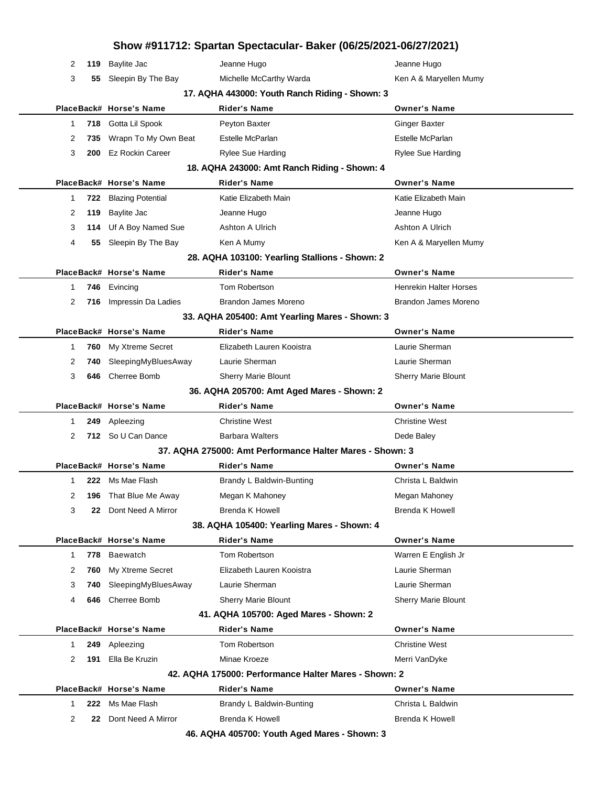|                                            |     |                          | Show #911712: Spartan Spectacular- Baker (06/25/2021-06/27/2021) |                               |  |
|--------------------------------------------|-----|--------------------------|------------------------------------------------------------------|-------------------------------|--|
| 2                                          | 119 | <b>Baylite Jac</b>       | Jeanne Hugo                                                      | Jeanne Hugo                   |  |
| 3                                          | 55  | Sleepin By The Bay       | Michelle McCarthy Warda                                          | Ken A & Maryellen Mumy        |  |
|                                            |     |                          | 17. AQHA 443000: Youth Ranch Riding - Shown: 3                   |                               |  |
|                                            |     | PlaceBack# Horse's Name  | <b>Rider's Name</b>                                              | <b>Owner's Name</b>           |  |
| 1                                          | 718 | Gotta Lil Spook          | Peyton Baxter                                                    | <b>Ginger Baxter</b>          |  |
| 2                                          | 735 | Wrapn To My Own Beat     | Estelle McParlan                                                 | Estelle McParlan              |  |
| 3                                          | 200 | <b>Ez Rockin Career</b>  | Rylee Sue Harding                                                | <b>Rylee Sue Harding</b>      |  |
|                                            |     |                          | 18. AQHA 243000: Amt Ranch Riding - Shown: 4                     |                               |  |
|                                            |     | PlaceBack# Horse's Name  | <b>Rider's Name</b>                                              | <b>Owner's Name</b>           |  |
| 1                                          | 722 | <b>Blazing Potential</b> | Katie Elizabeth Main                                             | Katie Elizabeth Main          |  |
| 2                                          | 119 | Baylite Jac              | Jeanne Hugo                                                      | Jeanne Hugo                   |  |
| 3                                          | 114 | Uf A Boy Named Sue       | Ashton A Ulrich                                                  | Ashton A Ulrich               |  |
| 4                                          | 55  | Sleepin By The Bay       | Ken A Mumy                                                       | Ken A & Maryellen Mumy        |  |
|                                            |     |                          | 28. AQHA 103100: Yearling Stallions - Shown: 2                   |                               |  |
|                                            |     | PlaceBack# Horse's Name  | <b>Rider's Name</b>                                              | <b>Owner's Name</b>           |  |
| 1                                          | 746 | Evincing                 | Tom Robertson                                                    | <b>Henrekin Halter Horses</b> |  |
| 2                                          | 716 | Impressin Da Ladies      | Brandon James Moreno                                             | Brandon James Moreno          |  |
|                                            |     |                          | 33. AQHA 205400: Amt Yearling Mares - Shown: 3                   |                               |  |
|                                            |     | PlaceBack# Horse's Name  | <b>Rider's Name</b>                                              | <b>Owner's Name</b>           |  |
| 1                                          | 760 | My Xtreme Secret         | Elizabeth Lauren Kooistra                                        | Laurie Sherman                |  |
| 2                                          | 740 | SleepingMyBluesAway      | Laurie Sherman                                                   | Laurie Sherman                |  |
| 3                                          | 646 | Cherree Bomb             | <b>Sherry Marie Blount</b>                                       | <b>Sherry Marie Blount</b>    |  |
|                                            |     |                          | 36. AQHA 205700: Amt Aged Mares - Shown: 2                       |                               |  |
|                                            |     | PlaceBack# Horse's Name  | <b>Rider's Name</b>                                              | <b>Owner's Name</b>           |  |
| 1                                          | 249 | Apleezing                | <b>Christine West</b>                                            | <b>Christine West</b>         |  |
| 2                                          |     | 712 So U Can Dance       | <b>Barbara Walters</b>                                           | Dede Baley                    |  |
|                                            |     |                          | 37. AQHA 275000: Amt Performance Halter Mares - Shown: 3         |                               |  |
|                                            |     | PlaceBack# Horse's Name  | Rider's Name                                                     | <b>Owner's Name</b>           |  |
| 1                                          |     | <b>222</b> Ms Mae Flash  | Brandy L Baldwin-Bunting                                         | Christa L Baldwin             |  |
| 2                                          | 196 | That Blue Me Away        | Megan K Mahoney                                                  | Megan Mahoney                 |  |
| 3                                          | 22  | Dont Need A Mirror       | Brenda K Howell                                                  | <b>Brenda K Howell</b>        |  |
| 38. AQHA 105400: Yearling Mares - Shown: 4 |     |                          |                                                                  |                               |  |
|                                            |     | PlaceBack# Horse's Name  | <b>Rider's Name</b>                                              | <b>Owner's Name</b>           |  |
| $\mathbf 1$                                | 778 | Baewatch                 | Tom Robertson                                                    | Warren E English Jr           |  |
| 2                                          | 760 | My Xtreme Secret         | Elizabeth Lauren Kooistra                                        | Laurie Sherman                |  |
| 3                                          | 740 | SleepingMyBluesAway      | Laurie Sherman                                                   | Laurie Sherman                |  |
| 4                                          | 646 | Cherree Bomb             | <b>Sherry Marie Blount</b>                                       | <b>Sherry Marie Blount</b>    |  |
|                                            |     |                          | 41. AQHA 105700: Aged Mares - Shown: 2                           |                               |  |
|                                            |     | PlaceBack# Horse's Name  | <b>Rider's Name</b>                                              | <b>Owner's Name</b>           |  |
| 1                                          | 249 | Apleezing                | <b>Tom Robertson</b>                                             | <b>Christine West</b>         |  |
| 2                                          | 191 | Ella Be Kruzin           | Minae Kroeze                                                     | Merri VanDyke                 |  |
|                                            |     |                          | 42. AQHA 175000: Performance Halter Mares - Shown: 2             |                               |  |
|                                            |     | PlaceBack# Horse's Name  | <b>Rider's Name</b>                                              | <b>Owner's Name</b>           |  |
| 1                                          | 222 | Ms Mae Flash             | Brandy L Baldwin-Bunting                                         | Christa L Baldwin             |  |
| 2                                          | 22  | Dont Need A Mirror       | Brenda K Howell                                                  | <b>Brenda K Howell</b>        |  |
|                                            |     |                          | 46. AQHA 405700: Youth Aged Mares - Shown: 3                     |                               |  |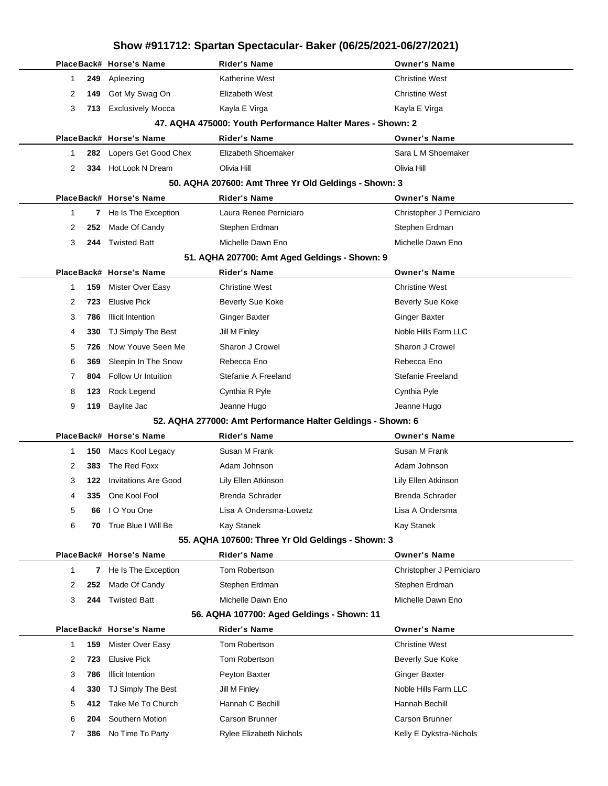|   |              | PlaceBack# Horse's Name     | Rider's Name                                                | <b>Owner's Name</b>      |
|---|--------------|-----------------------------|-------------------------------------------------------------|--------------------------|
| 1 | 249          | Apleezing                   | <b>Katherine West</b>                                       | <b>Christine West</b>    |
| 2 | 149          | Got My Swag On              | Elizabeth West                                              | <b>Christine West</b>    |
| 3 | 713          | <b>Exclusively Mocca</b>    | Kayla E Virga                                               | Kayla E Virga            |
|   |              |                             | 47. AQHA 475000: Youth Performance Halter Mares - Shown: 2  |                          |
|   |              | PlaceBack# Horse's Name     | <b>Rider's Name</b>                                         | <b>Owner's Name</b>      |
| 1 | 282          | Lopers Get Good Chex        | Elizabeth Shoemaker                                         | Sara L M Shoemaker       |
| 2 | 334          | Hot Look N Dream            | Olivia Hill                                                 | Olivia Hill              |
|   |              |                             | 50. AQHA 207600: Amt Three Yr Old Geldings - Shown: 3       |                          |
|   |              | PlaceBack# Horse's Name     | <b>Rider's Name</b>                                         | <b>Owner's Name</b>      |
| 1 | $\mathbf{7}$ | He Is The Exception         | Laura Renee Perniciaro                                      | Christopher J Perniciaro |
| 2 | 252          | Made Of Candy               | Stephen Erdman                                              | Stephen Erdman           |
| 3 | 244          | <b>Twisted Batt</b>         | Michelle Dawn Eno                                           | Michelle Dawn Eno        |
|   |              |                             | 51. AQHA 207700: Amt Aged Geldings - Shown: 9               |                          |
|   |              | PlaceBack# Horse's Name     | Rider's Name                                                | <b>Owner's Name</b>      |
| 1 | 159          | Mister Over Easy            | <b>Christine West</b>                                       | <b>Christine West</b>    |
| 2 | 723          | <b>Elusive Pick</b>         | Beverly Sue Koke                                            | Beverly Sue Koke         |
| 3 | 786          | <b>Illicit Intention</b>    | <b>Ginger Baxter</b>                                        | Ginger Baxter            |
| 4 | 330          | TJ Simply The Best          | Jill M Finley                                               | Noble Hills Farm LLC     |
| 5 | 726          | Now Youve Seen Me           | Sharon J Crowel                                             | Sharon J Crowel          |
| 6 | 369          | Sleepin In The Snow         | Rebecca Eno                                                 | Rebecca Eno              |
| 7 | 804          | Follow Ur Intuition         | Stefanie A Freeland                                         | Stefanie Freeland        |
| 8 | 123          | Rock Legend                 | Cynthia R Pyle                                              | Cynthia Pyle             |
| 9 | 119          | <b>Baylite Jac</b>          | Jeanne Hugo                                                 | Jeanne Hugo              |
|   |              |                             | 52. AQHA 277000: Amt Performance Halter Geldings - Shown: 6 |                          |
|   |              | PlaceBack# Horse's Name     | <b>Rider's Name</b>                                         | <b>Owner's Name</b>      |
| 1 | 150          | Macs Kool Legacy            | Susan M Frank                                               | Susan M Frank            |
| 2 | 383          | The Red Foxx                | Adam Johnson                                                | Adam Johnson             |
| 3 | 122          | <b>Invitations Are Good</b> | Lily Ellen Atkinson                                         | Lily Ellen Atkinson      |
| 4 | 335          | One Kool Fool               | Brenda Schrader                                             | <b>Brenda Schrader</b>   |
| 5 | 66           | I O You One                 | Lisa A Ondersma-Lowetz                                      | Lisa A Ondersma          |
| 6 | 70           | True Blue I Will Be         | Kay Stanek                                                  | Kay Stanek               |
|   |              |                             | 55. AQHA 107600: Three Yr Old Geldings - Shown: 3           |                          |
|   |              | PlaceBack# Horse's Name     | <b>Rider's Name</b>                                         | <b>Owner's Name</b>      |
| 1 | 7            | He Is The Exception         | Tom Robertson                                               | Christopher J Perniciaro |
| 2 | 252          | Made Of Candy               | Stephen Erdman                                              | Stephen Erdman           |
| 3 | 244          | <b>Twisted Batt</b>         | Michelle Dawn Eno                                           | Michelle Dawn Eno        |
|   |              |                             | 56. AQHA 107700: Aged Geldings - Shown: 11                  |                          |
|   |              | PlaceBack# Horse's Name     | <b>Rider's Name</b>                                         | <b>Owner's Name</b>      |
| 1 | 159          | Mister Over Easy            | Tom Robertson                                               | <b>Christine West</b>    |
| 2 | 723          | <b>Elusive Pick</b>         | Tom Robertson                                               | <b>Beverly Sue Koke</b>  |
| 3 | 786          | <b>Illicit Intention</b>    | Peyton Baxter                                               | <b>Ginger Baxter</b>     |
| 4 | 330          | TJ Simply The Best          | Jill M Finley                                               | Noble Hills Farm LLC     |
| 5 | 412          | Take Me To Church           | Hannah C Bechill                                            | Hannah Bechill           |
| 6 | 204          | Southern Motion             | Carson Brunner                                              | Carson Brunner           |
| 7 | 386          | No Time To Party            | <b>Rylee Elizabeth Nichols</b>                              | Kelly E Dykstra-Nichols  |
|   |              |                             |                                                             |                          |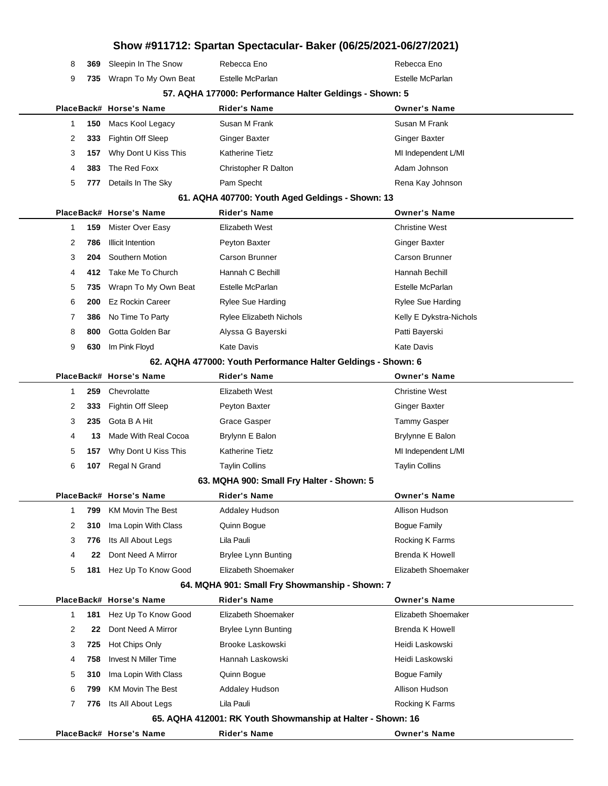|    |     |                                           |                                                                       | Show #911712: Spartan Spectacular- Baker (06/25/2021-06/27/2021) |
|----|-----|-------------------------------------------|-----------------------------------------------------------------------|------------------------------------------------------------------|
| 8  | 369 | Sleepin In The Snow                       | Rebecca Eno                                                           | Rebecca Eno                                                      |
| 9  | 735 | Wrapn To My Own Beat                      | Estelle McParlan                                                      | Estelle McParlan                                                 |
|    |     |                                           | 57. AQHA 177000: Performance Halter Geldings - Shown: 5               |                                                                  |
|    |     | PlaceBack# Horse's Name                   | <b>Rider's Name</b>                                                   | <b>Owner's Name</b>                                              |
| 1  | 150 | Macs Kool Legacy                          | Susan M Frank                                                         | Susan M Frank                                                    |
| 2  | 333 | <b>Fightin Off Sleep</b>                  | <b>Ginger Baxter</b>                                                  | <b>Ginger Baxter</b>                                             |
| 3  | 157 | Why Dont U Kiss This                      | Katherine Tietz                                                       | MI Independent L/MI                                              |
| 4  | 383 | The Red Foxx                              | <b>Christopher R Dalton</b>                                           | Adam Johnson                                                     |
| 5  | 777 | Details In The Sky                        | Pam Specht                                                            | Rena Kay Johnson                                                 |
|    |     |                                           | 61. AQHA 407700: Youth Aged Geldings - Shown: 13                      |                                                                  |
|    |     | PlaceBack# Horse's Name                   | <b>Rider's Name</b>                                                   | <b>Owner's Name</b>                                              |
| 1  | 159 | Mister Over Easy                          | Elizabeth West                                                        | <b>Christine West</b>                                            |
| 2  | 786 | <b>Illicit Intention</b>                  | Peyton Baxter                                                         | <b>Ginger Baxter</b>                                             |
| 3  | 204 | Southern Motion                           | Carson Brunner                                                        | Carson Brunner                                                   |
| 4  | 412 | Take Me To Church                         | Hannah C Bechill                                                      | Hannah Bechill                                                   |
| 5  | 735 | Wrapn To My Own Beat                      | Estelle McParlan                                                      | Estelle McParlan                                                 |
| 6  | 200 | <b>Ez Rockin Career</b>                   | <b>Rylee Sue Harding</b>                                              | <b>Rylee Sue Harding</b>                                         |
| 7  | 386 | No Time To Party                          | <b>Rylee Elizabeth Nichols</b>                                        | Kelly E Dykstra-Nichols                                          |
| 8  | 800 | Gotta Golden Bar                          | Alyssa G Bayerski                                                     | Patti Bayerski                                                   |
| 9  | 630 | Im Pink Floyd                             | Kate Davis                                                            | <b>Kate Davis</b>                                                |
|    |     |                                           |                                                                       | 62. AQHA 477000: Youth Performance Halter Geldings - Shown: 6    |
|    |     | PlaceBack# Horse's Name                   | <b>Rider's Name</b>                                                   | <b>Owner's Name</b>                                              |
| -1 | 259 | Chevrolatte                               | Elizabeth West                                                        | <b>Christine West</b>                                            |
| 2  | 333 | <b>Fightin Off Sleep</b>                  | Peyton Baxter                                                         | <b>Ginger Baxter</b>                                             |
| 3  | 235 | Gota B A Hit                              | Grace Gasper                                                          | <b>Tammy Gasper</b>                                              |
| 4  | 13  | Made With Real Cocoa                      | Brylynn E Balon                                                       | Brylynne E Balon                                                 |
| 5  | 157 | Why Dont U Kiss This                      | Katherine Tietz                                                       | MI Independent L/MI                                              |
| 6  | 107 | Regal N Grand                             | <b>Taylin Collins</b>                                                 | <b>Taylin Collins</b>                                            |
|    |     |                                           | 63. MQHA 900: Small Fry Halter - Shown: 5                             |                                                                  |
|    |     | PlaceBack# Horse's Name                   | Rider's Name                                                          | <b>Owner's Name</b>                                              |
| 1  | 799 | <b>KM Movin The Best</b>                  | Addaley Hudson                                                        | Allison Hudson                                                   |
| 2  | 310 | Ima Lopin With Class                      | Quinn Bogue                                                           | <b>Bogue Family</b>                                              |
| 3  | 776 | Its All About Legs                        | Lila Pauli                                                            | Rocking K Farms                                                  |
| 4  | 22  | Dont Need A Mirror                        | <b>Brylee Lynn Bunting</b>                                            | <b>Brenda K Howell</b>                                           |
| 5  | 181 | Hez Up To Know Good                       | Elizabeth Shoemaker                                                   | Elizabeth Shoemaker                                              |
|    |     | PlaceBack# Horse's Name                   | 64. MQHA 901: Small Fry Showmanship - Shown: 7<br><b>Rider's Name</b> | <b>Owner's Name</b>                                              |
| 1  | 181 |                                           | Elizabeth Shoemaker                                                   | Elizabeth Shoemaker                                              |
| 2  | 22  | Hez Up To Know Good<br>Dont Need A Mirror | <b>Brylee Lynn Bunting</b>                                            | <b>Brenda K Howell</b>                                           |
| 3  | 725 | Hot Chips Only                            | Brooke Laskowski                                                      | Heidi Laskowski                                                  |
| 4  | 758 | <b>Invest N Miller Time</b>               | Hannah Laskowski                                                      | Heidi Laskowski                                                  |
| 5  | 310 | Ima Lopin With Class                      | Quinn Bogue                                                           | <b>Bogue Family</b>                                              |
| 6  | 799 | <b>KM Movin The Best</b>                  | <b>Addaley Hudson</b>                                                 | Allison Hudson                                                   |
| 7  | 776 | Its All About Legs                        | Lila Pauli                                                            | Rocking K Farms                                                  |
|    |     |                                           |                                                                       | 65. AQHA 412001: RK Youth Showmanship at Halter - Shown: 16      |
|    |     | PlaceBack# Horse's Name                   | <b>Rider's Name</b>                                                   | <b>Owner's Name</b>                                              |
|    |     |                                           |                                                                       |                                                                  |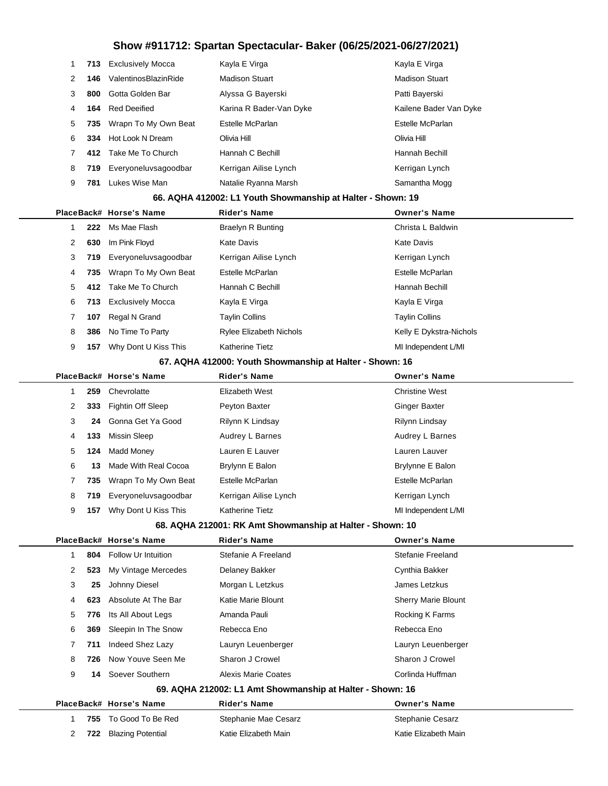|                                                           | 1 | 713 | <b>Exclusively Mocca</b> | Kayla E Virga                                               | Kayla E Virga              |  |  |
|-----------------------------------------------------------|---|-----|--------------------------|-------------------------------------------------------------|----------------------------|--|--|
|                                                           | 2 | 146 | ValentinosBlazinRide     | <b>Madison Stuart</b>                                       | <b>Madison Stuart</b>      |  |  |
|                                                           | 3 | 800 | Gotta Golden Bar         | Alyssa G Bayerski                                           | Patti Bayerski             |  |  |
|                                                           | 4 | 164 | <b>Red Deeified</b>      | Karina R Bader-Van Dyke                                     | Kailene Bader Van Dyke     |  |  |
|                                                           | 5 | 735 | Wrapn To My Own Beat     | Estelle McParlan                                            | Estelle McParlan           |  |  |
|                                                           | 6 | 334 | Hot Look N Dream         | Olivia Hill                                                 | Olivia Hill                |  |  |
|                                                           | 7 | 412 | Take Me To Church        | Hannah C Bechill                                            | Hannah Bechill             |  |  |
|                                                           | 8 | 719 | Everyoneluvsagoodbar     | Kerrigan Ailise Lynch                                       | Kerrigan Lynch             |  |  |
|                                                           | 9 | 781 | Lukes Wise Man           | Natalie Ryanna Marsh                                        | Samantha Mogg              |  |  |
|                                                           |   |     |                          | 66. AQHA 412002: L1 Youth Showmanship at Halter - Shown: 19 |                            |  |  |
|                                                           |   |     | PlaceBack# Horse's Name  | <b>Rider's Name</b>                                         | <b>Owner's Name</b>        |  |  |
|                                                           | 1 | 222 | Ms Mae Flash             | Braelyn R Bunting                                           | Christa L Baldwin          |  |  |
|                                                           | 2 | 630 | Im Pink Floyd            | Kate Davis                                                  | <b>Kate Davis</b>          |  |  |
|                                                           | 3 | 719 | Everyoneluvsagoodbar     | Kerrigan Ailise Lynch                                       | Kerrigan Lynch             |  |  |
|                                                           | 4 | 735 | Wrapn To My Own Beat     | Estelle McParlan                                            | Estelle McParlan           |  |  |
|                                                           | 5 | 412 | Take Me To Church        | Hannah C Bechill                                            | Hannah Bechill             |  |  |
|                                                           | 6 | 713 | <b>Exclusively Mocca</b> | Kayla E Virga                                               | Kayla E Virga              |  |  |
|                                                           | 7 | 107 | Regal N Grand            | Taylin Collins                                              | <b>Taylin Collins</b>      |  |  |
|                                                           | 8 | 386 | No Time To Party         | <b>Rylee Elizabeth Nichols</b>                              | Kelly E Dykstra-Nichols    |  |  |
|                                                           | 9 | 157 | Why Dont U Kiss This     | Katherine Tietz                                             | MI Independent L/MI        |  |  |
|                                                           |   |     |                          | 67. AQHA 412000: Youth Showmanship at Halter - Shown: 16    |                            |  |  |
|                                                           |   |     | PlaceBack# Horse's Name  | <b>Rider's Name</b>                                         | <b>Owner's Name</b>        |  |  |
|                                                           | 1 | 259 | Chevrolatte              | Elizabeth West                                              | <b>Christine West</b>      |  |  |
|                                                           | 2 | 333 | Fightin Off Sleep        | Peyton Baxter                                               | <b>Ginger Baxter</b>       |  |  |
|                                                           | 3 | 24  | Gonna Get Ya Good        | Rilynn K Lindsay                                            | Rilynn Lindsay             |  |  |
|                                                           | 4 | 133 | <b>Missin Sleep</b>      | Audrey L Barnes                                             | Audrey L Barnes            |  |  |
|                                                           | 5 | 124 | Madd Money               | Lauren E Lauver                                             | Lauren Lauver              |  |  |
|                                                           | 6 | 13  | Made With Real Cocoa     | Brylynn E Balon                                             | Brylynne E Balon           |  |  |
|                                                           | 7 | 735 | Wrapn To My Own Beat     | Estelle McParlan                                            | Estelle McParlan           |  |  |
|                                                           | 8 | 719 | Evervoneluvsagoodbar     | Kerrigan Ailise Lynch                                       | Kerrigan Lynch             |  |  |
|                                                           | 9 |     | 157 Why Dont U Kiss This | Katherine Tietz                                             | MI Independent L/MI        |  |  |
| 68. AQHA 212001: RK Amt Showmanship at Halter - Shown: 10 |   |     |                          |                                                             |                            |  |  |
|                                                           |   |     | PlaceBack# Horse's Name  | <b>Rider's Name</b>                                         | <b>Owner's Name</b>        |  |  |
|                                                           | 1 | 804 | Follow Ur Intuition      | Stefanie A Freeland                                         | <b>Stefanie Freeland</b>   |  |  |
|                                                           | 2 | 523 | My Vintage Mercedes      | Delaney Bakker                                              | Cynthia Bakker             |  |  |
|                                                           | 3 | 25  | Johnny Diesel            | Morgan L Letzkus                                            | James Letzkus              |  |  |
|                                                           | 4 | 623 | Absolute At The Bar      | Katie Marie Blount                                          | <b>Sherry Marie Blount</b> |  |  |
|                                                           | 5 | 776 | Its All About Legs       | Amanda Pauli                                                | Rocking K Farms            |  |  |
|                                                           | 6 | 369 | Sleepin In The Snow      | Rebecca Eno                                                 | Rebecca Eno                |  |  |
|                                                           | 7 | 711 | Indeed Shez Lazy         | Lauryn Leuenberger                                          | Lauryn Leuenberger         |  |  |
|                                                           | 8 | 726 | Now Youve Seen Me        | Sharon J Crowel                                             | Sharon J Crowel            |  |  |
|                                                           | 9 | 14  | Soever Southern          | <b>Alexis Marie Coates</b>                                  | Corlinda Huffman           |  |  |
|                                                           |   |     |                          | 69. AQHA 212002: L1 Amt Showmanship at Halter - Shown: 16   |                            |  |  |
|                                                           |   |     | PlaceBack# Horse's Name  | <b>Rider's Name</b>                                         | <b>Owner's Name</b>        |  |  |
|                                                           | 1 | 755 | To Good To Be Red        | Stephanie Mae Cesarz                                        | Stephanie Cesarz           |  |  |
|                                                           | 2 | 722 | <b>Blazing Potential</b> | Katie Elizabeth Main                                        | Katie Elizabeth Main       |  |  |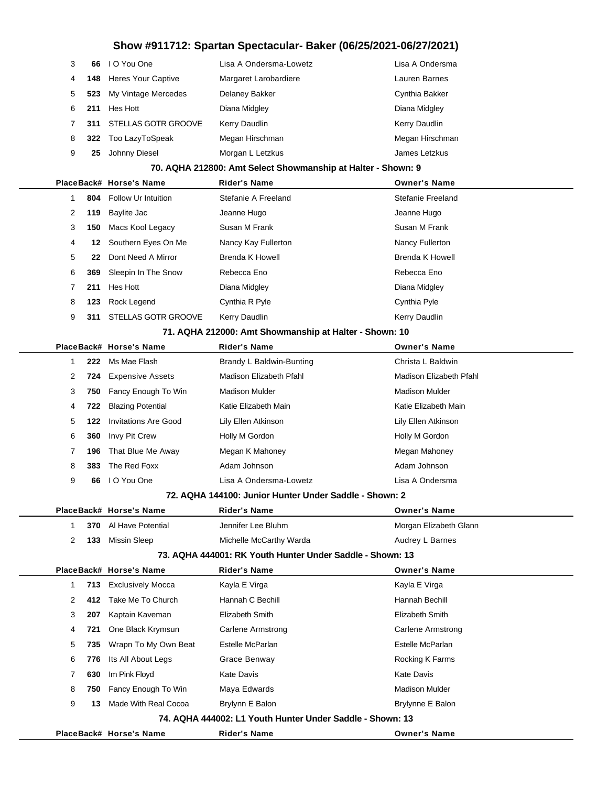| 3 |     | 66 IO You One          | Lisa A Ondersma-Lowetz | Lisa A Ondersma |
|---|-----|------------------------|------------------------|-----------------|
| 4 |     | 148 Heres Your Captive | Margaret Larobardiere  | Lauren Barnes   |
| 5 | 523 | My Vintage Mercedes    | Delaney Bakker         | Cynthia Bakker  |
| 6 | 211 | Hes Hott               | Diana Midgley          | Diana Midgley   |
|   | 311 | STELLAS GOTR GROOVE    | Kerry Daudlin          | Kerry Daudlin   |
| 8 |     | 322 Too LazyToSpeak    | Megan Hirschman        | Megan Hirschman |
| 9 | 25  | Johnny Diesel          | Morgan L Letzkus       | James Letzkus   |
|   |     |                        |                        |                 |

#### **70. AQHA 212800: Amt Select Showmanship at Halter - Shown: 9**

|              |     | PlaceBack# Horse's Name    | <b>Rider's Name</b> | <b>Owner's Name</b>  |
|--------------|-----|----------------------------|---------------------|----------------------|
|              | 804 | <b>Follow Ur Intuition</b> | Stefanie A Freeland | Stefanie Freeland    |
| $\mathbf{2}$ | 119 | Baylite Jac                | Jeanne Hugo         | Jeanne Hugo          |
| 3            | 150 | Macs Kool Legacy           | Susan M Frank       | Susan M Frank        |
| 4            | 12. | Southern Eyes On Me        | Nancy Kay Fullerton | Nancy Fullerton      |
| 5            | 22  | Dont Need A Mirror         | Brenda K Howell     | Brenda K Howell      |
| 6            | 369 | Sleepin In The Snow        | Rebecca Eno         | Rebecca Eno          |
| 7            | 211 | Hes Hott                   | Diana Midgley       | Diana Midgley        |
| 8            | 123 | Rock Legend                | Cynthia R Pyle      | Cynthia Pyle         |
| 9            | 311 | <b>STELLAS GOTR GROOVE</b> | Kerry Daudlin       | <b>Kerry Daudlin</b> |
|              |     |                            |                     |                      |

#### **71. AQHA 212000: Amt Showmanship at Halter - Shown: 10**

|   |   |     | PlaceBack# Horse's Name        | <b>Rider's Name</b>      | <b>Owner's Name</b>     |
|---|---|-----|--------------------------------|--------------------------|-------------------------|
|   |   | 222 | Ms Mae Flash                   | Brandy L Baldwin-Bunting | Christa L Baldwin       |
|   | 2 |     | <b>724</b> Expensive Assets    | Madison Elizabeth Pfahl  | Madison Elizabeth Pfahl |
| 3 |   |     | <b>750</b> Fancy Enough To Win | Madison Mulder           | Madison Mulder          |
|   | 4 | 722 | <b>Blazing Potential</b>       | Katie Elizabeth Main     | Katie Elizabeth Main    |
|   | 5 | 122 | Invitations Are Good           | Lily Ellen Atkinson      | Lily Ellen Atkinson     |
| 6 |   | 360 | Invy Pit Crew                  | Holly M Gordon           | Holly M Gordon          |
|   |   | 196 | That Blue Me Away              | Megan K Mahoney          | Megan Mahoney           |
| 8 |   | 383 | The Red Foxx                   | Adam Johnson             | Adam Johnson            |
| 9 |   | 66  | I O You One                    | Lisa A Ondersma-Lowetz   | Lisa A Ondersma         |

#### **72. AQHA 144100: Junior Hunter Under Saddle - Shown: 2**

|    |     | PlaceBack# Horse's Name  | <b>Rider's Name</b>                                       | <b>Owner's Name</b>    |
|----|-----|--------------------------|-----------------------------------------------------------|------------------------|
| 1. | 370 | Al Have Potential        | Jennifer Lee Bluhm                                        | Morgan Elizabeth Glann |
| 2  | 133 | <b>Missin Sleep</b>      | Michelle McCarthy Warda                                   | Audrey L Barnes        |
|    |     |                          | 73. AQHA 444001: RK Youth Hunter Under Saddle - Shown: 13 |                        |
|    |     | PlaceBack# Horse's Name  | <b>Rider's Name</b>                                       | <b>Owner's Name</b>    |
| 1  | 713 | <b>Exclusively Mocca</b> | Kayla E Virga                                             | Kayla E Virga          |
| 2  | 412 | Take Me To Church        | Hannah C Bechill                                          | Hannah Bechill         |
| 3  | 207 | Kaptain Kaveman          | Elizabeth Smith                                           | Elizabeth Smith        |
| 4  | 721 | One Black Krymsun        | Carlene Armstrong                                         | Carlene Armstrong      |
| 5  | 735 | Wrapn To My Own Beat     | Estelle McParlan                                          | Estelle McParlan       |
| 6  | 776 | Its All About Legs       | Grace Benway                                              | Rocking K Farms        |
| 7  | 630 | Im Pink Floyd            | <b>Kate Davis</b>                                         | <b>Kate Davis</b>      |
| 8  | 750 | Fancy Enough To Win      | Maya Edwards                                              | <b>Madison Mulder</b>  |
| 9  | 13  | Made With Real Cocoa     | Brylynn E Balon                                           | Brylynne E Balon       |
|    |     |                          | 74. AQHA 444002: L1 Youth Hunter Under Saddle - Shown: 13 |                        |
|    |     | PlaceBack# Horse's Name  | <b>Rider's Name</b>                                       | <b>Owner's Name</b>    |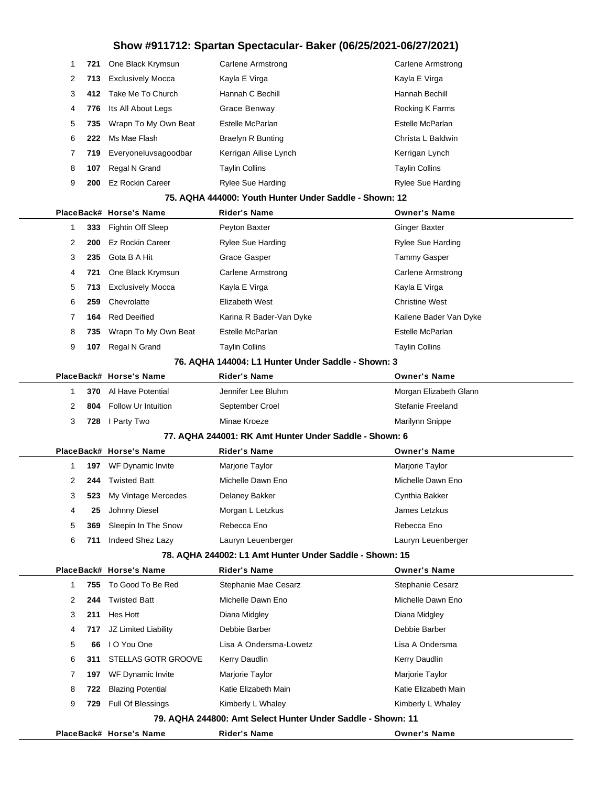| 1                                                  | 721  | One Black Krymsun          | Carlene Armstrong                                           | Carlene Armstrong        |  |  |
|----------------------------------------------------|------|----------------------------|-------------------------------------------------------------|--------------------------|--|--|
| 2                                                  | 713  | <b>Exclusively Mocca</b>   | Kayla E Virga                                               | Kayla E Virga            |  |  |
| 3                                                  | 412  | Take Me To Church          | Hannah C Bechill                                            | Hannah Bechill           |  |  |
| 4                                                  | 776  | Its All About Legs         | Grace Benway                                                | Rocking K Farms          |  |  |
| 5                                                  | 735  | Wrapn To My Own Beat       | Estelle McParlan                                            | Estelle McParlan         |  |  |
| 6                                                  | 222  | Ms Mae Flash               | <b>Braelyn R Bunting</b>                                    | Christa L Baldwin        |  |  |
| 7                                                  | 719. | Everyoneluvsagoodbar       | Kerrigan Ailise Lynch                                       | Kerrigan Lynch           |  |  |
| 8                                                  | 107  | Regal N Grand              | Taylin Collins                                              | <b>Taylin Collins</b>    |  |  |
| 9                                                  | 200  | <b>Ez Rockin Career</b>    | Rylee Sue Harding                                           | <b>Rylee Sue Harding</b> |  |  |
|                                                    |      |                            | 75. AQHA 444000: Youth Hunter Under Saddle - Shown: 12      |                          |  |  |
|                                                    |      | PlaceBack# Horse's Name    | Rider's Name                                                | <b>Owner's Name</b>      |  |  |
| 1                                                  |      | 333 Fightin Off Sleep      | Peyton Baxter                                               | Ginger Baxter            |  |  |
| 2                                                  | 200  | <b>Ez Rockin Career</b>    | <b>Rylee Sue Harding</b>                                    | <b>Rylee Sue Harding</b> |  |  |
| 3                                                  | 235  | Gota B A Hit               | Grace Gasper                                                | <b>Tammy Gasper</b>      |  |  |
| 4                                                  | 721  | One Black Krymsun          | Carlene Armstrong                                           | Carlene Armstrong        |  |  |
| 5                                                  | 713  | <b>Exclusively Mocca</b>   | Kayla E Virga                                               | Kayla E Virga            |  |  |
| 6                                                  | 259  | Chevrolatte                | Elizabeth West                                              | <b>Christine West</b>    |  |  |
| 7                                                  | 164  | <b>Red Deeified</b>        | Karina R Bader-Van Dyke                                     | Kailene Bader Van Dyke   |  |  |
| 8                                                  | 735  | Wrapn To My Own Beat       | Estelle McParlan                                            | Estelle McParlan         |  |  |
| 9                                                  | 107  | Regal N Grand              | <b>Taylin Collins</b>                                       | <b>Taylin Collins</b>    |  |  |
| 76. AQHA 144004: L1 Hunter Under Saddle - Shown: 3 |      |                            |                                                             |                          |  |  |
|                                                    |      | PlaceBack# Horse's Name    | <b>Rider's Name</b>                                         | <b>Owner's Name</b>      |  |  |
| 1                                                  | 370  | Al Have Potential          | Jennifer Lee Bluhm                                          | Morgan Elizabeth Glann   |  |  |
| 2                                                  | 804  | <b>Follow Ur Intuition</b> | September Croel                                             | <b>Stefanie Freeland</b> |  |  |
| 3                                                  | 728  | I Party Two                | Minae Kroeze                                                | Marilynn Snippe          |  |  |
|                                                    |      |                            | 77. AQHA 244001: RK Amt Hunter Under Saddle - Shown: 6      |                          |  |  |
|                                                    |      | PlaceBack# Horse's Name    | <b>Rider's Name</b>                                         | <b>Owner's Name</b>      |  |  |
| 1                                                  | 197  | WF Dynamic Invite          | Marjorie Taylor                                             | Marjorie Taylor          |  |  |
| 2                                                  | 244  | <b>Twisted Batt</b>        | Michelle Dawn Eno                                           | Michelle Dawn Eno        |  |  |
| 3                                                  | 523  | My Vintage Mercedes        | Delaney Bakker                                              | Cynthia Bakker           |  |  |
| 4                                                  | 25   | Johnny Diesel              | Morgan L Letzkus                                            | James Letzkus            |  |  |
| 5                                                  | 369  | Sleepin In The Snow        | Rebecca Eno                                                 | Rebecca Eno              |  |  |
| 6                                                  | 711  | Indeed Shez Lazy           | Lauryn Leuenberger                                          | Lauryn Leuenberger       |  |  |
|                                                    |      |                            | 78. AQHA 244002: L1 Amt Hunter Under Saddle - Shown: 15     |                          |  |  |
|                                                    |      | PlaceBack# Horse's Name    | <b>Rider's Name</b>                                         | <b>Owner's Name</b>      |  |  |
| 1                                                  | 755  | To Good To Be Red          | Stephanie Mae Cesarz                                        | Stephanie Cesarz         |  |  |
| 2                                                  | 244  | <b>Twisted Batt</b>        | Michelle Dawn Eno                                           | Michelle Dawn Eno        |  |  |
| 3                                                  | 211  | Hes Hott                   | Diana Midgley                                               | Diana Midgley            |  |  |
| 4                                                  | 717  | JZ Limited Liability       | Debbie Barber                                               | Debbie Barber            |  |  |
| 5                                                  | 66   | I O You One                | Lisa A Ondersma-Lowetz                                      | Lisa A Ondersma          |  |  |
| 6                                                  | 311  | STELLAS GOTR GROOVE        | Kerry Daudlin                                               | Kerry Daudlin            |  |  |
| 7                                                  | 197  | WF Dynamic Invite          | Marjorie Taylor                                             | Marjorie Taylor          |  |  |
| 8                                                  | 722  | <b>Blazing Potential</b>   | Katie Elizabeth Main                                        | Katie Elizabeth Main     |  |  |
| 9                                                  | 729  | Full Of Blessings          | Kimberly L Whaley                                           | Kimberly L Whaley        |  |  |
|                                                    |      |                            | 79. AQHA 244800: Amt Select Hunter Under Saddle - Shown: 11 |                          |  |  |
|                                                    |      | PlaceBack# Horse's Name    | <b>Rider's Name</b>                                         | <b>Owner's Name</b>      |  |  |

 $\overline{\phantom{0}}$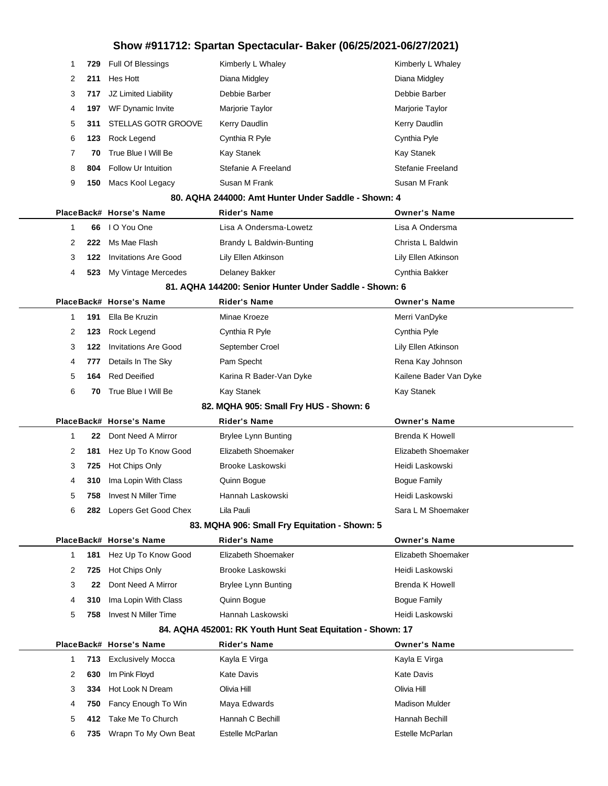| 1            | 729 | Full Of Blessings           | Kimberly L Whaley                                          | Kimberly L Whaley      |
|--------------|-----|-----------------------------|------------------------------------------------------------|------------------------|
| 2            | 211 | Hes Hott                    | Diana Midgley                                              | Diana Midgley          |
| 3            | 717 | JZ Limited Liability        | Debbie Barber                                              | Debbie Barber          |
| 4            | 197 | WF Dynamic Invite           | Marjorie Taylor                                            | Marjorie Taylor        |
| 5            | 311 | <b>STELLAS GOTR GROOVE</b>  | Kerry Daudlin                                              | Kerry Daudlin          |
| 6            | 123 | Rock Legend                 | Cynthia R Pyle                                             | Cynthia Pyle           |
| 7            | 70  | True Blue I Will Be         | Kay Stanek                                                 | Kay Stanek             |
| 8            | 804 | Follow Ur Intuition         | Stefanie A Freeland                                        | Stefanie Freeland      |
| 9            | 150 | Macs Kool Legacy            | Susan M Frank                                              | Susan M Frank          |
|              |     |                             | 80. AQHA 244000: Amt Hunter Under Saddle - Shown: 4        |                        |
|              |     | PlaceBack# Horse's Name     | <b>Rider's Name</b>                                        | <b>Owner's Name</b>    |
| 1            | 66  | I O You One                 | Lisa A Ondersma-Lowetz                                     | Lisa A Ondersma        |
| 2            | 222 | Ms Mae Flash                | Brandy L Baldwin-Bunting                                   | Christa L Baldwin      |
| 3            | 122 | <b>Invitations Are Good</b> | Lily Ellen Atkinson                                        | Lily Ellen Atkinson    |
| 4            | 523 | My Vintage Mercedes         | Delaney Bakker                                             | Cynthia Bakker         |
|              |     |                             | 81. AQHA 144200: Senior Hunter Under Saddle - Shown: 6     |                        |
|              |     | PlaceBack# Horse's Name     | <b>Rider's Name</b>                                        | <b>Owner's Name</b>    |
| 1            | 191 | Ella Be Kruzin              | Minae Kroeze                                               | Merri VanDyke          |
| 2            | 123 | Rock Legend                 | Cynthia R Pyle                                             | Cynthia Pyle           |
| 3            | 122 | <b>Invitations Are Good</b> | September Croel                                            | Lily Ellen Atkinson    |
| 4            | 777 | Details In The Sky          | Pam Specht                                                 | Rena Kay Johnson       |
| 5            | 164 | <b>Red Deeified</b>         | Karina R Bader-Van Dyke                                    | Kailene Bader Van Dyke |
| 6            | 70  | True Blue I Will Be         | Kay Stanek                                                 | Kay Stanek             |
|              |     |                             | 82. MQHA 905: Small Fry HUS - Shown: 6                     |                        |
|              |     | PlaceBack# Horse's Name     | <b>Rider's Name</b>                                        | <b>Owner's Name</b>    |
| 1            | 22  | Dont Need A Mirror          | <b>Brylee Lynn Bunting</b>                                 | <b>Brenda K Howell</b> |
| 2            | 181 | Hez Up To Know Good         | Elizabeth Shoemaker                                        | Elizabeth Shoemaker    |
| 3            | 725 | Hot Chips Only              | Brooke Laskowski                                           | Heidi Laskowski        |
| 4            | 310 | Ima Lopin With Class        | Quinn Bogue                                                | <b>Bogue Family</b>    |
| 5            | 758 | <b>Invest N Miller Time</b> | Hannah Laskowski                                           | Heidi Laskowski        |
| 6            | 282 | Lopers Get Good Chex        | Lila Pauli                                                 | Sara L M Shoemaker     |
|              |     |                             | 83. MQHA 906: Small Fry Equitation - Shown: 5              |                        |
|              |     | PlaceBack# Horse's Name     | <b>Rider's Name</b>                                        | <b>Owner's Name</b>    |
| $\mathbf{1}$ | 181 | Hez Up To Know Good         | Elizabeth Shoemaker                                        | Elizabeth Shoemaker    |
| 2            | 725 | Hot Chips Only              | Brooke Laskowski                                           | Heidi Laskowski        |
| 3            | 22  | Dont Need A Mirror          | <b>Brylee Lynn Bunting</b>                                 | <b>Brenda K Howell</b> |
| 4            | 310 | Ima Lopin With Class        | Quinn Bogue                                                | <b>Bogue Family</b>    |
| 5            | 758 | <b>Invest N Miller Time</b> | Hannah Laskowski                                           | Heidi Laskowski        |
|              |     |                             | 84. AQHA 452001: RK Youth Hunt Seat Equitation - Shown: 17 |                        |
|              |     | PlaceBack# Horse's Name     | <b>Rider's Name</b>                                        | <b>Owner's Name</b>    |
| 1            | 713 | <b>Exclusively Mocca</b>    | Kayla E Virga                                              | Kayla E Virga          |
|              |     | Im Pink Floyd               | <b>Kate Davis</b>                                          | <b>Kate Davis</b>      |
| 2            | 630 |                             |                                                            |                        |
| 3            | 334 | Hot Look N Dream            | Olivia Hill                                                | Olivia Hill            |
| 4            | 750 | Fancy Enough To Win         | Maya Edwards                                               | <b>Madison Mulder</b>  |
| 5            | 412 | Take Me To Church           | Hannah C Bechill                                           | Hannah Bechill         |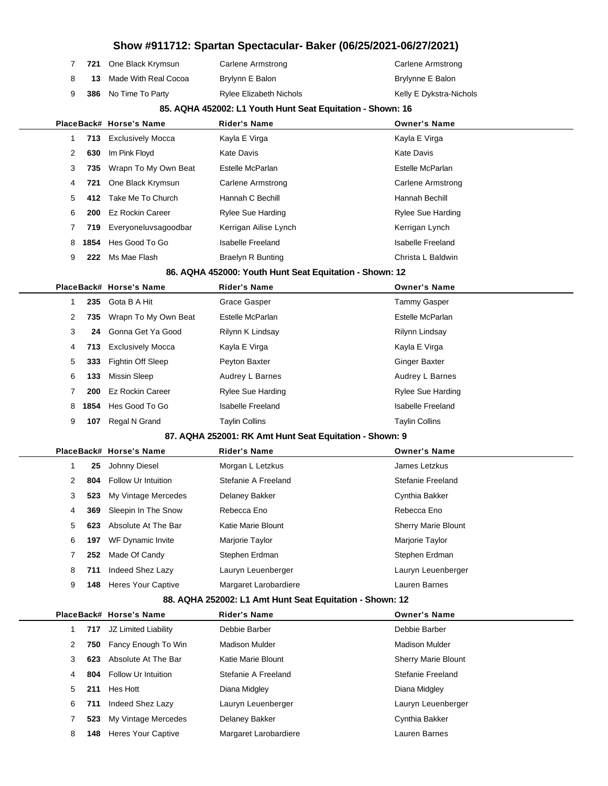|   |      |                            | Show #911712: Spartan Spectacular- Baker (06/25/2021-06/27/2021) |                            |
|---|------|----------------------------|------------------------------------------------------------------|----------------------------|
| 7 | 721  | One Black Krymsun          | Carlene Armstrong                                                | Carlene Armstrong          |
| 8 | 13   | Made With Real Cocoa       | Brylynn E Balon                                                  | Brylynne E Balon           |
| 9 | 386  | No Time To Party           | Rylee Elizabeth Nichols                                          | Kelly E Dykstra-Nichols    |
|   |      |                            | 85. AQHA 452002: L1 Youth Hunt Seat Equitation - Shown: 16       |                            |
|   |      | PlaceBack# Horse's Name    | <b>Rider's Name</b>                                              | <b>Owner's Name</b>        |
| 1 | 713  | <b>Exclusively Mocca</b>   | Kayla E Virga                                                    | Kayla E Virga              |
| 2 | 630  | Im Pink Floyd              | <b>Kate Davis</b>                                                | <b>Kate Davis</b>          |
| 3 | 735  | Wrapn To My Own Beat       | Estelle McParlan                                                 | Estelle McParlan           |
| 4 | 721  | One Black Krymsun          | <b>Carlene Armstrong</b>                                         | <b>Carlene Armstrong</b>   |
| 5 | 412  | Take Me To Church          | Hannah C Bechill                                                 | Hannah Bechill             |
| 6 | 200  | <b>Ez Rockin Career</b>    | Rylee Sue Harding                                                | Rylee Sue Harding          |
| 7 | 719  | Everyoneluvsagoodbar       | Kerrigan Ailise Lynch                                            | Kerrigan Lynch             |
| 8 | 1854 | Hes Good To Go             | <b>Isabelle Freeland</b>                                         | <b>Isabelle Freeland</b>   |
| 9 | 222  | Ms Mae Flash               | <b>Braelyn R Bunting</b>                                         | Christa L Baldwin          |
|   |      |                            | 86. AQHA 452000: Youth Hunt Seat Equitation - Shown: 12          |                            |
|   |      | PlaceBack# Horse's Name    | <b>Rider's Name</b>                                              | <b>Owner's Name</b>        |
| 1 | 235  | Gota B A Hit               | Grace Gasper                                                     | <b>Tammy Gasper</b>        |
| 2 | 735  | Wrapn To My Own Beat       | Estelle McParlan                                                 | Estelle McParlan           |
| 3 | 24   | Gonna Get Ya Good          | Rilynn K Lindsay                                                 | Rilynn Lindsay             |
| 4 | 713  | <b>Exclusively Mocca</b>   | Kayla E Virga                                                    | Kayla E Virga              |
| 5 | 333  | Fightin Off Sleep          | Peyton Baxter                                                    | Ginger Baxter              |
| 6 | 133  | <b>Missin Sleep</b>        | Audrey L Barnes                                                  | Audrey L Barnes            |
| 7 | 200  | <b>Ez Rockin Career</b>    | <b>Rylee Sue Harding</b>                                         | <b>Rylee Sue Harding</b>   |
| 8 | 1854 | Hes Good To Go             | <b>Isabelle Freeland</b>                                         | <b>Isabelle Freeland</b>   |
| 9 | 107  | Regal N Grand              | <b>Taylin Collins</b>                                            | <b>Taylin Collins</b>      |
|   |      |                            | 87. AQHA 252001: RK Amt Hunt Seat Equitation - Shown: 9          |                            |
|   |      | PlaceBack# Horse's Name    | <b>Rider's Name</b>                                              | <b>Owner's Name</b>        |
| 1 | 25   | Johnny Diesel              | Morgan L Letzkus                                                 | James Letzkus              |
| 2 | 804  | <b>Follow Ur Intuition</b> | Stefanie A Freeland                                              | Stefanie Freeland          |
| 3 | 523  | My Vintage Mercedes        | Delaney Bakker                                                   | Cynthia Bakker             |
| 4 | 369  | Sleepin In The Snow        | Rebecca Eno                                                      | Rebecca Eno                |
| 5 | 623  | Absolute At The Bar        | Katie Marie Blount                                               | <b>Sherry Marie Blount</b> |
| 6 | 197  | WF Dynamic Invite          | Marjorie Taylor                                                  | Marjorie Taylor            |
| 7 | 252  | Made Of Candy              | Stephen Erdman                                                   | Stephen Erdman             |
| 8 | 711  | Indeed Shez Lazy           | Lauryn Leuenberger                                               | Lauryn Leuenberger         |
| 9 | 148  | <b>Heres Your Captive</b>  | Margaret Larobardiere                                            | Lauren Barnes              |
|   |      |                            | 88. AQHA 252002: L1 Amt Hunt Seat Equitation - Shown: 12         |                            |
|   |      | PlaceBack# Horse's Name    | <b>Rider's Name</b>                                              | <b>Owner's Name</b>        |
| 1 | 717  | JZ Limited Liability       | Debbie Barber                                                    | Debbie Barber              |
| 2 | 750  | Fancy Enough To Win        | <b>Madison Mulder</b>                                            | <b>Madison Mulder</b>      |
| 3 | 623  | Absolute At The Bar        | Katie Marie Blount                                               | Sherry Marie Blount        |
| 4 | 804  | Follow Ur Intuition        | Stefanie A Freeland                                              | Stefanie Freeland          |
| 5 | 211  | Hes Hott                   | Diana Midgley                                                    | Diana Midgley              |
| 6 | 711  | Indeed Shez Lazy           | Lauryn Leuenberger                                               | Lauryn Leuenberger         |
| 7 | 523  | My Vintage Mercedes        | Delaney Bakker                                                   | Cynthia Bakker             |
| 8 | 148  | <b>Heres Your Captive</b>  | Margaret Larobardiere                                            | Lauren Barnes              |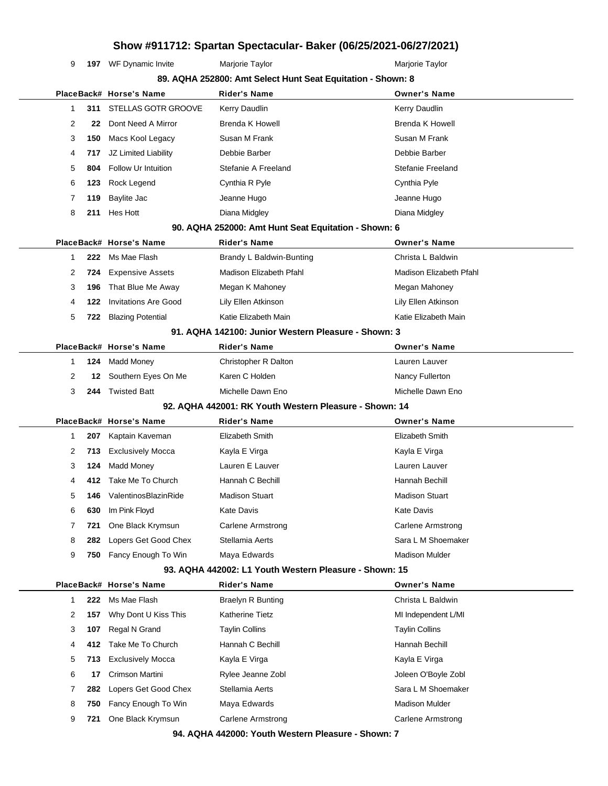**197** WF Dynamic Invite Marjorie Taylor Marion Marion Mariorie Taylor

|   |     | 89. AQHA 252800: Amt Select Hunt Seat Equitation - Shown: 8 |                                                        |                          |  |
|---|-----|-------------------------------------------------------------|--------------------------------------------------------|--------------------------|--|
|   |     | PlaceBack# Horse's Name                                     | <b>Rider's Name</b>                                    | <b>Owner's Name</b>      |  |
| 1 | 311 | STELLAS GOTR GROOVE                                         | Kerry Daudlin                                          | Kerry Daudlin            |  |
| 2 | 22  | Dont Need A Mirror                                          | <b>Brenda K Howell</b>                                 | <b>Brenda K Howell</b>   |  |
| 3 | 150 | Macs Kool Legacy                                            | Susan M Frank                                          | Susan M Frank            |  |
| 4 | 717 | JZ Limited Liability                                        | Debbie Barber                                          | Debbie Barber            |  |
| 5 | 804 | Follow Ur Intuition                                         | Stefanie A Freeland                                    | Stefanie Freeland        |  |
| 6 | 123 | Rock Legend                                                 | Cynthia R Pyle                                         | Cynthia Pyle             |  |
| 7 | 119 | Baylite Jac                                                 | Jeanne Hugo                                            | Jeanne Hugo              |  |
| 8 | 211 | Hes Hott                                                    | Diana Midgley                                          | Diana Midgley            |  |
|   |     |                                                             | 90. AQHA 252000: Amt Hunt Seat Equitation - Shown: 6   |                          |  |
|   |     | PlaceBack# Horse's Name                                     | Rider's Name                                           | <b>Owner's Name</b>      |  |
| 1 | 222 | Ms Mae Flash                                                | Brandy L Baldwin-Bunting                               | Christa L Baldwin        |  |
| 2 | 724 | <b>Expensive Assets</b>                                     | Madison Elizabeth Pfahl                                | Madison Elizabeth Pfahl  |  |
| 3 | 196 | That Blue Me Away                                           | Megan K Mahoney                                        | Megan Mahoney            |  |
| 4 | 122 | <b>Invitations Are Good</b>                                 | Lily Ellen Atkinson                                    | Lily Ellen Atkinson      |  |
| 5 | 722 | <b>Blazing Potential</b>                                    | Katie Elizabeth Main                                   | Katie Elizabeth Main     |  |
|   |     |                                                             | 91. AQHA 142100: Junior Western Pleasure - Shown: 3    |                          |  |
|   |     | PlaceBack# Horse's Name                                     | <b>Rider's Name</b>                                    | <b>Owner's Name</b>      |  |
| 1 | 124 | <b>Madd Money</b>                                           | Christopher R Dalton                                   | Lauren Lauver            |  |
| 2 | 12  | Southern Eyes On Me                                         | Karen C Holden                                         | Nancy Fullerton          |  |
| 3 | 244 | <b>Twisted Batt</b>                                         | Michelle Dawn Eno                                      | Michelle Dawn Eno        |  |
|   |     |                                                             | 92. AQHA 442001: RK Youth Western Pleasure - Shown: 14 |                          |  |
|   |     | PlaceBack# Horse's Name                                     | <b>Rider's Name</b>                                    | <b>Owner's Name</b>      |  |
| 1 | 207 | Kaptain Kaveman                                             | Elizabeth Smith                                        | Elizabeth Smith          |  |
| 2 | 713 | <b>Exclusively Mocca</b>                                    | Kayla E Virga                                          | Kayla E Virga            |  |
| 3 | 124 | <b>Madd Money</b>                                           | Lauren E Lauver                                        | Lauren Lauver            |  |
| 4 | 412 | Take Me To Church                                           | Hannah C Bechill                                       | Hannah Bechill           |  |
| 5 | 146 | ValentinosBlazinRide                                        | <b>Madison Stuart</b>                                  | <b>Madison Stuart</b>    |  |
| 6 | 630 | Im Pink Floyd                                               | Kate Davis                                             | <b>Kate Davis</b>        |  |
| 7 | 721 | One Black Krymsun                                           | <b>Carlene Armstrong</b>                               | <b>Carlene Armstrong</b> |  |
| 8 | 282 | Lopers Get Good Chex                                        | Stellamia Aerts                                        | Sara L M Shoemaker       |  |
| 9 | 750 | Fancy Enough To Win                                         | Maya Edwards                                           | Madison Mulder           |  |
|   |     |                                                             | 93. AQHA 442002: L1 Youth Western Pleasure - Shown: 15 |                          |  |
|   |     | PlaceBack# Horse's Name                                     | <b>Rider's Name</b>                                    | <b>Owner's Name</b>      |  |
| 1 | 222 | Ms Mae Flash                                                | <b>Braelyn R Bunting</b>                               | Christa L Baldwin        |  |
| 2 | 157 | Why Dont U Kiss This                                        | Katherine Tietz                                        | MI Independent L/MI      |  |
| 3 | 107 | Regal N Grand                                               | <b>Taylin Collins</b>                                  | <b>Taylin Collins</b>    |  |
| 4 | 412 | Take Me To Church                                           | Hannah C Bechill                                       | Hannah Bechill           |  |
| 5 | 713 | <b>Exclusively Mocca</b>                                    | Kayla E Virga                                          | Kayla E Virga            |  |
| 6 | 17  | Crimson Martini                                             | Rylee Jeanne Zobl                                      | Joleen O'Boyle Zobl      |  |
| 7 | 282 | Lopers Get Good Chex                                        | Stellamia Aerts                                        | Sara L M Shoemaker       |  |
| 8 | 750 | Fancy Enough To Win                                         | Maya Edwards                                           | <b>Madison Mulder</b>    |  |
| 9 | 721 | One Black Krymsun                                           | <b>Carlene Armstrong</b>                               | <b>Carlene Armstrong</b> |  |
|   |     |                                                             | 94. AQHA 442000: Youth Western Pleasure - Shown: 7     |                          |  |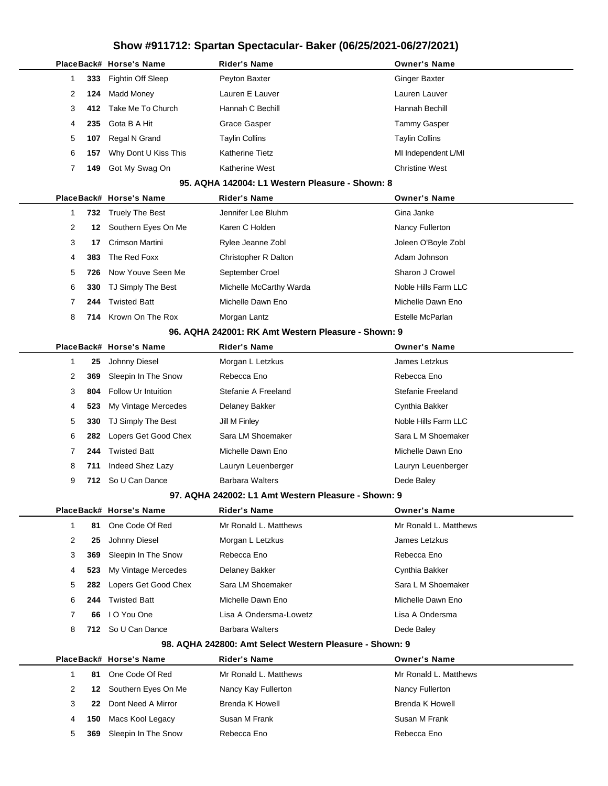|              |      | PlaceBack# Horse's Name | Rider's Name                                            | <b>Owner's Name</b>    |
|--------------|------|-------------------------|---------------------------------------------------------|------------------------|
| 1            | 333  | Fightin Off Sleep       | Peyton Baxter                                           | <b>Ginger Baxter</b>   |
| 2            | 124  | Madd Money              | Lauren E Lauver                                         | Lauren Lauver          |
| 3            | 412. | Take Me To Church       | Hannah C Bechill                                        | Hannah Bechill         |
| 4            | 235  | Gota B A Hit            | <b>Grace Gasper</b>                                     | <b>Tammy Gasper</b>    |
| 5            | 107  | Regal N Grand           | <b>Taylin Collins</b>                                   | <b>Taylin Collins</b>  |
| 6            | 157  | Why Dont U Kiss This    | Katherine Tietz                                         | MI Independent L/MI    |
| 7            | 149  | Got My Swag On          | Katherine West                                          | <b>Christine West</b>  |
|              |      |                         | 95. AQHA 142004: L1 Western Pleasure - Shown: 8         |                        |
|              |      | PlaceBack# Horse's Name | Rider's Name                                            | <b>Owner's Name</b>    |
| 1            | 732  | <b>Truely The Best</b>  | Jennifer Lee Bluhm                                      | Gina Janke             |
| 2            | 12   | Southern Eyes On Me     | Karen C Holden                                          | Nancy Fullerton        |
| 3            | 17   | Crimson Martini         | Rylee Jeanne Zobl                                       | Joleen O'Boyle Zobl    |
| 4            | 383  | The Red Foxx            | Christopher R Dalton                                    | Adam Johnson           |
| 5            | 726  | Now Youve Seen Me       | September Croel                                         | Sharon J Crowel        |
| 6            | 330  | TJ Simply The Best      | Michelle McCarthy Warda                                 | Noble Hills Farm LLC   |
| 7            | 244  | <b>Twisted Batt</b>     | Michelle Dawn Eno                                       | Michelle Dawn Eno      |
| 8            | 714  | Krown On The Rox        | Morgan Lantz                                            | Estelle McParlan       |
|              |      |                         | 96. AQHA 242001: RK Amt Western Pleasure - Shown: 9     |                        |
|              |      | PlaceBack# Horse's Name | Rider's Name                                            | <b>Owner's Name</b>    |
| 1            | 25   | Johnny Diesel           | Morgan L Letzkus                                        | James Letzkus          |
| 2            | 369  | Sleepin In The Snow     | Rebecca Eno                                             | Rebecca Eno            |
| 3            | 804  | Follow Ur Intuition     | Stefanie A Freeland                                     | Stefanie Freeland      |
| 4            | 523  | My Vintage Mercedes     | Delaney Bakker                                          | Cynthia Bakker         |
| 5            | 330  | TJ Simply The Best      | Jill M Finley                                           | Noble Hills Farm LLC   |
| 6            | 282  | Lopers Get Good Chex    | Sara LM Shoemaker                                       | Sara L M Shoemaker     |
| 7            | 244  | <b>Twisted Batt</b>     | Michelle Dawn Eno                                       | Michelle Dawn Eno      |
| 8            | 711  | Indeed Shez Lazy        | Lauryn Leuenberger                                      | Lauryn Leuenberger     |
| 9            | 712  | So U Can Dance          | <b>Barbara Walters</b>                                  | Dede Baley             |
|              |      |                         | 97. AQHA 242002: L1 Amt Western Pleasure - Shown: 9     |                        |
|              |      | PlaceBack# Horse's Name | <b>Rider's Name</b>                                     | <b>Owner's Name</b>    |
| $\mathbf{1}$ | 81   | One Code Of Red         | Mr Ronald L. Matthews                                   | Mr Ronald L. Matthews  |
| 2            | 25   | Johnny Diesel           | Morgan L Letzkus                                        | James Letzkus          |
| 3            | 369  | Sleepin In The Snow     | Rebecca Eno                                             | Rebecca Eno            |
| 4            | 523  | My Vintage Mercedes     | Delaney Bakker                                          | Cynthia Bakker         |
| 5            | 282  | Lopers Get Good Chex    | Sara LM Shoemaker                                       | Sara L M Shoemaker     |
| 6            | 244  | <b>Twisted Batt</b>     | Michelle Dawn Eno                                       | Michelle Dawn Eno      |
| 7            | 66   | I O You One             | Lisa A Ondersma-Lowetz                                  | Lisa A Ondersma        |
| 8            | 712  | So U Can Dance          | <b>Barbara Walters</b>                                  | Dede Baley             |
|              |      |                         | 98. AQHA 242800: Amt Select Western Pleasure - Shown: 9 |                        |
|              |      | PlaceBack# Horse's Name | <b>Rider's Name</b>                                     | <b>Owner's Name</b>    |
| $\mathbf{1}$ | 81   | One Code Of Red         | Mr Ronald L. Matthews                                   | Mr Ronald L. Matthews  |
| 2            | 12   | Southern Eyes On Me     | Nancy Kay Fullerton                                     | Nancy Fullerton        |
| 3            | 22   | Dont Need A Mirror      | Brenda K Howell                                         | <b>Brenda K Howell</b> |
| 4            | 150  | Macs Kool Legacy        | Susan M Frank                                           | Susan M Frank          |
| 5            | 369  | Sleepin In The Snow     | Rebecca Eno                                             | Rebecca Eno            |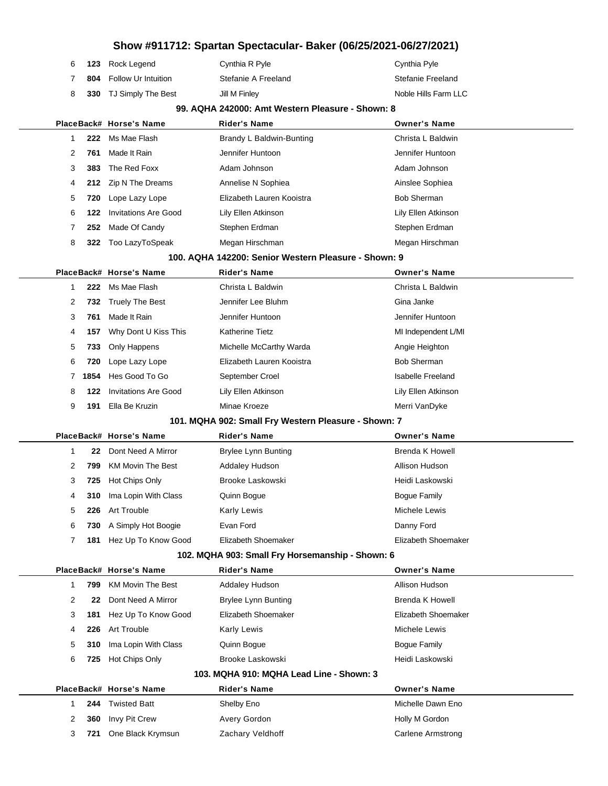|  | 6 123 Rock Legend              | Cynthia R Pyle      | Cynthia Pyle         |
|--|--------------------------------|---------------------|----------------------|
|  | <b>804</b> Follow Ur Intuition | Stefanie A Freeland | Stefanie Freeland    |
|  | 8 330 TJ Simply The Best       | Jill M Finley       | Noble Hills Farm LLC |

#### **99. AQHA 242000: Amt Western Pleasure - Shown: 8**

|                                                      |     | PlaceBack# Horse's Name     | <b>Rider's Name</b>       | <b>Owner's Name</b> |  |
|------------------------------------------------------|-----|-----------------------------|---------------------------|---------------------|--|
|                                                      | 222 | Ms Mae Flash                | Brandy L Baldwin-Bunting  | Christa L Baldwin   |  |
| 2                                                    | 761 | Made It Rain                | Jennifer Huntoon          | Jennifer Huntoon    |  |
| 3                                                    | 383 | The Red Foxx                | Adam Johnson              | Adam Johnson        |  |
| 4                                                    |     | 212 Zip N The Dreams        | Annelise N Sophiea        | Ainslee Sophiea     |  |
| 5                                                    | 720 | Lope Lazy Lope              | Elizabeth Lauren Kooistra | <b>Bob Sherman</b>  |  |
| 6                                                    | 122 | <b>Invitations Are Good</b> | Lily Ellen Atkinson       | Lily Ellen Atkinson |  |
|                                                      | 252 | Made Of Candy               | Stephen Erdman            | Stephen Erdman      |  |
| 8                                                    | 322 | Too LazyToSpeak             | Megan Hirschman           | Megan Hirschman     |  |
| 100. AQHA 142200: Senior Western Pleasure - Shown: 9 |     |                             |                           |                     |  |

|   |      | PlaceBack# Horse's Name | <b>Rider's Name</b>       | <b>Owner's Name</b>      |
|---|------|-------------------------|---------------------------|--------------------------|
|   | 222  | Ms Mae Flash            | Christa L Baldwin         | Christa L Baldwin        |
| 2 |      | 732 Truely The Best     | Jennifer Lee Bluhm        | Gina Janke               |
| 3 | 761  | Made It Rain            | Jennifer Huntoon          | Jennifer Huntoon         |
| 4 | 157  | Why Dont U Kiss This    | <b>Katherine Tietz</b>    | MI Independent L/MI      |
| 5 | 733  | Only Happens            | Michelle McCarthy Warda   | Angie Heighton           |
| 6 | 720  | Lope Lazy Lope          | Elizabeth Lauren Kooistra | <b>Bob Sherman</b>       |
|   | 1854 | Hes Good To Go          | September Croel           | <b>Isabelle Freeland</b> |
| 8 | 122  | Invitations Are Good    | Lily Ellen Atkinson       | Lily Ellen Atkinson      |
| 9 | 191  | Ella Be Kruzin          | Minae Kroeze              | Merri VanDyke            |

#### **101. MQHA 902: Small Fry Western Pleasure - Shown: 7**

|                                                  | PlaceBack# Horse's Name  | <b>Rider's Name</b>        | <b>Owner's Name</b> |  |  |
|--------------------------------------------------|--------------------------|----------------------------|---------------------|--|--|
|                                                  | Dont Need A Mirror<br>22 | <b>Brylee Lynn Bunting</b> | Brenda K Howell     |  |  |
| 2<br>799                                         | <b>KM Movin The Best</b> | Addaley Hudson             | Allison Hudson      |  |  |
| 3<br>725                                         | Hot Chips Only           | Brooke Laskowski           | Heidi Laskowski     |  |  |
| 310<br>4                                         | Ima Lopin With Class     | Quinn Bogue                | Boque Family        |  |  |
| 5<br>226                                         | Art Trouble              | <b>Karly Lewis</b>         | Michele Lewis       |  |  |
| 6<br>730                                         | A Simply Hot Boogie      | Evan Ford                  | Danny Ford          |  |  |
| 181                                              | Hez Up To Know Good      | Elizabeth Shoemaker        | Elizabeth Shoemaker |  |  |
| 102. MQHA 903: Small Fry Horsemanship - Shown: 6 |                          |                            |                     |  |  |

|   |     | PlaceBack# Horse's Name  | <b>Rider's Name</b>                      | <b>Owner's Name</b> |
|---|-----|--------------------------|------------------------------------------|---------------------|
|   | 799 | <b>KM Movin The Best</b> | <b>Addaley Hudson</b>                    | Allison Hudson      |
| 2 | 22  | Dont Need A Mirror       | <b>Brylee Lynn Bunting</b>               | Brenda K Howell     |
| 3 | 181 | Hez Up To Know Good      | Elizabeth Shoemaker                      | Elizabeth Shoemaker |
| 4 | 226 | Art Trouble              | Karly Lewis                              | Michele Lewis       |
| 5 | 310 | Ima Lopin With Class     | Quinn Boque                              | Boque Family        |
| 6 | 725 | Hot Chips Only           | Brooke Laskowski                         | Heidi Laskowski     |
|   |     |                          | 103. MQHA 910: MQHA Lead Line - Shown: 3 |                     |
|   |     | PlaceBack# Horse's Name  | <b>Rider's Name</b>                      | <b>Owner's Name</b> |
|   | 244 | <b>Twisted Batt</b>      | Shelby Eno                               | Michelle Dawn Eno   |
| 2 | 360 | Invy Pit Crew            | Avery Gordon                             | Holly M Gordon      |
| 3 | 721 | One Black Krymsun        | Zachary Veldhoff                         | Carlene Armstrong   |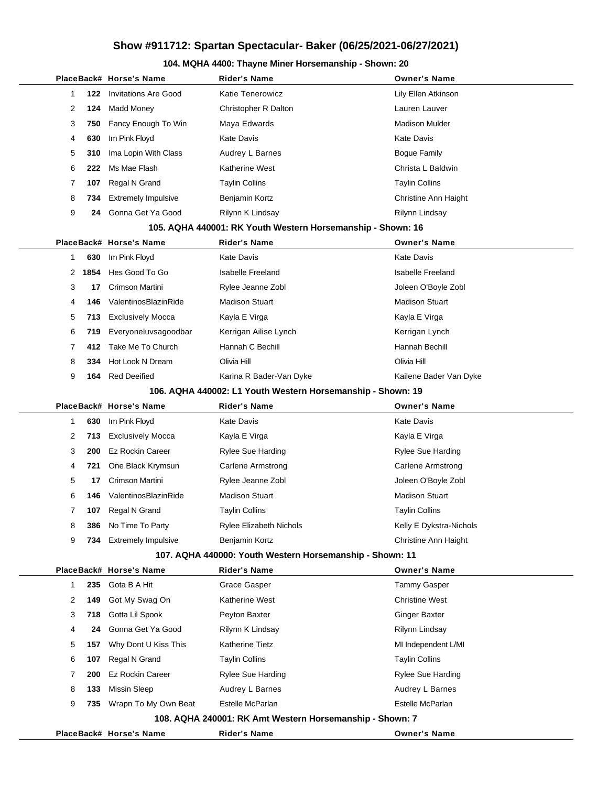#### **104. MQHA 4400: Thayne Miner Horsemanship - Shown: 20**

|   |      | PlaceBack# Horse's Name     | <b>Rider's Name</b>                                         | <b>Owner's Name</b>      |
|---|------|-----------------------------|-------------------------------------------------------------|--------------------------|
| 1 | 122  | <b>Invitations Are Good</b> | <b>Katie Tenerowicz</b>                                     | Lily Ellen Atkinson      |
| 2 | 124  | <b>Madd Money</b>           | Christopher R Dalton                                        | Lauren Lauver            |
| 3 | 750  | Fancy Enough To Win         | Maya Edwards                                                | <b>Madison Mulder</b>    |
| 4 | 630  | Im Pink Floyd               | <b>Kate Davis</b>                                           | Kate Davis               |
| 5 | 310  | Ima Lopin With Class        | Audrey L Barnes                                             | Bogue Family             |
| 6 | 222  | Ms Mae Flash                | <b>Katherine West</b>                                       | Christa L Baldwin        |
| 7 | 107  | Regal N Grand               | <b>Taylin Collins</b>                                       | Taylin Collins           |
| 8 | 734  | <b>Extremely Impulsive</b>  | Benjamin Kortz                                              | Christine Ann Haight     |
| 9 | 24   | Gonna Get Ya Good           | Rilynn K Lindsay                                            | Rilynn Lindsay           |
|   |      |                             | 105. AQHA 440001: RK Youth Western Horsemanship - Shown: 16 |                          |
|   |      | PlaceBack# Horse's Name     | <b>Rider's Name</b>                                         | <b>Owner's Name</b>      |
| 1 | 630  | Im Pink Floyd               | <b>Kate Davis</b>                                           | Kate Davis               |
| 2 | 1854 | Hes Good To Go              | <b>Isabelle Freeland</b>                                    | <b>Isabelle Freeland</b> |
| 3 | 17   | Crimson Martini             | Rylee Jeanne Zobl                                           | Joleen O'Boyle Zobl      |
| 4 | 146  | ValentinosBlazinRide        | <b>Madison Stuart</b>                                       | <b>Madison Stuart</b>    |
| 5 | 713  | <b>Exclusively Mocca</b>    | Kayla E Virga                                               | Kayla E Virga            |
| 6 | 719  | Everyoneluvsagoodbar        | Kerrigan Ailise Lynch                                       | Kerrigan Lynch           |
| 7 | 412  | Take Me To Church           | Hannah C Bechill                                            | Hannah Bechill           |
| 8 | 334  | Hot Look N Dream            | Olivia Hill                                                 | Olivia Hill              |
| 9 | 164  | <b>Red Deeified</b>         | Karina R Bader-Van Dyke                                     | Kailene Bader Van Dyke   |
|   |      |                             | 106. AQHA 440002: L1 Youth Western Horsemanship - Shown: 19 |                          |
|   |      | PlaceBack# Horse's Name     | <b>Rider's Name</b>                                         | <b>Owner's Name</b>      |
| 1 | 630  | Im Pink Floyd               | <b>Kate Davis</b>                                           | Kate Davis               |
| 2 | 713  | <b>Exclusively Mocca</b>    | Kayla E Virga                                               | Kayla E Virga            |
| 3 | 200  | <b>Ez Rockin Career</b>     | <b>Rylee Sue Harding</b>                                    | Rylee Sue Harding        |
| 4 | 721  | One Black Krymsun           | <b>Carlene Armstrong</b>                                    | Carlene Armstrong        |
| 5 | 17   | Crimson Martini             | Rylee Jeanne Zobl                                           | Joleen O'Boyle Zobl      |
| 6 | 146  | ValentinosBlazinRide        | <b>Madison Stuart</b>                                       | <b>Madison Stuart</b>    |
| 7 | 107  | Regal N Grand               | <b>Taylin Collins</b>                                       | <b>Taylin Collins</b>    |
| 8 | 386  | No Time To Party            | Rylee Elizabeth Nichols                                     | Kelly E Dykstra-Nichols  |
| 9 | 734  | <b>Extremely Impulsive</b>  | Benjamin Kortz                                              | Christine Ann Haight     |
|   |      |                             | 107. AQHA 440000: Youth Western Horsemanship - Shown: 11    |                          |
|   |      | PlaceBack# Horse's Name     | <b>Rider's Name</b>                                         | <b>Owner's Name</b>      |
| 1 | 235  | Gota B A Hit                | Grace Gasper                                                | Tammy Gasper             |
| 2 | 149  | Got My Swag On              | <b>Katherine West</b>                                       | <b>Christine West</b>    |
| 3 | 718  | Gotta Lil Spook             | Peyton Baxter                                               | <b>Ginger Baxter</b>     |
| 4 | 24   | Gonna Get Ya Good           | Rilynn K Lindsay                                            | Rilynn Lindsay           |
| 5 | 157  | Why Dont U Kiss This        | <b>Katherine Tietz</b>                                      | MI Independent L/MI      |
| 6 | 107  | Regal N Grand               | <b>Taylin Collins</b>                                       | <b>Taylin Collins</b>    |
| 7 | 200  | <b>Ez Rockin Career</b>     | Rylee Sue Harding                                           | <b>Rylee Sue Harding</b> |
| 8 | 133  | <b>Missin Sleep</b>         | Audrey L Barnes                                             | Audrey L Barnes          |
| 9 | 735  | Wrapn To My Own Beat        | Estelle McParlan                                            | Estelle McParlan         |
|   |      |                             | 108. AQHA 240001: RK Amt Western Horsemanship - Shown: 7    |                          |
|   |      | PlaceBack# Horse's Name     | <b>Rider's Name</b>                                         | <b>Owner's Name</b>      |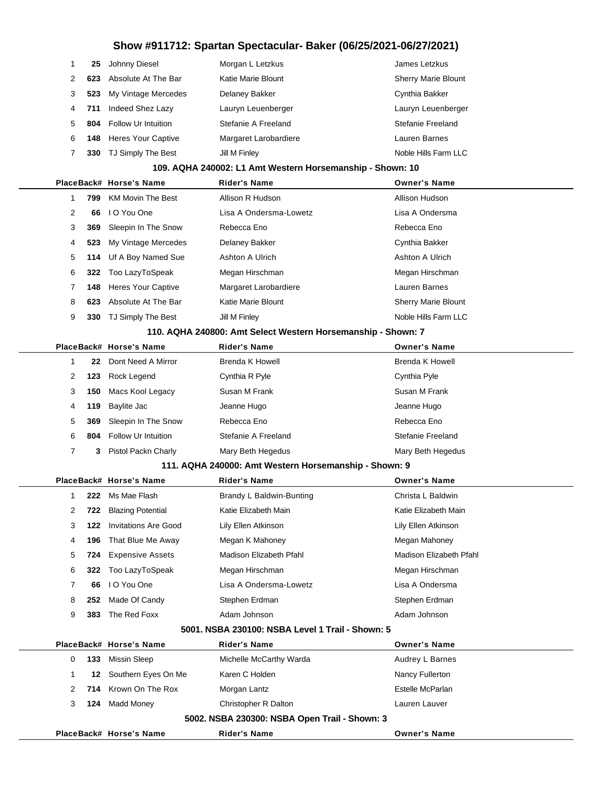|   |     | 25 Johnny Diesel              | Morgan L Letzkus      | James Letzkus              |
|---|-----|-------------------------------|-----------------------|----------------------------|
| 2 | 623 | Absolute At The Bar           | Katie Marie Blount    | <b>Sherry Marie Blount</b> |
| 3 | 523 | My Vintage Mercedes           | Delaney Bakker        | Cynthia Bakker             |
| 4 |     | 711 Indeed Shez Lazy          | Lauryn Leuenberger    | Lauryn Leuenberger         |
| 5 | 804 | <b>Follow Ur Intuition</b>    | Stefanie A Freeland   | Stefanie Freeland          |
| 6 |     | <b>148</b> Heres Your Captive | Margaret Larobardiere | Lauren Barnes              |
|   | 330 | TJ Simply The Best            | Jill M Finley         | Noble Hills Farm LLC       |

#### **109. AQHA 240002: L1 Amt Western Horsemanship - Shown: 10**

|  |   |     | PlaceBack# Horse's Name   | <b>Rider's Name</b>    | <b>Owner's Name</b>        |  |
|--|---|-----|---------------------------|------------------------|----------------------------|--|
|  |   | 799 | <b>KM Movin The Best</b>  | Allison R Hudson       | Allison Hudson             |  |
|  | 2 | 66  | I O You One               | Lisa A Ondersma-Lowetz | Lisa A Ondersma            |  |
|  | 3 | 369 | Sleepin In The Snow       | Rebecca Eno            | Rebecca Eno                |  |
|  | 4 | 523 | My Vintage Mercedes       | Delaney Bakker         | Cynthia Bakker             |  |
|  | 5 |     | 114 Uf A Boy Named Sue    | Ashton A Ulrich        | Ashton A Ulrich            |  |
|  | 6 |     | 322 Too LazyToSpeak       | Megan Hirschman        | Megan Hirschman            |  |
|  |   | 148 | <b>Heres Your Captive</b> | Margaret Larobardiere  | Lauren Barnes              |  |
|  | 8 | 623 | Absolute At The Bar       | Katie Marie Blount     | <b>Sherry Marie Blount</b> |  |
|  | 9 | 330 | TJ Simply The Best        | Jill M Finley          | Noble Hills Farm LLC       |  |
|  |   |     |                           |                        |                            |  |

#### **110. AQHA 240800: Amt Select Western Horsemanship - Shown: 7**

|   |      | PlaceBack# Horse's Name | <b>Rider's Name</b> | <b>Owner's Name</b> |
|---|------|-------------------------|---------------------|---------------------|
|   | 22   | Dont Need A Mirror      | Brenda K Howell     | Brenda K Howell     |
| 2 | 123. | Rock Legend             | Cynthia R Pyle      | Cynthia Pyle        |
| 3 | 150  | Macs Kool Legacy        | Susan M Frank       | Susan M Frank       |
| 4 | 119  | Baylite Jac             | Jeanne Hugo         | Jeanne Hugo         |
| 5 | 369  | Sleepin In The Snow     | Rebecca Eno         | Rebecca Eno         |
| 6 | 804  | Follow Ur Intuition     | Stefanie A Freeland | Stefanie Freeland   |
|   | 3    | Pistol Packn Charly     | Mary Beth Hegedus   | Mary Beth Hegedus   |

#### **111. AQHA 240000: Amt Western Horsemanship - Shown: 9**

|                     | PlaceBack# Horse's Name      | <b>Rider's Name</b>      | <b>Owner's Name</b>     |
|---------------------|------------------------------|--------------------------|-------------------------|
| 222                 | Ms Mae Flash                 | Brandy L Baldwin-Bunting | Christa L Baldwin       |
| $\mathbf{2}$<br>722 | <b>Blazing Potential</b>     | Katie Elizabeth Main     | Katie Elizabeth Main    |
| 3<br>122            | Invitations Are Good         | Lily Ellen Atkinson      | Lily Ellen Atkinson     |
| 4                   | <b>196</b> That Blue Me Away | Megan K Mahoney          | Megan Mahoney           |
| 5                   | <b>724</b> Expensive Assets  | Madison Elizabeth Pfahl  | Madison Elizabeth Pfahl |
| 6.                  | 322 Too LazyToSpeak          | Megan Hirschman          | Megan Hirschman         |
| 7<br>66             | I O You One                  | Lisa A Ondersma-Lowetz   | Lisa A Ondersma         |
| 8<br>252            | Made Of Candy                | Stephen Erdman           | Stephen Erdman          |
| 9<br>383            | The Red Foxx                 | Adam Johnson             | Adam Johnson            |

#### **5001. NSBA 230100: NSBA Level 1 Trail - Shown: 5**

|                                               | PlaceBack# Horse's Name | <b>Rider's Name</b>     | <b>Owner's Name</b> |  |  |
|-----------------------------------------------|-------------------------|-------------------------|---------------------|--|--|
| 133                                           | Missin Sleep            | Michelle McCarthy Warda | Audrey L Barnes     |  |  |
|                                               | 12 Southern Eyes On Me  | Karen C Holden          | Nancy Fullerton     |  |  |
|                                               | 714 Krown On The Rox    | Morgan Lantz            | Estelle McParlan    |  |  |
| 124                                           | Madd Money              | Christopher R Dalton    | Lauren Lauver       |  |  |
| 5002. NSBA 230300: NSBA Open Trail - Shown: 3 |                         |                         |                     |  |  |

**PlaceBack# Horse's Name Rider's Name Owner's Name**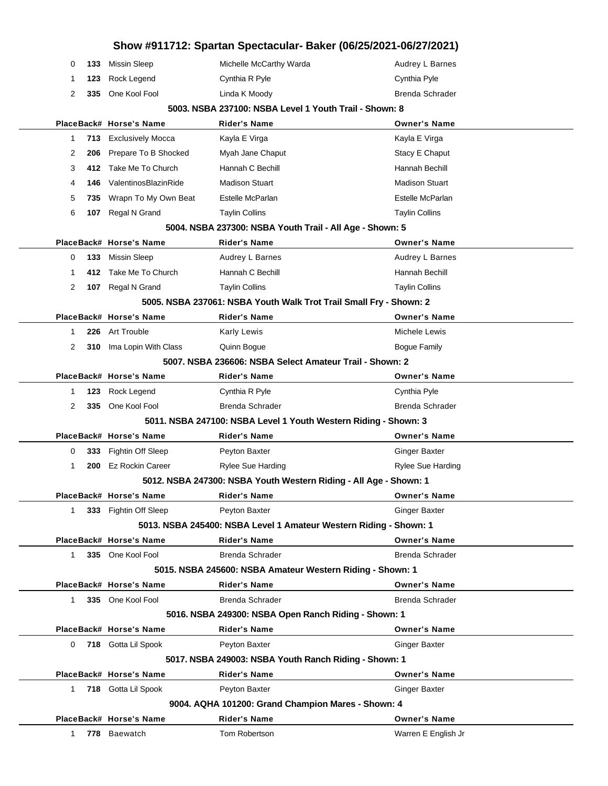|              |      |                          | Show #911712: Spartan Spectacular- Baker (06/25/2021-06/27/2021)   |                          |
|--------------|------|--------------------------|--------------------------------------------------------------------|--------------------------|
| 0            | 133  | Missin Sleep             | Michelle McCarthy Warda                                            | Audrey L Barnes          |
| 1            | 123  | Rock Legend              | Cynthia R Pyle                                                     | Cynthia Pyle             |
| 2            | 335  | One Kool Fool            | Linda K Moody                                                      | <b>Brenda Schrader</b>   |
|              |      |                          | 5003. NSBA 237100: NSBA Level 1 Youth Trail - Shown: 8             |                          |
|              |      | PlaceBack# Horse's Name  | Rider's Name                                                       | <b>Owner's Name</b>      |
| 1            | 713  | <b>Exclusively Mocca</b> | Kayla E Virga                                                      | Kayla E Virga            |
| 2            | 206  | Prepare To B Shocked     | Myah Jane Chaput                                                   | Stacy E Chaput           |
| 3            | 412. | Take Me To Church        | Hannah C Bechill                                                   | Hannah Bechill           |
| 4            | 146  | ValentinosBlazinRide     | <b>Madison Stuart</b>                                              | <b>Madison Stuart</b>    |
| 5            | 735  | Wrapn To My Own Beat     | Estelle McParlan                                                   | Estelle McParlan         |
| 6            | 107  | Regal N Grand            | <b>Taylin Collins</b>                                              | <b>Taylin Collins</b>    |
|              |      |                          | 5004. NSBA 237300: NSBA Youth Trail - All Age - Shown: 5           |                          |
|              |      | PlaceBack# Horse's Name  | Rider's Name                                                       | <b>Owner's Name</b>      |
| 0            | 133  | <b>Missin Sleep</b>      | Audrey L Barnes                                                    | Audrey L Barnes          |
| 1            | 412. | Take Me To Church        | Hannah C Bechill                                                   | Hannah Bechill           |
| 2            | 107  | Regal N Grand            | <b>Taylin Collins</b>                                              | <b>Taylin Collins</b>    |
|              |      |                          | 5005. NSBA 237061: NSBA Youth Walk Trot Trail Small Fry - Shown: 2 |                          |
|              |      | PlaceBack# Horse's Name  | <b>Rider's Name</b>                                                | <b>Owner's Name</b>      |
| 1            | 226  | Art Trouble              | <b>Karly Lewis</b>                                                 | Michele Lewis            |
| 2            | 310  | Ima Lopin With Class     | Quinn Bogue                                                        | <b>Bogue Family</b>      |
|              |      |                          | 5007. NSBA 236606: NSBA Select Amateur Trail - Shown: 2            |                          |
|              |      | PlaceBack# Horse's Name  | Rider's Name                                                       | <b>Owner's Name</b>      |
| 1            | 123  | Rock Legend              | Cynthia R Pyle                                                     | Cynthia Pyle             |
| 2            | 335  | One Kool Fool            | <b>Brenda Schrader</b>                                             | <b>Brenda Schrader</b>   |
|              |      |                          | 5011. NSBA 247100: NSBA Level 1 Youth Western Riding - Shown: 3    |                          |
|              |      | PlaceBack# Horse's Name  | <b>Rider's Name</b>                                                | <b>Owner's Name</b>      |
| 0            | 333  | Fightin Off Sleep        | Peyton Baxter                                                      | Ginger Baxter            |
| 1            | 200  | <b>Ez Rockin Career</b>  | Rylee Sue Harding                                                  | <b>Rylee Sue Harding</b> |
|              |      |                          | 5012. NSBA 247300: NSBA Youth Western Riding - All Age - Shown: 1  |                          |
|              |      | PlaceBack# Horse's Name  | <b>Rider's Name</b>                                                | <b>Owner's Name</b>      |
| $\mathbf{1}$ |      | 333 Fightin Off Sleep    | Peyton Baxter                                                      | Ginger Baxter            |
|              |      |                          | 5013. NSBA 245400: NSBA Level 1 Amateur Western Riding - Shown: 1  |                          |
|              |      | PlaceBack# Horse's Name  | <b>Rider's Name</b>                                                | <b>Owner's Name</b>      |
| 1            |      | 335 One Kool Fool        | <b>Brenda Schrader</b>                                             | Brenda Schrader          |
|              |      |                          | 5015. NSBA 245600: NSBA Amateur Western Riding - Shown: 1          |                          |
|              |      | PlaceBack# Horse's Name  | <b>Rider's Name</b>                                                | <b>Owner's Name</b>      |
| $\mathbf 1$  |      | 335 One Kool Fool        | Brenda Schrader                                                    | <b>Brenda Schrader</b>   |
|              |      |                          | 5016. NSBA 249300: NSBA Open Ranch Riding - Shown: 1               |                          |
|              |      | PlaceBack# Horse's Name  | Rider's Name                                                       | <b>Owner's Name</b>      |
| 0            |      | 718 Gotta Lil Spook      | Peyton Baxter                                                      | Ginger Baxter            |
|              |      |                          | 5017. NSBA 249003: NSBA Youth Ranch Riding - Shown: 1              |                          |
|              |      | PlaceBack# Horse's Name  | Rider's Name                                                       | <b>Owner's Name</b>      |
| 1            |      | 718 Gotta Lil Spook      | Peyton Baxter                                                      | <b>Ginger Baxter</b>     |
|              |      |                          | 9004. AQHA 101200: Grand Champion Mares - Shown: 4                 |                          |
|              |      | PlaceBack# Horse's Name  | <b>Rider's Name</b>                                                | <b>Owner's Name</b>      |
| $1 \quad$    |      | 778 Baewatch             | Tom Robertson                                                      | Warren E English Jr      |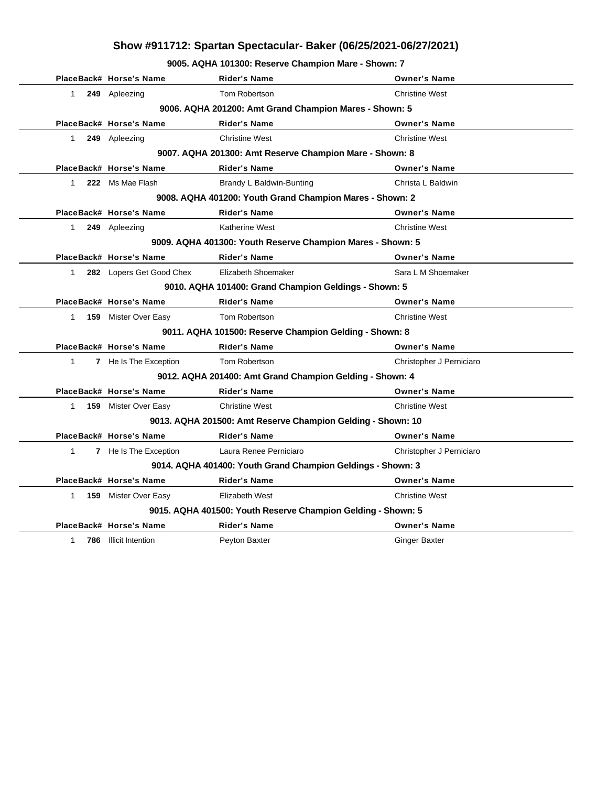**9005. AQHA 101300: Reserve Champion Mare - Shown: 7**

|              | PlaceBack# Horse's Name                                | <b>Rider's Name</b>                                          | <b>Owner's Name</b>      |  |  |
|--------------|--------------------------------------------------------|--------------------------------------------------------------|--------------------------|--|--|
| 1            | 249 Apleezing                                          | Tom Robertson                                                | <b>Christine West</b>    |  |  |
|              |                                                        | 9006. AQHA 201200: Amt Grand Champion Mares - Shown: 5       |                          |  |  |
|              | PlaceBack# Horse's Name                                | <b>Rider's Name</b>                                          | <b>Owner's Name</b>      |  |  |
| $\mathbf{1}$ | 249 Apleezing                                          | <b>Christine West</b>                                        | <b>Christine West</b>    |  |  |
|              |                                                        | 9007. AQHA 201300: Amt Reserve Champion Mare - Shown: 8      |                          |  |  |
|              | PlaceBack# Horse's Name                                | <b>Rider's Name</b>                                          | <b>Owner's Name</b>      |  |  |
| $\mathbf{1}$ | 222 Ms Mae Flash                                       | Brandy L Baldwin-Bunting                                     | Christa L Baldwin        |  |  |
|              |                                                        | 9008. AQHA 401200: Youth Grand Champion Mares - Shown: 2     |                          |  |  |
|              | PlaceBack# Horse's Name                                | <b>Rider's Name</b>                                          | <b>Owner's Name</b>      |  |  |
| $\mathbf{1}$ | 249 Apleezing                                          | <b>Katherine West</b>                                        | <b>Christine West</b>    |  |  |
|              |                                                        | 9009. AQHA 401300: Youth Reserve Champion Mares - Shown: 5   |                          |  |  |
|              | PlaceBack# Horse's Name                                | <b>Rider's Name</b>                                          | <b>Owner's Name</b>      |  |  |
| $\mathbf{1}$ | 282 Lopers Get Good Chex                               | Elizabeth Shoemaker                                          | Sara L M Shoemaker       |  |  |
|              |                                                        | 9010. AQHA 101400: Grand Champion Geldings - Shown: 5        |                          |  |  |
|              | PlaceBack# Horse's Name                                | <b>Rider's Name</b>                                          | <b>Owner's Name</b>      |  |  |
| $\mathbf{1}$ | <b>159</b> Mister Over Easy                            | Tom Robertson                                                | <b>Christine West</b>    |  |  |
|              | 9011. AQHA 101500: Reserve Champion Gelding - Shown: 8 |                                                              |                          |  |  |
|              | PlaceBack# Horse's Name                                | <b>Rider's Name</b>                                          | <b>Owner's Name</b>      |  |  |
| $\mathbf{1}$ | 7 He Is The Exception                                  | Tom Robertson                                                | Christopher J Perniciaro |  |  |
|              |                                                        | 9012. AQHA 201400: Amt Grand Champion Gelding - Shown: 4     |                          |  |  |
|              | PlaceBack# Horse's Name                                | <b>Rider's Name</b>                                          | <b>Owner's Name</b>      |  |  |
| $\mathbf{1}$ | <b>159</b> Mister Over Easy                            | <b>Christine West</b>                                        | <b>Christine West</b>    |  |  |
|              |                                                        | 9013. AQHA 201500: Amt Reserve Champion Gelding - Shown: 10  |                          |  |  |
|              | PlaceBack# Horse's Name                                | <b>Rider's Name</b>                                          | <b>Owner's Name</b>      |  |  |
| 1            | 7 He Is The Exception                                  | Laura Renee Perniciaro                                       | Christopher J Perniciaro |  |  |
|              |                                                        | 9014. AQHA 401400: Youth Grand Champion Geldings - Shown: 3  |                          |  |  |
|              | PlaceBack# Horse's Name                                | <b>Rider's Name</b>                                          | <b>Owner's Name</b>      |  |  |
| $\mathbf{1}$ | <b>159</b> Mister Over Easy                            | Elizabeth West                                               | <b>Christine West</b>    |  |  |
|              |                                                        | 9015. AQHA 401500: Youth Reserve Champion Gelding - Shown: 5 |                          |  |  |
|              | PlaceBack# Horse's Name                                | <b>Rider's Name</b>                                          | <b>Owner's Name</b>      |  |  |
| 1.           | 786 Illicit Intention                                  | Peyton Baxter                                                | <b>Ginger Baxter</b>     |  |  |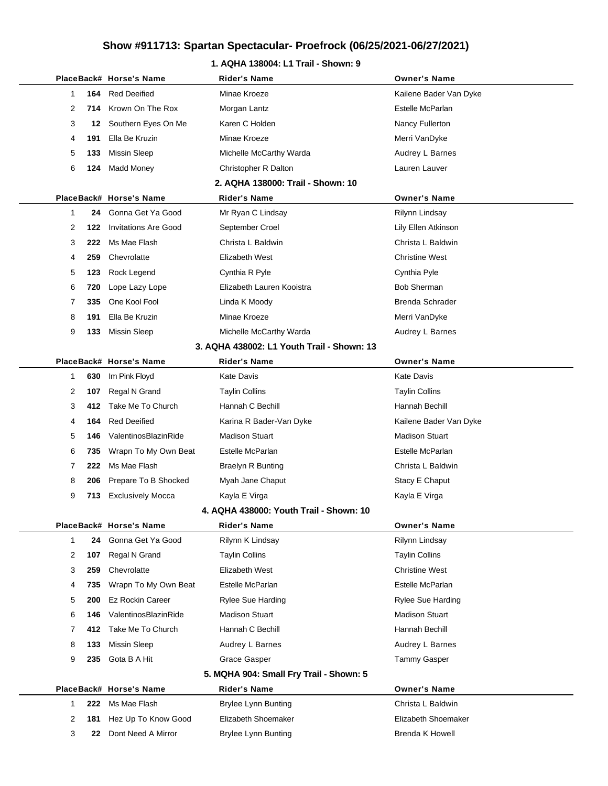### **1. AQHA 138004: L1 Trail - Shown: 9**

|              |     | PlaceBack# Horse's Name     | <b>Rider's Name</b>                        | <b>Owner's Name</b>    |
|--------------|-----|-----------------------------|--------------------------------------------|------------------------|
| 1            | 164 | <b>Red Deeified</b>         | Minae Kroeze                               | Kailene Bader Van Dyke |
| 2            |     | 714 Krown On The Rox        | Morgan Lantz                               | Estelle McParlan       |
| 3            | 12  | Southern Eyes On Me         | Karen C Holden                             | Nancy Fullerton        |
| 4            | 191 | Ella Be Kruzin              | Minae Kroeze                               | Merri VanDyke          |
| 5            | 133 | Missin Sleep                | Michelle McCarthy Warda                    | Audrey L Barnes        |
| 6            | 124 | <b>Madd Money</b>           | Christopher R Dalton                       | Lauren Lauver          |
|              |     |                             | 2. AQHA 138000: Trail - Shown: 10          |                        |
|              |     | PlaceBack# Horse's Name     | <b>Rider's Name</b>                        | <b>Owner's Name</b>    |
| 1            | 24  | Gonna Get Ya Good           | Mr Ryan C Lindsay                          | Rilynn Lindsay         |
| 2            | 122 | <b>Invitations Are Good</b> | September Croel                            | Lily Ellen Atkinson    |
| 3            | 222 | Ms Mae Flash                | Christa L Baldwin                          | Christa L Baldwin      |
| 4            | 259 | Chevrolatte                 | Elizabeth West                             | <b>Christine West</b>  |
| 5            | 123 | Rock Legend                 | Cynthia R Pyle                             | Cynthia Pyle           |
| 6            | 720 | Lope Lazy Lope              | Elizabeth Lauren Kooistra                  | <b>Bob Sherman</b>     |
| 7            | 335 | One Kool Fool               | Linda K Moody                              | Brenda Schrader        |
| 8            | 191 | Ella Be Kruzin              | Minae Kroeze                               | Merri VanDyke          |
| 9            | 133 | <b>Missin Sleep</b>         | Michelle McCarthy Warda                    | Audrey L Barnes        |
|              |     |                             | 3. AQHA 438002: L1 Youth Trail - Shown: 13 |                        |
|              |     | PlaceBack# Horse's Name     | Rider's Name                               | <b>Owner's Name</b>    |
| 1            | 630 | Im Pink Floyd               | <b>Kate Davis</b>                          | <b>Kate Davis</b>      |
| 2            | 107 | Regal N Grand               | <b>Taylin Collins</b>                      | Taylin Collins         |
| 3            | 412 | Take Me To Church           | Hannah C Bechill                           | Hannah Bechill         |
| 4            | 164 | <b>Red Deeified</b>         | Karina R Bader-Van Dyke                    | Kailene Bader Van Dyke |
| 5            | 146 | ValentinosBlazinRide        | <b>Madison Stuart</b>                      | <b>Madison Stuart</b>  |
| 6            | 735 | Wrapn To My Own Beat        | Estelle McParlan                           | Estelle McParlan       |
| 7            | 222 | Ms Mae Flash                | <b>Braelyn R Bunting</b>                   | Christa L Baldwin      |
| 8            | 206 | Prepare To B Shocked        | Myah Jane Chaput                           | Stacy E Chaput         |
| 9            | 713 | <b>Exclusively Mocca</b>    | Kayla E Virga                              | Kayla E Virga          |
|              |     |                             | 4. AQHA 438000: Youth Trail - Shown: 10    |                        |
|              |     | PlaceBack# Horse's Name     | <b>Rider's Name</b>                        | <b>Owner's Name</b>    |
| 1            | 24  | Gonna Get Ya Good           | Rilynn K Lindsay                           | Rilynn Lindsay         |
| 2            | 107 | Regal N Grand               | <b>Taylin Collins</b>                      | <b>Taylin Collins</b>  |
| 3            | 259 | Chevrolatte                 | Elizabeth West                             | <b>Christine West</b>  |
| 4            | 735 | Wrapn To My Own Beat        | Estelle McParlan                           | Estelle McParlan       |
| 5            | 200 | <b>Ez Rockin Career</b>     | Rylee Sue Harding                          | Rylee Sue Harding      |
| 6            | 146 | ValentinosBlazinRide        | <b>Madison Stuart</b>                      | <b>Madison Stuart</b>  |
| 7            | 412 | Take Me To Church           | Hannah C Bechill                           | Hannah Bechill         |
| 8            | 133 | <b>Missin Sleep</b>         | Audrey L Barnes                            | Audrey L Barnes        |
| 9            | 235 | Gota B A Hit                | Grace Gasper                               | Tammy Gasper           |
|              |     |                             | 5. MQHA 904: Small Fry Trail - Shown: 5    |                        |
|              |     | PlaceBack# Horse's Name     | <b>Rider's Name</b>                        | <b>Owner's Name</b>    |
| $\mathbf{1}$ | 222 | Ms Mae Flash                | <b>Brylee Lynn Bunting</b>                 | Christa L Baldwin      |
| 2            | 181 | Hez Up To Know Good         | Elizabeth Shoemaker                        | Elizabeth Shoemaker    |
| 3            | 22  | Dont Need A Mirror          | <b>Brylee Lynn Bunting</b>                 | Brenda K Howell        |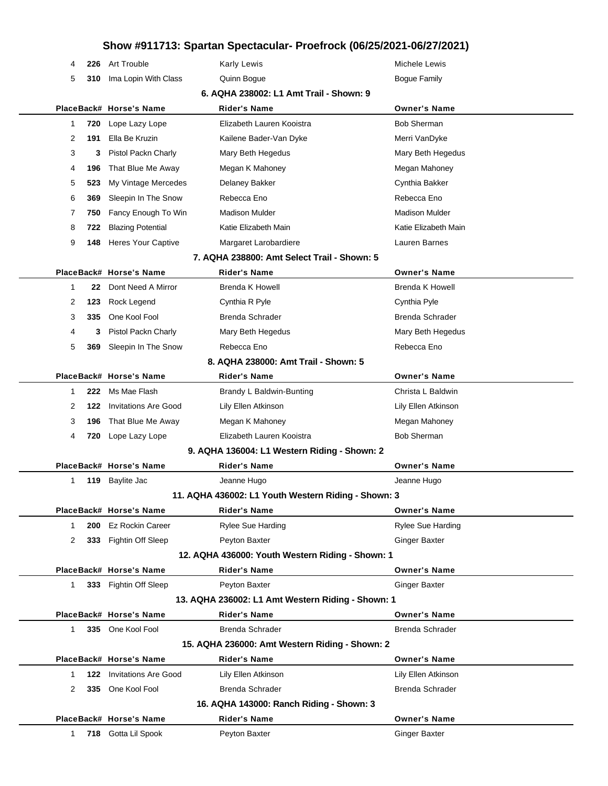χ,

| 4            | 226 | Art Trouble                     | <b>Karly Lewis</b>                                  | Michele Lewis         |
|--------------|-----|---------------------------------|-----------------------------------------------------|-----------------------|
| 5            | 310 | Ima Lopin With Class            | Quinn Bogue                                         | <b>Bogue Family</b>   |
|              |     |                                 | 6. AQHA 238002: L1 Amt Trail - Shown: 9             |                       |
|              |     | PlaceBack# Horse's Name         | <b>Rider's Name</b>                                 | <b>Owner's Name</b>   |
| 1            | 720 | Lope Lazy Lope                  | Elizabeth Lauren Kooistra                           | <b>Bob Sherman</b>    |
| 2            | 191 | Ella Be Kruzin                  | Kailene Bader-Van Dyke                              | Merri VanDyke         |
| 3            | 3   | Pistol Packn Charly             | Mary Beth Hegedus                                   | Mary Beth Hegedus     |
| 4            | 196 | That Blue Me Away               | Megan K Mahoney                                     | Megan Mahoney         |
| 5            | 523 | My Vintage Mercedes             | Delaney Bakker                                      | Cynthia Bakker        |
| 6            | 369 | Sleepin In The Snow             | Rebecca Eno                                         | Rebecca Eno           |
| 7            | 750 | Fancy Enough To Win             | <b>Madison Mulder</b>                               | <b>Madison Mulder</b> |
| 8            | 722 | <b>Blazing Potential</b>        | Katie Elizabeth Main                                | Katie Elizabeth Main  |
| 9            | 148 | <b>Heres Your Captive</b>       | Margaret Larobardiere                               | Lauren Barnes         |
|              |     |                                 | 7. AQHA 238800: Amt Select Trail - Shown: 5         |                       |
|              |     | PlaceBack# Horse's Name         | <b>Rider's Name</b>                                 | <b>Owner's Name</b>   |
| $\mathbf{1}$ | 22  | Dont Need A Mirror              | Brenda K Howell                                     | Brenda K Howell       |
| 2            | 123 | Rock Legend                     | Cynthia R Pyle                                      | Cynthia Pyle          |
| 3            | 335 | One Kool Fool                   | <b>Brenda Schrader</b>                              | Brenda Schrader       |
| 4            | 3   | Pistol Packn Charly             | Mary Beth Hegedus                                   | Mary Beth Hegedus     |
| 5            | 369 | Sleepin In The Snow             | Rebecca Eno                                         | Rebecca Eno           |
|              |     |                                 | 8. AQHA 238000: Amt Trail - Shown: 5                |                       |
|              |     | PlaceBack# Horse's Name         | <b>Rider's Name</b>                                 | <b>Owner's Name</b>   |
| 1            | 222 | Ms Mae Flash                    | Brandy L Baldwin-Bunting                            | Christa L Baldwin     |
| 2            | 122 | <b>Invitations Are Good</b>     | Lily Ellen Atkinson                                 | Lily Ellen Atkinson   |
| 3            | 196 | That Blue Me Away               | Megan K Mahoney                                     | Megan Mahoney         |
| 4            | 720 | Lope Lazy Lope                  | Elizabeth Lauren Kooistra                           | <b>Bob Sherman</b>    |
|              |     |                                 | 9. AQHA 136004: L1 Western Riding - Shown: 2        |                       |
|              |     | PlaceBack# Horse's Name         | <b>Rider's Name</b>                                 | <b>Owner's Name</b>   |
| 1            | 119 | Baylite Jac                     | Jeanne Hugo                                         | Jeanne Hugo           |
|              |     |                                 | 11. AQHA 436002: L1 Youth Western Riding - Shown: 3 |                       |
|              |     | PlaceBack# Horse's Name         | <b>Rider's Name</b>                                 | <b>Owner's Name</b>   |
| 1            |     | 200 Ez Rockin Career            | Rylee Sue Harding                                   | Rylee Sue Harding     |
| 2            |     | 333 Fightin Off Sleep           | Peyton Baxter                                       | Ginger Baxter         |
|              |     |                                 | 12. AQHA 436000: Youth Western Riding - Shown: 1    |                       |
|              |     | PlaceBack# Horse's Name         | Rider's Name                                        | <b>Owner's Name</b>   |
| $\mathbf{1}$ |     | 333 Fightin Off Sleep           | Peyton Baxter                                       | <b>Ginger Baxter</b>  |
|              |     |                                 | 13. AQHA 236002: L1 Amt Western Riding - Shown: 1   |                       |
|              |     | PlaceBack# Horse's Name         | <b>Rider's Name</b>                                 | <b>Owner's Name</b>   |
| 1            |     | 335 One Kool Fool               | Brenda Schrader                                     | Brenda Schrader       |
|              |     |                                 | 15. AQHA 236000: Amt Western Riding - Shown: 2      |                       |
|              |     | PlaceBack# Horse's Name         | <b>Rider's Name</b>                                 | <b>Owner's Name</b>   |
| 1            |     | <b>122</b> Invitations Are Good | Lily Ellen Atkinson                                 | Lily Ellen Atkinson   |
| 2            | 335 | One Kool Fool                   | Brenda Schrader                                     | Brenda Schrader       |
|              |     |                                 | 16. AQHA 143000: Ranch Riding - Shown: 3            |                       |
|              |     | PlaceBack# Horse's Name         | Rider's Name                                        | <b>Owner's Name</b>   |
| $1 \quad$    |     | 718 Gotta Lil Spook             | Peyton Baxter                                       | <b>Ginger Baxter</b>  |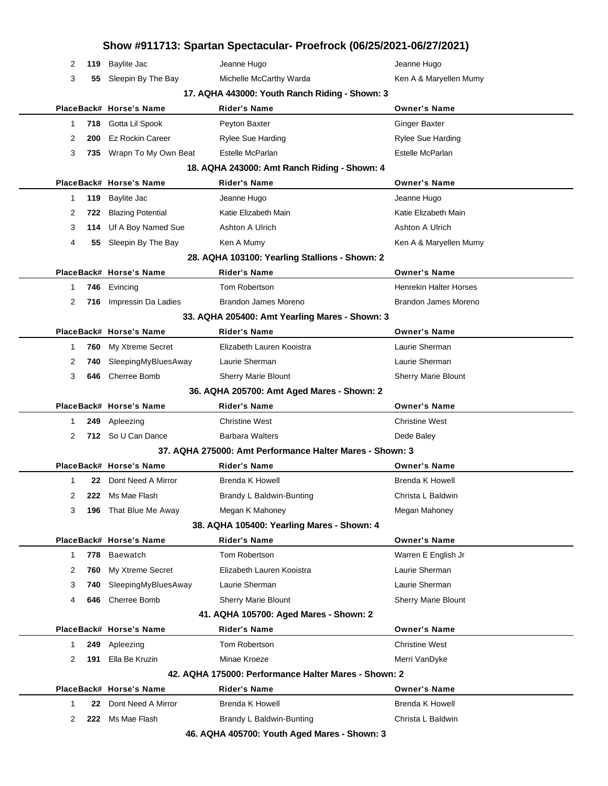|   |     |                          | Show #911713: Spartan Spectacular- Proefrock (06/25/2021-06/27/2021) |                               |
|---|-----|--------------------------|----------------------------------------------------------------------|-------------------------------|
| 2 | 119 | Baylite Jac              | Jeanne Hugo                                                          | Jeanne Hugo                   |
| 3 | 55  | Sleepin By The Bay       | Michelle McCarthy Warda                                              | Ken A & Maryellen Mumy        |
|   |     |                          | 17. AQHA 443000: Youth Ranch Riding - Shown: 3                       |                               |
|   |     | PlaceBack# Horse's Name  | <b>Rider's Name</b>                                                  | <b>Owner's Name</b>           |
| 1 | 718 | Gotta Lil Spook          | Peyton Baxter                                                        | <b>Ginger Baxter</b>          |
| 2 | 200 | Ez Rockin Career         | <b>Rylee Sue Harding</b>                                             | <b>Rylee Sue Harding</b>      |
| 3 |     | 735 Wrapn To My Own Beat | Estelle McParlan                                                     | Estelle McParlan              |
|   |     |                          | 18. AQHA 243000: Amt Ranch Riding - Shown: 4                         |                               |
|   |     | PlaceBack# Horse's Name  | Rider's Name                                                         | <b>Owner's Name</b>           |
| 1 | 119 | <b>Baylite Jac</b>       | Jeanne Hugo                                                          | Jeanne Hugo                   |
| 2 | 722 | <b>Blazing Potential</b> | Katie Elizabeth Main                                                 | Katie Elizabeth Main          |
| 3 |     | 114 Uf A Boy Named Sue   | Ashton A Ulrich                                                      | <b>Ashton A Ulrich</b>        |
| 4 | 55  | Sleepin By The Bay       | Ken A Mumy                                                           | Ken A & Maryellen Mumy        |
|   |     |                          | 28. AQHA 103100: Yearling Stallions - Shown: 2                       |                               |
|   |     | PlaceBack# Horse's Name  | <b>Rider's Name</b>                                                  | <b>Owner's Name</b>           |
| 1 | 746 | Evincing                 | Tom Robertson                                                        | <b>Henrekin Halter Horses</b> |
| 2 | 716 | Impressin Da Ladies      | Brandon James Moreno                                                 | Brandon James Moreno          |
|   |     |                          | 33. AQHA 205400: Amt Yearling Mares - Shown: 3                       |                               |
|   |     | PlaceBack# Horse's Name  | <b>Rider's Name</b>                                                  | <b>Owner's Name</b>           |
| 1 | 760 | My Xtreme Secret         | Elizabeth Lauren Kooistra                                            | Laurie Sherman                |
| 2 | 740 | SleepingMyBluesAway      | Laurie Sherman                                                       | Laurie Sherman                |
| 3 | 646 | Cherree Bomb             | Sherry Marie Blount                                                  | Sherry Marie Blount           |
|   |     |                          | 36. AQHA 205700: Amt Aged Mares - Shown: 2                           |                               |
|   |     | PlaceBack# Horse's Name  | <b>Rider's Name</b>                                                  | <b>Owner's Name</b>           |
| 1 | 249 | Apleezing                | <b>Christine West</b>                                                | <b>Christine West</b>         |
| 2 |     | 712 So U Can Dance       | <b>Barbara Walters</b>                                               | Dede Baley                    |
|   |     |                          | 37. AQHA 275000: Amt Performance Halter Mares - Shown: 3             |                               |
|   |     | PlaceBack# Horse's Name  | <b>Rider's Name</b>                                                  | <b>Owner's Name</b>           |
| 1 |     | 22 Dont Need A Mirror    | Brenda K Howell                                                      | Brenda K Howell               |
| 2 | 222 | Ms Mae Flash             | Brandy L Baldwin-Bunting                                             | Christa L Baldwin             |
| 3 | 196 | That Blue Me Away        | Megan K Mahoney                                                      | Megan Mahoney                 |
|   |     |                          | 38. AQHA 105400: Yearling Mares - Shown: 4                           |                               |
|   |     | PlaceBack# Horse's Name  | <b>Rider's Name</b>                                                  | <b>Owner's Name</b>           |
| 1 | 778 | Baewatch                 | Tom Robertson                                                        | Warren E English Jr           |
| 2 | 760 | My Xtreme Secret         | Elizabeth Lauren Kooistra                                            | Laurie Sherman                |
| 3 | 740 | SleepingMyBluesAway      | Laurie Sherman                                                       | Laurie Sherman                |
| 4 | 646 | Cherree Bomb             | <b>Sherry Marie Blount</b>                                           | <b>Sherry Marie Blount</b>    |
|   |     |                          | 41. AQHA 105700: Aged Mares - Shown: 2                               |                               |
|   |     | PlaceBack# Horse's Name  | <b>Rider's Name</b>                                                  | <b>Owner's Name</b>           |
| 1 | 249 | Apleezing                | Tom Robertson                                                        | <b>Christine West</b>         |
| 2 | 191 | Ella Be Kruzin           | Minae Kroeze                                                         | Merri VanDyke                 |
|   |     |                          | 42. AQHA 175000: Performance Halter Mares - Shown: 2                 |                               |
|   |     | PlaceBack# Horse's Name  | <b>Rider's Name</b>                                                  | <b>Owner's Name</b>           |
| 1 | 22  | Dont Need A Mirror       | Brenda K Howell                                                      | <b>Brenda K Howell</b>        |
| 2 | 222 | Ms Mae Flash             | Brandy L Baldwin-Bunting                                             | Christa L Baldwin             |
|   |     |                          | 46. AQHA 405700: Youth Aged Mares - Shown: 3                         |                               |
|   |     |                          |                                                                      |                               |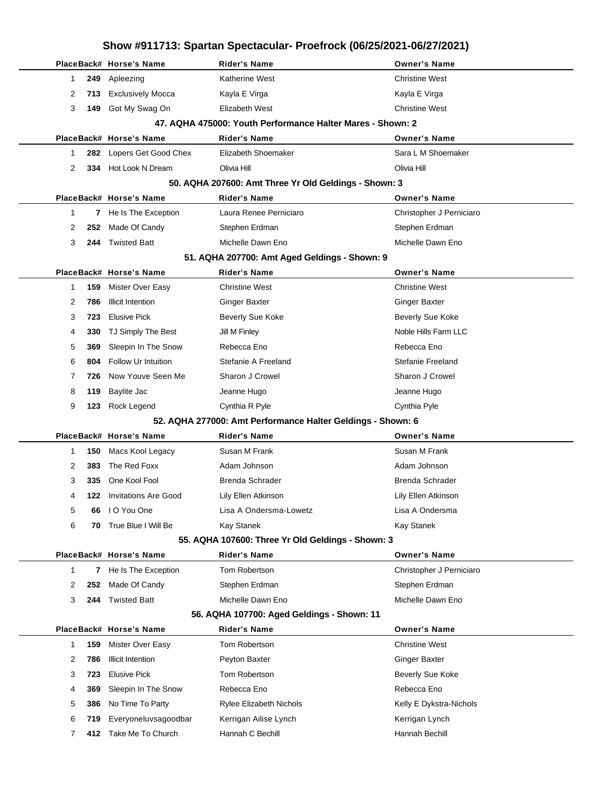|              |              |                                               | Show #911713: Spartan Spectacular- Proefrock (06/25/2021-06/27/2021) |                                              |
|--------------|--------------|-----------------------------------------------|----------------------------------------------------------------------|----------------------------------------------|
|              |              | PlaceBack# Horse's Name                       | <b>Rider's Name</b>                                                  | <b>Owner's Name</b>                          |
| 1            | 249          | Apleezing                                     | Katherine West                                                       | <b>Christine West</b>                        |
| 2            | 713          | <b>Exclusively Mocca</b>                      | Kayla E Virga                                                        | Kayla E Virga                                |
| 3            | 149          | Got My Swag On                                | <b>Elizabeth West</b>                                                | <b>Christine West</b>                        |
|              |              |                                               | 47. AQHA 475000: Youth Performance Halter Mares - Shown: 2           |                                              |
|              |              | PlaceBack# Horse's Name                       | <b>Rider's Name</b>                                                  | <b>Owner's Name</b>                          |
| 1            | 282          | Lopers Get Good Chex                          | Elizabeth Shoemaker                                                  | Sara L M Shoemaker                           |
| 2            | 334          | Hot Look N Dream                              | Olivia Hill                                                          | Olivia Hill                                  |
|              |              |                                               | 50. AQHA 207600: Amt Three Yr Old Geldings - Shown: 3                |                                              |
|              |              | PlaceBack# Horse's Name                       | <b>Rider's Name</b>                                                  | <b>Owner's Name</b>                          |
| 1            | $\mathbf{7}$ | He Is The Exception                           | Laura Renee Perniciaro                                               | Christopher J Perniciaro                     |
| 2            | 252          | Made Of Candy                                 | Stephen Erdman                                                       | Stephen Erdman                               |
| 3            | 244          | <b>Twisted Batt</b>                           | Michelle Dawn Eno                                                    | Michelle Dawn Eno                            |
|              |              |                                               | 51. AQHA 207700: Amt Aged Geldings - Shown: 9                        |                                              |
|              |              | PlaceBack# Horse's Name                       | <b>Rider's Name</b>                                                  | <b>Owner's Name</b>                          |
| 1            | 159          | Mister Over Easy                              | <b>Christine West</b>                                                | <b>Christine West</b>                        |
| 2            | 786          | <b>Illicit Intention</b>                      | <b>Ginger Baxter</b>                                                 | <b>Ginger Baxter</b>                         |
| 3            | 723          | <b>Elusive Pick</b>                           | Beverly Sue Koke                                                     | <b>Beverly Sue Koke</b>                      |
| 4            | 330          | TJ Simply The Best                            | Jill M Finley                                                        | Noble Hills Farm LLC                         |
| 5            | 369          | Sleepin In The Snow                           | Rebecca Eno                                                          | Rebecca Eno                                  |
| 6            | 804          | <b>Follow Ur Intuition</b>                    | Stefanie A Freeland                                                  | Stefanie Freeland                            |
| 7            | 726          | Now Youve Seen Me                             | Sharon J Crowel                                                      | Sharon J Crowel                              |
| 8            | 119          | Baylite Jac                                   | Jeanne Hugo                                                          | Jeanne Hugo                                  |
| 9            | 123          | Rock Legend                                   | Cynthia R Pyle                                                       | Cynthia Pyle                                 |
|              |              |                                               | 52. AQHA 277000: Amt Performance Halter Geldings - Shown: 6          |                                              |
|              |              | PlaceBack# Horse's Name                       | <b>Rider's Name</b>                                                  | <b>Owner's Name</b>                          |
| 1            | 150          | Macs Kool Legacy                              | Susan M Frank                                                        | Susan M Frank                                |
| 2            | 383          | The Red Foxx                                  | Adam Johnson                                                         | Adam Johnson                                 |
| 3            |              | 335 One Kool Fool                             | Brenda Schrader                                                      | Brenda Schrader                              |
| 4            | 122.         | <b>Invitations Are Good</b>                   | Lily Ellen Atkinson                                                  | Lily Ellen Atkinson                          |
| 5            | 66           | I O You One                                   | Lisa A Ondersma-Lowetz                                               | Lisa A Ondersma                              |
| 6            | 70           | True Blue I Will Be                           | Kay Stanek                                                           | Kay Stanek                                   |
|              |              |                                               | 55. AQHA 107600: Three Yr Old Geldings - Shown: 3                    |                                              |
|              |              | PlaceBack# Horse's Name                       | <b>Rider's Name</b>                                                  | <b>Owner's Name</b>                          |
| $\mathbf{1}$ | 7            | He Is The Exception                           | Tom Robertson                                                        | Christopher J Perniciaro                     |
| 2            | 252          | Made Of Candy                                 | Stephen Erdman                                                       | Stephen Erdman                               |
| 3            | 244          | <b>Twisted Batt</b>                           | Michelle Dawn Eno                                                    | Michelle Dawn Eno                            |
|              |              |                                               | 56. AQHA 107700: Aged Geldings - Shown: 11                           |                                              |
|              |              | PlaceBack# Horse's Name<br>Mister Over Easy   | <b>Rider's Name</b><br>Tom Robertson                                 | <b>Owner's Name</b><br><b>Christine West</b> |
| 1<br>2       | 159<br>786   | <b>Illicit Intention</b>                      | Peyton Baxter                                                        | <b>Ginger Baxter</b>                         |
|              |              |                                               |                                                                      |                                              |
| 3            | 723          | <b>Elusive Pick</b><br>Sleepin In The Snow    | Tom Robertson<br>Rebecca Eno                                         | Beverly Sue Koke<br>Rebecca Eno              |
| 4            | 369          |                                               |                                                                      |                                              |
| 5            | 386          | No Time To Party                              | Rylee Elizabeth Nichols                                              | Kelly E Dykstra-Nichols                      |
| 6            | 719          | Everyoneluvsagoodbar<br>412 Take Me To Church | Kerrigan Ailise Lynch<br>Hannah C Bechill                            | Kerrigan Lynch<br>Hannah Bechill             |
| 7            |              |                                               |                                                                      |                                              |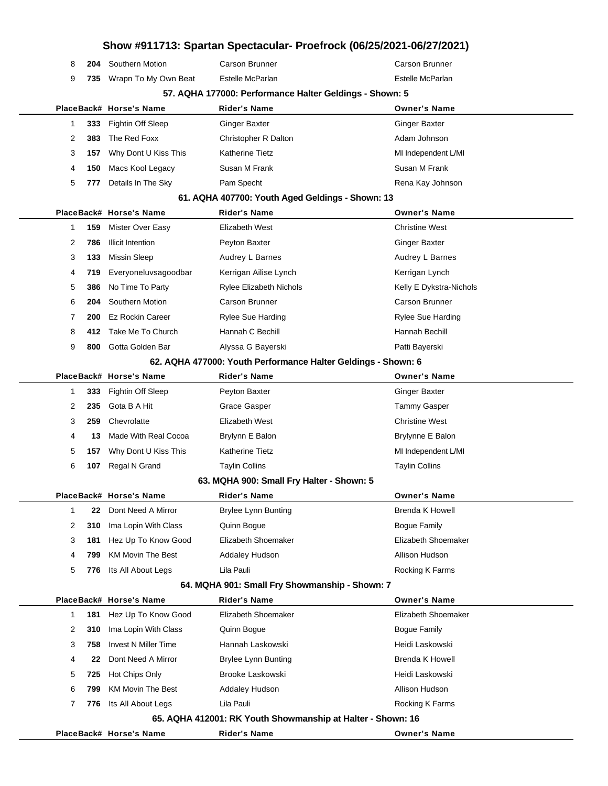|   |      |                             |                                                               | Show #911713: Spartan Spectacular- Proefrock (06/25/2021-06/27/2021) |
|---|------|-----------------------------|---------------------------------------------------------------|----------------------------------------------------------------------|
| 8 | 204  | Southern Motion             | Carson Brunner                                                | Carson Brunner                                                       |
| 9 | 735  | Wrapn To My Own Beat        | Estelle McParlan                                              | Estelle McParlan                                                     |
|   |      |                             | 57. AQHA 177000: Performance Halter Geldings - Shown: 5       |                                                                      |
|   |      | PlaceBack# Horse's Name     | <b>Rider's Name</b>                                           | <b>Owner's Name</b>                                                  |
| 1 | 333  | Fightin Off Sleep           | <b>Ginger Baxter</b>                                          | <b>Ginger Baxter</b>                                                 |
| 2 | 383  | The Red Foxx                | Christopher R Dalton                                          | Adam Johnson                                                         |
| 3 | 157  | Why Dont U Kiss This        | <b>Katherine Tietz</b>                                        | MI Independent L/MI                                                  |
| 4 | 150  | Macs Kool Legacy            | Susan M Frank                                                 | Susan M Frank                                                        |
| 5 | 777  | Details In The Sky          | Pam Specht                                                    | Rena Kay Johnson                                                     |
|   |      |                             | 61. AQHA 407700: Youth Aged Geldings - Shown: 13              |                                                                      |
|   |      | PlaceBack# Horse's Name     | <b>Rider's Name</b>                                           | <b>Owner's Name</b>                                                  |
| 1 | 159  | Mister Over Easy            | Elizabeth West                                                | <b>Christine West</b>                                                |
| 2 | 786  | <b>Illicit Intention</b>    | Peyton Baxter                                                 | <b>Ginger Baxter</b>                                                 |
| 3 | 133  | <b>Missin Sleep</b>         | Audrey L Barnes                                               | Audrey L Barnes                                                      |
| 4 | 719  | Everyoneluvsagoodbar        | Kerrigan Ailise Lynch                                         | Kerrigan Lynch                                                       |
| 5 | 386  | No Time To Party            | Rylee Elizabeth Nichols                                       | Kelly E Dykstra-Nichols                                              |
| 6 | 204  | Southern Motion             | Carson Brunner                                                | Carson Brunner                                                       |
| 7 | 200  | <b>Ez Rockin Career</b>     | <b>Rylee Sue Harding</b>                                      | <b>Rylee Sue Harding</b>                                             |
| 8 | 412  | Take Me To Church           | Hannah C Bechill                                              | Hannah Bechill                                                       |
| 9 | 800  | Gotta Golden Bar            | Alyssa G Bayerski                                             | Patti Bayerski                                                       |
|   |      |                             | 62. AQHA 477000: Youth Performance Halter Geldings - Shown: 6 |                                                                      |
|   |      | PlaceBack# Horse's Name     | <b>Rider's Name</b>                                           | <b>Owner's Name</b>                                                  |
| 1 | 333. | Fightin Off Sleep           | Peyton Baxter                                                 | <b>Ginger Baxter</b>                                                 |
| 2 | 235  | Gota B A Hit                | Grace Gasper                                                  | <b>Tammy Gasper</b>                                                  |
| 3 | 259  | Chevrolatte                 | Elizabeth West                                                | <b>Christine West</b>                                                |
| 4 | 13   | Made With Real Cocoa        | Brylynn E Balon                                               | Brylynne E Balon                                                     |
| 5 | 157  | Why Dont U Kiss This        | Katherine Tietz                                               | MI Independent L/MI                                                  |
| 6 | 107  | Regal N Grand               | <b>Taylin Collins</b>                                         | <b>Taylin Collins</b>                                                |
|   |      |                             | 63. MQHA 900: Small Fry Halter - Shown: 5                     |                                                                      |
|   |      | PlaceBack# Horse's Name     | <b>Rider's Name</b>                                           | <b>Owner's Name</b>                                                  |
| 1 | 22   | Dont Need A Mirror          | <b>Brylee Lynn Bunting</b>                                    | <b>Brenda K Howell</b>                                               |
| 2 | 310  | Ima Lopin With Class        | Quinn Bogue                                                   | <b>Bogue Family</b>                                                  |
| 3 | 181  | Hez Up To Know Good         | Elizabeth Shoemaker                                           | Elizabeth Shoemaker                                                  |
| 4 | 799  | <b>KM Movin The Best</b>    | Addaley Hudson                                                | Allison Hudson                                                       |
| 5 | 776  | Its All About Legs          | Lila Pauli                                                    | Rocking K Farms                                                      |
|   |      |                             | 64. MQHA 901: Small Fry Showmanship - Shown: 7                |                                                                      |
|   |      | PlaceBack# Horse's Name     | <b>Rider's Name</b>                                           | <b>Owner's Name</b>                                                  |
| 1 | 181  | Hez Up To Know Good         | Elizabeth Shoemaker                                           | Elizabeth Shoemaker                                                  |
| 2 | 310  | Ima Lopin With Class        | Quinn Bogue                                                   | <b>Bogue Family</b>                                                  |
| 3 | 758  | <b>Invest N Miller Time</b> | Hannah Laskowski                                              | Heidi Laskowski                                                      |
| 4 | 22   | Dont Need A Mirror          | Brylee Lynn Bunting                                           | <b>Brenda K Howell</b>                                               |
| 5 | 725  | Hot Chips Only              | Brooke Laskowski                                              | Heidi Laskowski                                                      |
| 6 | 799  | <b>KM Movin The Best</b>    | <b>Addaley Hudson</b>                                         | Allison Hudson                                                       |
| 7 | 776  | Its All About Legs          | Lila Pauli                                                    | Rocking K Farms                                                      |
|   |      |                             | 65. AQHA 412001: RK Youth Showmanship at Halter - Shown: 16   |                                                                      |
|   |      | PlaceBack# Horse's Name     | <b>Rider's Name</b>                                           | <b>Owner's Name</b>                                                  |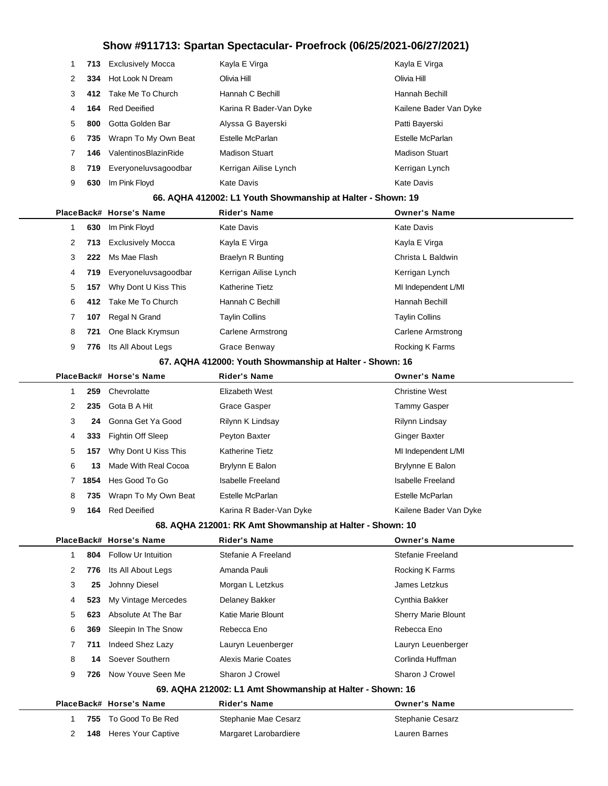| 1            | 713  | <b>Exclusively Mocca</b>  | Kayla E Virga                                               | Kayla E Virga            |
|--------------|------|---------------------------|-------------------------------------------------------------|--------------------------|
| 2            | 334  | Hot Look N Dream          | Olivia Hill                                                 | Olivia Hill              |
| 3            | 412. | Take Me To Church         | Hannah C Bechill                                            | Hannah Bechill           |
| 4            | 164  | <b>Red Deeified</b>       | Karina R Bader-Van Dyke                                     | Kailene Bader Van Dyke   |
| 5            | 800  | Gotta Golden Bar          | Alyssa G Bayerski                                           | Patti Bayerski           |
| 6            | 735  | Wrapn To My Own Beat      | Estelle McParlan                                            | Estelle McParlan         |
| 7            | 146  | ValentinosBlazinRide      | <b>Madison Stuart</b>                                       | <b>Madison Stuart</b>    |
| 8            | 719  | Everyoneluvsagoodbar      | Kerrigan Ailise Lynch                                       | Kerrigan Lynch           |
| 9            | 630  | Im Pink Floyd             | Kate Davis                                                  | <b>Kate Davis</b>        |
|              |      |                           | 66. AQHA 412002: L1 Youth Showmanship at Halter - Shown: 19 |                          |
|              |      | PlaceBack# Horse's Name   | <b>Rider's Name</b>                                         | <b>Owner's Name</b>      |
| 1            | 630  | Im Pink Floyd             | Kate Davis                                                  | <b>Kate Davis</b>        |
| 2            | 713  | <b>Exclusively Mocca</b>  | Kayla E Virga                                               | Kayla E Virga            |
| 3            | 222  | Ms Mae Flash              | <b>Braelyn R Bunting</b>                                    | Christa L Baldwin        |
| 4            | 719  | Everyoneluvsagoodbar      | Kerrigan Ailise Lynch                                       | Kerrigan Lynch           |
| 5            | 157  | Why Dont U Kiss This      | Katherine Tietz                                             | MI Independent L/MI      |
| 6            | 412  | Take Me To Church         | Hannah C Bechill                                            | Hannah Bechill           |
| 7            | 107  | Regal N Grand             | <b>Taylin Collins</b>                                       | <b>Taylin Collins</b>    |
| 8            | 721  | One Black Krymsun         | <b>Carlene Armstrong</b>                                    | <b>Carlene Armstrong</b> |
| 9            | 776  | Its All About Legs        | Grace Benway                                                | Rocking K Farms          |
|              |      |                           | 67. AQHA 412000: Youth Showmanship at Halter - Shown: 16    |                          |
|              |      | PlaceBack# Horse's Name   | <b>Rider's Name</b>                                         | <b>Owner's Name</b>      |
| $\mathbf{1}$ | 259  | Chevrolatte               | Elizabeth West                                              | <b>Christine West</b>    |
| 2            | 235  | Gota B A Hit              | Grace Gasper                                                | <b>Tammy Gasper</b>      |
| 3            | 24   | Gonna Get Ya Good         | Rilynn K Lindsay                                            | Rilynn Lindsay           |
| 4            | 333  | Fightin Off Sleep         | Peyton Baxter                                               | <b>Ginger Baxter</b>     |
| 5            | 157  | Why Dont U Kiss This      | Katherine Tietz                                             | MI Independent L/MI      |
| 6            | 13   | Made With Real Cocoa      | Brylynn E Balon                                             | Brylynne E Balon         |
| $7^{\circ}$  | 1854 | Hes Good To Go            | <b>Isabelle Freeland</b>                                    | <b>Isabelle Freeland</b> |
| 8            |      | 735 Wrapn To My Own Beat  | Estelle McParlan                                            | Estelle McParlan         |
| 9            | 164  | <b>Red Deeified</b>       | Karina R Bader-Van Dyke                                     | Kailene Bader Van Dyke   |
|              |      |                           | 68. AQHA 212001: RK Amt Showmanship at Halter - Shown: 10   |                          |
|              |      | PlaceBack# Horse's Name   | <b>Rider's Name</b>                                         | <b>Owner's Name</b>      |
| $\mathbf{1}$ | 804  | Follow Ur Intuition       | Stefanie A Freeland                                         | Stefanie Freeland        |
| 2            | 776  | Its All About Legs        | Amanda Pauli                                                | Rocking K Farms          |
| 3            | 25   | Johnny Diesel             | Morgan L Letzkus                                            | James Letzkus            |
| 4            | 523  | My Vintage Mercedes       | Delaney Bakker                                              | Cynthia Bakker           |
| 5            | 623  | Absolute At The Bar       | Katie Marie Blount                                          | Sherry Marie Blount      |
| 6            | 369  | Sleepin In The Snow       | Rebecca Eno                                                 | Rebecca Eno              |
| 7            | 711  | Indeed Shez Lazy          | Lauryn Leuenberger                                          | Lauryn Leuenberger       |
| 8            | 14   | Soever Southern           | <b>Alexis Marie Coates</b>                                  | Corlinda Huffman         |
| 9            | 726  | Now Youve Seen Me         | Sharon J Crowel                                             | Sharon J Crowel          |
|              |      |                           | 69. AQHA 212002: L1 Amt Showmanship at Halter - Shown: 16   |                          |
|              |      | PlaceBack# Horse's Name   | <b>Rider's Name</b>                                         | <b>Owner's Name</b>      |
| 1.           | 755  | To Good To Be Red         | Stephanie Mae Cesarz                                        | Stephanie Cesarz         |
| 2            | 148  | <b>Heres Your Captive</b> | Margaret Larobardiere                                       | Lauren Barnes            |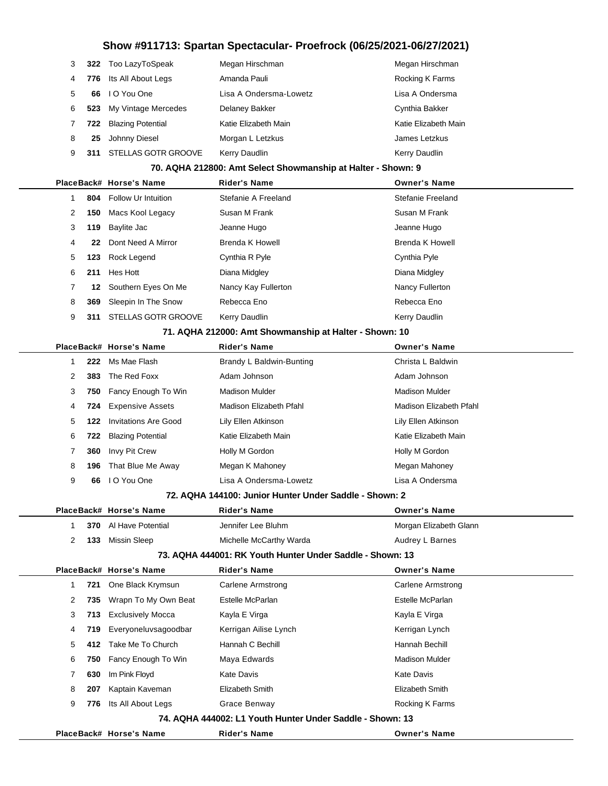| 3  |     | 322 Too LazyToSpeak     | Megan Hirschman        | Megan Hirschman      |
|----|-----|-------------------------|------------------------|----------------------|
| 4  |     | 776 Its All About Legs  | Amanda Pauli           | Rocking K Farms      |
| 5  | 66  | I O You One             | Lisa A Ondersma-Lowetz | Lisa A Ondersma      |
| 6. |     | 523 My Vintage Mercedes | Delaney Bakker         | Cynthia Bakker       |
|    |     | 722 Blazing Potential   | Katie Elizabeth Main   | Katie Elizabeth Main |
| 8  | 25  | Johnny Diesel           | Morgan L Letzkus       | James Letzkus        |
| 9  | 311 | STELLAS GOTR GROOVE     | Kerry Daudlin          | Kerry Daudlin        |

#### **70. AQHA 212800: Amt Select Showmanship at Halter - Shown: 9**

|                      |      | PlaceBack# Horse's Name    | <b>Rider's Name</b> | <b>Owner's Name</b> |
|----------------------|------|----------------------------|---------------------|---------------------|
|                      | 804  | Follow Ur Intuition        | Stefanie A Freeland | Stefanie Freeland   |
| $\mathbf{2}^{\circ}$ | 150  | Macs Kool Legacy           | Susan M Frank       | Susan M Frank       |
| 3                    | 119  | Baylite Jac                | Jeanne Hugo         | Jeanne Hugo         |
| 4                    | 22   | Dont Need A Mirror         | Brenda K Howell     | Brenda K Howell     |
| 5                    | 123. | Rock Legend                | Cynthia R Pyle      | Cynthia Pyle        |
| 6                    | 211  | Hes Hott                   | Diana Midgley       | Diana Midgley       |
| 7                    | 12   | Southern Eyes On Me        | Nancy Kay Fullerton | Nancy Fullerton     |
| 8                    | 369  | Sleepin In The Snow        | Rebecca Eno         | Rebecca Eno         |
| 9                    | 311  | <b>STELLAS GOTR GROOVE</b> | Kerry Daudlin       | Kerry Daudlin       |
|                      |      |                            |                     |                     |

#### **71. AQHA 212000: Amt Showmanship at Halter - Shown: 10**

|    |     | PlaceBack# Horse's Name     | <b>Rider's Name</b>      | <b>Owner's Name</b>     |  |
|----|-----|-----------------------------|--------------------------|-------------------------|--|
|    | 222 | Ms Mae Flash                | Brandy L Baldwin-Bunting | Christa L Baldwin       |  |
| 2  | 383 | The Red Foxx                | Adam Johnson             | Adam Johnson            |  |
| 3  |     | 750 Fancy Enough To Win     | <b>Madison Mulder</b>    | <b>Madison Mulder</b>   |  |
| 4  |     | <b>724</b> Expensive Assets | Madison Elizabeth Pfahl  | Madison Elizabeth Pfahl |  |
| 5. | 122 | <b>Invitations Are Good</b> | Lily Ellen Atkinson      | Lily Ellen Atkinson     |  |
| 6  | 722 | <b>Blazing Potential</b>    | Katie Elizabeth Main     | Katie Elizabeth Main    |  |
|    | 360 | Invy Pit Crew               | Holly M Gordon           | Holly M Gordon          |  |
| 8  | 196 | That Blue Me Away           | Megan K Mahoney          | Megan Mahoney           |  |
| 9  | 66  | I O You One                 | Lisa A Ondersma-Lowetz   | Lisa A Ondersma         |  |

#### **72. AQHA 144100: Junior Hunter Under Saddle - Shown: 2**

|                                                           |     | PlaceBack# Horse's Name  | <b>Rider's Name</b>                                       | <b>Owner's Name</b>    |  |  |  |  |  |
|-----------------------------------------------------------|-----|--------------------------|-----------------------------------------------------------|------------------------|--|--|--|--|--|
|                                                           | 370 | Al Have Potential        | Jennifer Lee Bluhm                                        | Morgan Elizabeth Glann |  |  |  |  |  |
| 2                                                         | 133 | Missin Sleep             | Michelle McCarthy Warda                                   | Audrey L Barnes        |  |  |  |  |  |
| 73. AQHA 444001: RK Youth Hunter Under Saddle - Shown: 13 |     |                          |                                                           |                        |  |  |  |  |  |
|                                                           |     | PlaceBack# Horse's Name  | <b>Rider's Name</b>                                       | <b>Owner's Name</b>    |  |  |  |  |  |
|                                                           | 721 | One Black Krymsun        | Carlene Armstrong                                         | Carlene Armstrong      |  |  |  |  |  |
| 2                                                         | 735 | Wrapn To My Own Beat     | Estelle McParlan                                          | Estelle McParlan       |  |  |  |  |  |
| 3                                                         | 713 | <b>Exclusively Mocca</b> | Kayla E Virga                                             | Kayla E Virga          |  |  |  |  |  |
| 4                                                         | 719 | Everyoneluvsagoodbar     | Kerrigan Ailise Lynch                                     | Kerrigan Lynch         |  |  |  |  |  |
| 5                                                         | 412 | Take Me To Church        | Hannah C Bechill                                          | Hannah Bechill         |  |  |  |  |  |
| 6                                                         | 750 | Fancy Enough To Win      | Maya Edwards                                              | <b>Madison Mulder</b>  |  |  |  |  |  |
| 7                                                         | 630 | Im Pink Floyd            | Kate Davis                                                | Kate Davis             |  |  |  |  |  |
| 8                                                         | 207 | Kaptain Kaveman          | Elizabeth Smith                                           | Elizabeth Smith        |  |  |  |  |  |
| 9                                                         | 776 | Its All About Legs       | Grace Benway                                              | Rocking K Farms        |  |  |  |  |  |
|                                                           |     |                          | 74. AQHA 444002: L1 Youth Hunter Under Saddle - Shown: 13 |                        |  |  |  |  |  |
|                                                           |     | PlaceBack# Horse's Name  | <b>Rider's Name</b>                                       | <b>Owner's Name</b>    |  |  |  |  |  |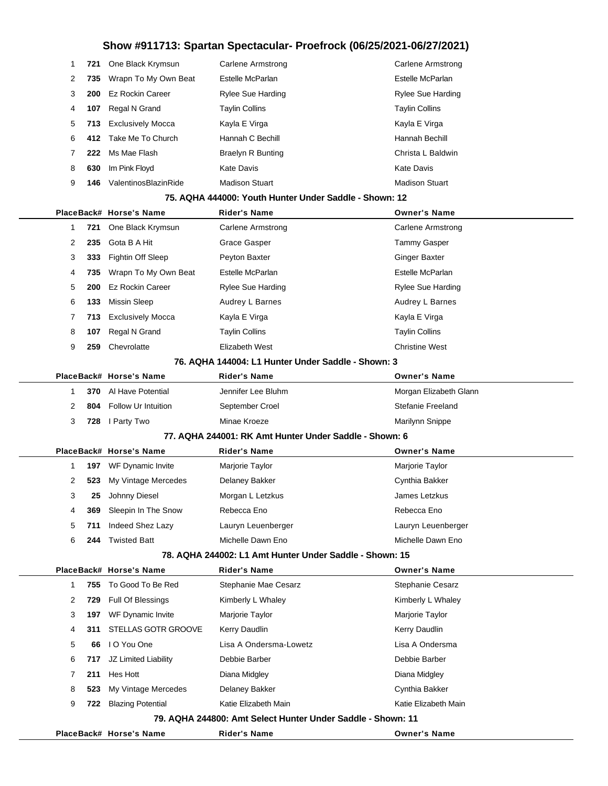| 1 | 721  | One Black Krymsun        | <b>Carlene Armstrong</b>                                    | Carlene Armstrong        |
|---|------|--------------------------|-------------------------------------------------------------|--------------------------|
| 2 | 735  | Wrapn To My Own Beat     | Estelle McParlan                                            | Estelle McParlan         |
| 3 | 200  | <b>Ez Rockin Career</b>  | <b>Rylee Sue Harding</b>                                    | <b>Rylee Sue Harding</b> |
| 4 | 107  | Regal N Grand            | <b>Taylin Collins</b>                                       | <b>Taylin Collins</b>    |
| 5 | 713  | <b>Exclusively Mocca</b> | Kayla E Virga                                               | Kayla E Virga            |
| 6 | 412. | Take Me To Church        | Hannah C Bechill                                            | Hannah Bechill           |
| 7 | 222  | Ms Mae Flash             | <b>Braelyn R Bunting</b>                                    | Christa L Baldwin        |
| 8 | 630  | Im Pink Floyd            | Kate Davis                                                  | <b>Kate Davis</b>        |
| 9 | 146  | ValentinosBlazinRide     | <b>Madison Stuart</b>                                       | <b>Madison Stuart</b>    |
|   |      |                          | 75. AQHA 444000: Youth Hunter Under Saddle - Shown: 12      |                          |
|   |      | PlaceBack# Horse's Name  | <b>Rider's Name</b>                                         | <b>Owner's Name</b>      |
| 1 | 721  | One Black Krymsun        | <b>Carlene Armstrong</b>                                    | Carlene Armstrong        |
| 2 | 235  | Gota B A Hit             | Grace Gasper                                                | <b>Tammy Gasper</b>      |
| 3 | 333  | Fightin Off Sleep        | Peyton Baxter                                               | Ginger Baxter            |
| 4 | 735  | Wrapn To My Own Beat     | Estelle McParlan                                            | Estelle McParlan         |
| 5 | 200  | <b>Ez Rockin Career</b>  | <b>Rylee Sue Harding</b>                                    | <b>Rylee Sue Harding</b> |
| 6 | 133  | <b>Missin Sleep</b>      | Audrey L Barnes                                             | Audrey L Barnes          |
| 7 | 713  | <b>Exclusively Mocca</b> | Kayla E Virga                                               | Kayla E Virga            |
| 8 | 107  | Regal N Grand            | <b>Taylin Collins</b>                                       | <b>Taylin Collins</b>    |
| 9 | 259  | Chevrolatte              | Elizabeth West                                              | <b>Christine West</b>    |
|   |      |                          | 76. AQHA 144004: L1 Hunter Under Saddle - Shown: 3          |                          |
|   |      | PlaceBack# Horse's Name  | <b>Rider's Name</b>                                         | <b>Owner's Name</b>      |
| 1 | 370  | Al Have Potential        | Jennifer Lee Bluhm                                          | Morgan Elizabeth Glann   |
| 2 | 804  | Follow Ur Intuition      | September Croel                                             | Stefanie Freeland        |
| 3 | 728  | I Party Two              | Minae Kroeze                                                | Marilynn Snippe          |
|   |      |                          | 77. AQHA 244001: RK Amt Hunter Under Saddle - Shown: 6      |                          |
|   |      | PlaceBack# Horse's Name  | Rider's Name                                                | <b>Owner's Name</b>      |
| 1 |      | 197 WF Dynamic Invite    | Marjorie Taylor                                             | Marjorie Taylor          |
| 2 | 523  | My Vintage Mercedes      | Delaney Bakker                                              | Cynthia Bakker           |
| 3 | 25   | Johnny Diesel            | Morgan L Letzkus                                            | James Letzkus            |
| 4 |      | 369 Sleepin In The Snow  | Rebecca Eno                                                 | Rebecca Eno              |
| 5 | 711  | Indeed Shez Lazy         | Lauryn Leuenberger                                          | Lauryn Leuenberger       |
| 6 | 244  | Twisted Batt             | Michelle Dawn Eno                                           | Michelle Dawn Eno        |
|   |      |                          | 78. AQHA 244002: L1 Amt Hunter Under Saddle - Shown: 15     |                          |
|   |      | PlaceBack# Horse's Name  | Rider's Name                                                | <b>Owner's Name</b>      |
| 1 | 755  | To Good To Be Red        | Stephanie Mae Cesarz                                        | Stephanie Cesarz         |
| 2 | 729  | Full Of Blessings        | Kimberly L Whaley                                           | Kimberly L Whaley        |
| 3 |      | 197 WF Dynamic Invite    | Marjorie Taylor                                             | Marjorie Taylor          |
| 4 | 311  | STELLAS GOTR GROOVE      | Kerry Daudlin                                               | Kerry Daudlin            |
| 5 | 66   | I O You One              | Lisa A Ondersma-Lowetz                                      | Lisa A Ondersma          |
| 6 | 717  | JZ Limited Liability     | Debbie Barber                                               | Debbie Barber            |
| 7 | 211  | Hes Hott                 | Diana Midgley                                               | Diana Midgley            |
| 8 | 523  | My Vintage Mercedes      | Delaney Bakker                                              | Cynthia Bakker           |
| 9 |      | 722 Blazing Potential    | Katie Elizabeth Main                                        | Katie Elizabeth Main     |
|   |      |                          | 79. AQHA 244800: Amt Select Hunter Under Saddle - Shown: 11 |                          |
|   |      | PlaceBack# Horse's Name  | <b>Rider's Name</b>                                         | <b>Owner's Name</b>      |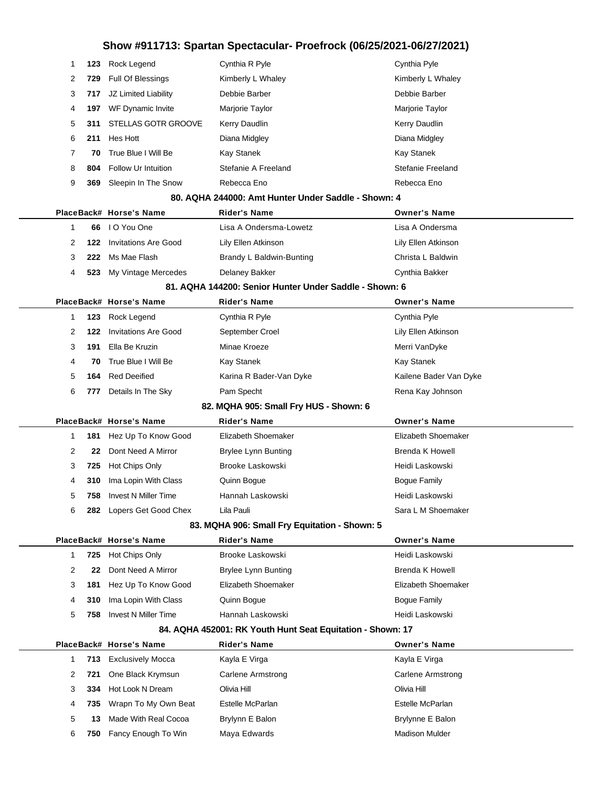| 1                                                   | 123 | Rock Legend                 | Cynthia R Pyle                                             | Cynthia Pyle             |  |  |  |  |  |
|-----------------------------------------------------|-----|-----------------------------|------------------------------------------------------------|--------------------------|--|--|--|--|--|
| 2                                                   | 729 | Full Of Blessings           | Kimberly L Whaley                                          | Kimberly L Whaley        |  |  |  |  |  |
| 3                                                   | 717 | JZ Limited Liability        | Debbie Barber                                              | Debbie Barber            |  |  |  |  |  |
| 4                                                   | 197 | WF Dynamic Invite           | Marjorie Taylor                                            | Marjorie Taylor          |  |  |  |  |  |
| 5                                                   | 311 | <b>STELLAS GOTR GROOVE</b>  | Kerry Daudlin                                              | Kerry Daudlin            |  |  |  |  |  |
| 6                                                   | 211 | Hes Hott                    | Diana Midgley                                              | Diana Midgley            |  |  |  |  |  |
| 7                                                   | 70  | True Blue I Will Be         | <b>Kay Stanek</b>                                          | <b>Kay Stanek</b>        |  |  |  |  |  |
| 8                                                   | 804 | Follow Ur Intuition         | Stefanie A Freeland                                        | Stefanie Freeland        |  |  |  |  |  |
| 9                                                   | 369 | Sleepin In The Snow         | Rebecca Eno                                                | Rebecca Eno              |  |  |  |  |  |
| 80. AQHA 244000: Amt Hunter Under Saddle - Shown: 4 |     |                             |                                                            |                          |  |  |  |  |  |
|                                                     |     | PlaceBack# Horse's Name     | Rider's Name                                               | <b>Owner's Name</b>      |  |  |  |  |  |
| 1                                                   | 66  | I O You One                 | Lisa A Ondersma-Lowetz                                     | Lisa A Ondersma          |  |  |  |  |  |
| 2                                                   | 122 | <b>Invitations Are Good</b> | Lily Ellen Atkinson                                        | Lily Ellen Atkinson      |  |  |  |  |  |
| 3                                                   | 222 | Ms Mae Flash                | Brandy L Baldwin-Bunting                                   | Christa L Baldwin        |  |  |  |  |  |
| 4                                                   | 523 | My Vintage Mercedes         | Delaney Bakker                                             | Cynthia Bakker           |  |  |  |  |  |
|                                                     |     |                             | 81. AQHA 144200: Senior Hunter Under Saddle - Shown: 6     |                          |  |  |  |  |  |
|                                                     |     | PlaceBack# Horse's Name     | Rider's Name                                               | <b>Owner's Name</b>      |  |  |  |  |  |
| 1                                                   | 123 | Rock Legend                 | Cynthia R Pyle                                             | Cynthia Pyle             |  |  |  |  |  |
| 2                                                   | 122 | <b>Invitations Are Good</b> | September Croel                                            | Lily Ellen Atkinson      |  |  |  |  |  |
| 3                                                   | 191 | Ella Be Kruzin              | Minae Kroeze                                               | Merri VanDyke            |  |  |  |  |  |
| 4                                                   | 70  | True Blue I Will Be         | <b>Kay Stanek</b>                                          | <b>Kay Stanek</b>        |  |  |  |  |  |
| 5                                                   | 164 | <b>Red Deeified</b>         | Karina R Bader-Van Dyke                                    | Kailene Bader Van Dyke   |  |  |  |  |  |
| 6                                                   | 777 | Details In The Sky          | Pam Specht                                                 | Rena Kay Johnson         |  |  |  |  |  |
|                                                     |     |                             | 82. MQHA 905: Small Fry HUS - Shown: 6                     |                          |  |  |  |  |  |
|                                                     |     | PlaceBack# Horse's Name     | Rider's Name                                               | <b>Owner's Name</b>      |  |  |  |  |  |
| 1                                                   | 181 | Hez Up To Know Good         | Elizabeth Shoemaker                                        | Elizabeth Shoemaker      |  |  |  |  |  |
| 2                                                   | 22  | Dont Need A Mirror          | <b>Brylee Lynn Bunting</b>                                 | <b>Brenda K Howell</b>   |  |  |  |  |  |
|                                                     | 725 | Hot Chips Only              | Brooke Laskowski                                           | Heidi Laskowski          |  |  |  |  |  |
| 3                                                   |     |                             |                                                            |                          |  |  |  |  |  |
| 4                                                   | 310 | Ima Lopin With Class        | Quinn Bogue                                                | <b>Bogue Family</b>      |  |  |  |  |  |
| 5                                                   | 758 | <b>Invest N Miller Time</b> | Hannah Laskowski                                           | Heidi Laskowski          |  |  |  |  |  |
| 6                                                   |     | 282 Lopers Get Good Chex    | Lila Pauli                                                 | Sara L M Shoemaker       |  |  |  |  |  |
|                                                     |     |                             | 83. MQHA 906: Small Fry Equitation - Shown: 5              |                          |  |  |  |  |  |
|                                                     |     | PlaceBack# Horse's Name     | <b>Rider's Name</b>                                        | <b>Owner's Name</b>      |  |  |  |  |  |
| $\mathbf{1}$                                        | 725 | Hot Chips Only              | Brooke Laskowski                                           | Heidi Laskowski          |  |  |  |  |  |
| 2                                                   | 22  | Dont Need A Mirror          | Brylee Lynn Bunting                                        | <b>Brenda K Howell</b>   |  |  |  |  |  |
| 3                                                   | 181 | Hez Up To Know Good         | Elizabeth Shoemaker                                        | Elizabeth Shoemaker      |  |  |  |  |  |
| 4                                                   | 310 | Ima Lopin With Class        | Quinn Bogue                                                | <b>Bogue Family</b>      |  |  |  |  |  |
| 5                                                   | 758 | <b>Invest N Miller Time</b> | Hannah Laskowski                                           | Heidi Laskowski          |  |  |  |  |  |
|                                                     |     |                             | 84. AQHA 452001: RK Youth Hunt Seat Equitation - Shown: 17 |                          |  |  |  |  |  |
|                                                     |     | PlaceBack# Horse's Name     | Rider's Name                                               | <b>Owner's Name</b>      |  |  |  |  |  |
| $\mathbf{1}$                                        | 713 | <b>Exclusively Mocca</b>    | Kayla E Virga                                              | Kayla E Virga            |  |  |  |  |  |
| 2                                                   | 721 | One Black Krymsun           | <b>Carlene Armstrong</b>                                   | <b>Carlene Armstrong</b> |  |  |  |  |  |
| 3                                                   | 334 | Hot Look N Dream            | Olivia Hill                                                | Olivia Hill              |  |  |  |  |  |
| 4                                                   | 735 | Wrapn To My Own Beat        | Estelle McParlan                                           | Estelle McParlan         |  |  |  |  |  |
| 5                                                   | 13  | Made With Real Cocoa        | Brylynn E Balon                                            | Brylynne E Balon         |  |  |  |  |  |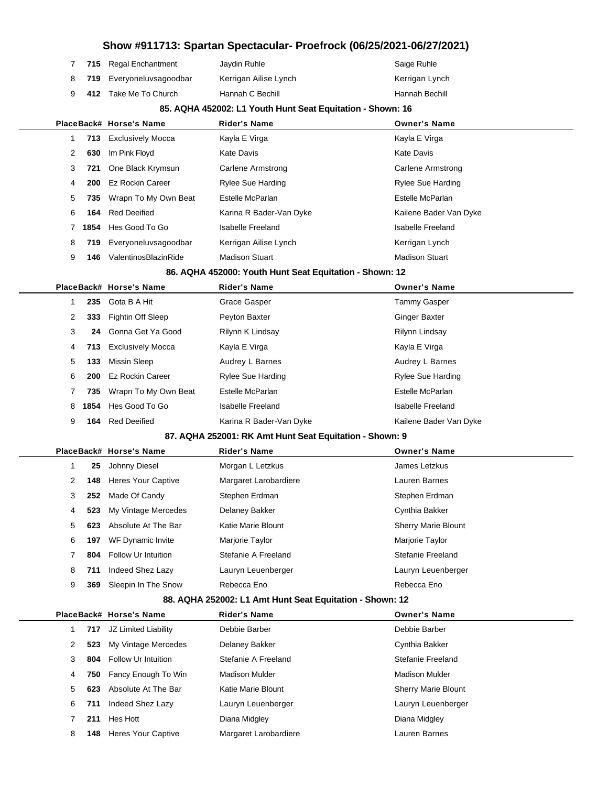|                     |                           |                                                            | Show #911713: Spartan Spectacular- Proefrock (06/25/2021-06/27/2021) |
|---------------------|---------------------------|------------------------------------------------------------|----------------------------------------------------------------------|
| 7<br>715            | <b>Regal Enchantment</b>  | Jaydin Ruhle                                               | Saige Ruhle                                                          |
| 8<br>719.           | Everyoneluvsagoodbar      | Kerrigan Ailise Lynch                                      | Kerrigan Lynch                                                       |
| 9<br>412            | Take Me To Church         | Hannah C Bechill                                           | Hannah Bechill                                                       |
|                     |                           | 85. AQHA 452002: L1 Youth Hunt Seat Equitation - Shown: 16 |                                                                      |
|                     | PlaceBack# Horse's Name   | Rider's Name                                               | <b>Owner's Name</b>                                                  |
| $\mathbf 1$<br>713  | <b>Exclusively Mocca</b>  | Kayla E Virga                                              | Kayla E Virga                                                        |
| 2<br>630            | Im Pink Floyd             | Kate Davis                                                 | <b>Kate Davis</b>                                                    |
| 3<br>721            | One Black Krymsun         | Carlene Armstrong                                          | <b>Carlene Armstrong</b>                                             |
| 4<br>200            | <b>Ez Rockin Career</b>   | <b>Rylee Sue Harding</b>                                   | <b>Rylee Sue Harding</b>                                             |
| 5<br>735            | Wrapn To My Own Beat      | Estelle McParlan                                           | Estelle McParlan                                                     |
| 6<br>164            | <b>Red Deeified</b>       | Karina R Bader-Van Dyke                                    | Kailene Bader Van Dyke                                               |
| 1854<br>7           | Hes Good To Go            | <b>Isabelle Freeland</b>                                   | <b>Isabelle Freeland</b>                                             |
| 8<br>719            | Everyoneluvsagoodbar      | Kerrigan Ailise Lynch                                      | Kerrigan Lynch                                                       |
| 9<br>146            | ValentinosBlazinRide      | <b>Madison Stuart</b>                                      | <b>Madison Stuart</b>                                                |
|                     |                           | 86. AQHA 452000: Youth Hunt Seat Equitation - Shown: 12    |                                                                      |
|                     | PlaceBack# Horse's Name   | <b>Rider's Name</b>                                        | <b>Owner's Name</b>                                                  |
| $\mathbf{1}$<br>235 | Gota B A Hit              | Grace Gasper                                               | <b>Tammy Gasper</b>                                                  |
| 2<br>333            | Fightin Off Sleep         | Peyton Baxter                                              | <b>Ginger Baxter</b>                                                 |
| 3<br>24             | Gonna Get Ya Good         | Rilynn K Lindsay                                           | Rilynn Lindsay                                                       |
| 4<br>713            | <b>Exclusively Mocca</b>  | Kayla E Virga                                              | Kayla E Virga                                                        |
| 5<br>133            | <b>Missin Sleep</b>       | Audrey L Barnes                                            | Audrey L Barnes                                                      |
| 6<br>200            | <b>Ez Rockin Career</b>   | <b>Rylee Sue Harding</b>                                   | <b>Rylee Sue Harding</b>                                             |
| 7<br>735            | Wrapn To My Own Beat      | Estelle McParlan                                           | Estelle McParlan                                                     |
| 8<br>1854           | Hes Good To Go            | <b>Isabelle Freeland</b>                                   | <b>Isabelle Freeland</b>                                             |
| 9<br>164            | <b>Red Deeified</b>       | Karina R Bader-Van Dyke                                    | Kailene Bader Van Dyke                                               |
|                     |                           | 87. AQHA 252001: RK Amt Hunt Seat Equitation - Shown: 9    |                                                                      |
|                     | PlaceBack# Horse's Name   | Rider's Name                                               | <b>Owner's Name</b>                                                  |
| $\mathbf 1$<br>25   | Johnny Diesel             | Morgan L Letzkus                                           | James Letzkus                                                        |
| 148<br>2            | Heres Your Captive        | Margaret Larobardiere                                      | Lauren Barnes                                                        |
| 3<br>252            | Made Of Candy             | Stephen Erdman                                             | Stephen Erdman                                                       |
| 523<br>4            | My Vintage Mercedes       | Delaney Bakker                                             | Cynthia Bakker                                                       |
| 5<br>623            | Absolute At The Bar       | Katie Marie Blount                                         | <b>Sherry Marie Blount</b>                                           |
| 6<br>197            | WF Dynamic Invite         | Marjorie Taylor                                            | Marjorie Taylor                                                      |
| 804<br>7            | Follow Ur Intuition       | Stefanie A Freeland                                        | Stefanie Freeland                                                    |
| 8<br>711            | Indeed Shez Lazy          | Lauryn Leuenberger                                         | Lauryn Leuenberger                                                   |
| 9<br>369            | Sleepin In The Snow       | Rebecca Eno                                                | Rebecca Eno                                                          |
|                     |                           | 88. AQHA 252002: L1 Amt Hunt Seat Equitation - Shown: 12   |                                                                      |
|                     | PlaceBack# Horse's Name   | <b>Rider's Name</b>                                        | <b>Owner's Name</b>                                                  |
| 717<br>1            | JZ Limited Liability      | Debbie Barber                                              | Debbie Barber                                                        |
| 2<br>523            | My Vintage Mercedes       | Delaney Bakker                                             | Cynthia Bakker                                                       |
| 3<br>804            | Follow Ur Intuition       | Stefanie A Freeland                                        | Stefanie Freeland                                                    |
| 4<br>750            | Fancy Enough To Win       | <b>Madison Mulder</b>                                      | <b>Madison Mulder</b>                                                |
| 5<br>623            | Absolute At The Bar       | Katie Marie Blount                                         | <b>Sherry Marie Blount</b>                                           |
| 6<br>711            | Indeed Shez Lazy          | Lauryn Leuenberger                                         | Lauryn Leuenberger                                                   |
| 211<br>7            | Hes Hott                  | Diana Midgley                                              | Diana Midgley                                                        |
| 8<br>148            | <b>Heres Your Captive</b> | Margaret Larobardiere                                      | Lauren Barnes                                                        |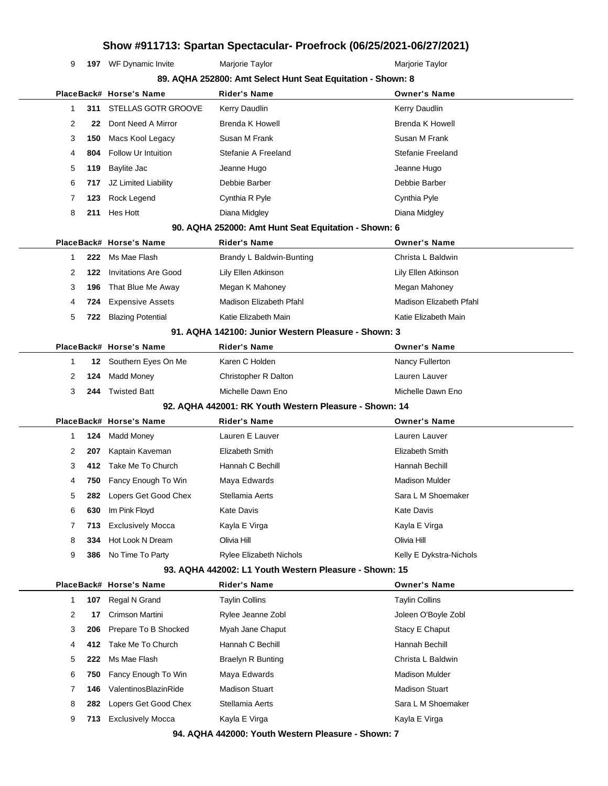**197** WF Dynamic Invite Marjorie Taylor Marion Marion Mariorie Taylor

|   |      |                             | 89. AQHA 252800: Amt Select Hunt Seat Equitation - Shown: 8 |                         |
|---|------|-----------------------------|-------------------------------------------------------------|-------------------------|
|   |      | PlaceBack# Horse's Name     | Rider's Name                                                | <b>Owner's Name</b>     |
| 1 | 311  | STELLAS GOTR GROOVE         | Kerry Daudlin                                               | Kerry Daudlin           |
| 2 | 22   | Dont Need A Mirror          | <b>Brenda K Howell</b>                                      | <b>Brenda K Howell</b>  |
| 3 | 150  | Macs Kool Legacy            | Susan M Frank                                               | Susan M Frank           |
| 4 | 804  | Follow Ur Intuition         | Stefanie A Freeland                                         | Stefanie Freeland       |
| 5 | 119  | Baylite Jac                 | Jeanne Hugo                                                 | Jeanne Hugo             |
| 6 | 717  | JZ Limited Liability        | Debbie Barber                                               | Debbie Barber           |
| 7 | 123  | Rock Legend                 | Cynthia R Pyle                                              | Cynthia Pyle            |
| 8 | 211  | Hes Hott                    | Diana Midgley                                               | Diana Midgley           |
|   |      |                             | 90. AQHA 252000: Amt Hunt Seat Equitation - Shown: 6        |                         |
|   |      | PlaceBack# Horse's Name     | <b>Rider's Name</b>                                         | <b>Owner's Name</b>     |
| 1 | 222  | Ms Mae Flash                | Brandy L Baldwin-Bunting                                    | Christa L Baldwin       |
| 2 | 122  | <b>Invitations Are Good</b> | Lily Ellen Atkinson                                         | Lily Ellen Atkinson     |
| 3 | 196  | That Blue Me Away           | Megan K Mahoney                                             | Megan Mahoney           |
| 4 | 724  | <b>Expensive Assets</b>     | Madison Elizabeth Pfahl                                     | Madison Elizabeth Pfahl |
| 5 | 722  | <b>Blazing Potential</b>    | Katie Elizabeth Main                                        | Katie Elizabeth Main    |
|   |      |                             | 91. AQHA 142100: Junior Western Pleasure - Shown: 3         |                         |
|   |      | PlaceBack# Horse's Name     | Rider's Name                                                | <b>Owner's Name</b>     |
| 1 | 12   | Southern Eyes On Me         | Karen C Holden                                              | Nancy Fullerton         |
| 2 | 124  | Madd Money                  | Christopher R Dalton                                        | Lauren Lauver           |
| 3 | 244  | <b>Twisted Batt</b>         | Michelle Dawn Eno                                           | Michelle Dawn Eno       |
|   |      |                             | 92. AQHA 442001: RK Youth Western Pleasure - Shown: 14      |                         |
|   |      | PlaceBack# Horse's Name     | <b>Rider's Name</b>                                         | <b>Owner's Name</b>     |
| 1 | 124  | Madd Money                  | Lauren E Lauver                                             | Lauren Lauver           |
| 2 | 207  | Kaptain Kaveman             | Elizabeth Smith                                             | Elizabeth Smith         |
| 3 | 412. | Take Me To Church           | Hannah C Bechill                                            | Hannah Bechill          |
| 4 | 750  | Fancy Enough To Win         | Maya Edwards                                                | <b>Madison Mulder</b>   |
| 5 | 282  | Lopers Get Good Chex        | Stellamia Aerts                                             | Sara L M Shoemaker      |
| 6 | 630  | Im Pink Floyd               | Kate Davis                                                  | <b>Kate Davis</b>       |
| 7 |      | 713 Exclusively Mocca       | Kayla E Virga                                               | Kayla E Virga           |
| 8 | 334  | Hot Look N Dream            | Olivia Hill                                                 | Olivia Hill             |
|   | 386  | No Time To Party            | <b>Rylee Elizabeth Nichols</b>                              | Kelly E Dykstra-Nichols |
| 9 |      |                             |                                                             |                         |
|   |      |                             | 93. AQHA 442002: L1 Youth Western Pleasure - Shown: 15      |                         |
|   |      | PlaceBack# Horse's Name     | <b>Rider's Name</b>                                         | <b>Owner's Name</b>     |
| 1 | 107  | Regal N Grand               | <b>Taylin Collins</b>                                       | <b>Taylin Collins</b>   |
| 2 | 17   | Crimson Martini             | Rylee Jeanne Zobl                                           | Joleen O'Boyle Zobl     |
| 3 | 206  | Prepare To B Shocked        | Myah Jane Chaput                                            | Stacy E Chaput          |
| 4 | 412. | Take Me To Church           | Hannah C Bechill                                            | Hannah Bechill          |
| 5 | 222  | Ms Mae Flash                | <b>Braelyn R Bunting</b>                                    | Christa L Baldwin       |
| 6 | 750  | Fancy Enough To Win         | Maya Edwards                                                | <b>Madison Mulder</b>   |
| 7 | 146  | ValentinosBlazinRide        | <b>Madison Stuart</b>                                       | <b>Madison Stuart</b>   |
| 8 | 282  | Lopers Get Good Chex        | Stellamia Aerts                                             | Sara L M Shoemaker      |
| 9 | 713. | <b>Exclusively Mocca</b>    | Kayla E Virga                                               | Kayla E Virga           |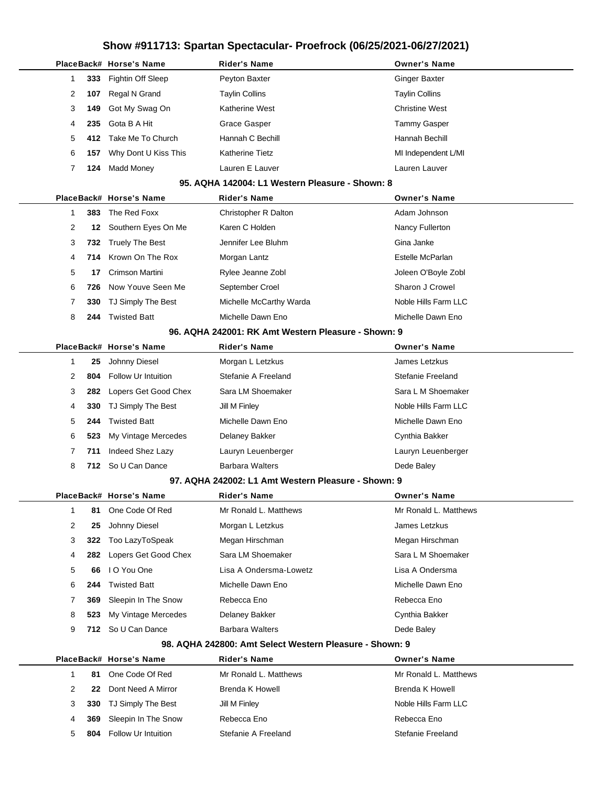|   |     | PlaceBack# Horse's Name | Rider's Name                                            | <b>Owner's Name</b>    |
|---|-----|-------------------------|---------------------------------------------------------|------------------------|
| 1 | 333 | Fightin Off Sleep       | Peyton Baxter                                           | <b>Ginger Baxter</b>   |
| 2 | 107 | Regal N Grand           | Taylin Collins                                          | <b>Taylin Collins</b>  |
| 3 | 149 | Got My Swag On          | Katherine West                                          | <b>Christine West</b>  |
| 4 | 235 | Gota B A Hit            | <b>Grace Gasper</b>                                     | <b>Tammy Gasper</b>    |
| 5 | 412 | Take Me To Church       | Hannah C Bechill                                        | Hannah Bechill         |
| 6 | 157 | Why Dont U Kiss This    | Katherine Tietz                                         | MI Independent L/MI    |
| 7 | 124 | <b>Madd Money</b>       | Lauren E Lauver                                         | Lauren Lauver          |
|   |     |                         | 95. AQHA 142004: L1 Western Pleasure - Shown: 8         |                        |
|   |     | PlaceBack# Horse's Name | Rider's Name                                            | <b>Owner's Name</b>    |
| 1 | 383 | The Red Foxx            | Christopher R Dalton                                    | Adam Johnson           |
| 2 | 12  | Southern Eyes On Me     | Karen C Holden                                          | Nancy Fullerton        |
| 3 | 732 | <b>Truely The Best</b>  | Jennifer Lee Bluhm                                      | Gina Janke             |
| 4 | 714 | Krown On The Rox        | Morgan Lantz                                            | Estelle McParlan       |
| 5 | 17  | Crimson Martini         | Rylee Jeanne Zobl                                       | Joleen O'Boyle Zobl    |
| 6 | 726 | Now Youve Seen Me       | September Croel                                         | Sharon J Crowel        |
| 7 | 330 | TJ Simply The Best      | Michelle McCarthy Warda                                 | Noble Hills Farm LLC   |
| 8 | 244 | <b>Twisted Batt</b>     | Michelle Dawn Eno                                       | Michelle Dawn Eno      |
|   |     |                         | 96. AQHA 242001: RK Amt Western Pleasure - Shown: 9     |                        |
|   |     | PlaceBack# Horse's Name | Rider's Name                                            | <b>Owner's Name</b>    |
| 1 | 25  | Johnny Diesel           | Morgan L Letzkus                                        | James Letzkus          |
| 2 | 804 | Follow Ur Intuition     | Stefanie A Freeland                                     | Stefanie Freeland      |
| 3 | 282 | Lopers Get Good Chex    | Sara LM Shoemaker                                       | Sara L M Shoemaker     |
| 4 | 330 | TJ Simply The Best      | Jill M Finley                                           | Noble Hills Farm LLC   |
| 5 | 244 | <b>Twisted Batt</b>     | Michelle Dawn Eno                                       | Michelle Dawn Eno      |
| 6 | 523 | My Vintage Mercedes     | Delaney Bakker                                          | Cynthia Bakker         |
| 7 | 711 | Indeed Shez Lazy        | Lauryn Leuenberger                                      | Lauryn Leuenberger     |
| 8 |     | 712 So U Can Dance      | <b>Barbara Walters</b>                                  | Dede Baley             |
|   |     |                         | 97. AQHA 242002: L1 Amt Western Pleasure - Shown: 9     |                        |
|   |     | PlaceBack# Horse's Name | Rider's Name                                            | <b>Owner's Name</b>    |
| 1 | 81  | One Code Of Red         | Mr Ronald L. Matthews                                   | Mr Ronald L. Matthews  |
| 2 | 25  | Johnny Diesel           | Morgan L Letzkus                                        | James Letzkus          |
| 3 | 322 | Too LazyToSpeak         | Megan Hirschman                                         | Megan Hirschman        |
| 4 | 282 | Lopers Get Good Chex    | Sara LM Shoemaker                                       | Sara L M Shoemaker     |
| 5 | 66  | I O You One             | Lisa A Ondersma-Lowetz                                  | Lisa A Ondersma        |
| 6 | 244 | <b>Twisted Batt</b>     | Michelle Dawn Eno                                       | Michelle Dawn Eno      |
| 7 | 369 | Sleepin In The Snow     | Rebecca Eno                                             | Rebecca Eno            |
| 8 | 523 | My Vintage Mercedes     | Delaney Bakker                                          | Cynthia Bakker         |
| 9 | 712 | So U Can Dance          | <b>Barbara Walters</b>                                  | Dede Baley             |
|   |     |                         | 98. AQHA 242800: Amt Select Western Pleasure - Shown: 9 |                        |
|   |     | PlaceBack# Horse's Name | <b>Rider's Name</b>                                     | <b>Owner's Name</b>    |
| 1 | 81  | One Code Of Red         | Mr Ronald L. Matthews                                   | Mr Ronald L. Matthews  |
| 2 | 22  | Dont Need A Mirror      | Brenda K Howell                                         | <b>Brenda K Howell</b> |
| 3 | 330 | TJ Simply The Best      | Jill M Finley                                           | Noble Hills Farm LLC   |
| 4 | 369 | Sleepin In The Snow     | Rebecca Eno                                             | Rebecca Eno            |
| 5 | 804 | Follow Ur Intuition     | Stefanie A Freeland                                     | Stefanie Freeland      |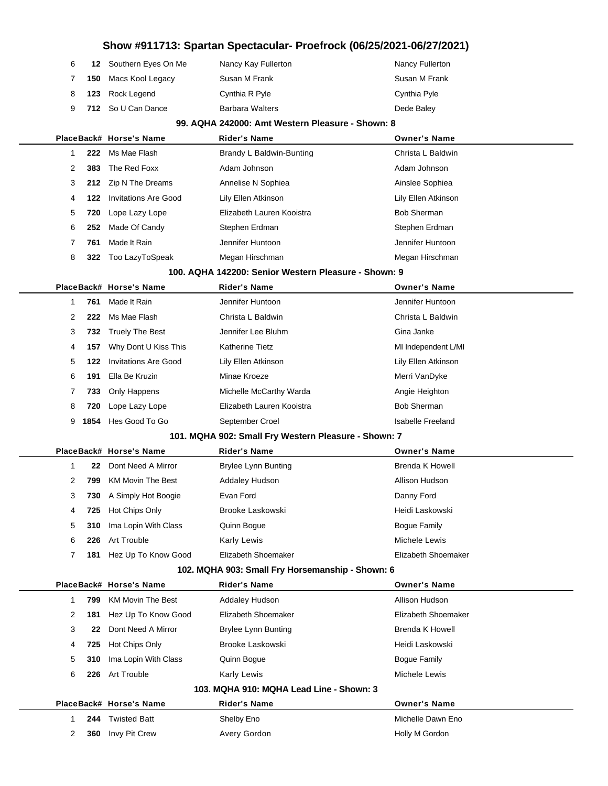| 6. | 12 Southern Eyes On Me | Nancy Kay Fullerton    | <b>Nancy Fullerton</b> |
|----|------------------------|------------------------|------------------------|
| 7  | 150 Macs Kool Legacy   | Susan M Frank          | Susan M Frank          |
|    | 8 123 Rock Legend      | Cynthia R Pyle         | Cynthia Pyle           |
|    | 9 712 So U Can Dance   | <b>Barbara Walters</b> | Dede Baley             |

ц.

#### **99. AQHA 242000: Amt Western Pleasure - Shown: 8**

|                |      | PlaceBack# Horse's Name     | <b>Rider's Name</b>                                  | <b>Owner's Name</b>      |
|----------------|------|-----------------------------|------------------------------------------------------|--------------------------|
| 1              | 222  | Ms Mae Flash                | Brandy L Baldwin-Bunting                             | Christa L Baldwin        |
| 2              | 383  | The Red Foxx                | Adam Johnson                                         | Adam Johnson             |
| 3              |      | 212 Zip N The Dreams        | Annelise N Sophiea                                   | Ainslee Sophiea          |
| 4              | 122  | <b>Invitations Are Good</b> | Lily Ellen Atkinson                                  | Lily Ellen Atkinson      |
| 5              | 720  | Lope Lazy Lope              | Elizabeth Lauren Kooistra                            | <b>Bob Sherman</b>       |
| 6              | 252  | Made Of Candy               | Stephen Erdman                                       | Stephen Erdman           |
| 7              | 761  | Made It Rain                | Jennifer Huntoon                                     | Jennifer Huntoon         |
| 8              | 322  | Too LazyToSpeak             | Megan Hirschman                                      | Megan Hirschman          |
|                |      |                             | 100. AQHA 142200: Senior Western Pleasure - Shown: 9 |                          |
|                |      | PlaceBack# Horse's Name     | <b>Rider's Name</b>                                  | <b>Owner's Name</b>      |
| 1              | 761  | Made It Rain                | Jennifer Huntoon                                     | Jennifer Huntoon         |
| 2              | 222  | Ms Mae Flash                | Christa L Baldwin                                    | Christa L Baldwin        |
| 3              | 732  | <b>Truely The Best</b>      | Jennifer Lee Bluhm                                   | Gina Janke               |
| 4              | 157  | Why Dont U Kiss This        | <b>Katherine Tietz</b>                               | MI Independent L/MI      |
| 5              | 122  | <b>Invitations Are Good</b> | Lily Ellen Atkinson                                  | Lily Ellen Atkinson      |
| 6              | 191  | Ella Be Kruzin              | Minae Kroeze                                         | Merri VanDyke            |
| 7              | 733  | Only Happens                | Michelle McCarthy Warda                              | Angie Heighton           |
| 8              | 720  | Lope Lazy Lope              | Elizabeth Lauren Kooistra                            | <b>Bob Sherman</b>       |
| 9              | 1854 | Hes Good To Go              | September Croel                                      | <b>Isabelle Freeland</b> |
|                |      |                             | 101. MQHA 902: Small Fry Western Pleasure - Shown: 7 |                          |
|                |      | PlaceBack# Horse's Name     | <b>Rider's Name</b>                                  | <b>Owner's Name</b>      |
| 1              | 22   | Dont Need A Mirror          | <b>Brylee Lynn Bunting</b>                           | Brenda K Howell          |
| $\overline{2}$ | 799  | <b>KM Movin The Best</b>    | <b>Addaley Hudson</b>                                | Allison Hudson           |
| 3              | 730  | A Simply Hot Boogie         | Evan Ford                                            | Danny Ford               |
| 4              | 725  | Hot Chips Only              | <b>Brooke Laskowski</b>                              | Heidi Laskowski          |
| 5              | 310  | Ima Lopin With Class        | Quinn Bogue                                          | <b>Bogue Family</b>      |
| 6              | 226  | Art Trouble                 | Karly Lewis                                          | Michele Lewis            |
| 7              | 181  | Hez Up To Know Good         | Elizabeth Shoemaker                                  | Elizabeth Shoemaker      |
|                |      |                             | 102. MQHA 903: Small Fry Horsemanship - Shown: 6     |                          |
|                |      | PlaceBack# Horse's Name     | <b>Rider's Name</b>                                  | <b>Owner's Name</b>      |
| 1              | 799  | <b>KM Movin The Best</b>    | Addaley Hudson                                       | Allison Hudson           |
| 2              | 181  | Hez Up To Know Good         | Elizabeth Shoemaker                                  | Elizabeth Shoemaker      |
| 3              | 22   | Dont Need A Mirror          | <b>Brylee Lynn Bunting</b>                           | Brenda K Howell          |
| 4              | 725  | Hot Chips Only              | Brooke Laskowski                                     | Heidi Laskowski          |
| 5              | 310  | Ima Lopin With Class        | Quinn Bogue                                          | <b>Bogue Family</b>      |
| 6              | 226  | Art Trouble                 | Karly Lewis                                          | Michele Lewis            |
|                |      |                             | 103. MQHA 910: MQHA Lead Line - Shown: 3             |                          |
|                |      | PlaceBack# Horse's Name     | <b>Rider's Name</b>                                  | <b>Owner's Name</b>      |
| 1              | 244  | <b>Twisted Batt</b>         | Shelby Eno                                           | Michelle Dawn Eno        |
| 2              | 360  | Invy Pit Crew               | Avery Gordon                                         | Holly M Gordon           |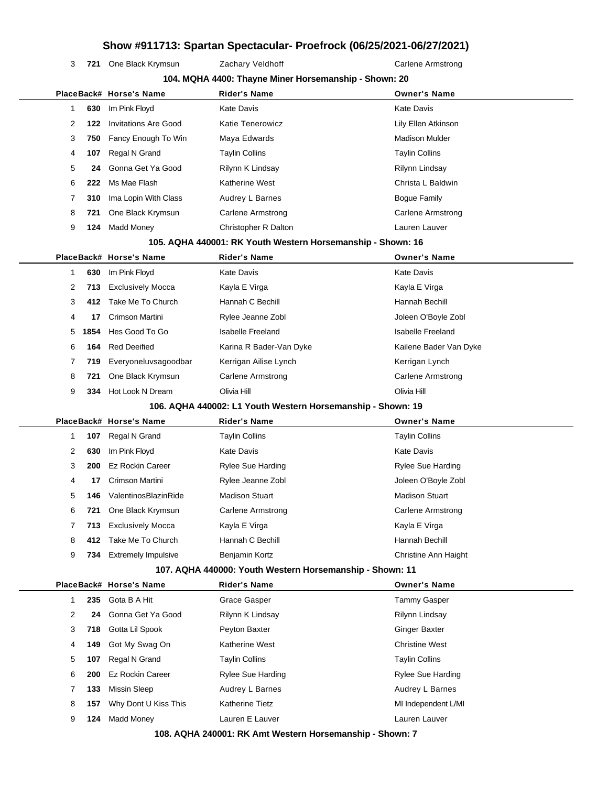3 721 One Black Krymsun Zachary Veldhoff Carlene Armstrong

|                |      |                                                | 104. MQHA 4400: Thayne Miner Horsemanship - Shown: 20       |                                      |
|----------------|------|------------------------------------------------|-------------------------------------------------------------|--------------------------------------|
|                |      | PlaceBack# Horse's Name                        | <b>Rider's Name</b>                                         | <b>Owner's Name</b>                  |
| 1              | 630  | Im Pink Floyd                                  | <b>Kate Davis</b>                                           | Kate Davis                           |
| 2              | 122  | <b>Invitations Are Good</b>                    | Katie Tenerowicz                                            | Lily Ellen Atkinson                  |
| 3              | 750  | Fancy Enough To Win                            | Maya Edwards                                                | <b>Madison Mulder</b>                |
| 4              | 107  | Regal N Grand                                  | <b>Taylin Collins</b>                                       | <b>Taylin Collins</b>                |
| 5              | 24   | Gonna Get Ya Good                              | Rilynn K Lindsay                                            | Rilynn Lindsay                       |
| 6              | 222  | Ms Mae Flash                                   | Katherine West                                              | Christa L Baldwin                    |
| 7              | 310  | Ima Lopin With Class                           | Audrey L Barnes                                             | <b>Bogue Family</b>                  |
| 8              | 721  | One Black Krymsun                              | <b>Carlene Armstrong</b>                                    | <b>Carlene Armstrong</b>             |
| 9              | 124  | <b>Madd Money</b>                              | Christopher R Dalton                                        | Lauren Lauver                        |
|                |      |                                                | 105. AQHA 440001: RK Youth Western Horsemanship - Shown: 16 |                                      |
|                |      | PlaceBack# Horse's Name                        | <b>Rider's Name</b>                                         | <b>Owner's Name</b>                  |
| $\mathbf 1$    | 630  | Im Pink Floyd                                  | <b>Kate Davis</b>                                           | <b>Kate Davis</b>                    |
| $\overline{2}$ | 713  | <b>Exclusively Mocca</b>                       | Kayla E Virga                                               | Kayla E Virga                        |
| 3              | 412  | Take Me To Church                              | Hannah C Bechill                                            | Hannah Bechill                       |
| 4              | 17   | Crimson Martini                                | Rylee Jeanne Zobl                                           | Joleen O'Boyle Zobl                  |
| 5              | 1854 | Hes Good To Go                                 | <b>Isabelle Freeland</b>                                    | <b>Isabelle Freeland</b>             |
| 6              | 164  | <b>Red Deeified</b>                            | Karina R Bader-Van Dyke                                     | Kailene Bader Van Dyke               |
| 7              | 719  | Everyoneluvsagoodbar                           | Kerrigan Ailise Lynch                                       | Kerrigan Lynch                       |
| 8              | 721  | One Black Krymsun                              | <b>Carlene Armstrong</b>                                    | <b>Carlene Armstrong</b>             |
| 9              | 334  | Hot Look N Dream                               | Olivia Hill                                                 | Olivia Hill                          |
|                |      |                                                | 106. AQHA 440002: L1 Youth Western Horsemanship - Shown: 19 |                                      |
|                |      | PlaceBack# Horse's Name                        | <b>Rider's Name</b>                                         | <b>Owner's Name</b>                  |
| 1              | 107  | Regal N Grand                                  | <b>Taylin Collins</b>                                       | <b>Taylin Collins</b>                |
| 2              | 630  | Im Pink Floyd                                  | <b>Kate Davis</b>                                           | Kate Davis                           |
| 3              | 200  | <b>Ez Rockin Career</b>                        | <b>Rylee Sue Harding</b>                                    | <b>Rylee Sue Harding</b>             |
| 4              | 17   | Crimson Martini                                | Rylee Jeanne Zobl                                           | Joleen O'Boyle Zobl                  |
| 5              | 146  | ValentinosBlazinRide                           | <b>Madison Stuart</b>                                       | <b>Madison Stuart</b>                |
| 6              | 721  | One Black Krymsun                              | <b>Carlene Armstrong</b>                                    | Carlene Armstrong                    |
| 7              | 713  | <b>Exclusively Mocca</b>                       | Kayla E Virga                                               | Kayla E Virga                        |
| 8              | 412  | Take Me To Church                              | Hannah C Bechill                                            | Hannah Bechill                       |
| 9              | 734  | <b>Extremely Impulsive</b>                     | Benjamin Kortz                                              | Christine Ann Haight                 |
|                |      |                                                | 107. AQHA 440000: Youth Western Horsemanship - Shown: 11    |                                      |
|                |      | PlaceBack# Horse's Name                        | <b>Rider's Name</b>                                         | <b>Owner's Name</b>                  |
| 1              | 235  | Gota B A Hit                                   | Grace Gasper                                                | <b>Tammy Gasper</b>                  |
| 2              | 24   | Gonna Get Ya Good                              | Rilynn K Lindsay                                            | Rilynn Lindsay                       |
| 3              | 718  | Gotta Lil Spook                                | Peyton Baxter                                               | <b>Ginger Baxter</b>                 |
| 4              | 149  | Got My Swag On                                 | Katherine West                                              | <b>Christine West</b>                |
| 5              | 107  | Regal N Grand                                  | <b>Taylin Collins</b>                                       | <b>Taylin Collins</b>                |
| 6              | 200  | <b>Ez Rockin Career</b><br><b>Missin Sleep</b> | <b>Rylee Sue Harding</b>                                    | <b>Rylee Sue Harding</b>             |
| 7              | 133  |                                                | Audrey L Barnes<br><b>Katherine Tietz</b>                   | Audrey L Barnes                      |
| 8<br>9         | 157  | Why Dont U Kiss This<br><b>Madd Money</b>      | Lauren E Lauver                                             | MI Independent L/MI<br>Lauren Lauver |
|                | 124  |                                                |                                                             |                                      |
|                |      |                                                | 108. AQHA 240001: RK Amt Western Horsemanship - Shown: 7    |                                      |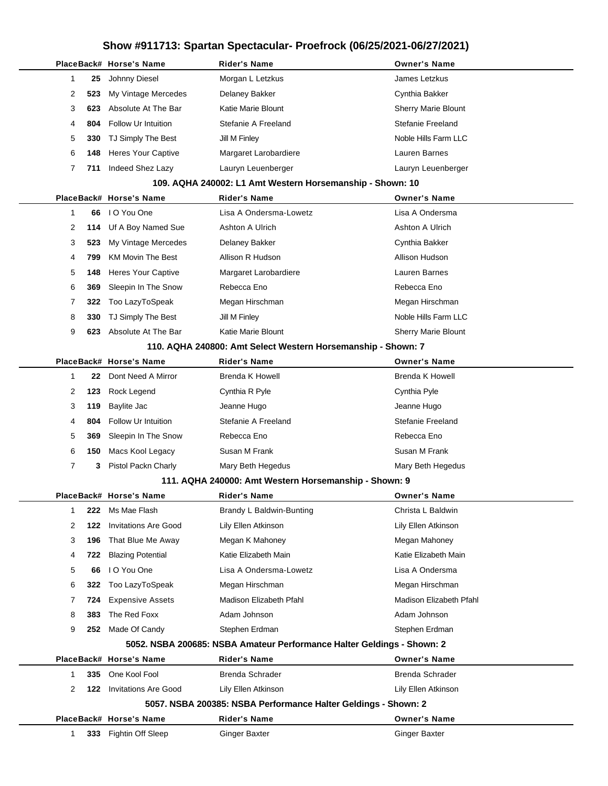|                |     | PlaceBack# Horse's Name     | <b>Rider's Name</b>                                                    | <b>Owner's Name</b>        |
|----------------|-----|-----------------------------|------------------------------------------------------------------------|----------------------------|
| 1              | 25  | Johnny Diesel               | Morgan L Letzkus                                                       | James Letzkus              |
| 2              | 523 | My Vintage Mercedes         | Delaney Bakker                                                         | Cynthia Bakker             |
| 3              | 623 | Absolute At The Bar         | Katie Marie Blount                                                     | <b>Sherry Marie Blount</b> |
| 4              | 804 | <b>Follow Ur Intuition</b>  | Stefanie A Freeland                                                    | Stefanie Freeland          |
| 5              | 330 | TJ Simply The Best          | Jill M Finley                                                          | Noble Hills Farm LLC       |
| 6              | 148 | <b>Heres Your Captive</b>   | Margaret Larobardiere                                                  | Lauren Barnes              |
| $\overline{7}$ | 711 | Indeed Shez Lazy            | Lauryn Leuenberger                                                     | Lauryn Leuenberger         |
|                |     |                             | 109. AQHA 240002: L1 Amt Western Horsemanship - Shown: 10              |                            |
|                |     | PlaceBack# Horse's Name     | <b>Rider's Name</b>                                                    | <b>Owner's Name</b>        |
| 1              | 66  | I O You One                 | Lisa A Ondersma-Lowetz                                                 | Lisa A Ondersma            |
| 2              | 114 | Uf A Boy Named Sue          | Ashton A Ulrich                                                        | Ashton A Ulrich            |
| 3              | 523 | My Vintage Mercedes         | Delaney Bakker                                                         | Cynthia Bakker             |
| 4              | 799 | <b>KM Movin The Best</b>    | Allison R Hudson                                                       | Allison Hudson             |
| 5              | 148 | <b>Heres Your Captive</b>   | Margaret Larobardiere                                                  | Lauren Barnes              |
| 6              | 369 | Sleepin In The Snow         | Rebecca Eno                                                            | Rebecca Eno                |
| 7              | 322 | Too LazyToSpeak             | Megan Hirschman                                                        | Megan Hirschman            |
| 8              | 330 | TJ Simply The Best          | Jill M Finley                                                          | Noble Hills Farm LLC       |
| 9              | 623 | Absolute At The Bar         | Katie Marie Blount                                                     | <b>Sherry Marie Blount</b> |
|                |     |                             | 110. AQHA 240800: Amt Select Western Horsemanship - Shown: 7           |                            |
|                |     | PlaceBack# Horse's Name     | <b>Rider's Name</b>                                                    | <b>Owner's Name</b>        |
| 1              | 22  | Dont Need A Mirror          | Brenda K Howell                                                        | Brenda K Howell            |
| 2              | 123 | Rock Legend                 | Cynthia R Pyle                                                         | Cynthia Pyle               |
| 3              | 119 | Baylite Jac                 | Jeanne Hugo                                                            | Jeanne Hugo                |
| 4              | 804 | Follow Ur Intuition         | Stefanie A Freeland                                                    | Stefanie Freeland          |
| 5              | 369 | Sleepin In The Snow         | Rebecca Eno                                                            | Rebecca Eno                |
| 6              | 150 | Macs Kool Legacy            | Susan M Frank                                                          | Susan M Frank              |
| 7              | 3   | Pistol Packn Charly         | Mary Beth Hegedus                                                      | Mary Beth Hegedus          |
|                |     |                             | 111. AQHA 240000: Amt Western Horsemanship - Shown: 9                  |                            |
|                |     | PlaceBack# Horse's Name     | <b>Rider's Name</b>                                                    | <b>Owner's Name</b>        |
| -1             | 222 | Ms Mae Flash                | Brandy L Baldwin-Bunting                                               | Christa L Baldwin          |
| 2              | 122 | <b>Invitations Are Good</b> | Lily Ellen Atkinson                                                    | Lily Ellen Atkinson        |
| 3              | 196 | That Blue Me Away           | Megan K Mahoney                                                        | Megan Mahoney              |
| 4              | 722 | <b>Blazing Potential</b>    | Katie Elizabeth Main                                                   | Katie Elizabeth Main       |
| 5              | 66  | I O You One                 | Lisa A Ondersma-Lowetz                                                 | Lisa A Ondersma            |
| 6              | 322 | Too LazyToSpeak             | Megan Hirschman                                                        | Megan Hirschman            |
| 7              | 724 | <b>Expensive Assets</b>     | Madison Elizabeth Pfahl                                                | Madison Elizabeth Pfahl    |
| 8              | 383 | The Red Foxx                | Adam Johnson                                                           | Adam Johnson               |
| 9              | 252 | Made Of Candy               | Stephen Erdman                                                         | Stephen Erdman             |
|                |     |                             | 5052. NSBA 200685: NSBA Amateur Performance Halter Geldings - Shown: 2 |                            |
|                |     | PlaceBack# Horse's Name     | <b>Rider's Name</b>                                                    | <b>Owner's Name</b>        |
| 1              | 335 | One Kool Fool               | <b>Brenda Schrader</b>                                                 | Brenda Schrader            |
| 2              | 122 | <b>Invitations Are Good</b> | Lily Ellen Atkinson                                                    | Lily Ellen Atkinson        |
|                |     |                             | 5057. NSBA 200385: NSBA Performance Halter Geldings - Shown: 2         |                            |
|                |     | PlaceBack# Horse's Name     | <b>Rider's Name</b>                                                    | <b>Owner's Name</b>        |
| 1              | 333 | Fightin Off Sleep           | <b>Ginger Baxter</b>                                                   | <b>Ginger Baxter</b>       |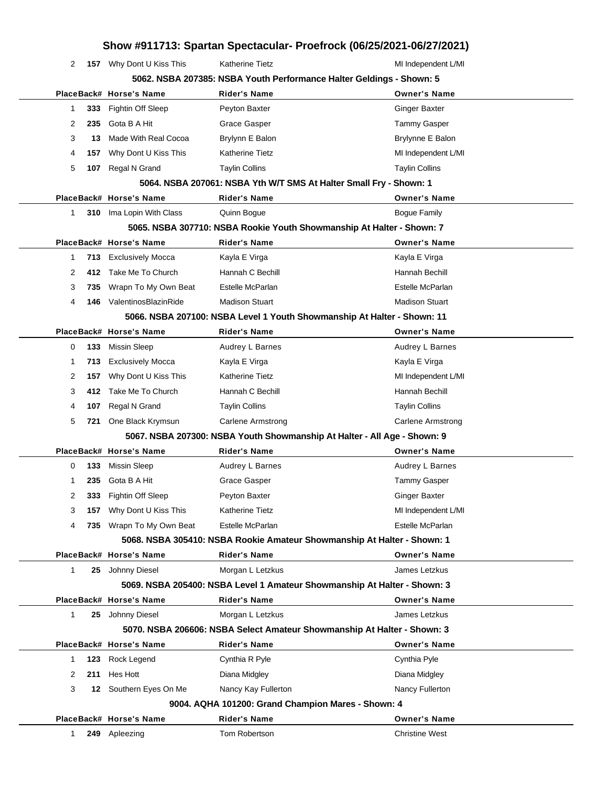|              |     |                          | Show #911713: Spartan Spectacular- Proefrock (06/25/2021-06/27/2021)     |                          |  |
|--------------|-----|--------------------------|--------------------------------------------------------------------------|--------------------------|--|
| 2            |     | 157 Why Dont U Kiss This | Katherine Tietz                                                          | MI Independent L/MI      |  |
|              |     |                          | 5062. NSBA 207385: NSBA Youth Performance Halter Geldings - Shown: 5     |                          |  |
|              |     | PlaceBack# Horse's Name  | <b>Rider's Name</b>                                                      | <b>Owner's Name</b>      |  |
| 1            | 333 | Fightin Off Sleep        | Peyton Baxter                                                            | <b>Ginger Baxter</b>     |  |
| 2            | 235 | Gota B A Hit             | Grace Gasper                                                             | <b>Tammy Gasper</b>      |  |
| 3            | 13  | Made With Real Cocoa     | Brylynn E Balon                                                          | Brylynne E Balon         |  |
| 4            | 157 | Why Dont U Kiss This     | Katherine Tietz                                                          | MI Independent L/MI      |  |
| 5            | 107 | Regal N Grand            | <b>Taylin Collins</b>                                                    | <b>Taylin Collins</b>    |  |
|              |     |                          | 5064. NSBA 207061: NSBA Yth W/T SMS At Halter Small Fry - Shown: 1       |                          |  |
|              |     | PlaceBack# Horse's Name  | <b>Rider's Name</b>                                                      | <b>Owner's Name</b>      |  |
| 1            |     | 310 Ima Lopin With Class | Quinn Bogue                                                              | <b>Bogue Family</b>      |  |
|              |     |                          | 5065. NSBA 307710: NSBA Rookie Youth Showmanship At Halter - Shown: 7    |                          |  |
|              |     | PlaceBack# Horse's Name  | <b>Rider's Name</b>                                                      | <b>Owner's Name</b>      |  |
| 1            | 713 | <b>Exclusively Mocca</b> | Kayla E Virga                                                            | Kayla E Virga            |  |
| 2            | 412 | Take Me To Church        | Hannah C Bechill                                                         | Hannah Bechill           |  |
| 3            | 735 | Wrapn To My Own Beat     | Estelle McParlan                                                         | Estelle McParlan         |  |
| 4            | 146 | ValentinosBlazinRide     | <b>Madison Stuart</b>                                                    | <b>Madison Stuart</b>    |  |
|              |     |                          | 5066. NSBA 207100: NSBA Level 1 Youth Showmanship At Halter - Shown: 11  |                          |  |
|              |     | PlaceBack# Horse's Name  | <b>Rider's Name</b>                                                      | <b>Owner's Name</b>      |  |
| 0            | 133 | <b>Missin Sleep</b>      | Audrey L Barnes                                                          | Audrey L Barnes          |  |
| 1            | 713 | <b>Exclusively Mocca</b> | Kayla E Virga                                                            | Kayla E Virga            |  |
| 2            | 157 | Why Dont U Kiss This     | <b>Katherine Tietz</b>                                                   | MI Independent L/MI      |  |
| 3            | 412 | Take Me To Church        | Hannah C Bechill                                                         | Hannah Bechill           |  |
| 4            | 107 | Regal N Grand            | <b>Taylin Collins</b>                                                    | <b>Taylin Collins</b>    |  |
| 5            | 721 | One Black Krymsun        | Carlene Armstrong                                                        | <b>Carlene Armstrong</b> |  |
|              |     |                          | 5067. NSBA 207300: NSBA Youth Showmanship At Halter - All Age - Shown: 9 |                          |  |
|              |     | PlaceBack# Horse's Name  | Rider's Name                                                             | <b>Owner's Name</b>      |  |
| 0            | 133 | Missin Sleep             | Audrey L Barnes                                                          | Audrey L Barnes          |  |
| 1            |     | 235 Gota B A Hit         | Grace Gasper                                                             | Tammy Gasper             |  |
| 2            | 333 | <b>Fightin Off Sleep</b> | Peyton Baxter                                                            | <b>Ginger Baxter</b>     |  |
| 3            | 157 | Why Dont U Kiss This     | <b>Katherine Tietz</b>                                                   | MI Independent L/MI      |  |
| 4            | 735 | Wrapn To My Own Beat     | Estelle McParlan                                                         | Estelle McParlan         |  |
|              |     |                          | 5068. NSBA 305410: NSBA Rookie Amateur Showmanship At Halter - Shown: 1  |                          |  |
|              |     | PlaceBack# Horse's Name  | <b>Rider's Name</b>                                                      | <b>Owner's Name</b>      |  |
| $\mathbf{1}$ | 25  | Johnny Diesel            | Morgan L Letzkus                                                         | James Letzkus            |  |
|              |     |                          | 5069. NSBA 205400: NSBA Level 1 Amateur Showmanship At Halter - Shown: 3 |                          |  |
|              |     | PlaceBack# Horse's Name  | <b>Rider's Name</b>                                                      | <b>Owner's Name</b>      |  |
| 1            |     | 25 Johnny Diesel         | Morgan L Letzkus                                                         | James Letzkus            |  |
|              |     |                          | 5070. NSBA 206606: NSBA Select Amateur Showmanship At Halter - Shown: 3  |                          |  |
|              |     | PlaceBack# Horse's Name  | <b>Rider's Name</b>                                                      | <b>Owner's Name</b>      |  |
| 1            | 123 | Rock Legend              | Cynthia R Pyle                                                           | Cynthia Pyle             |  |
| 2            | 211 | Hes Hott                 | Diana Midgley                                                            | Diana Midgley            |  |
| 3            | 12  | Southern Eyes On Me      | Nancy Kay Fullerton                                                      | Nancy Fullerton          |  |
|              |     |                          | 9004. AQHA 101200: Grand Champion Mares - Shown: 4                       |                          |  |
|              |     | PlaceBack# Horse's Name  | <b>Rider's Name</b>                                                      | <b>Owner's Name</b>      |  |
| 1            |     | 249 Apleezing            | Tom Robertson                                                            | <b>Christine West</b>    |  |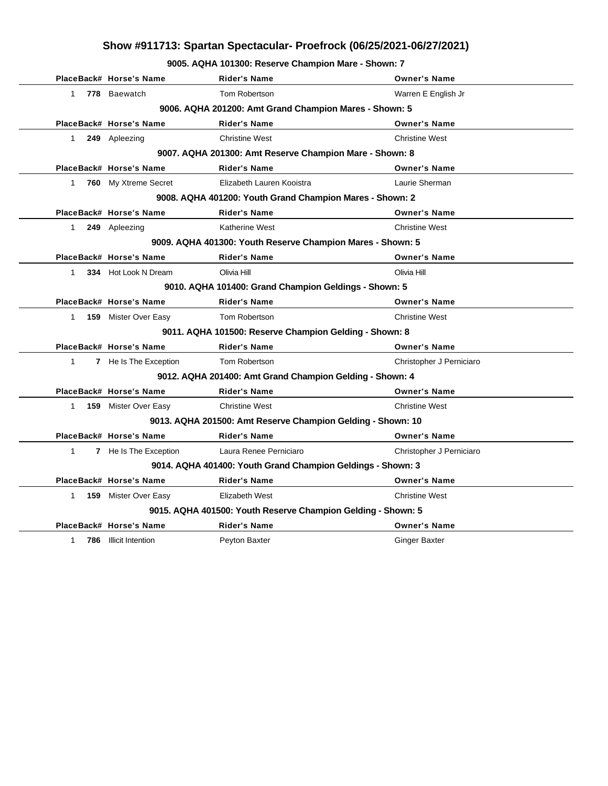**9005. AQHA 101300: Reserve Champion Mare - Shown: 7**

|              | PlaceBack# Horse's Name     | <b>Rider's Name</b>                                          | <b>Owner's Name</b>      |
|--------------|-----------------------------|--------------------------------------------------------------|--------------------------|
| $\mathbf{1}$ | 778 Baewatch                | Tom Robertson                                                | Warren E English Jr      |
|              |                             | 9006. AQHA 201200: Amt Grand Champion Mares - Shown: 5       |                          |
|              | PlaceBack# Horse's Name     | <b>Rider's Name</b>                                          | <b>Owner's Name</b>      |
| 1            | 249 Apleezing               | <b>Christine West</b>                                        | <b>Christine West</b>    |
|              |                             | 9007. AQHA 201300: Amt Reserve Champion Mare - Shown: 8      |                          |
|              | PlaceBack# Horse's Name     | <b>Rider's Name</b>                                          | <b>Owner's Name</b>      |
| $\mathbf{1}$ | 760 My Xtreme Secret        | Elizabeth Lauren Kooistra                                    | Laurie Sherman           |
|              |                             | 9008. AQHA 401200: Youth Grand Champion Mares - Shown: 2     |                          |
|              | PlaceBack# Horse's Name     | <b>Rider's Name</b>                                          | <b>Owner's Name</b>      |
| 1            | 249 Apleezing               | <b>Katherine West</b>                                        | <b>Christine West</b>    |
|              |                             | 9009. AQHA 401300: Youth Reserve Champion Mares - Shown: 5   |                          |
|              | PlaceBack# Horse's Name     | <b>Rider's Name</b>                                          | <b>Owner's Name</b>      |
| 1            | 334 Hot Look N Dream        | Olivia Hill                                                  | Olivia Hill              |
|              |                             | 9010. AQHA 101400: Grand Champion Geldings - Shown: 5        |                          |
|              | PlaceBack# Horse's Name     | <b>Rider's Name</b>                                          | <b>Owner's Name</b>      |
| $1 \quad$    | <b>159</b> Mister Over Easy | Tom Robertson                                                | <b>Christine West</b>    |
|              |                             | 9011. AQHA 101500: Reserve Champion Gelding - Shown: 8       |                          |
|              | PlaceBack# Horse's Name     | <b>Rider's Name</b>                                          | <b>Owner's Name</b>      |
| $\mathbf{1}$ | 7 He Is The Exception       | Tom Robertson                                                | Christopher J Perniciaro |
|              |                             | 9012. AQHA 201400: Amt Grand Champion Gelding - Shown: 4     |                          |
|              | PlaceBack# Horse's Name     | <b>Rider's Name</b>                                          | <b>Owner's Name</b>      |
| 1            | <b>159</b> Mister Over Easy | <b>Christine West</b>                                        | <b>Christine West</b>    |
|              |                             | 9013. AQHA 201500: Amt Reserve Champion Gelding - Shown: 10  |                          |
|              | PlaceBack# Horse's Name     | <b>Rider's Name</b>                                          | <b>Owner's Name</b>      |
| $\mathbf{1}$ | 7 He Is The Exception       | Laura Renee Perniciaro                                       | Christopher J Perniciaro |
|              |                             | 9014. AQHA 401400: Youth Grand Champion Geldings - Shown: 3  |                          |
|              | PlaceBack# Horse's Name     | <b>Rider's Name</b>                                          | <b>Owner's Name</b>      |
| 1            | 159 Mister Over Easy        | Elizabeth West                                               | <b>Christine West</b>    |
|              |                             | 9015. AQHA 401500: Youth Reserve Champion Gelding - Shown: 5 |                          |
|              | PlaceBack# Horse's Name     | <b>Rider's Name</b>                                          | <b>Owner's Name</b>      |
| 1            | 786 Illicit Intention       | Peyton Baxter                                                | <b>Ginger Baxter</b>     |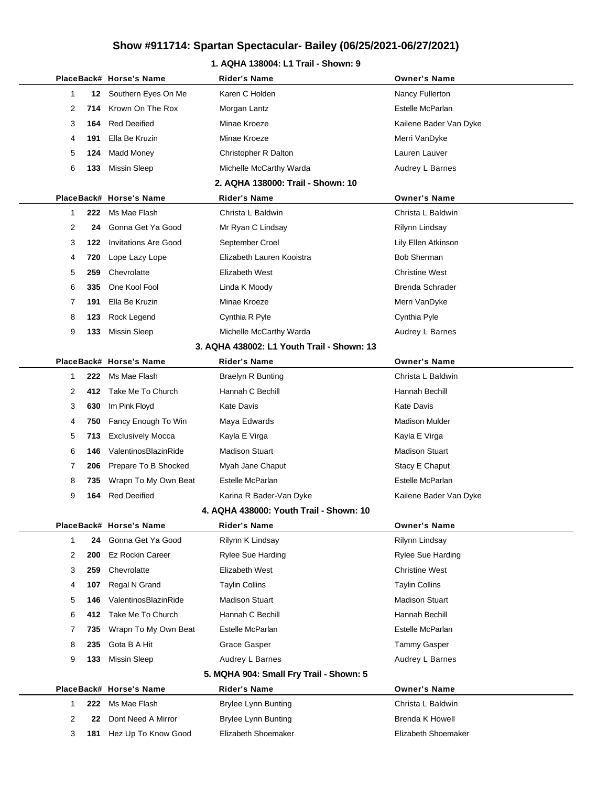### **1. AQHA 138004: L1 Trail - Shown: 9**

|              |     | PlaceBack# Horse's Name     | <b>Rider's Name</b>                        | <b>Owner's Name</b>    |
|--------------|-----|-----------------------------|--------------------------------------------|------------------------|
| 1            |     | 12 Southern Eyes On Me      | Karen C Holden                             | Nancy Fullerton        |
| 2            | 714 | Krown On The Rox            | Morgan Lantz                               | Estelle McParlan       |
| 3            | 164 | <b>Red Deeified</b>         | Minae Kroeze                               | Kailene Bader Van Dyke |
| 4            | 191 | Ella Be Kruzin              | Minae Kroeze                               | Merri VanDyke          |
| 5            | 124 | <b>Madd Money</b>           | Christopher R Dalton                       | Lauren Lauver          |
| 6            | 133 | <b>Missin Sleep</b>         | Michelle McCarthy Warda                    | Audrey L Barnes        |
|              |     |                             | 2. AQHA 138000: Trail - Shown: 10          |                        |
|              |     | PlaceBack# Horse's Name     | <b>Rider's Name</b>                        | <b>Owner's Name</b>    |
| 1            | 222 | Ms Mae Flash                | Christa L Baldwin                          | Christa L Baldwin      |
| 2            | 24  | Gonna Get Ya Good           | Mr Ryan C Lindsay                          | Rilynn Lindsay         |
| 3            | 122 | <b>Invitations Are Good</b> | September Croel                            | Lily Ellen Atkinson    |
| 4            | 720 | Lope Lazy Lope              | Elizabeth Lauren Kooistra                  | <b>Bob Sherman</b>     |
| 5            | 259 | Chevrolatte                 | Elizabeth West                             | <b>Christine West</b>  |
| 6            | 335 | One Kool Fool               | Linda K Moody                              | <b>Brenda Schrader</b> |
| 7            | 191 | Ella Be Kruzin              | Minae Kroeze                               | Merri VanDyke          |
| 8            | 123 | Rock Legend                 | Cynthia R Pyle                             | Cynthia Pyle           |
| 9            | 133 | <b>Missin Sleep</b>         | Michelle McCarthy Warda                    | Audrey L Barnes        |
|              |     |                             | 3. AQHA 438002: L1 Youth Trail - Shown: 13 |                        |
|              |     | PlaceBack# Horse's Name     | Rider's Name                               | <b>Owner's Name</b>    |
| 1            | 222 | Ms Mae Flash                | <b>Braelyn R Bunting</b>                   | Christa L Baldwin      |
| 2            | 412 | Take Me To Church           | Hannah C Bechill                           | Hannah Bechill         |
| 3            | 630 | Im Pink Floyd               | <b>Kate Davis</b>                          | <b>Kate Davis</b>      |
| 4            | 750 | Fancy Enough To Win         | Maya Edwards                               | <b>Madison Mulder</b>  |
| 5            | 713 | <b>Exclusively Mocca</b>    | Kayla E Virga                              | Kayla E Virga          |
| 6            | 146 | ValentinosBlazinRide        | <b>Madison Stuart</b>                      | <b>Madison Stuart</b>  |
| 7            | 206 | Prepare To B Shocked        | Myah Jane Chaput                           | Stacy E Chaput         |
| 8            | 735 | Wrapn To My Own Beat        | Estelle McParlan                           | Estelle McParlan       |
| 9            | 164 | <b>Red Deeified</b>         | Karina R Bader-Van Dyke                    | Kailene Bader Van Dyke |
|              |     |                             | 4. AQHA 438000: Youth Trail - Shown: 10    |                        |
|              |     | PlaceBack# Horse's Name     | <b>Rider's Name</b>                        | <b>Owner's Name</b>    |
| $\mathbf{1}$ | 24  | Gonna Get Ya Good           | Rilynn K Lindsay                           | Rilynn Lindsay         |
| 2            | 200 | <b>Ez Rockin Career</b>     | <b>Rylee Sue Harding</b>                   | Rylee Sue Harding      |
| 3            | 259 | Chevrolatte                 | Elizabeth West                             | <b>Christine West</b>  |
| 4            | 107 | Regal N Grand               | <b>Taylin Collins</b>                      | <b>Taylin Collins</b>  |
| 5            | 146 | ValentinosBlazinRide        | <b>Madison Stuart</b>                      | <b>Madison Stuart</b>  |
| 6            | 412 | Take Me To Church           | Hannah C Bechill                           | Hannah Bechill         |
| 7            | 735 | Wrapn To My Own Beat        | Estelle McParlan                           | Estelle McParlan       |
| 8            | 235 | Gota B A Hit                | Grace Gasper                               | Tammy Gasper           |
| 9            | 133 | <b>Missin Sleep</b>         | Audrey L Barnes                            | Audrey L Barnes        |
|              |     |                             | 5. MQHA 904: Small Fry Trail - Shown: 5    |                        |
|              |     | PlaceBack# Horse's Name     | <b>Rider's Name</b>                        | <b>Owner's Name</b>    |
| 1            | 222 | Ms Mae Flash                | <b>Brylee Lynn Bunting</b>                 | Christa L Baldwin      |
| 2            | 22  | Dont Need A Mirror          | <b>Brylee Lynn Bunting</b>                 | <b>Brenda K Howell</b> |
| 3            | 181 | Hez Up To Know Good         | Elizabeth Shoemaker                        | Elizabeth Shoemaker    |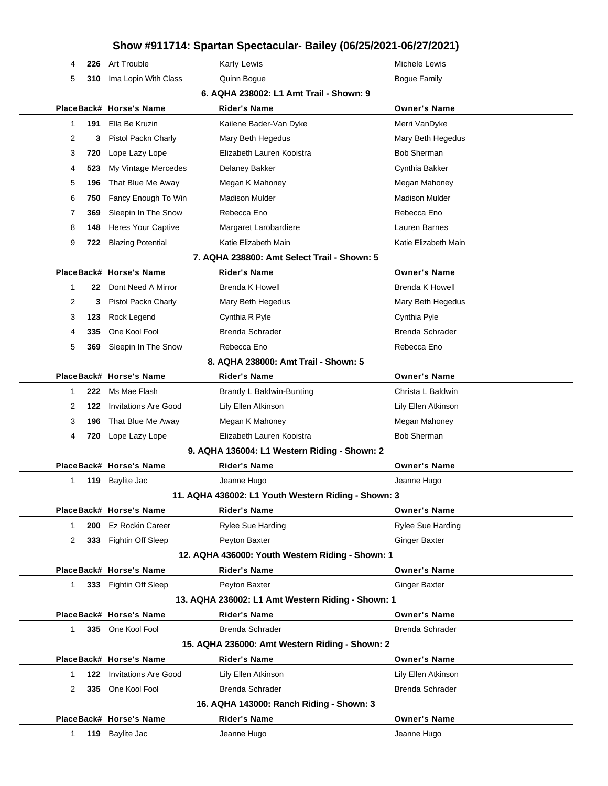| 4 | 226 | Art Trouble                 | <b>Karly Lewis</b>                                  | Michele Lewis          |  |
|---|-----|-----------------------------|-----------------------------------------------------|------------------------|--|
| 5 | 310 | Ima Lopin With Class        | Quinn Bogue                                         | <b>Bogue Family</b>    |  |
|   |     |                             | 6. AQHA 238002: L1 Amt Trail - Shown: 9             |                        |  |
|   |     | PlaceBack# Horse's Name     | <b>Rider's Name</b>                                 | <b>Owner's Name</b>    |  |
| 1 | 191 | Ella Be Kruzin              | Kailene Bader-Van Dyke                              | Merri VanDyke          |  |
| 2 | 3   | Pistol Packn Charly         | Mary Beth Hegedus                                   | Mary Beth Hegedus      |  |
| 3 | 720 | Lope Lazy Lope              | Elizabeth Lauren Kooistra                           | <b>Bob Sherman</b>     |  |
| 4 | 523 | My Vintage Mercedes         | Delaney Bakker                                      | Cynthia Bakker         |  |
| 5 | 196 | That Blue Me Away           | Megan K Mahoney                                     | Megan Mahoney          |  |
| 6 | 750 | Fancy Enough To Win         | <b>Madison Mulder</b>                               | <b>Madison Mulder</b>  |  |
| 7 | 369 | Sleepin In The Snow         | Rebecca Eno                                         | Rebecca Eno            |  |
| 8 | 148 | <b>Heres Your Captive</b>   | Margaret Larobardiere                               | Lauren Barnes          |  |
| 9 | 722 | <b>Blazing Potential</b>    | Katie Elizabeth Main                                | Katie Elizabeth Main   |  |
|   |     |                             | 7. AQHA 238800: Amt Select Trail - Shown: 5         |                        |  |
|   |     | PlaceBack# Horse's Name     | <b>Rider's Name</b>                                 | <b>Owner's Name</b>    |  |
| 1 | 22  | Dont Need A Mirror          | <b>Brenda K Howell</b>                              | <b>Brenda K Howell</b> |  |
| 2 | 3   | Pistol Packn Charly         | Mary Beth Hegedus                                   | Mary Beth Hegedus      |  |
| 3 | 123 | Rock Legend                 | Cynthia R Pyle                                      | Cynthia Pyle           |  |
| 4 | 335 | One Kool Fool               | Brenda Schrader                                     | Brenda Schrader        |  |
| 5 | 369 | Sleepin In The Snow         | Rebecca Eno                                         | Rebecca Eno            |  |
|   |     |                             | 8. AQHA 238000: Amt Trail - Shown: 5                |                        |  |
|   |     | PlaceBack# Horse's Name     | <b>Rider's Name</b>                                 | <b>Owner's Name</b>    |  |
| 1 | 222 | Ms Mae Flash                | Brandy L Baldwin-Bunting                            | Christa L Baldwin      |  |
| 2 | 122 | <b>Invitations Are Good</b> | Lily Ellen Atkinson                                 | Lily Ellen Atkinson    |  |
| 3 | 196 | That Blue Me Away           | Megan K Mahoney                                     | Megan Mahoney          |  |
| 4 | 720 | Lope Lazy Lope              | Elizabeth Lauren Kooistra                           | <b>Bob Sherman</b>     |  |
|   |     |                             | 9. AQHA 136004: L1 Western Riding - Shown: 2        |                        |  |
|   |     | PlaceBack# Horse's Name     | <b>Rider's Name</b>                                 | <b>Owner's Name</b>    |  |
| 1 | 119 | Baylite Jac                 | Jeanne Hugo                                         | Jeanne Hugo            |  |
|   |     |                             | 11. AQHA 436002: L1 Youth Western Riding - Shown: 3 |                        |  |
|   |     | PlaceBack# Horse's Name     | Rider's Name                                        | <b>Owner's Name</b>    |  |
| 1 | 200 | <b>Ez Rockin Career</b>     | Rylee Sue Harding                                   | Rylee Sue Harding      |  |
| 2 | 333 | Fightin Off Sleep           | Peyton Baxter                                       | <b>Ginger Baxter</b>   |  |
|   |     |                             | 12. AQHA 436000: Youth Western Riding - Shown: 1    |                        |  |
|   |     | PlaceBack# Horse's Name     | <b>Rider's Name</b>                                 | <b>Owner's Name</b>    |  |
| 1 |     | 333 Fightin Off Sleep       | Peyton Baxter                                       | <b>Ginger Baxter</b>   |  |
|   |     |                             | 13. AQHA 236002: L1 Amt Western Riding - Shown: 1   |                        |  |
|   |     | PlaceBack# Horse's Name     | <b>Rider's Name</b>                                 | <b>Owner's Name</b>    |  |
| 1 |     | 335 One Kool Fool           | Brenda Schrader                                     | Brenda Schrader        |  |
|   |     |                             | 15. AQHA 236000: Amt Western Riding - Shown: 2      |                        |  |
|   |     | PlaceBack# Horse's Name     | <b>Rider's Name</b>                                 | <b>Owner's Name</b>    |  |
| 1 | 122 | <b>Invitations Are Good</b> | Lily Ellen Atkinson                                 | Lily Ellen Atkinson    |  |
| 2 | 335 | One Kool Fool               | <b>Brenda Schrader</b>                              | Brenda Schrader        |  |
|   |     |                             | 16. AQHA 143000: Ranch Riding - Shown: 3            |                        |  |
|   |     | PlaceBack# Horse's Name     | <b>Rider's Name</b>                                 | <b>Owner's Name</b>    |  |
| 1 |     | 119 Baylite Jac             | Jeanne Hugo                                         | Jeanne Hugo            |  |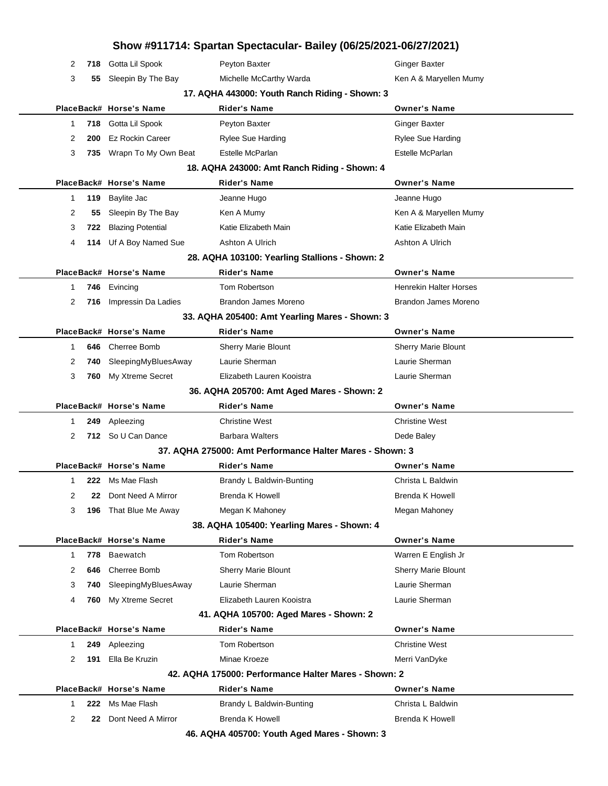|          |                          | Show #911714: Spartan Spectacular- Bailey (06/25/2021-06/27/2021) |                               |
|----------|--------------------------|-------------------------------------------------------------------|-------------------------------|
| 2<br>718 | Gotta Lil Spook          | Peyton Baxter                                                     | <b>Ginger Baxter</b>          |
| 3<br>55  | Sleepin By The Bay       | Michelle McCarthy Warda                                           | Ken A & Maryellen Mumy        |
|          |                          | 17. AQHA 443000: Youth Ranch Riding - Shown: 3                    |                               |
|          | PlaceBack# Horse's Name  | <b>Rider's Name</b>                                               | <b>Owner's Name</b>           |
| 1        | 718 Gotta Lil Spook      | Peyton Baxter                                                     | <b>Ginger Baxter</b>          |
| 2<br>200 | <b>Ez Rockin Career</b>  | <b>Rylee Sue Harding</b>                                          | <b>Rylee Sue Harding</b>      |
| 3        | 735 Wrapn To My Own Beat | Estelle McParlan                                                  | Estelle McParlan              |
|          |                          | 18. AQHA 243000: Amt Ranch Riding - Shown: 4                      |                               |
|          | PlaceBack# Horse's Name  | Rider's Name                                                      | <b>Owner's Name</b>           |
| 1<br>119 | Baylite Jac              | Jeanne Hugo                                                       | Jeanne Hugo                   |
| 2<br>55  | Sleepin By The Bay       | Ken A Mumy                                                        | Ken A & Maryellen Mumy        |
| 3<br>722 | <b>Blazing Potential</b> | Katie Elizabeth Main                                              | Katie Elizabeth Main          |
| 4        | 114 Uf A Boy Named Sue   | Ashton A Ulrich                                                   | Ashton A Ulrich               |
|          |                          | 28. AQHA 103100: Yearling Stallions - Shown: 2                    |                               |
|          | PlaceBack# Horse's Name  | <b>Rider's Name</b>                                               | <b>Owner's Name</b>           |
| 746<br>1 | Evincing                 | Tom Robertson                                                     | <b>Henrekin Halter Horses</b> |
| 2<br>716 | Impressin Da Ladies      | Brandon James Moreno                                              | <b>Brandon James Moreno</b>   |
|          |                          | 33. AQHA 205400: Amt Yearling Mares - Shown: 3                    |                               |
|          | PlaceBack# Horse's Name  | <b>Rider's Name</b>                                               | <b>Owner's Name</b>           |
| 646<br>1 | Cherree Bomb             | <b>Sherry Marie Blount</b>                                        | <b>Sherry Marie Blount</b>    |
| 2<br>740 | SleepingMyBluesAway      | Laurie Sherman                                                    | Laurie Sherman                |
| 3<br>760 | My Xtreme Secret         | Elizabeth Lauren Kooistra                                         | Laurie Sherman                |
|          |                          | 36. AQHA 205700: Amt Aged Mares - Shown: 2                        |                               |
|          | PlaceBack# Horse's Name  | Rider's Name                                                      | <b>Owner's Name</b>           |
| 1        | 249 Apleezing            | <b>Christine West</b>                                             | <b>Christine West</b>         |
| 2        | 712 So U Can Dance       | <b>Barbara Walters</b>                                            | Dede Baley                    |
|          |                          | 37. AQHA 275000: Amt Performance Halter Mares - Shown: 3          |                               |
|          | PlaceBack# Horse's Name  | Rider's Name                                                      | <b>Owner's Name</b>           |
| 1        | 222 Ms Mae Flash         | Brandy L Baldwin-Bunting                                          | Christa L Baldwin             |
| 2<br>22  | Dont Need A Mirror       | <b>Brenda K Howell</b>                                            | <b>Brenda K Howell</b>        |
| 3<br>196 | That Blue Me Away        | Megan K Mahoney                                                   | Megan Mahoney                 |
|          |                          | 38. AQHA 105400: Yearling Mares - Shown: 4                        |                               |
|          | PlaceBack# Horse's Name  | Rider's Name                                                      | <b>Owner's Name</b>           |
| 778<br>1 | Baewatch                 | Tom Robertson                                                     | Warren E English Jr           |
| 2<br>646 | <b>Cherree Bomb</b>      | Sherry Marie Blount                                               | <b>Sherry Marie Blount</b>    |
| 3<br>740 | SleepingMyBluesAway      | Laurie Sherman                                                    | Laurie Sherman                |
| 4<br>760 | My Xtreme Secret         | Elizabeth Lauren Kooistra                                         | Laurie Sherman                |
|          |                          | 41. AQHA 105700: Aged Mares - Shown: 2                            |                               |
|          | PlaceBack# Horse's Name  | Rider's Name                                                      | <b>Owner's Name</b>           |
| 249<br>1 | Apleezing                | Tom Robertson                                                     | <b>Christine West</b>         |
| 2<br>191 | Ella Be Kruzin           | Minae Kroeze                                                      | Merri VanDyke                 |
|          |                          | 42. AQHA 175000: Performance Halter Mares - Shown: 2              |                               |
|          | PlaceBack# Horse's Name  | Rider's Name                                                      | <b>Owner's Name</b>           |
| 1<br>222 | Ms Mae Flash             | Brandy L Baldwin-Bunting                                          | Christa L Baldwin             |
| 2<br>22  | Dont Need A Mirror       | <b>Brenda K Howell</b>                                            | <b>Brenda K Howell</b>        |
|          |                          | 46. AQHA 405700: Youth Aged Mares - Shown: 3                      |                               |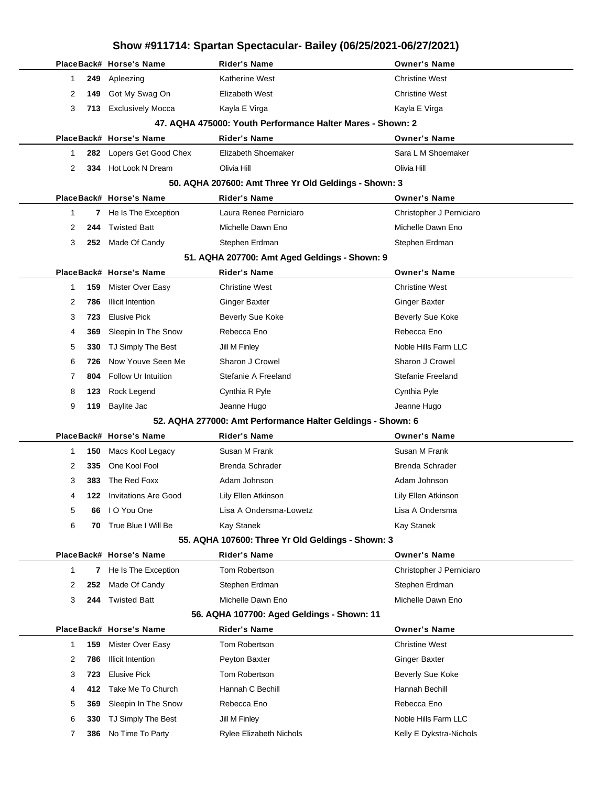## **Show #911714: Spartan Spectacular- Bailey (06/25/2021-06/27/2021) PlaceBack# Horse's Name Rider's Name Owner's Name 249** Apleezing **Christian Christian Mest** Katherine West Christine West Christine West **149** Got My Swag On **Elizabeth West** Christine West Christine West 3 713 Exclusively Mocca **Kayla E Virga** Kayla E Virga Kayla E Virga **47. AQHA 475000: Youth Performance Halter Mares - Shown: 2 PlaceBack# Horse's Name Rider's Name Owner's Name 282** Lopers Get Good Chex Elizabeth Shoemaker Sara L M Shoemaker **334** Hot Look N Dream Olivia Hill Olivia Hill **50. AQHA 207600: Amt Three Yr Old Geldings - Shown: 3 PlaceBack# Horse's Name Rider's Name Owner's Name 7** He Is The Exception Laura Renee Perniciaro **Christopher J Perniciaro 244** Twisted Batt Michelle Dawn Eno Michelle Dawn Eno **252** Made Of Candy Stephen Erdman Stephen Erdman Stephen Stephen Erdman **51. AQHA 207700: Amt Aged Geldings - Shown: 9 PlaceBack# Horse's Name Rider's Name Owner's Name 159** Mister Over Easy Christine West Christine West **786** Illicit Intention Ginger Baxter Ginger Baxter **723** Elusive Pick **Beverly Sue Koke** Beverly Sue Koke **Beverly Sue Koke 369** Sleepin In The Snow Rebecca Eno Rebecca Eno Rebecca Eno **330** TJ Simply The Best Jill M Finley Juli 10 Process And All Starm LLC **726** Now Youve Seen Me Sharon J Crowel Sharon J Crowel **804** Follow Ur Intuition Stefanie A Freeland Stefanie Freeland **123** Rock Legend Cynthia R Pyle Cynthia Pyle **119** Baylite Jac Jeanne Hugo Jeanne Hugo **52. AQHA 277000: Amt Performance Halter Geldings - Shown: 6 PlaceBack# Horse's Name Rider's Name Owner's Name 150** Macs Kool Legacy Susan M Frank Susan M Susan M Frank **335** One Kool Fool **Brenda Schrader** Brenda Schrader Brenda Schrader Brenda Schrader **383** The Red Foxx **Adam Johnson** Adam Johnson Adam Johnson **122** Invitations Are Good Lily Ellen Atkinson Lily Ellen Atkinson **66** I O You One Lisa A Ondersma-Lowetz Lisa A Ondersma **70** True Blue I Will Be Kay Stanek Kay Stanek **55. AQHA 107600: Three Yr Old Geldings - Shown: 3 PlaceBack# Horse's Name Rider's Name Owner's Name 7** He Is The Exception Tom Robertson Christopher J Perniciaro **252** Made Of Candy Stephen Erdman Stephen Erdman **244** Twisted Batt Michelle Dawn Eno Michelle Dawn Eno **56. AQHA 107700: Aged Geldings - Shown: 11 PlaceBack# Horse's Name Rider's Name Owner's Name 159** Mister Over Easy **Tom Robertson** Christine West 2 786 Illicit Intention **Peyton Baxter** Communication **Communication Communication Peyton Baxter** Communication **Ginger Baxter 723** Elusive Pick **TOM Robertson Beverly Sue Koke 412** Take Me To Church **Hannah C Bechill** Hannah Bechill Hannah Bechill **369** Sleepin In The Snow Rebecca Eno Rebecca Eno Rebecca Eno **330** TJ Simply The Best Jill M Finley Noble Hills Farm LLC **386** No Time To Party **Rylee Elizabeth Nichols Research Research Research Research Research Research Research Research Research Research Research Research Research Research Research Research Research Research Research**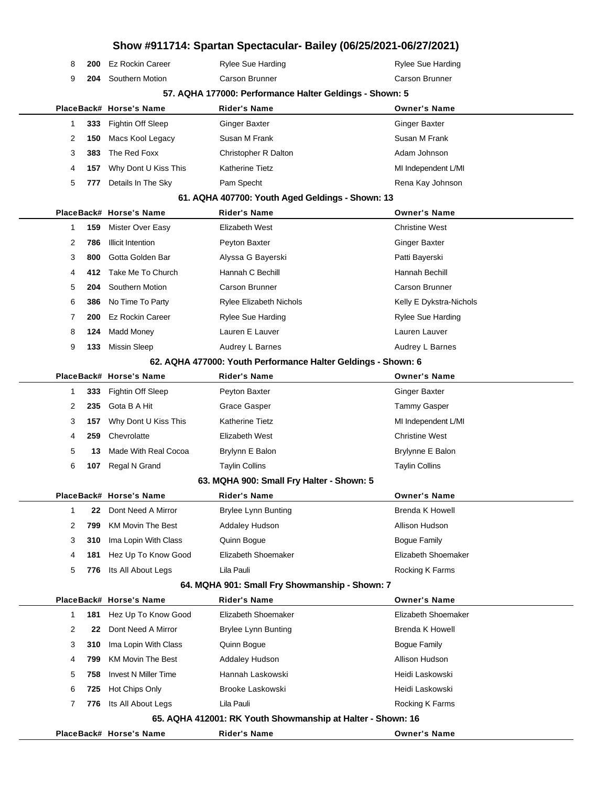|                |     |                             |                                                               | Show #911714: Spartan Spectacular- Bailey (06/25/2021-06/27/2021) |
|----------------|-----|-----------------------------|---------------------------------------------------------------|-------------------------------------------------------------------|
| 8              | 200 | <b>Ez Rockin Career</b>     | <b>Rylee Sue Harding</b>                                      | <b>Rylee Sue Harding</b>                                          |
| 9              | 204 | Southern Motion             | Carson Brunner                                                | Carson Brunner                                                    |
|                |     |                             | 57. AQHA 177000: Performance Halter Geldings - Shown: 5       |                                                                   |
|                |     | PlaceBack# Horse's Name     | <b>Rider's Name</b>                                           | <b>Owner's Name</b>                                               |
| 1              | 333 | Fightin Off Sleep           | <b>Ginger Baxter</b>                                          | <b>Ginger Baxter</b>                                              |
| 2              | 150 | Macs Kool Legacy            | Susan M Frank                                                 | Susan M Frank                                                     |
| 3              | 383 | The Red Foxx                | Christopher R Dalton                                          | Adam Johnson                                                      |
| 4              | 157 | Why Dont U Kiss This        | <b>Katherine Tietz</b>                                        | MI Independent L/MI                                               |
| 5              | 777 | Details In The Sky          | Pam Specht                                                    | Rena Kay Johnson                                                  |
|                |     |                             | 61. AQHA 407700: Youth Aged Geldings - Shown: 13              |                                                                   |
|                |     | PlaceBack# Horse's Name     | <b>Rider's Name</b>                                           | <b>Owner's Name</b>                                               |
| 1              | 159 | Mister Over Easy            | Elizabeth West                                                | <b>Christine West</b>                                             |
| 2              | 786 | <b>Illicit Intention</b>    | Peyton Baxter                                                 | <b>Ginger Baxter</b>                                              |
| 3              | 800 | Gotta Golden Bar            | Alyssa G Bayerski                                             | Patti Bayerski                                                    |
| 4              | 412 | Take Me To Church           | Hannah C Bechill                                              | Hannah Bechill                                                    |
| 5              | 204 | Southern Motion             | Carson Brunner                                                | Carson Brunner                                                    |
| 6              | 386 | No Time To Party            | <b>Rylee Elizabeth Nichols</b>                                | Kelly E Dykstra-Nichols                                           |
| $\overline{7}$ | 200 | <b>Ez Rockin Career</b>     | <b>Rylee Sue Harding</b>                                      | <b>Rylee Sue Harding</b>                                          |
| 8              | 124 | <b>Madd Money</b>           | Lauren E Lauver                                               | Lauren Lauver                                                     |
| 9              | 133 | <b>Missin Sleep</b>         | Audrey L Barnes                                               | Audrey L Barnes                                                   |
|                |     |                             | 62. AQHA 477000: Youth Performance Halter Geldings - Shown: 6 |                                                                   |
|                |     | PlaceBack# Horse's Name     | <b>Rider's Name</b>                                           | <b>Owner's Name</b>                                               |
| 1              | 333 | Fightin Off Sleep           | Peyton Baxter                                                 | <b>Ginger Baxter</b>                                              |
| 2              | 235 | Gota B A Hit                | <b>Grace Gasper</b>                                           | <b>Tammy Gasper</b>                                               |
| 3              | 157 | Why Dont U Kiss This        | Katherine Tietz                                               | MI Independent L/MI                                               |
| 4              | 259 | Chevrolatte                 | Elizabeth West                                                | <b>Christine West</b>                                             |
| 5              | 13  | Made With Real Cocoa        | Brylynn E Balon                                               | Brylynne E Balon                                                  |
| 6              | 107 | Regal N Grand               | <b>Taylin Collins</b>                                         | <b>Taylin Collins</b>                                             |
|                |     |                             | 63. MQHA 900: Small Fry Halter - Shown: 5                     |                                                                   |
|                |     | PlaceBack# Horse's Name     | <b>Rider's Name</b>                                           | <b>Owner's Name</b>                                               |
| 1              | 22  | Dont Need A Mirror          | <b>Brylee Lynn Bunting</b>                                    | Brenda K Howell                                                   |
| 2              | 799 | <b>KM Movin The Best</b>    | <b>Addaley Hudson</b>                                         | Allison Hudson                                                    |
| 3              | 310 | Ima Lopin With Class        | Quinn Bogue                                                   | Boque Family                                                      |
| 4              | 181 | Hez Up To Know Good         | Elizabeth Shoemaker                                           | Elizabeth Shoemaker                                               |
| 5              | 776 | Its All About Legs          | Lila Pauli                                                    | Rocking K Farms                                                   |
|                |     | PlaceBack# Horse's Name     | 64. MQHA 901: Small Fry Showmanship - Shown: 7                | <b>Owner's Name</b>                                               |
| 1              | 181 | Hez Up To Know Good         | <b>Rider's Name</b><br>Elizabeth Shoemaker                    | Elizabeth Shoemaker                                               |
| 2              | 22  | Dont Need A Mirror          | <b>Brylee Lynn Bunting</b>                                    | <b>Brenda K Howell</b>                                            |
| 3              | 310 | Ima Lopin With Class        | Quinn Bogue                                                   | <b>Bogue Family</b>                                               |
| 4              | 799 | <b>KM Movin The Best</b>    | <b>Addaley Hudson</b>                                         | Allison Hudson                                                    |
| 5              | 758 | <b>Invest N Miller Time</b> | Hannah Laskowski                                              | Heidi Laskowski                                                   |
| 6              | 725 | Hot Chips Only              | Brooke Laskowski                                              | Heidi Laskowski                                                   |
| 7              | 776 | Its All About Legs          | Lila Pauli                                                    | Rocking K Farms                                                   |
|                |     |                             | 65. AQHA 412001: RK Youth Showmanship at Halter - Shown: 16   |                                                                   |
|                |     | PlaceBack# Horse's Name     | <b>Rider's Name</b>                                           | <b>Owner's Name</b>                                               |
|                |     |                             |                                                               |                                                                   |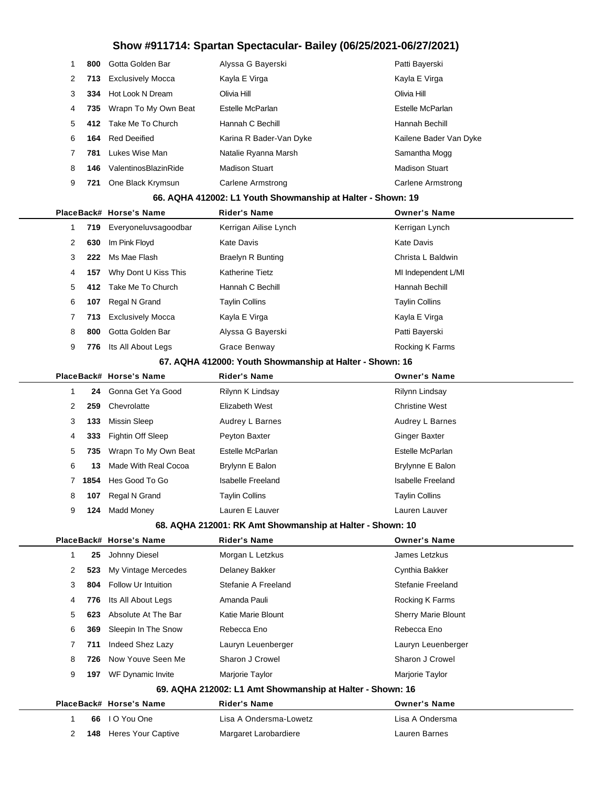| 1 | 800  | Gotta Golden Bar         | Alyssa G Bayerski                                           | Patti Bayerski           |
|---|------|--------------------------|-------------------------------------------------------------|--------------------------|
| 2 | 713  | <b>Exclusively Mocca</b> | Kayla E Virga                                               | Kayla E Virga            |
| 3 | 334  | Hot Look N Dream         | Olivia Hill                                                 | Olivia Hill              |
| 4 | 735  | Wrapn To My Own Beat     | Estelle McParlan                                            | Estelle McParlan         |
| 5 | 412  | Take Me To Church        | Hannah C Bechill                                            | Hannah Bechill           |
| 6 | 164  | <b>Red Deeified</b>      | Karina R Bader-Van Dyke                                     | Kailene Bader Van Dyke   |
| 7 | 781  | Lukes Wise Man           | Natalie Ryanna Marsh                                        | Samantha Mogg            |
| 8 | 146  | ValentinosBlazinRide     | <b>Madison Stuart</b>                                       | <b>Madison Stuart</b>    |
| 9 | 721  | One Black Krymsun        | <b>Carlene Armstrong</b>                                    | <b>Carlene Armstrong</b> |
|   |      |                          | 66. AQHA 412002: L1 Youth Showmanship at Halter - Shown: 19 |                          |
|   |      | PlaceBack# Horse's Name  | Rider's Name                                                | <b>Owner's Name</b>      |
| 1 | 719  | Everyoneluvsagoodbar     | Kerrigan Ailise Lynch                                       | Kerrigan Lynch           |
| 2 | 630  | Im Pink Floyd            | Kate Davis                                                  | <b>Kate Davis</b>        |
| 3 | 222  | Ms Mae Flash             | <b>Braelyn R Bunting</b>                                    | Christa L Baldwin        |
| 4 | 157  | Why Dont U Kiss This     | <b>Katherine Tietz</b>                                      | MI Independent L/MI      |
| 5 | 412  | Take Me To Church        | Hannah C Bechill                                            | Hannah Bechill           |
| 6 | 107  | Regal N Grand            | <b>Taylin Collins</b>                                       | <b>Taylin Collins</b>    |
| 7 | 713  | <b>Exclusively Mocca</b> | Kayla E Virga                                               | Kayla E Virga            |
| 8 | 800  | Gotta Golden Bar         | Alyssa G Bayerski                                           | Patti Bayerski           |
| 9 | 776  | Its All About Legs       | Grace Benway                                                | Rocking K Farms          |
|   |      |                          | 67. AQHA 412000: Youth Showmanship at Halter - Shown: 16    |                          |
|   |      | PlaceBack# Horse's Name  | <b>Rider's Name</b>                                         | <b>Owner's Name</b>      |
| 1 | 24   | Gonna Get Ya Good        | Rilynn K Lindsay                                            | Rilynn Lindsay           |
| 2 | 259  | Chevrolatte              | <b>Elizabeth West</b>                                       | <b>Christine West</b>    |
| 3 | 133  | <b>Missin Sleep</b>      | Audrey L Barnes                                             | Audrey L Barnes          |
| 4 | 333  | <b>Fightin Off Sleep</b> | Peyton Baxter                                               | <b>Ginger Baxter</b>     |
| 5 | 735  | Wrapn To My Own Beat     | Estelle McParlan                                            | Estelle McParlan         |
| 6 | 13   | Made With Real Cocoa     | Brylynn E Balon                                             | Brylynne E Balon         |
| 7 | 1854 | Hes Good To Go           | <b>Isabelle Freeland</b>                                    | <b>Isabelle Freeland</b> |
| 8 |      | 107 Regal N Grand        | <b>Taylin Collins</b>                                       | <b>Taylin Collins</b>    |
| 9 |      | 124 Madd Money           | Lauren E Lauver                                             | Lauren Lauver            |
|   |      |                          | 68. AQHA 212001: RK Amt Showmanship at Halter - Shown: 10   |                          |
|   |      | PlaceBack# Horse's Name  | Rider's Name                                                | <b>Owner's Name</b>      |
| 1 | 25   | Johnny Diesel            | Morgan L Letzkus                                            | James Letzkus            |
| 2 | 523  | My Vintage Mercedes      | Delaney Bakker                                              | Cynthia Bakker           |
| 3 | 804  | Follow Ur Intuition      | Stefanie A Freeland                                         | Stefanie Freeland        |
| 4 | 776  | Its All About Legs       | Amanda Pauli                                                | Rocking K Farms          |
| 5 | 623  | Absolute At The Bar      | Katie Marie Blount                                          | Sherry Marie Blount      |
| 6 | 369  | Sleepin In The Snow      | Rebecca Eno                                                 | Rebecca Eno              |
| 7 | 711  | Indeed Shez Lazy         | Lauryn Leuenberger                                          | Lauryn Leuenberger       |
| 8 | 726  | Now Youve Seen Me        | Sharon J Crowel                                             | Sharon J Crowel          |
| 9 | 197  | WF Dynamic Invite        | Marjorie Taylor                                             | Marjorie Taylor          |
|   |      |                          | 69. AQHA 212002: L1 Amt Showmanship at Halter - Shown: 16   |                          |
|   |      | PlaceBack# Horse's Name  | Rider's Name                                                | <b>Owner's Name</b>      |
| 1 | 66   | I O You One              | Lisa A Ondersma-Lowetz                                      | Lisa A Ondersma          |
| 2 | 148  | Heres Your Captive       | Margaret Larobardiere                                       | Lauren Barnes            |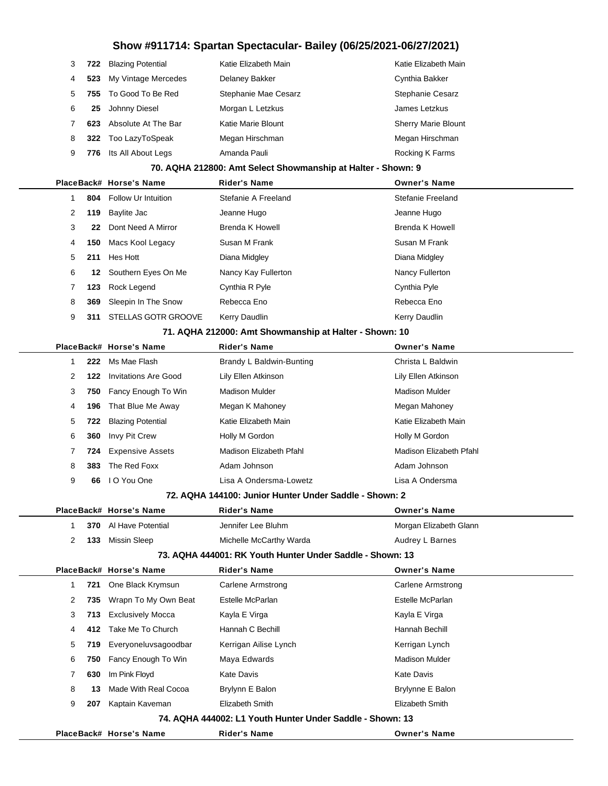| 3 |     | 722 Blazing Potential | Katie Elizabeth Main | Katie Elizabeth Main       |
|---|-----|-----------------------|----------------------|----------------------------|
| 4 | 523 | My Vintage Mercedes   | Delaney Bakker       | Cynthia Bakker             |
| 5 |     | 755 To Good To Be Red | Stephanie Mae Cesarz | <b>Stephanie Cesarz</b>    |
| 6 | 25  | Johnny Diesel         | Morgan L Letzkus     | James Letzkus              |
|   | 623 | Absolute At The Bar   | Katie Marie Blount   | <b>Sherry Marie Blount</b> |
| 8 |     | 322 Too LazyToSpeak   | Megan Hirschman      | Megan Hirschman            |
| 9 | 776 | Its All About Legs    | Amanda Pauli         | Rocking K Farms            |
|   |     |                       |                      |                            |

#### **70. AQHA 212800: Amt Select Showmanship at Halter - Shown: 9**

|   |     | PlaceBack# Horse's Name    | <b>Rider's Name</b> | <b>Owner's Name</b> |
|---|-----|----------------------------|---------------------|---------------------|
|   | 804 | <b>Follow Ur Intuition</b> | Stefanie A Freeland | Stefanie Freeland   |
| 2 | 119 | Baylite Jac                | Jeanne Hugo         | Jeanne Hugo         |
| 3 | 22  | Dont Need A Mirror         | Brenda K Howell     | Brenda K Howell     |
| 4 | 150 | Macs Kool Legacy           | Susan M Frank       | Susan M Frank       |
| 5 | 211 | Hes Hott                   | Diana Midgley       | Diana Midgley       |
| 6 | 12  | Southern Eyes On Me        | Nancy Kay Fullerton | Nancy Fullerton     |
| 7 | 123 | Rock Legend                | Cynthia R Pyle      | Cynthia Pyle        |
| 8 | 369 | Sleepin In The Snow        | Rebecca Eno         | Rebecca Eno         |
| 9 | 311 | <b>STELLAS GOTR GROOVE</b> | Kerry Daudlin       | Kerry Daudlin       |
|   |     |                            |                     |                     |

#### **71. AQHA 212000: Amt Showmanship at Halter - Shown: 10**

|   |     | PlaceBack# Horse's Name  | <b>Rider's Name</b>      | <b>Owner's Name</b>     |
|---|-----|--------------------------|--------------------------|-------------------------|
|   | 222 | Ms Mae Flash             | Brandy L Baldwin-Bunting | Christa L Baldwin       |
| 2 | 122 | Invitations Are Good     | Lily Ellen Atkinson      | Lily Ellen Atkinson     |
| 3 | 750 | Fancy Enough To Win      | Madison Mulder           | Madison Mulder          |
| 4 | 196 | That Blue Me Away        | Megan K Mahoney          | Megan Mahoney           |
| 5 | 722 | <b>Blazing Potential</b> | Katie Elizabeth Main     | Katie Elizabeth Main    |
| 6 | 360 | Invy Pit Crew            | Holly M Gordon           | Holly M Gordon          |
|   | 724 | <b>Expensive Assets</b>  | Madison Elizabeth Pfahl  | Madison Elizabeth Pfahl |
| 8 | 383 | The Red Foxx             | Adam Johnson             | Adam Johnson            |
| 9 | 66  | I O You One              | Lisa A Ondersma-Lowetz   | Lisa A Ondersma         |

#### **72. AQHA 144100: Junior Hunter Under Saddle - Shown: 2**

|   |      | PlaceBack# Horse's Name | <b>Rider's Name</b>                                       | <b>Owner's Name</b>    |
|---|------|-------------------------|-----------------------------------------------------------|------------------------|
| 1 | 370  | Al Have Potential       | Jennifer Lee Bluhm                                        | Morgan Elizabeth Glann |
| 2 | 133  | Missin Sleep            | Michelle McCarthy Warda                                   | Audrey L Barnes        |
|   |      |                         | 73. AQHA 444001: RK Youth Hunter Under Saddle - Shown: 13 |                        |
|   |      | PlaceBack# Horse's Name | <b>Rider's Name</b>                                       | <b>Owner's Name</b>    |
| 1 | 721  | One Black Krymsun       | Carlene Armstrong                                         | Carlene Armstrong      |
| 2 | 735  | Wrapn To My Own Beat    | Estelle McParlan                                          | Estelle McParlan       |
| 3 | 713  | Exclusively Mocca       | Kayla E Virga                                             | Kayla E Virga          |
| 4 | 412  | Take Me To Church       | Hannah C Bechill                                          | Hannah Bechill         |
| 5 | 719. | Everyoneluvsagoodbar    | Kerrigan Ailise Lynch                                     | Kerrigan Lynch         |
| 6 | 750  | Fancy Enough To Win     | Maya Edwards                                              | <b>Madison Mulder</b>  |
| 7 | 630  | Im Pink Floyd           | <b>Kate Davis</b>                                         | <b>Kate Davis</b>      |
| 8 | 13   | Made With Real Cocoa    | Brylynn E Balon                                           | Brylynne E Balon       |
| 9 | 207  | Kaptain Kaveman         | Elizabeth Smith                                           | Elizabeth Smith        |
|   |      |                         | 74. AQHA 444002: L1 Youth Hunter Under Saddle - Shown: 13 |                        |
|   |      | PlaceBack# Horse's Name | <b>Rider's Name</b>                                       | <b>Owner's Name</b>    |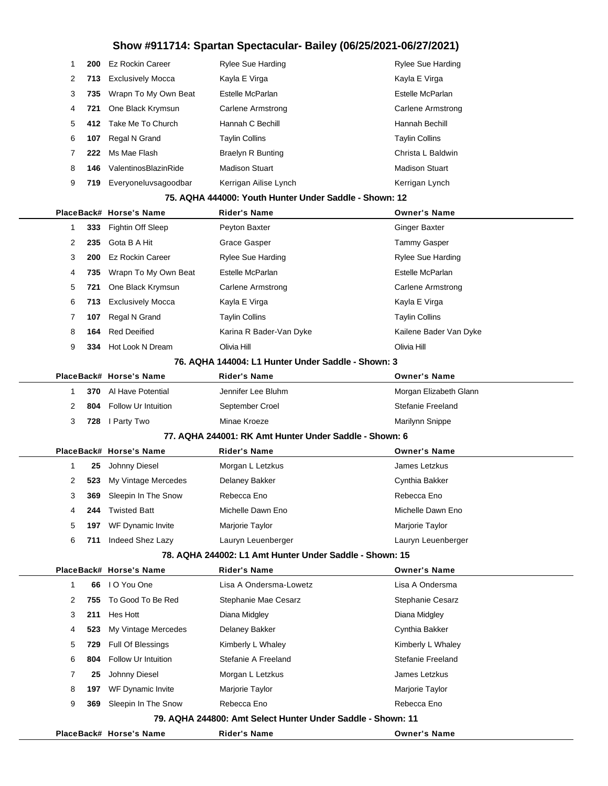| 1 | 200  | Ez Rockin Career         | <b>Rylee Sue Harding</b>                                    | <b>Rylee Sue Harding</b> |
|---|------|--------------------------|-------------------------------------------------------------|--------------------------|
| 2 | 713  | <b>Exclusively Mocca</b> | Kayla E Virga                                               | Kayla E Virga            |
| 3 | 735  | Wrapn To My Own Beat     | Estelle McParlan                                            | Estelle McParlan         |
| 4 | 721  | One Black Krymsun        | Carlene Armstrong                                           | Carlene Armstrong        |
| 5 | 412. | Take Me To Church        | Hannah C Bechill                                            | Hannah Bechill           |
| 6 | 107  | Regal N Grand            | <b>Taylin Collins</b>                                       | <b>Taylin Collins</b>    |
| 7 | 222  | Ms Mae Flash             | <b>Braelyn R Bunting</b>                                    | Christa L Baldwin        |
| 8 | 146  | ValentinosBlazinRide     | <b>Madison Stuart</b>                                       | <b>Madison Stuart</b>    |
| 9 | 719  | Everyoneluvsagoodbar     | Kerrigan Ailise Lynch                                       | Kerrigan Lynch           |
|   |      |                          | 75. AQHA 444000: Youth Hunter Under Saddle - Shown: 12      |                          |
|   |      | PlaceBack# Horse's Name  | <b>Rider's Name</b>                                         | <b>Owner's Name</b>      |
| 1 | 333  | Fightin Off Sleep        | Peyton Baxter                                               | <b>Ginger Baxter</b>     |
| 2 | 235  | Gota B A Hit             | Grace Gasper                                                | <b>Tammy Gasper</b>      |
| 3 | 200  | <b>Ez Rockin Career</b>  | <b>Rylee Sue Harding</b>                                    | <b>Rylee Sue Harding</b> |
| 4 | 735  | Wrapn To My Own Beat     | Estelle McParlan                                            | Estelle McParlan         |
| 5 | 721  | One Black Krymsun        | Carlene Armstrong                                           | Carlene Armstrong        |
| 6 | 713  | <b>Exclusively Mocca</b> | Kayla E Virga                                               | Kayla E Virga            |
| 7 | 107  | Regal N Grand            | <b>Taylin Collins</b>                                       | <b>Taylin Collins</b>    |
| 8 | 164  | <b>Red Deeified</b>      | Karina R Bader-Van Dyke                                     | Kailene Bader Van Dyke   |
| 9 | 334  | Hot Look N Dream         | Olivia Hill                                                 | Olivia Hill              |
|   |      |                          | 76. AQHA 144004: L1 Hunter Under Saddle - Shown: 3          |                          |
|   |      | PlaceBack# Horse's Name  | Rider's Name                                                | <b>Owner's Name</b>      |
| 1 | 370  | Al Have Potential        | Jennifer Lee Bluhm                                          | Morgan Elizabeth Glann   |
| 2 | 804  | Follow Ur Intuition      | September Croel                                             | Stefanie Freeland        |
| 3 | 728  | I Party Two              | Minae Kroeze                                                | Marilynn Snippe          |
|   |      |                          | 77. AQHA 244001: RK Amt Hunter Under Saddle - Shown: 6      |                          |
|   |      | PlaceBack# Horse's Name  | <b>Rider's Name</b>                                         | <b>Owner's Name</b>      |
| 1 | 25   | Johnny Diesel            | Morgan L Letzkus                                            | James Letzkus            |
| 2 | 523  | My Vintage Mercedes      | Delaney Bakker                                              | Cynthia Bakker           |
| 3 | 369  | Sleepin In The Snow      | Rebecca Eno                                                 | Rebecca Eno              |
| 4 | 244  | <b>Twisted Batt</b>      | Michelle Dawn Eno                                           | Michelle Dawn Eno        |
| 5 | 197  | WF Dynamic Invite        | Marjorie Taylor                                             | Marjorie Taylor          |
| 6 | 711  | Indeed Shez Lazy         | Lauryn Leuenberger                                          | Lauryn Leuenberger       |
|   |      |                          | 78. AQHA 244002: L1 Amt Hunter Under Saddle - Shown: 15     |                          |
|   |      | PlaceBack# Horse's Name  | <b>Rider's Name</b>                                         | <b>Owner's Name</b>      |
| 1 | 66   | I O You One              | Lisa A Ondersma-Lowetz                                      | Lisa A Ondersma          |
| 2 | 755  | To Good To Be Red        | Stephanie Mae Cesarz                                        | Stephanie Cesarz         |
| 3 | 211  | Hes Hott                 | Diana Midgley                                               | Diana Midgley            |
| 4 | 523  | My Vintage Mercedes      | Delaney Bakker                                              | Cynthia Bakker           |
| 5 | 729  | Full Of Blessings        | Kimberly L Whaley                                           | Kimberly L Whaley        |
| 6 | 804  | Follow Ur Intuition      | Stefanie A Freeland                                         | Stefanie Freeland        |
| 7 | 25   | Johnny Diesel            | Morgan L Letzkus                                            | James Letzkus            |
| 8 | 197  | WF Dynamic Invite        | Marjorie Taylor                                             | Marjorie Taylor          |
| 9 | 369  | Sleepin In The Snow      | Rebecca Eno                                                 | Rebecca Eno              |
|   |      |                          | 79. AQHA 244800: Amt Select Hunter Under Saddle - Shown: 11 |                          |
|   |      | PlaceBack# Horse's Name  | <b>Rider's Name</b>                                         | <b>Owner's Name</b>      |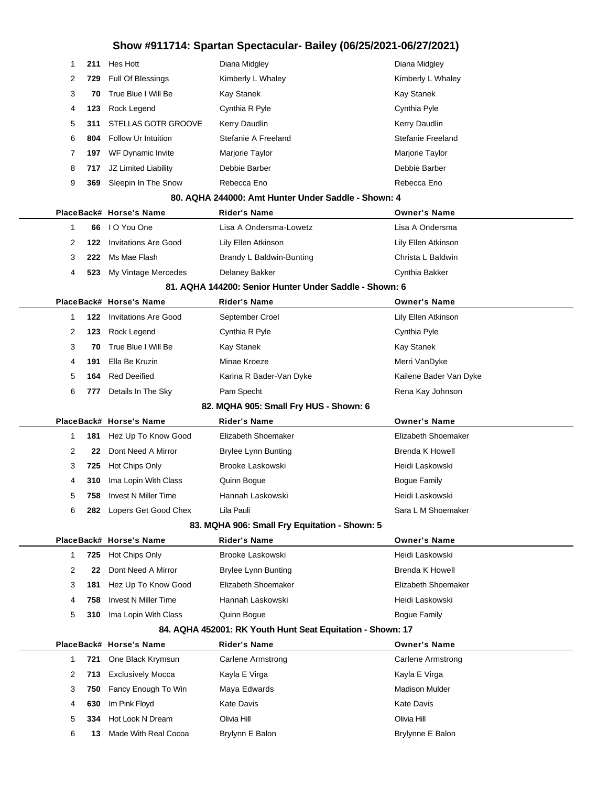| 1            | 211        | Hes Hott                                 | Diana Midgley                                              | Diana Midgley                   |
|--------------|------------|------------------------------------------|------------------------------------------------------------|---------------------------------|
| 2            | 729        | Full Of Blessings                        | Kimberly L Whaley                                          | Kimberly L Whaley               |
| 3            | 70         | True Blue I Will Be                      | Kay Stanek                                                 | Kay Stanek                      |
| 4            | 123        | Rock Legend                              | Cynthia R Pyle                                             | Cynthia Pyle                    |
| 5            | 311        | STELLAS GOTR GROOVE                      | Kerry Daudlin                                              | Kerry Daudlin                   |
| 6            | 804        | Follow Ur Intuition                      | Stefanie A Freeland                                        | Stefanie Freeland               |
| 7            | 197        | WF Dynamic Invite                        | Marjorie Taylor                                            | Marjorie Taylor                 |
| 8            | 717        | JZ Limited Liability                     | Debbie Barber                                              | Debbie Barber                   |
| 9            | 369        | Sleepin In The Snow                      | Rebecca Eno                                                | Rebecca Eno                     |
|              |            |                                          | 80. AQHA 244000: Amt Hunter Under Saddle - Shown: 4        |                                 |
|              |            | PlaceBack# Horse's Name                  | <b>Rider's Name</b>                                        | <b>Owner's Name</b>             |
| $\mathbf{1}$ | 66         | I O You One                              | Lisa A Ondersma-Lowetz                                     | Lisa A Ondersma                 |
| 2            | 122        | <b>Invitations Are Good</b>              | Lily Ellen Atkinson                                        | Lily Ellen Atkinson             |
| 3            | 222        | Ms Mae Flash                             | Brandy L Baldwin-Bunting                                   | Christa L Baldwin               |
| 4            | 523        | My Vintage Mercedes                      | <b>Delaney Bakker</b>                                      | Cynthia Bakker                  |
|              |            |                                          | 81. AQHA 144200: Senior Hunter Under Saddle - Shown: 6     |                                 |
|              |            | PlaceBack# Horse's Name                  | <b>Rider's Name</b>                                        | <b>Owner's Name</b>             |
| 1.           | 122        | <b>Invitations Are Good</b>              | September Croel                                            | Lily Ellen Atkinson             |
| 2            | 123        | Rock Legend                              | Cynthia R Pyle                                             | Cynthia Pyle                    |
| 3            | 70         | True Blue I Will Be                      | Kay Stanek                                                 | Kay Stanek                      |
| 4            | 191        | Ella Be Kruzin                           | Minae Kroeze                                               | Merri VanDyke                   |
| 5            | 164        | <b>Red Deeified</b>                      | Karina R Bader-Van Dyke                                    | Kailene Bader Van Dyke          |
| 6            | 777        | Details In The Sky                       | Pam Specht                                                 | Rena Kay Johnson                |
|              |            |                                          | 82. MQHA 905: Small Fry HUS - Shown: 6                     |                                 |
|              |            |                                          |                                                            |                                 |
|              |            | PlaceBack# Horse's Name                  | Rider's Name                                               | <b>Owner's Name</b>             |
| 1.           | 181        | Hez Up To Know Good                      | Elizabeth Shoemaker                                        | Elizabeth Shoemaker             |
| 2            | 22         | Dont Need A Mirror                       | <b>Brylee Lynn Bunting</b>                                 | <b>Brenda K Howell</b>          |
| 3            | 725        | Hot Chips Only                           | Brooke Laskowski                                           | Heidi Laskowski                 |
| 4            | 310        | Ima Lopin With Class                     | Quinn Bogue                                                | <b>Bogue Family</b>             |
| 5            | 758        | <b>Invest N Miller Time</b>              | Hannah Laskowski                                           | Heidi Laskowski                 |
| 6            |            | 282 Lopers Get Good Chex                 | Lila Pauli                                                 | Sara L M Shoemaker              |
|              |            |                                          | 83. MQHA 906: Small Fry Equitation - Shown: 5              |                                 |
|              |            | PlaceBack# Horse's Name                  | <b>Rider's Name</b>                                        | <b>Owner's Name</b>             |
| 1.           | 725        | Hot Chips Only                           | Brooke Laskowski                                           | Heidi Laskowski                 |
| 2            | 22         | Dont Need A Mirror                       | <b>Brylee Lynn Bunting</b>                                 | Brenda K Howell                 |
| 3            | 181        | Hez Up To Know Good                      | Elizabeth Shoemaker                                        | Elizabeth Shoemaker             |
| 4            | 758        | <b>Invest N Miller Time</b>              | Hannah Laskowski                                           | Heidi Laskowski                 |
| 5            | 310        | Ima Lopin With Class                     | Quinn Bogue                                                | <b>Bogue Family</b>             |
|              |            |                                          | 84. AQHA 452001: RK Youth Hunt Seat Equitation - Shown: 17 |                                 |
|              |            | PlaceBack# Horse's Name                  | Rider's Name                                               | <b>Owner's Name</b>             |
| 1            | 721        | One Black Krymsun                        | <b>Carlene Armstrong</b>                                   | Carlene Armstrong               |
| 2            | 713        | <b>Exclusively Mocca</b>                 | Kayla E Virga                                              | Kayla E Virga                   |
| 3            | 750        | Fancy Enough To Win                      | Maya Edwards                                               | <b>Madison Mulder</b>           |
| 4            | 630        | Im Pink Floyd                            | <b>Kate Davis</b>                                          | <b>Kate Davis</b>               |
| 5<br>6       | 334<br>13. | Hot Look N Dream<br>Made With Real Cocoa | Olivia Hill<br>Brylynn E Balon                             | Olivia Hill<br>Brylynne E Balon |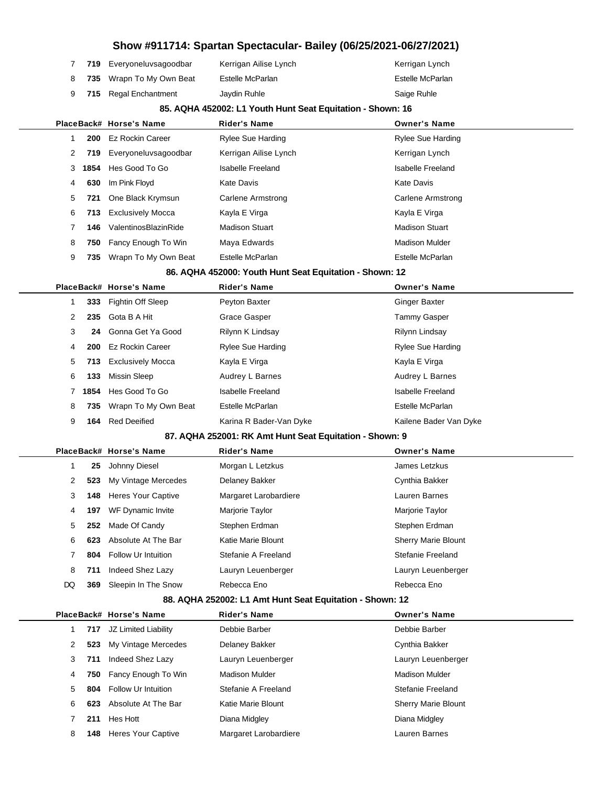## **Show #911714: Spartan Spectacular- Bailey (06/25/2021-06/27/2021) 719** Everyoneluvsagoodbar Kerrigan Ailise Lynch Kerrigan Lynch 8 735 Wrapn To My Own Beat Estelle McParlan **Estelle McParlan** Estelle McParlan **715** Regal Enchantment Jaydin Ruhle **Saige Ruhle** Saige Ruhle **85. AQHA 452002: L1 Youth Hunt Seat Equitation - Shown: 16 PlaceBack# Horse's Name Rider's Name Owner's Name 200** Ez Rockin Career **Rylee Sue Harding Rylee Sue Harding Rylee Sue Harding Rylee Sue Harding Rylee Sue Harding** 2 719 Everyoneluvsagoodbar Kerrigan Ailise Lynch **Kerrigan Kerrigan Lynch 1854** Hes Good To Go **Isabelle Freeland** Isabelle Freeland Isabelle Freeland **630** Im Pink Floyd **Kate Davis** Kate Davis **Kate Davis** Kate Davis **721** One Black Krymsun Carlene Armstrong Carlene Armstrong Carlene Armstrong 6 713 Exclusively Mocca **Kayla E Virga** Kayla E Virga Kayla E Virga **146** ValentinosBlazinRide Madison Stuart Madison Stuart **750** Fancy Enough To Win Maya Edwards Machines Madison Mulder 9 735 Wrapn To My Own Beat Estelle McParlan **Eximene Communist Communist Communist Communist Communist Communist Communist Communist Communist Communist Communist Communist Communist Communist Communist Communist Communist 86. AQHA 452000: Youth Hunt Seat Equitation - Shown: 12 PlaceBack# Horse's Name Rider's Name Owner's Name 333** Fightin Off Sleep Peyton Baxter **Peyton Baxter** Cinger Baxter 2 235 Gota B A Hit Grace Gasper Tammy Gasper Tammy Gasper Gonna Get Ya Good Rilynn K Lindsay **Rilynn Lindsay** Rilynn Lindsay **200** Ez Rockin Career **Rylee Sue Harding Rylee Sue Harding Rylee Sue Harding Rylee Sue Harding 713** Exclusively Mocca Kayla E Virga Kayla E Virga Kayla E Virga **133** Missin Sleep **Audrey L Barnes** Audrey L Barnes Audrey L Barnes **1854** Hes Good To Go **Isabelle Freeland** Isabelle Freeland Isabelle Freeland 8 735 Wrapn To My Own Beat Estelle McParlan **Estelle McParlan** Estelle McParlan **164** Red Deeified **Karina R Bader-Van Dyke** Kailene Bader Van Dyke **87. AQHA 252001: RK Amt Hunt Seat Equitation - Shown: 9 PlaceBack# Horse's Name Rider's Name Owner's Name 25** Johnny Diesel Morgan L Letzkus James Letzkus **523** My Vintage Mercedes Delaney Bakker Cynthia Bakker Cynthia Bakker **148** Heres Your Captive Margaret Larobardiere Lauren Barnes **197** WF Dynamic Invite Marjorie Taylor Marjorie Taylor **252** Made Of Candy Stephen Erdman Stephen Erdman Stephen Erdman **623** Absolute At The Bar Katie Marie Blount Sherry Marie Blount **804** Follow Ur Intuition Stefanie A Freeland Stefanie Freeland **711** Indeed Shez Lazy Lauryn Leuenberger Lauryn Leuenberger DQ 369 Sleepin In The Snow Rebecca Eno Rebecca Eno Rebecca Eno **88. AQHA 252002: L1 Amt Hunt Seat Equitation - Shown: 12 PlaceBack# Horse's Name Rider's Name Owner's Name 717** JZ Limited Liability Debbie Barber Debbie Barber **523** My Vintage Mercedes Delaney Bakker Cynthia Bakker **711** Indeed Shez Lazy Lauryn Leuenberger Lauryn Leuenberger **750** Fancy Enough To Win Madison Mulder Madison Mulder Madison Mulder **804** Follow Ur Intuition Stefanie A Freeland Stefanie Freeland **623** Absolute At The Bar Katie Marie Blount Sherry Marie Blount **211** Hes Hott **Diana Midgley** Diana Midgley **Diana Midgley**

**148** Heres Your Captive Margaret Larobardiere Lauren Barnes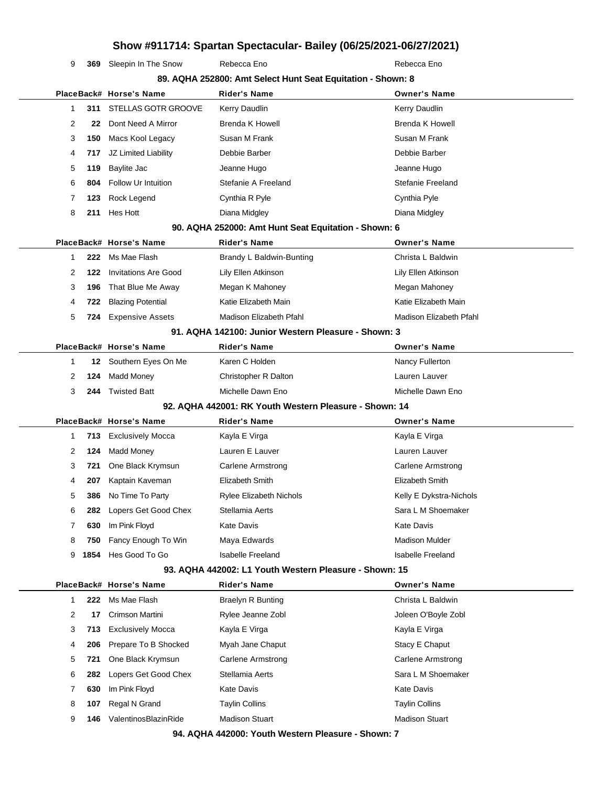**369** Sleepin In The Snow Rebecca Eno Rebecca Eno Rebecca Eno

| 89. AQHA 252800: Amt Select Hunt Seat Equitation - Shown: 8 |      |                             |                                                        |                          |  |
|-------------------------------------------------------------|------|-----------------------------|--------------------------------------------------------|--------------------------|--|
|                                                             |      | PlaceBack# Horse's Name     | Rider's Name                                           | <b>Owner's Name</b>      |  |
| 1                                                           | 311  | STELLAS GOTR GROOVE         | Kerry Daudlin                                          | Kerry Daudlin            |  |
| 2                                                           | 22   | Dont Need A Mirror          | <b>Brenda K Howell</b>                                 | <b>Brenda K Howell</b>   |  |
| 3                                                           | 150  | Macs Kool Legacy            | Susan M Frank                                          | Susan M Frank            |  |
| 4                                                           | 717  | JZ Limited Liability        | Debbie Barber                                          | Debbie Barber            |  |
| 5                                                           | 119  | Baylite Jac                 | Jeanne Hugo                                            | Jeanne Hugo              |  |
| 6                                                           | 804  | Follow Ur Intuition         | Stefanie A Freeland                                    | Stefanie Freeland        |  |
| 7                                                           | 123  | Rock Legend                 | Cynthia R Pyle                                         | Cynthia Pyle             |  |
| 8                                                           | 211  | Hes Hott                    | Diana Midgley                                          | Diana Midgley            |  |
|                                                             |      |                             | 90. AQHA 252000: Amt Hunt Seat Equitation - Shown: 6   |                          |  |
|                                                             |      | PlaceBack# Horse's Name     | <b>Rider's Name</b>                                    | <b>Owner's Name</b>      |  |
| 1                                                           | 222  | Ms Mae Flash                | Brandy L Baldwin-Bunting                               | Christa L Baldwin        |  |
| 2                                                           | 122  | <b>Invitations Are Good</b> | Lily Ellen Atkinson                                    | Lily Ellen Atkinson      |  |
| 3                                                           | 196  | That Blue Me Away           | Megan K Mahoney                                        | Megan Mahoney            |  |
| 4                                                           | 722  | <b>Blazing Potential</b>    | Katie Elizabeth Main                                   | Katie Elizabeth Main     |  |
| 5                                                           | 724  | <b>Expensive Assets</b>     | Madison Elizabeth Pfahl                                | Madison Elizabeth Pfahl  |  |
|                                                             |      |                             | 91. AQHA 142100: Junior Western Pleasure - Shown: 3    |                          |  |
|                                                             |      | PlaceBack# Horse's Name     | Rider's Name                                           | <b>Owner's Name</b>      |  |
| $\mathbf{1}$                                                | 12   | Southern Eyes On Me         | Karen C Holden                                         | Nancy Fullerton          |  |
| 2                                                           | 124  | <b>Madd Money</b>           | Christopher R Dalton                                   | Lauren Lauver            |  |
| 3                                                           | 244  | <b>Twisted Batt</b>         | Michelle Dawn Eno                                      | Michelle Dawn Eno        |  |
| 92. AQHA 442001: RK Youth Western Pleasure - Shown: 14      |      |                             |                                                        |                          |  |
|                                                             |      |                             |                                                        |                          |  |
|                                                             |      | PlaceBack# Horse's Name     | <b>Rider's Name</b>                                    | <b>Owner's Name</b>      |  |
| 1                                                           | 713  | <b>Exclusively Mocca</b>    | Kayla E Virga                                          | Kayla E Virga            |  |
| 2                                                           | 124  | Madd Money                  | Lauren E Lauver                                        | Lauren Lauver            |  |
| 3                                                           | 721  | One Black Krymsun           | Carlene Armstrong                                      | Carlene Armstrong        |  |
| 4                                                           | 207  | Kaptain Kaveman             | Elizabeth Smith                                        | Elizabeth Smith          |  |
| 5                                                           | 386  | No Time To Party            | Rylee Elizabeth Nichols                                | Kelly E Dykstra-Nichols  |  |
| 6                                                           | 282  | Lopers Get Good Chex        | Stellamia Aerts                                        | Sara L M Shoemaker       |  |
| 7                                                           | 630  | Im Pink Floyd               | <b>Kate Davis</b>                                      | <b>Kate Davis</b>        |  |
| 8                                                           | 750  | Fancy Enough To Win         | Maya Edwards                                           | <b>Madison Mulder</b>    |  |
| 9                                                           | 1854 | Hes Good To Go              | <b>Isabelle Freeland</b>                               | <b>Isabelle Freeland</b> |  |
|                                                             |      |                             | 93. AQHA 442002: L1 Youth Western Pleasure - Shown: 15 |                          |  |
|                                                             |      | PlaceBack# Horse's Name     | <b>Rider's Name</b>                                    | <b>Owner's Name</b>      |  |
| 1                                                           | 222  | Ms Mae Flash                | <b>Braelyn R Bunting</b>                               | Christa L Baldwin        |  |
| 2                                                           | 17   | Crimson Martini             | Rylee Jeanne Zobl                                      | Joleen O'Boyle Zobl      |  |
| 3                                                           | 713  | <b>Exclusively Mocca</b>    | Kayla E Virga                                          | Kayla E Virga            |  |
| 4                                                           | 206  | Prepare To B Shocked        | Myah Jane Chaput                                       | Stacy E Chaput           |  |
| 5                                                           | 721  | One Black Krymsun           | <b>Carlene Armstrong</b>                               | <b>Carlene Armstrong</b> |  |
| 6                                                           | 282  | Lopers Get Good Chex        | Stellamia Aerts                                        | Sara L M Shoemaker       |  |
| 7                                                           | 630  | Im Pink Floyd               | <b>Kate Davis</b>                                      | <b>Kate Davis</b>        |  |
| 8                                                           | 107  | Regal N Grand               | <b>Taylin Collins</b>                                  | <b>Taylin Collins</b>    |  |
| 9                                                           | 146  | ValentinosBlazinRide        | <b>Madison Stuart</b>                                  | <b>Madison Stuart</b>    |  |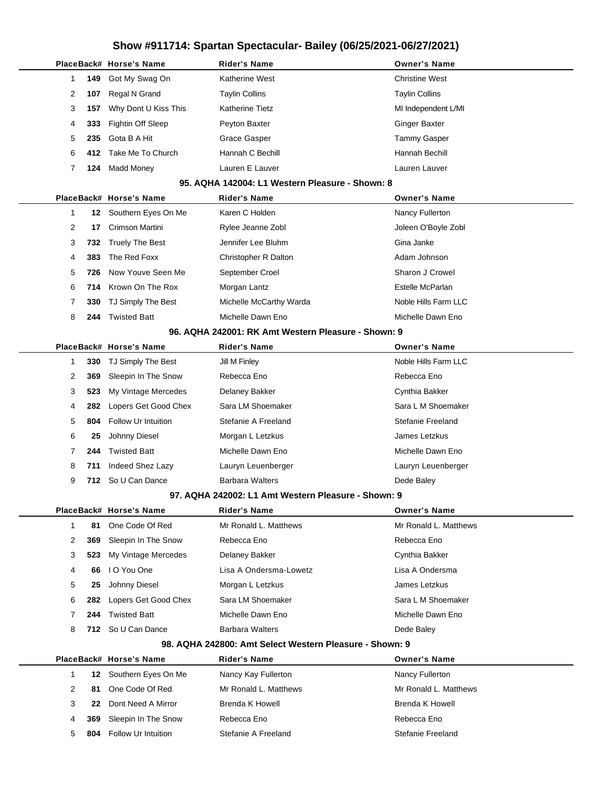|              |                  | PlaceBack# Horse's Name    | Rider's Name                                            | <b>Owner's Name</b>   |
|--------------|------------------|----------------------------|---------------------------------------------------------|-----------------------|
| 1            | 149              | Got My Swag On             | Katherine West                                          | <b>Christine West</b> |
| 2            | 107              | Regal N Grand              | <b>Taylin Collins</b>                                   | <b>Taylin Collins</b> |
| 3            | 157              | Why Dont U Kiss This       | Katherine Tietz                                         | MI Independent L/MI   |
| 4            | 333              | <b>Fightin Off Sleep</b>   | Peyton Baxter                                           | <b>Ginger Baxter</b>  |
| 5            | 235              | Gota B A Hit               | Grace Gasper                                            | <b>Tammy Gasper</b>   |
| 6            | 412.             | Take Me To Church          | Hannah C Bechill                                        | Hannah Bechill        |
| 7            | 124              | <b>Madd Money</b>          | Lauren E Lauver                                         | Lauren Lauver         |
|              |                  |                            | 95. AQHA 142004: L1 Western Pleasure - Shown: 8         |                       |
|              |                  | PlaceBack# Horse's Name    | Rider's Name                                            | <b>Owner's Name</b>   |
| 1            | 12               | Southern Eyes On Me        | Karen C Holden                                          | Nancy Fullerton       |
| 2            | 17               | Crimson Martini            | Rylee Jeanne Zobl                                       | Joleen O'Boyle Zobl   |
| 3            | 732              | <b>Truely The Best</b>     | Jennifer Lee Bluhm                                      | Gina Janke            |
| 4            | 383              | The Red Foxx               | Christopher R Dalton                                    | Adam Johnson          |
| 5            | 726              | Now Youve Seen Me          | September Croel                                         | Sharon J Crowel       |
| 6            | 714              | Krown On The Rox           | Morgan Lantz                                            | Estelle McParlan      |
| 7            | 330              | TJ Simply The Best         | Michelle McCarthy Warda                                 | Noble Hills Farm LLC  |
| 8            | 244              | <b>Twisted Batt</b>        | Michelle Dawn Eno                                       | Michelle Dawn Eno     |
|              |                  |                            | 96. AQHA 242001: RK Amt Western Pleasure - Shown: 9     |                       |
|              |                  | PlaceBack# Horse's Name    | Rider's Name                                            | <b>Owner's Name</b>   |
| 1            | 330              | TJ Simply The Best         | Jill M Finley                                           | Noble Hills Farm LLC  |
| 2            | 369              | Sleepin In The Snow        | Rebecca Eno                                             | Rebecca Eno           |
| 3            | 523              | My Vintage Mercedes        | Delaney Bakker                                          | Cynthia Bakker        |
| 4            | 282              | Lopers Get Good Chex       | Sara LM Shoemaker                                       | Sara L M Shoemaker    |
| 5            | 804              | <b>Follow Ur Intuition</b> | Stefanie A Freeland                                     | Stefanie Freeland     |
| 6            | 25               | Johnny Diesel              | Morgan L Letzkus                                        | James Letzkus         |
| 7            | 244              | <b>Twisted Batt</b>        | Michelle Dawn Eno                                       | Michelle Dawn Eno     |
| 8            | 711              | Indeed Shez Lazy           | Lauryn Leuenberger                                      | Lauryn Leuenberger    |
| 9            | 712              | So U Can Dance             | <b>Barbara Walters</b>                                  | Dede Baley            |
|              |                  |                            | 97. AQHA 242002: L1 Amt Western Pleasure - Shown: 9     |                       |
|              |                  | PlaceBack# Horse's Name    | Rider's Name                                            | <b>Owner's Name</b>   |
| $\mathbf{1}$ | 81               | One Code Of Red            | Mr Ronald L. Matthews                                   | Mr Ronald L. Matthews |
| 2            | 369              | Sleepin In The Snow        | Rebecca Eno                                             | Rebecca Eno           |
| 3            | 523              | My Vintage Mercedes        | Delaney Bakker                                          | Cynthia Bakker        |
| 4            | 66               | I O You One                | Lisa A Ondersma-Lowetz                                  | Lisa A Ondersma       |
| 5            | 25               | Johnny Diesel              | Morgan L Letzkus                                        | James Letzkus         |
| 6            | 282              | Lopers Get Good Chex       | Sara LM Shoemaker                                       | Sara L M Shoemaker    |
| 7            | 244              | <b>Twisted Batt</b>        | Michelle Dawn Eno                                       | Michelle Dawn Eno     |
| 8            | 712              | So U Can Dance             | <b>Barbara Walters</b>                                  | Dede Baley            |
|              |                  |                            | 98. AQHA 242800: Amt Select Western Pleasure - Shown: 9 |                       |
|              |                  | PlaceBack# Horse's Name    | <b>Rider's Name</b>                                     | <b>Owner's Name</b>   |
| 1            | 12 <sup>12</sup> | Southern Eyes On Me        | Nancy Kay Fullerton                                     | Nancy Fullerton       |
| 2            | 81               | One Code Of Red            | Mr Ronald L. Matthews                                   | Mr Ronald L. Matthews |
| 3            | 22               | Dont Need A Mirror         | Brenda K Howell                                         | Brenda K Howell       |
| 4            | 369              | Sleepin In The Snow        | Rebecca Eno                                             | Rebecca Eno           |
| 5            | 804              | Follow Ur Intuition        | Stefanie A Freeland                                     | Stefanie Freeland     |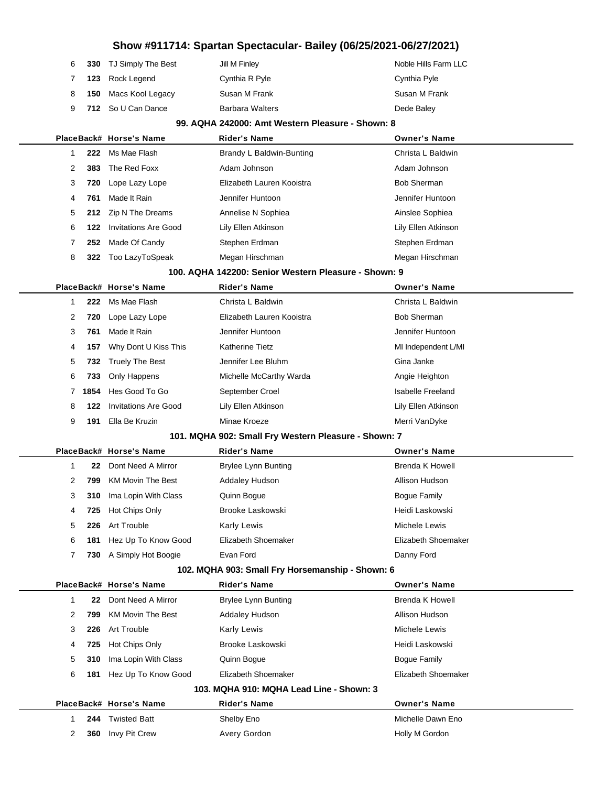|  | 6 330 TJ Simply The Best | Jill M Finley          | Noble Hills Farm LLC |
|--|--------------------------|------------------------|----------------------|
|  | 7 123 Rock Legend        | Cynthia R Pyle         | Cynthia Pyle         |
|  | 8 150 Macs Kool Legacy   | Susan M Frank          | Susan M Frank        |
|  | 9 712 So U Can Dance     | <b>Barbara Walters</b> | Dede Baley           |

÷

#### **99. AQHA 242000: Amt Western Pleasure - Shown: 8**

|              |      | PlaceBack# Horse's Name                              | <b>Rider's Name</b>                                  | <b>Owner's Name</b>      |  |  |
|--------------|------|------------------------------------------------------|------------------------------------------------------|--------------------------|--|--|
| 1            | 222  | Ms Mae Flash                                         | Brandy L Baldwin-Bunting                             | Christa L Baldwin        |  |  |
| 2            | 383  | The Red Foxx                                         | Adam Johnson                                         | Adam Johnson             |  |  |
| 3            | 720  | Lope Lazy Lope                                       | Elizabeth Lauren Kooistra                            | <b>Bob Sherman</b>       |  |  |
| 4            | 761  | Made It Rain                                         | Jennifer Huntoon                                     | Jennifer Huntoon         |  |  |
| 5            | 212  | Zip N The Dreams                                     | Annelise N Sophiea                                   | Ainslee Sophiea          |  |  |
| 6            | 122  | <b>Invitations Are Good</b>                          | Lily Ellen Atkinson                                  | Lily Ellen Atkinson      |  |  |
| 7            | 252  | Made Of Candy                                        | Stephen Erdman                                       | Stephen Erdman           |  |  |
| 8            | 322  | Too LazyToSpeak                                      | Megan Hirschman                                      | Megan Hirschman          |  |  |
|              |      |                                                      | 100. AQHA 142200: Senior Western Pleasure - Shown: 9 |                          |  |  |
|              |      | PlaceBack# Horse's Name                              | <b>Rider's Name</b>                                  | <b>Owner's Name</b>      |  |  |
| $\mathbf 1$  | 222  | Ms Mae Flash                                         | Christa L Baldwin                                    | Christa L Baldwin        |  |  |
| 2            | 720  | Lope Lazy Lope                                       | Elizabeth Lauren Kooistra                            | <b>Bob Sherman</b>       |  |  |
| 3            | 761  | Made It Rain                                         | Jennifer Huntoon                                     | Jennifer Huntoon         |  |  |
| 4            | 157  | Why Dont U Kiss This                                 | <b>Katherine Tietz</b>                               | MI Independent L/MI      |  |  |
| 5            | 732  | <b>Truely The Best</b>                               | Jennifer Lee Bluhm                                   | Gina Janke               |  |  |
| 6            | 733  | Only Happens                                         | Michelle McCarthy Warda                              | Angie Heighton           |  |  |
| 7            | 1854 | Hes Good To Go                                       | September Croel                                      | <b>Isabelle Freeland</b> |  |  |
| 8            | 122  | <b>Invitations Are Good</b>                          | Lily Ellen Atkinson                                  | Lily Ellen Atkinson      |  |  |
| 9            | 191  | Ella Be Kruzin                                       | Minae Kroeze                                         | Merri VanDyke            |  |  |
|              |      | 101. MQHA 902: Small Fry Western Pleasure - Shown: 7 |                                                      |                          |  |  |
|              |      | PlaceBack# Horse's Name                              | <b>Rider's Name</b>                                  | <b>Owner's Name</b>      |  |  |
| $\mathbf{1}$ | 22   | Dont Need A Mirror                                   | <b>Brylee Lynn Bunting</b>                           | Brenda K Howell          |  |  |
| 2            | 799  | <b>KM Movin The Best</b>                             | <b>Addaley Hudson</b>                                | Allison Hudson           |  |  |
| 3            | 310  | Ima Lopin With Class                                 | Quinn Bogue                                          | <b>Bogue Family</b>      |  |  |
|              |      |                                                      |                                                      |                          |  |  |
| 4            | 725  | Hot Chips Only                                       | <b>Brooke Laskowski</b>                              | Heidi Laskowski          |  |  |
| 5            | 226  | Art Trouble                                          | Karly Lewis                                          | Michele Lewis            |  |  |
| 6            | 181  | Hez Up To Know Good                                  | Elizabeth Shoemaker                                  | Elizabeth Shoemaker      |  |  |
| 7            | 730  | A Simply Hot Boogie                                  | Evan Ford                                            | Danny Ford               |  |  |
|              |      |                                                      | 102. MQHA 903: Small Fry Horsemanship - Shown: 6     |                          |  |  |
|              |      | PlaceBack# Horse's Name                              | <b>Rider's Name</b>                                  | <b>Owner's Name</b>      |  |  |
| $\mathbf 1$  | 22   | Dont Need A Mirror                                   | <b>Brylee Lynn Bunting</b>                           | Brenda K Howell          |  |  |
| 2            | 799  | <b>KM Movin The Best</b>                             | <b>Addaley Hudson</b>                                | Allison Hudson           |  |  |
| 3            | 226  | Art Trouble                                          | Karly Lewis                                          | Michele Lewis            |  |  |
| 4            | 725  | Hot Chips Only                                       | <b>Brooke Laskowski</b>                              | Heidi Laskowski          |  |  |
| 5            | 310  | Ima Lopin With Class                                 | Quinn Bogue                                          | <b>Bogue Family</b>      |  |  |
| 6            | 181  | Hez Up To Know Good                                  | Elizabeth Shoemaker                                  | Elizabeth Shoemaker      |  |  |
|              |      |                                                      | 103. MQHA 910: MQHA Lead Line - Shown: 3             |                          |  |  |
|              |      | PlaceBack# Horse's Name                              | <b>Rider's Name</b>                                  | <b>Owner's Name</b>      |  |  |
| $\mathbf 1$  | 244  | <b>Twisted Batt</b>                                  | Shelby Eno                                           | Michelle Dawn Eno        |  |  |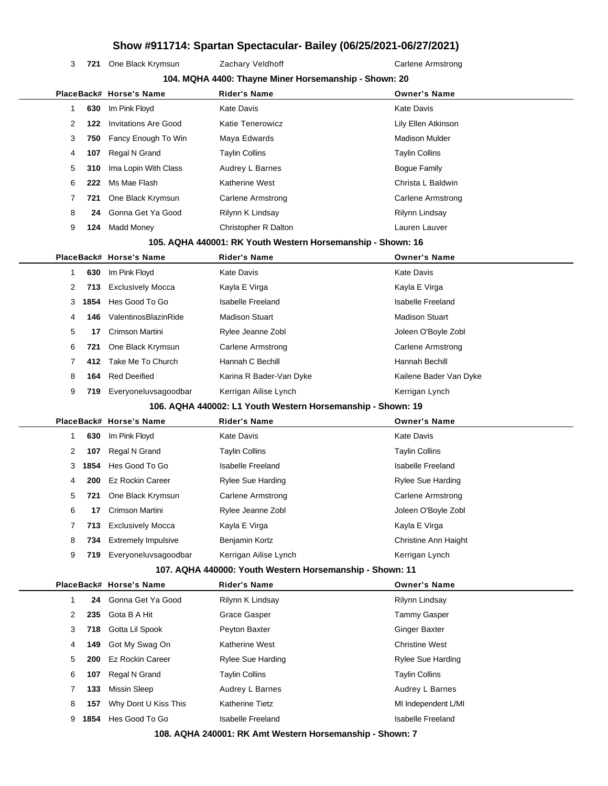3 721 One Black Krymsun Zachary Veldhoff Carlene Armstrong

|                                                             | 104. MQHA 4400: Thayne Miner Horsemanship - Shown: 20 |                                        |                                                             |                                                 |  |  |  |
|-------------------------------------------------------------|-------------------------------------------------------|----------------------------------------|-------------------------------------------------------------|-------------------------------------------------|--|--|--|
|                                                             |                                                       | PlaceBack# Horse's Name                | <b>Rider's Name</b>                                         | <b>Owner's Name</b>                             |  |  |  |
| $\mathbf{1}$                                                | 630                                                   | Im Pink Floyd                          | <b>Kate Davis</b>                                           | <b>Kate Davis</b>                               |  |  |  |
| 2                                                           | 122                                                   | <b>Invitations Are Good</b>            | Katie Tenerowicz                                            | Lily Ellen Atkinson                             |  |  |  |
| 3                                                           | 750                                                   | Fancy Enough To Win                    | Maya Edwards                                                | <b>Madison Mulder</b>                           |  |  |  |
| 4                                                           | 107                                                   | Regal N Grand                          | <b>Taylin Collins</b>                                       | <b>Taylin Collins</b>                           |  |  |  |
| 5                                                           | 310                                                   | Ima Lopin With Class                   | Audrey L Barnes                                             | <b>Bogue Family</b>                             |  |  |  |
| 6                                                           | 222                                                   | Ms Mae Flash                           | Katherine West                                              | Christa L Baldwin                               |  |  |  |
| 7                                                           | 721                                                   | One Black Krymsun                      | Carlene Armstrong                                           | Carlene Armstrong                               |  |  |  |
| 8                                                           | 24                                                    | Gonna Get Ya Good                      | Rilynn K Lindsay                                            | Rilynn Lindsay                                  |  |  |  |
| 9                                                           | 124                                                   | <b>Madd Money</b>                      | Christopher R Dalton                                        | Lauren Lauver                                   |  |  |  |
|                                                             |                                                       |                                        | 105. AQHA 440001: RK Youth Western Horsemanship - Shown: 16 |                                                 |  |  |  |
|                                                             |                                                       | PlaceBack# Horse's Name                | <b>Rider's Name</b>                                         | <b>Owner's Name</b>                             |  |  |  |
| 1                                                           | 630                                                   | Im Pink Floyd                          | <b>Kate Davis</b>                                           | <b>Kate Davis</b>                               |  |  |  |
| 2                                                           | 713                                                   | <b>Exclusively Mocca</b>               | Kayla E Virga                                               | Kayla E Virga                                   |  |  |  |
| 3                                                           | 1854                                                  | Hes Good To Go                         | <b>Isabelle Freeland</b>                                    | Isabelle Freeland                               |  |  |  |
| 4                                                           | 146                                                   | ValentinosBlazinRide                   | <b>Madison Stuart</b>                                       | <b>Madison Stuart</b>                           |  |  |  |
| 5                                                           | 17                                                    | Crimson Martini                        | Rylee Jeanne Zobl                                           | Joleen O'Boyle Zobl                             |  |  |  |
| 6                                                           | 721                                                   | One Black Krymsun                      | <b>Carlene Armstrong</b>                                    | <b>Carlene Armstrong</b>                        |  |  |  |
| 7                                                           | 412                                                   | Take Me To Church                      | Hannah C Bechill                                            | Hannah Bechill                                  |  |  |  |
| 8                                                           | 164                                                   | <b>Red Deeified</b>                    | Karina R Bader-Van Dyke                                     | Kailene Bader Van Dyke                          |  |  |  |
| 9                                                           | 719                                                   | Everyoneluvsagoodbar                   | Kerrigan Ailise Lynch                                       | Kerrigan Lynch                                  |  |  |  |
| 106. AQHA 440002: L1 Youth Western Horsemanship - Shown: 19 |                                                       |                                        |                                                             |                                                 |  |  |  |
|                                                             |                                                       |                                        |                                                             |                                                 |  |  |  |
|                                                             |                                                       | PlaceBack# Horse's Name                | <b>Rider's Name</b>                                         | <b>Owner's Name</b>                             |  |  |  |
| 1                                                           | 630                                                   | Im Pink Floyd                          | <b>Kate Davis</b>                                           | <b>Kate Davis</b>                               |  |  |  |
| 2                                                           | 107                                                   | Regal N Grand                          | Taylin Collins                                              | <b>Taylin Collins</b>                           |  |  |  |
| 3                                                           | 1854                                                  | Hes Good To Go                         | <b>Isabelle Freeland</b>                                    | <b>Isabelle Freeland</b>                        |  |  |  |
| 4                                                           | 200                                                   | <b>Ez Rockin Career</b>                | <b>Rylee Sue Harding</b>                                    | <b>Rylee Sue Harding</b>                        |  |  |  |
| 5                                                           | 721                                                   | One Black Krymsun                      | <b>Carlene Armstrong</b>                                    | <b>Carlene Armstrong</b>                        |  |  |  |
| 6                                                           | 17                                                    | Crimson Martini                        | Rylee Jeanne Zobl                                           | Joleen O'Boyle Zobl                             |  |  |  |
| 7                                                           | 713                                                   | <b>Exclusively Mocca</b>               | Kayla E Virga                                               | Kayla E Virga                                   |  |  |  |
| 8                                                           | 734                                                   | <b>Extremely Impulsive</b>             | Benjamin Kortz                                              | Christine Ann Haight                            |  |  |  |
| 9                                                           | 719                                                   | Everyoneluvsagoodbar                   | Kerrigan Ailise Lynch                                       | Kerrigan Lynch                                  |  |  |  |
|                                                             |                                                       |                                        | 107. AQHA 440000: Youth Western Horsemanship - Shown: 11    |                                                 |  |  |  |
|                                                             |                                                       | PlaceBack# Horse's Name                | <b>Rider's Name</b>                                         | <b>Owner's Name</b>                             |  |  |  |
| 1                                                           | 24                                                    | Gonna Get Ya Good                      | Rilynn K Lindsay                                            | Rilynn Lindsay                                  |  |  |  |
| 2                                                           | 235                                                   | Gota B A Hit                           | <b>Grace Gasper</b>                                         | <b>Tammy Gasper</b>                             |  |  |  |
| 3                                                           | 718                                                   | Gotta Lil Spook                        | Peyton Baxter                                               | <b>Ginger Baxter</b>                            |  |  |  |
| 4                                                           | 149                                                   | Got My Swag On                         | Katherine West                                              | <b>Christine West</b>                           |  |  |  |
| 5                                                           | 200                                                   | <b>Ez Rockin Career</b>                | Rylee Sue Harding                                           | Rylee Sue Harding                               |  |  |  |
| 6                                                           | 107                                                   | Regal N Grand                          | <b>Taylin Collins</b>                                       | <b>Taylin Collins</b>                           |  |  |  |
| 7                                                           | 133                                                   | Missin Sleep                           | Audrey L Barnes                                             | Audrey L Barnes                                 |  |  |  |
| 8<br>9                                                      | 157<br>1854                                           | Why Dont U Kiss This<br>Hes Good To Go | Katherine Tietz<br><b>Isabelle Freeland</b>                 | MI Independent L/MI<br><b>Isabelle Freeland</b> |  |  |  |

**108. AQHA 240001: RK Amt Western Horsemanship - Shown: 7**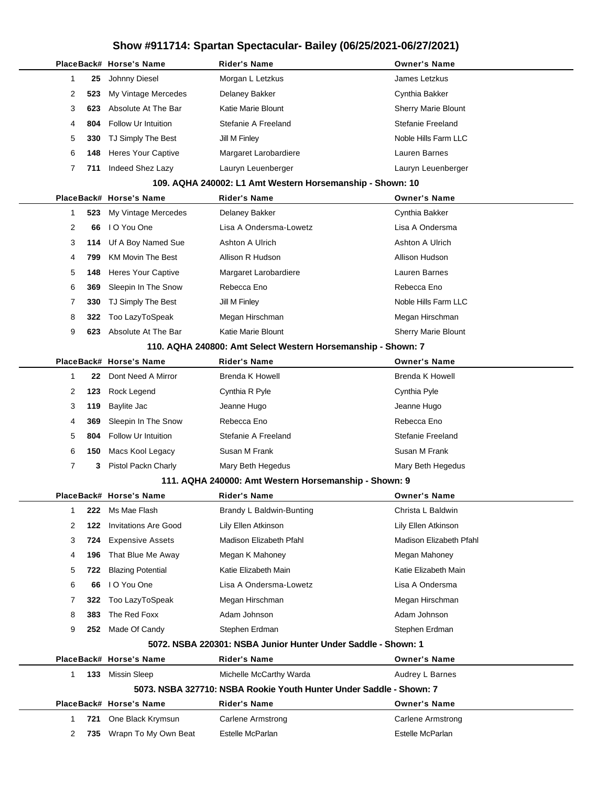|    |     | PlaceBack# Horse's Name                               | Rider's Name                                                        | <b>Owner's Name</b>        |
|----|-----|-------------------------------------------------------|---------------------------------------------------------------------|----------------------------|
| 1  | 25  | Johnny Diesel                                         | Morgan L Letzkus                                                    | James Letzkus              |
| 2  | 523 | My Vintage Mercedes                                   | Delaney Bakker                                                      | Cynthia Bakker             |
| 3  | 623 | Absolute At The Bar                                   | Katie Marie Blount                                                  | <b>Sherry Marie Blount</b> |
| 4  | 804 | <b>Follow Ur Intuition</b>                            | Stefanie A Freeland                                                 | Stefanie Freeland          |
| 5  | 330 | TJ Simply The Best                                    | Jill M Finley                                                       | Noble Hills Farm LLC       |
| 6  | 148 | <b>Heres Your Captive</b>                             | Margaret Larobardiere                                               | Lauren Barnes              |
| 7  | 711 | Indeed Shez Lazy                                      | Lauryn Leuenberger                                                  | Lauryn Leuenberger         |
|    |     |                                                       | 109. AQHA 240002: L1 Amt Western Horsemanship - Shown: 10           |                            |
|    |     | PlaceBack# Horse's Name                               | Rider's Name                                                        | <b>Owner's Name</b>        |
| 1  | 523 | My Vintage Mercedes                                   | Delaney Bakker                                                      | Cynthia Bakker             |
| 2  | 66  | I O You One                                           | Lisa A Ondersma-Lowetz                                              | Lisa A Ondersma            |
| 3  | 114 | Uf A Boy Named Sue                                    | Ashton A Ulrich                                                     | Ashton A Ulrich            |
| 4  | 799 | <b>KM Movin The Best</b>                              | Allison R Hudson                                                    | Allison Hudson             |
| 5  | 148 | <b>Heres Your Captive</b>                             | Margaret Larobardiere                                               | Lauren Barnes              |
| 6  | 369 | Sleepin In The Snow                                   | Rebecca Eno                                                         | Rebecca Eno                |
| 7  | 330 | TJ Simply The Best                                    | Jill M Finley                                                       | Noble Hills Farm LLC       |
| 8  | 322 | Too LazyToSpeak                                       | Megan Hirschman                                                     | Megan Hirschman            |
| 9  | 623 | Absolute At The Bar                                   | Katie Marie Blount                                                  | <b>Sherry Marie Blount</b> |
|    |     |                                                       | 110. AQHA 240800: Amt Select Western Horsemanship - Shown: 7        |                            |
|    |     | PlaceBack# Horse's Name                               | Rider's Name                                                        | <b>Owner's Name</b>        |
| -1 | 22  | Dont Need A Mirror                                    | Brenda K Howell                                                     | <b>Brenda K Howell</b>     |
| 2  | 123 | Rock Legend                                           | Cynthia R Pyle                                                      | Cynthia Pyle               |
| 3  | 119 | Baylite Jac                                           | Jeanne Hugo                                                         | Jeanne Hugo                |
| 4  | 369 | Sleepin In The Snow                                   | Rebecca Eno                                                         | Rebecca Eno                |
| 5  | 804 | Follow Ur Intuition                                   | Stefanie A Freeland                                                 | Stefanie Freeland          |
| 6  | 150 | Macs Kool Legacy                                      | Susan M Frank                                                       | Susan M Frank              |
| 7  | 3   | Pistol Packn Charly                                   | Mary Beth Hegedus                                                   | Mary Beth Hegedus          |
|    |     | 111. AQHA 240000: Amt Western Horsemanship - Shown: 9 |                                                                     |                            |
|    |     | PlaceBack# Horse's Name                               | Rider's Name                                                        | <b>Owner's Name</b>        |
| -1 | 222 | Ms Mae Flash                                          | Brandy L Baldwin-Bunting                                            | Christa L Baldwin          |
| 2  | 122 | <b>Invitations Are Good</b>                           | Lily Ellen Atkinson                                                 | Lily Ellen Atkinson        |
| 3  | 724 | <b>Expensive Assets</b>                               | Madison Elizabeth Pfahl                                             | Madison Elizabeth Pfahl    |
| 4  | 196 | That Blue Me Away                                     | Megan K Mahoney                                                     | Megan Mahoney              |
| 5  | 722 | <b>Blazing Potential</b>                              | Katie Elizabeth Main                                                | Katie Elizabeth Main       |
| 6  | 66  | I O You One                                           | Lisa A Ondersma-Lowetz                                              | Lisa A Ondersma            |
| 7  | 322 | Too LazyToSpeak                                       | Megan Hirschman                                                     | Megan Hirschman            |
| 8  | 383 | The Red Foxx                                          | Adam Johnson                                                        | Adam Johnson               |
| 9  | 252 | Made Of Candy                                         | Stephen Erdman                                                      | Stephen Erdman             |
|    |     |                                                       | 5072. NSBA 220301: NSBA Junior Hunter Under Saddle - Shown: 1       |                            |
|    |     | PlaceBack# Horse's Name                               | Rider's Name                                                        | <b>Owner's Name</b>        |
| 1  | 133 | Missin Sleep                                          | Michelle McCarthy Warda                                             | Audrey L Barnes            |
|    |     |                                                       | 5073. NSBA 327710: NSBA Rookie Youth Hunter Under Saddle - Shown: 7 |                            |
|    |     | PlaceBack# Horse's Name                               | Rider's Name                                                        | <b>Owner's Name</b>        |
| 1  | 721 | One Black Krymsun                                     | Carlene Armstrong                                                   | Carlene Armstrong          |
| 2  | 735 | Wrapn To My Own Beat                                  | Estelle McParlan                                                    | Estelle McParlan           |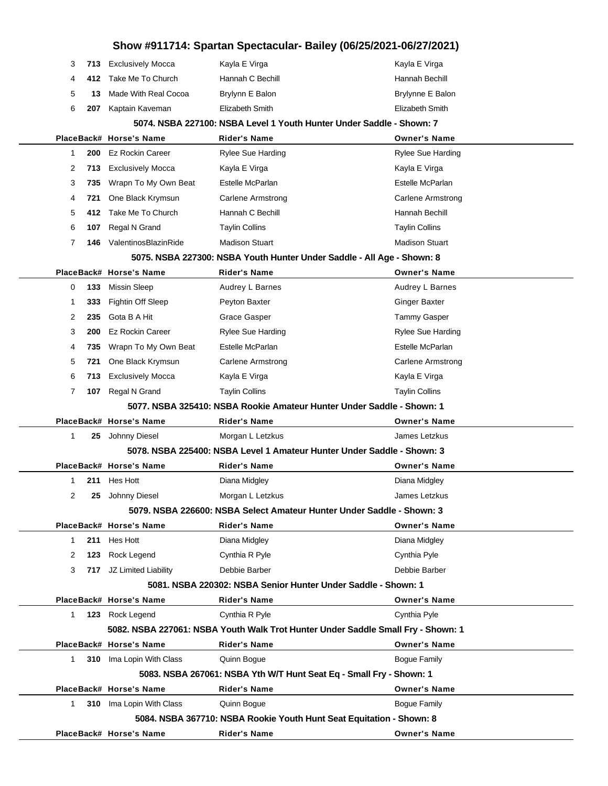| Show #911714: Spartan Spectacular- Bailey (06/25/2021-06/27/2021) |     |                          |                                                                                  |                          |  |
|-------------------------------------------------------------------|-----|--------------------------|----------------------------------------------------------------------------------|--------------------------|--|
| 3                                                                 | 713 | <b>Exclusively Mocca</b> | Kayla E Virga                                                                    | Kayla E Virga            |  |
| 4                                                                 | 412 | Take Me To Church        | Hannah C Bechill                                                                 | Hannah Bechill           |  |
| 5                                                                 | 13  | Made With Real Cocoa     | Brylynn E Balon                                                                  | Brylynne E Balon         |  |
| 6                                                                 | 207 | Kaptain Kaveman          | Elizabeth Smith                                                                  | Elizabeth Smith          |  |
|                                                                   |     |                          | 5074. NSBA 227100: NSBA Level 1 Youth Hunter Under Saddle - Shown: 7             |                          |  |
|                                                                   |     | PlaceBack# Horse's Name  | Rider's Name                                                                     | <b>Owner's Name</b>      |  |
| $\mathbf{1}$                                                      | 200 | <b>Ez Rockin Career</b>  | <b>Rylee Sue Harding</b>                                                         | <b>Rylee Sue Harding</b> |  |
| 2                                                                 | 713 | <b>Exclusively Mocca</b> | Kayla E Virga                                                                    | Kayla E Virga            |  |
| 3                                                                 | 735 | Wrapn To My Own Beat     | Estelle McParlan                                                                 | Estelle McParlan         |  |
| 4                                                                 | 721 | One Black Krymsun        | <b>Carlene Armstrong</b>                                                         | <b>Carlene Armstrong</b> |  |
| 5                                                                 | 412 | Take Me To Church        | Hannah C Bechill                                                                 | Hannah Bechill           |  |
| 6                                                                 | 107 | Regal N Grand            | <b>Taylin Collins</b>                                                            | <b>Taylin Collins</b>    |  |
| $\overline{7}$                                                    | 146 | ValentinosBlazinRide     | <b>Madison Stuart</b>                                                            | <b>Madison Stuart</b>    |  |
|                                                                   |     |                          | 5075. NSBA 227300: NSBA Youth Hunter Under Saddle - All Age - Shown: 8           |                          |  |
|                                                                   |     | PlaceBack# Horse's Name  | <b>Rider's Name</b>                                                              | <b>Owner's Name</b>      |  |
| 0                                                                 | 133 | Missin Sleep             | Audrey L Barnes                                                                  | Audrey L Barnes          |  |
| 1                                                                 | 333 | <b>Fightin Off Sleep</b> | Peyton Baxter                                                                    | <b>Ginger Baxter</b>     |  |
| 2                                                                 | 235 | Gota B A Hit             | Grace Gasper                                                                     | <b>Tammy Gasper</b>      |  |
| 3                                                                 | 200 | <b>Ez Rockin Career</b>  | Rylee Sue Harding                                                                | Rylee Sue Harding        |  |
| 4                                                                 | 735 | Wrapn To My Own Beat     | Estelle McParlan                                                                 | Estelle McParlan         |  |
| 5                                                                 | 721 | One Black Krymsun        | <b>Carlene Armstrong</b>                                                         | <b>Carlene Armstrong</b> |  |
| 6                                                                 | 713 | <b>Exclusively Mocca</b> | Kayla E Virga                                                                    | Kayla E Virga            |  |
| 7                                                                 | 107 | Regal N Grand            | <b>Taylin Collins</b>                                                            | <b>Taylin Collins</b>    |  |
|                                                                   |     |                          | 5077. NSBA 325410: NSBA Rookie Amateur Hunter Under Saddle - Shown: 1            |                          |  |
|                                                                   |     | PlaceBack# Horse's Name  | Rider's Name                                                                     | <b>Owner's Name</b>      |  |
| 1                                                                 | 25  | Johnny Diesel            | Morgan L Letzkus                                                                 | James Letzkus            |  |
|                                                                   |     |                          | 5078. NSBA 225400: NSBA Level 1 Amateur Hunter Under Saddle - Shown: 3           |                          |  |
|                                                                   |     | PlaceBack# Horse's Name  | Rider's Name                                                                     | <b>Owner's Name</b>      |  |
| $\mathbf{1}$                                                      | 211 | Hes Hott                 | Diana Midgley                                                                    | Diana Midgley            |  |
| 2                                                                 | 25  | Johnny Diesel            | Morgan L Letzkus                                                                 | James Letzkus            |  |
|                                                                   |     |                          | 5079. NSBA 226600: NSBA Select Amateur Hunter Under Saddle - Shown: 3            |                          |  |
|                                                                   |     | PlaceBack# Horse's Name  | Rider's Name                                                                     | <b>Owner's Name</b>      |  |
| $\mathbf{1}$                                                      | 211 | Hes Hott                 | Diana Midgley                                                                    | Diana Midgley            |  |
| 2                                                                 | 123 | Rock Legend              | Cynthia R Pyle                                                                   | Cynthia Pyle             |  |
| 3                                                                 | 717 | JZ Limited Liability     | Debbie Barber                                                                    | Debbie Barber            |  |
|                                                                   |     |                          | 5081. NSBA 220302: NSBA Senior Hunter Under Saddle - Shown: 1                    |                          |  |
|                                                                   |     | PlaceBack# Horse's Name  | <b>Rider's Name</b>                                                              | <b>Owner's Name</b>      |  |
| $\mathbf{1}$                                                      |     | 123 Rock Legend          | Cynthia R Pyle                                                                   | Cynthia Pyle             |  |
|                                                                   |     |                          | 5082. NSBA 227061: NSBA Youth Walk Trot Hunter Under Saddle Small Fry - Shown: 1 |                          |  |
|                                                                   |     | PlaceBack# Horse's Name  | <b>Rider's Name</b>                                                              | <b>Owner's Name</b>      |  |
| $\mathbf{1}$                                                      |     | 310 Ima Lopin With Class | Quinn Bogue                                                                      | <b>Bogue Family</b>      |  |
|                                                                   |     |                          | 5083. NSBA 267061: NSBA Yth W/T Hunt Seat Eq - Small Fry - Shown: 1              |                          |  |
|                                                                   |     | PlaceBack# Horse's Name  | <b>Rider's Name</b>                                                              | <b>Owner's Name</b>      |  |
| $\mathbf{1}$                                                      |     | 310 Ima Lopin With Class | Quinn Bogue                                                                      | <b>Bogue Family</b>      |  |
|                                                                   |     |                          | 5084. NSBA 367710: NSBA Rookie Youth Hunt Seat Equitation - Shown: 8             |                          |  |
|                                                                   |     | PlaceBack# Horse's Name  | <b>Rider's Name</b>                                                              | <b>Owner's Name</b>      |  |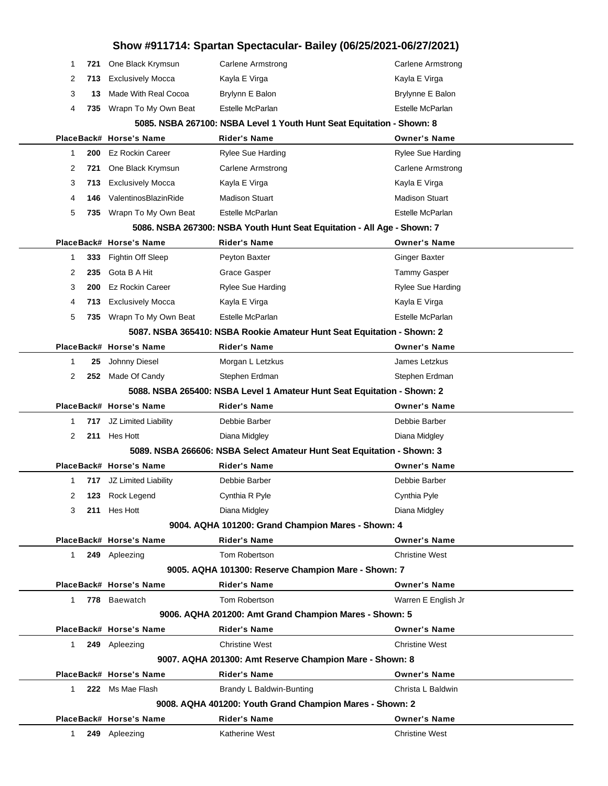| Show #911714: Spartan Spectacular- Bailey (06/25/2021-06/27/2021) |     |                          |                                                                         |                                              |  |
|-------------------------------------------------------------------|-----|--------------------------|-------------------------------------------------------------------------|----------------------------------------------|--|
| -1                                                                | 721 | One Black Krymsun        | <b>Carlene Armstrong</b>                                                | Carlene Armstrong                            |  |
| 2                                                                 | 713 | <b>Exclusively Mocca</b> | Kayla E Virga                                                           | Kayla E Virga                                |  |
| 3                                                                 | 13  | Made With Real Cocoa     | Brylynn E Balon                                                         | Brylynne E Balon                             |  |
| 4                                                                 | 735 | Wrapn To My Own Beat     | Estelle McParlan                                                        | Estelle McParlan                             |  |
|                                                                   |     |                          | 5085. NSBA 267100: NSBA Level 1 Youth Hunt Seat Equitation - Shown: 8   |                                              |  |
|                                                                   |     | PlaceBack# Horse's Name  | <b>Rider's Name</b>                                                     | <b>Owner's Name</b>                          |  |
| $\mathbf{1}$                                                      | 200 | <b>Ez Rockin Career</b>  | <b>Rylee Sue Harding</b>                                                | Rylee Sue Harding                            |  |
| 2                                                                 | 721 | One Black Krymsun        | <b>Carlene Armstrong</b>                                                | Carlene Armstrong                            |  |
| 3                                                                 | 713 | <b>Exclusively Mocca</b> | Kayla E Virga                                                           | Kayla E Virga                                |  |
| 4                                                                 | 146 | ValentinosBlazinRide     | <b>Madison Stuart</b>                                                   | <b>Madison Stuart</b>                        |  |
| 5                                                                 | 735 | Wrapn To My Own Beat     | Estelle McParlan                                                        | Estelle McParlan                             |  |
|                                                                   |     |                          | 5086. NSBA 267300: NSBA Youth Hunt Seat Equitation - All Age - Shown: 7 |                                              |  |
|                                                                   |     | PlaceBack# Horse's Name  | <b>Rider's Name</b>                                                     | <b>Owner's Name</b>                          |  |
| -1                                                                | 333 | Fightin Off Sleep        | Peyton Baxter                                                           | <b>Ginger Baxter</b>                         |  |
| 2                                                                 | 235 | Gota B A Hit             | <b>Grace Gasper</b>                                                     | <b>Tammy Gasper</b>                          |  |
| 3                                                                 | 200 | <b>Ez Rockin Career</b>  | <b>Rylee Sue Harding</b>                                                | <b>Rylee Sue Harding</b>                     |  |
| 4                                                                 | 713 | <b>Exclusively Mocca</b> | Kayla E Virga                                                           | Kayla E Virga                                |  |
| 5                                                                 | 735 | Wrapn To My Own Beat     | Estelle McParlan                                                        | Estelle McParlan                             |  |
|                                                                   |     |                          | 5087. NSBA 365410: NSBA Rookie Amateur Hunt Seat Equitation - Shown: 2  |                                              |  |
|                                                                   |     | PlaceBack# Horse's Name  | <b>Rider's Name</b>                                                     | <b>Owner's Name</b>                          |  |
| $\mathbf{1}$                                                      | 25  | Johnny Diesel            | Morgan L Letzkus                                                        | James Letzkus                                |  |
| 2                                                                 | 252 | Made Of Candy            | Stephen Erdman                                                          | Stephen Erdman                               |  |
|                                                                   |     |                          | 5088. NSBA 265400: NSBA Level 1 Amateur Hunt Seat Equitation - Shown: 2 |                                              |  |
|                                                                   |     | PlaceBack# Horse's Name  | <b>Rider's Name</b>                                                     | <b>Owner's Name</b>                          |  |
| 1                                                                 | 717 | JZ Limited Liability     | Debbie Barber                                                           | Debbie Barber                                |  |
| 2                                                                 | 211 | Hes Hott                 | Diana Midgley                                                           | Diana Midgley                                |  |
|                                                                   |     |                          | 5089. NSBA 266606: NSBA Select Amateur Hunt Seat Equitation - Shown: 3  |                                              |  |
|                                                                   |     | PlaceBack# Horse's Name  | <b>Rider's Name</b>                                                     | <b>Owner's Name</b>                          |  |
|                                                                   |     | 717 JZ Limited Liability | Debbie Barber                                                           | Debbie Barber                                |  |
| 2                                                                 | 123 | Rock Legend              | Cynthia R Pyle                                                          | Cynthia Pyle                                 |  |
| 3                                                                 | 211 | Hes Hott                 | Diana Midgley                                                           | Diana Midgley                                |  |
|                                                                   |     | PlaceBack# Horse's Name  | 9004. AQHA 101200: Grand Champion Mares - Shown: 4                      |                                              |  |
|                                                                   |     |                          | <b>Rider's Name</b><br>Tom Robertson                                    | <b>Owner's Name</b><br><b>Christine West</b> |  |
| 1                                                                 |     | 249 Apleezing            | 9005. AQHA 101300: Reserve Champion Mare - Shown: 7                     |                                              |  |
|                                                                   |     | PlaceBack# Horse's Name  | <b>Rider's Name</b>                                                     | <b>Owner's Name</b>                          |  |
| $\mathbf{1}$                                                      |     | 778 Baewatch             | Tom Robertson                                                           | Warren E English Jr                          |  |
|                                                                   |     |                          | 9006. AQHA 201200: Amt Grand Champion Mares - Shown: 5                  |                                              |  |
|                                                                   |     | PlaceBack# Horse's Name  | <b>Rider's Name</b>                                                     | <b>Owner's Name</b>                          |  |
| 1                                                                 |     | 249 Apleezing            | <b>Christine West</b>                                                   | <b>Christine West</b>                        |  |
|                                                                   |     |                          | 9007. AQHA 201300: Amt Reserve Champion Mare - Shown: 8                 |                                              |  |
|                                                                   |     | PlaceBack# Horse's Name  | <b>Rider's Name</b>                                                     | <b>Owner's Name</b>                          |  |
| $\mathbf{1}$                                                      |     | 222 Ms Mae Flash         | Brandy L Baldwin-Bunting                                                | Christa L Baldwin                            |  |
|                                                                   |     |                          | 9008. AQHA 401200: Youth Grand Champion Mares - Shown: 2                |                                              |  |
|                                                                   |     | PlaceBack# Horse's Name  | <b>Rider's Name</b>                                                     | <b>Owner's Name</b>                          |  |
| 1                                                                 | 249 | Apleezing                | Katherine West                                                          | <b>Christine West</b>                        |  |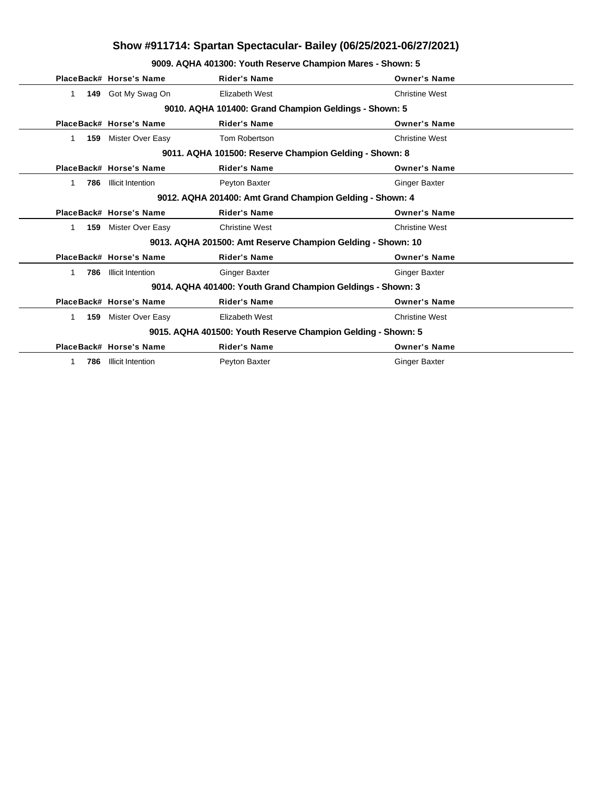**9009. AQHA 401300: Youth Reserve Champion Mares - Shown: 5**

|                    | PlaceBack# Horse's Name  | <b>Rider's Name</b>                                          | <b>Owner's Name</b>   |  |
|--------------------|--------------------------|--------------------------------------------------------------|-----------------------|--|
| 149<br>$\mathbf 1$ | Got My Swag On           | Elizabeth West                                               | <b>Christine West</b> |  |
|                    |                          | 9010. AQHA 101400: Grand Champion Geldings - Shown: 5        |                       |  |
|                    | PlaceBack# Horse's Name  | <b>Rider's Name</b>                                          | <b>Owner's Name</b>   |  |
| 159<br>1.          | Mister Over Easy         | Tom Robertson                                                | <b>Christine West</b> |  |
|                    |                          | 9011. AQHA 101500: Reserve Champion Gelding - Shown: 8       |                       |  |
|                    | PlaceBack# Horse's Name  | <b>Rider's Name</b>                                          | <b>Owner's Name</b>   |  |
| 786<br>1           | <b>Illicit Intention</b> | Peyton Baxter                                                | <b>Ginger Baxter</b>  |  |
|                    |                          | 9012. AQHA 201400: Amt Grand Champion Gelding - Shown: 4     |                       |  |
|                    | PlaceBack# Horse's Name  | <b>Rider's Name</b>                                          | <b>Owner's Name</b>   |  |
| 159<br>1           | Mister Over Easy         | <b>Christine West</b>                                        | <b>Christine West</b> |  |
|                    |                          | 9013. AQHA 201500: Amt Reserve Champion Gelding - Shown: 10  |                       |  |
|                    | PlaceBack# Horse's Name  | <b>Rider's Name</b>                                          | <b>Owner's Name</b>   |  |
| 786                | <b>Illicit Intention</b> | <b>Ginger Baxter</b>                                         | <b>Ginger Baxter</b>  |  |
|                    |                          | 9014. AQHA 401400: Youth Grand Champion Geldings - Shown: 3  |                       |  |
|                    | PlaceBack# Horse's Name  | <b>Rider's Name</b>                                          | <b>Owner's Name</b>   |  |
| 1.<br>159          | Mister Over Easy         | Elizabeth West                                               | <b>Christine West</b> |  |
|                    |                          | 9015. AQHA 401500: Youth Reserve Champion Gelding - Shown: 5 |                       |  |
|                    | PlaceBack# Horse's Name  | <b>Rider's Name</b>                                          | <b>Owner's Name</b>   |  |
| 786                | <b>Illicit Intention</b> | Peyton Baxter                                                | <b>Ginger Baxter</b>  |  |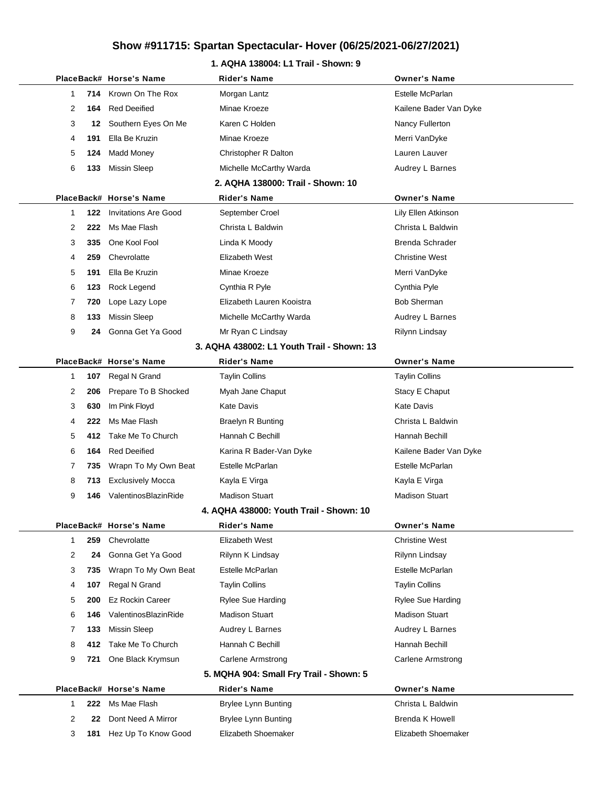### **1. AQHA 138004: L1 Trail - Shown: 9**

|              |     | PlaceBack# Horse's Name     | <b>Rider's Name</b>                        | <b>Owner's Name</b>      |
|--------------|-----|-----------------------------|--------------------------------------------|--------------------------|
| 1            | 714 | Krown On The Rox            | Morgan Lantz                               | Estelle McParlan         |
| 2            | 164 | <b>Red Deeified</b>         | Minae Kroeze                               | Kailene Bader Van Dyke   |
| 3            | 12  | Southern Eyes On Me         | Karen C Holden                             | Nancy Fullerton          |
| 4            | 191 | Ella Be Kruzin              | Minae Kroeze                               | Merri VanDyke            |
| 5            | 124 | <b>Madd Money</b>           | Christopher R Dalton                       | Lauren Lauver            |
| 6            | 133 | <b>Missin Sleep</b>         | Michelle McCarthy Warda                    | Audrey L Barnes          |
|              |     |                             | 2. AQHA 138000: Trail - Shown: 10          |                          |
|              |     | PlaceBack# Horse's Name     | <b>Rider's Name</b>                        | <b>Owner's Name</b>      |
| 1            | 122 | <b>Invitations Are Good</b> | September Croel                            | Lily Ellen Atkinson      |
| 2            | 222 | Ms Mae Flash                | Christa L Baldwin                          | Christa L Baldwin        |
| 3            | 335 | One Kool Fool               | Linda K Moody                              | Brenda Schrader          |
| 4            | 259 | Chevrolatte                 | Elizabeth West                             | <b>Christine West</b>    |
| 5            | 191 | Ella Be Kruzin              | Minae Kroeze                               | Merri VanDyke            |
| 6            | 123 | Rock Legend                 | Cynthia R Pyle                             | Cynthia Pyle             |
| 7            | 720 | Lope Lazy Lope              | Elizabeth Lauren Kooistra                  | <b>Bob Sherman</b>       |
| 8            | 133 | <b>Missin Sleep</b>         | Michelle McCarthy Warda                    | Audrey L Barnes          |
| 9            | 24  | Gonna Get Ya Good           | Mr Ryan C Lindsay                          | Rilynn Lindsay           |
|              |     |                             | 3. AQHA 438002: L1 Youth Trail - Shown: 13 |                          |
|              |     | PlaceBack# Horse's Name     | Rider's Name                               | <b>Owner's Name</b>      |
| 1            | 107 | Regal N Grand               | <b>Taylin Collins</b>                      | <b>Taylin Collins</b>    |
| 2            | 206 | Prepare To B Shocked        | Myah Jane Chaput                           | Stacy E Chaput           |
| 3            | 630 | Im Pink Floyd               | <b>Kate Davis</b>                          | <b>Kate Davis</b>        |
| 4            | 222 | Ms Mae Flash                | <b>Braelyn R Bunting</b>                   | Christa L Baldwin        |
| 5            | 412 | Take Me To Church           | Hannah C Bechill                           | Hannah Bechill           |
| 6            | 164 | <b>Red Deeified</b>         | Karina R Bader-Van Dyke                    | Kailene Bader Van Dyke   |
| 7            | 735 | Wrapn To My Own Beat        | Estelle McParlan                           | Estelle McParlan         |
| 8            | 713 | <b>Exclusively Mocca</b>    | Kayla E Virga                              | Kayla E Virga            |
| 9            | 146 | ValentinosBlazinRide        | <b>Madison Stuart</b>                      | <b>Madison Stuart</b>    |
|              |     |                             | 4. AQHA 438000: Youth Trail - Shown: 10    |                          |
|              |     | PlaceBack# Horse's Name     | <b>Rider's Name</b>                        | <b>Owner's Name</b>      |
| $\mathbf{1}$ | 259 | Chevrolatte                 | Elizabeth West                             | <b>Christine West</b>    |
| 2            | 24  | Gonna Get Ya Good           | Rilynn K Lindsay                           | Rilynn Lindsay           |
| 3            | 735 | Wrapn To My Own Beat        | Estelle McParlan                           | Estelle McParlan         |
| 4            | 107 | Regal N Grand               | <b>Taylin Collins</b>                      | <b>Taylin Collins</b>    |
| 5            | 200 | <b>Ez Rockin Career</b>     | <b>Rylee Sue Harding</b>                   | <b>Rylee Sue Harding</b> |
| 6            | 146 | ValentinosBlazinRide        | <b>Madison Stuart</b>                      | <b>Madison Stuart</b>    |
| 7            | 133 | Missin Sleep                | Audrey L Barnes                            | Audrey L Barnes          |
| 8            | 412 | Take Me To Church           | Hannah C Bechill                           | Hannah Bechill           |
| 9            | 721 | One Black Krymsun           | <b>Carlene Armstrong</b>                   | Carlene Armstrong        |
|              |     |                             | 5. MQHA 904: Small Fry Trail - Shown: 5    |                          |
|              |     | PlaceBack# Horse's Name     | Rider's Name                               | <b>Owner's Name</b>      |
| $\mathbf{1}$ | 222 | Ms Mae Flash                | <b>Brylee Lynn Bunting</b>                 | Christa L Baldwin        |
| 2            | 22  | Dont Need A Mirror          | Brylee Lynn Bunting                        | Brenda K Howell          |
| 3            | 181 | Hez Up To Know Good         | Elizabeth Shoemaker                        | Elizabeth Shoemaker      |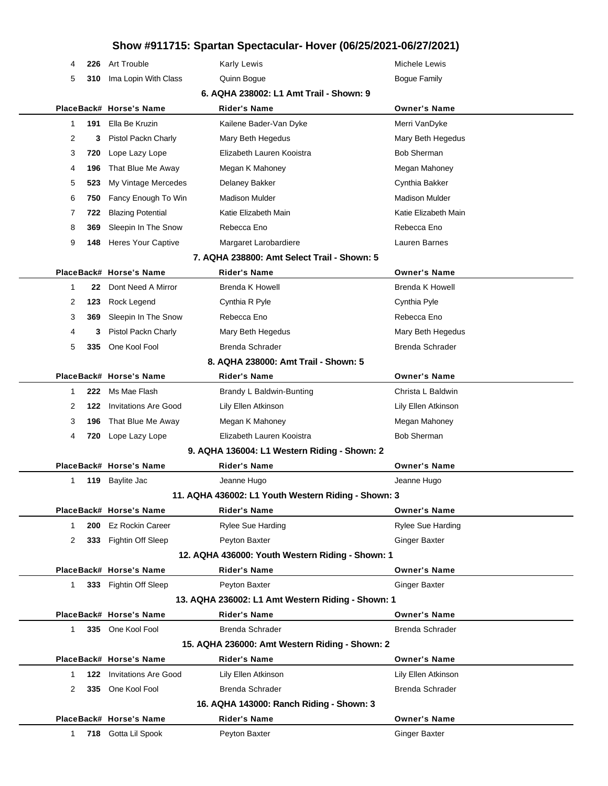| 4            | 226 | Art Trouble                     | <b>Karly Lewis</b>                                  | Michele Lewis            |  |
|--------------|-----|---------------------------------|-----------------------------------------------------|--------------------------|--|
| 5            | 310 | Ima Lopin With Class            | Quinn Bogue                                         | <b>Bogue Family</b>      |  |
|              |     |                                 | 6. AQHA 238002: L1 Amt Trail - Shown: 9             |                          |  |
|              |     | PlaceBack# Horse's Name         | <b>Rider's Name</b>                                 | <b>Owner's Name</b>      |  |
| 1            | 191 | Ella Be Kruzin                  | Kailene Bader-Van Dyke                              | Merri VanDyke            |  |
| 2            | 3   | Pistol Packn Charly             | Mary Beth Hegedus                                   | Mary Beth Hegedus        |  |
| 3            | 720 | Lope Lazy Lope                  | Elizabeth Lauren Kooistra                           | <b>Bob Sherman</b>       |  |
| 4            | 196 | That Blue Me Away               | Megan K Mahoney                                     | Megan Mahoney            |  |
| 5            | 523 | My Vintage Mercedes             | Delaney Bakker                                      | Cynthia Bakker           |  |
| 6            | 750 | Fancy Enough To Win             | <b>Madison Mulder</b>                               | <b>Madison Mulder</b>    |  |
| 7            | 722 | <b>Blazing Potential</b>        | Katie Elizabeth Main                                | Katie Elizabeth Main     |  |
| 8            | 369 | Sleepin In The Snow             | Rebecca Eno                                         | Rebecca Eno              |  |
| 9            | 148 | Heres Your Captive              | Margaret Larobardiere                               | Lauren Barnes            |  |
|              |     |                                 | 7. AQHA 238800: Amt Select Trail - Shown: 5         |                          |  |
|              |     | PlaceBack# Horse's Name         | <b>Rider's Name</b>                                 | <b>Owner's Name</b>      |  |
| 1            | 22  | Dont Need A Mirror              | <b>Brenda K Howell</b>                              | <b>Brenda K Howell</b>   |  |
| 2            | 123 | Rock Legend                     | Cynthia R Pyle                                      | Cynthia Pyle             |  |
| 3            | 369 | Sleepin In The Snow             | Rebecca Eno                                         | Rebecca Eno              |  |
| 4            | 3   | Pistol Packn Charly             | Mary Beth Hegedus                                   | Mary Beth Hegedus        |  |
| 5            | 335 | One Kool Fool                   | <b>Brenda Schrader</b>                              | <b>Brenda Schrader</b>   |  |
|              |     |                                 | 8. AQHA 238000: Amt Trail - Shown: 5                |                          |  |
|              |     | PlaceBack# Horse's Name         | <b>Rider's Name</b>                                 | <b>Owner's Name</b>      |  |
| 1            | 222 | Ms Mae Flash                    | Brandy L Baldwin-Bunting                            | Christa L Baldwin        |  |
| 2            | 122 | <b>Invitations Are Good</b>     | Lily Ellen Atkinson                                 | Lily Ellen Atkinson      |  |
| 3            | 196 | That Blue Me Away               | Megan K Mahoney                                     | Megan Mahoney            |  |
| 4            | 720 | Lope Lazy Lope                  | Elizabeth Lauren Kooistra                           | <b>Bob Sherman</b>       |  |
|              |     |                                 | 9. AQHA 136004: L1 Western Riding - Shown: 2        |                          |  |
|              |     | PlaceBack# Horse's Name         | <b>Rider's Name</b>                                 | <b>Owner's Name</b>      |  |
| 1            | 119 | Baylite Jac                     | Jeanne Hugo                                         | Jeanne Hugo              |  |
|              |     |                                 | 11. AQHA 436002: L1 Youth Western Riding - Shown: 3 |                          |  |
|              |     | PlaceBack# Horse's Name         | Rider's Name                                        | <b>Owner's Name</b>      |  |
| 1            |     | 200 Ez Rockin Career            | <b>Rylee Sue Harding</b>                            | <b>Rylee Sue Harding</b> |  |
| 2            |     | 333 Fightin Off Sleep           | Peyton Baxter                                       | <b>Ginger Baxter</b>     |  |
|              |     |                                 | 12. AQHA 436000: Youth Western Riding - Shown: 1    |                          |  |
|              |     | PlaceBack# Horse's Name         | <b>Rider's Name</b>                                 | <b>Owner's Name</b>      |  |
| $\mathbf{1}$ |     | 333 Fightin Off Sleep           | Peyton Baxter                                       | <b>Ginger Baxter</b>     |  |
|              |     |                                 | 13. AQHA 236002: L1 Amt Western Riding - Shown: 1   |                          |  |
|              |     | PlaceBack# Horse's Name         | <b>Rider's Name</b>                                 | <b>Owner's Name</b>      |  |
| 1            |     | 335 One Kool Fool               | <b>Brenda Schrader</b>                              | <b>Brenda Schrader</b>   |  |
|              |     |                                 | 15. AQHA 236000: Amt Western Riding - Shown: 2      |                          |  |
|              |     | PlaceBack# Horse's Name         | <b>Rider's Name</b>                                 | <b>Owner's Name</b>      |  |
| 1            |     | <b>122</b> Invitations Are Good | Lily Ellen Atkinson                                 | Lily Ellen Atkinson      |  |
| 2            | 335 | One Kool Fool                   | <b>Brenda Schrader</b>                              | Brenda Schrader          |  |
|              |     |                                 | 16. AQHA 143000: Ranch Riding - Shown: 3            |                          |  |
|              |     | PlaceBack# Horse's Name         | <b>Rider's Name</b>                                 | <b>Owner's Name</b>      |  |
| 1            |     | 718 Gotta Lil Spook             | Peyton Baxter                                       | <b>Ginger Baxter</b>     |  |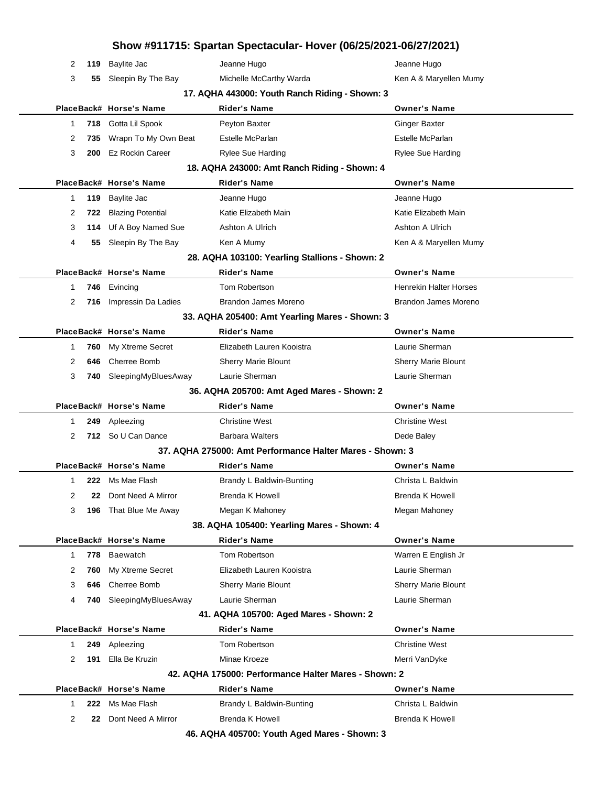| Show #911715: Spartan Spectacular- Hover (06/25/2021-06/27/2021) |                          |                                                          |                               |  |  |  |  |
|------------------------------------------------------------------|--------------------------|----------------------------------------------------------|-------------------------------|--|--|--|--|
| 2<br>119                                                         | <b>Baylite Jac</b>       | Jeanne Hugo                                              | Jeanne Hugo                   |  |  |  |  |
| 3<br>55                                                          | Sleepin By The Bay       | Michelle McCarthy Warda                                  | Ken A & Maryellen Mumy        |  |  |  |  |
| 17. AQHA 443000: Youth Ranch Riding - Shown: 3                   |                          |                                                          |                               |  |  |  |  |
|                                                                  | PlaceBack# Horse's Name  | <b>Rider's Name</b>                                      | <b>Owner's Name</b>           |  |  |  |  |
| 718<br>1                                                         | Gotta Lil Spook          | Peyton Baxter                                            | <b>Ginger Baxter</b>          |  |  |  |  |
| 2<br>735                                                         | Wrapn To My Own Beat     | Estelle McParlan                                         | Estelle McParlan              |  |  |  |  |
| 3<br>200                                                         | <b>Ez Rockin Career</b>  | <b>Rylee Sue Harding</b>                                 | <b>Rylee Sue Harding</b>      |  |  |  |  |
|                                                                  |                          | 18. AQHA 243000: Amt Ranch Riding - Shown: 4             |                               |  |  |  |  |
|                                                                  | PlaceBack# Horse's Name  | <b>Rider's Name</b>                                      | <b>Owner's Name</b>           |  |  |  |  |
| 119<br>1                                                         | Baylite Jac              | Jeanne Hugo                                              | Jeanne Hugo                   |  |  |  |  |
| 722<br>2                                                         | <b>Blazing Potential</b> | Katie Elizabeth Main                                     | Katie Elizabeth Main          |  |  |  |  |
| 3<br>114                                                         | Uf A Boy Named Sue       | Ashton A Ulrich                                          | Ashton A Ulrich               |  |  |  |  |
| 4<br>55                                                          | Sleepin By The Bay       | Ken A Mumy                                               | Ken A & Maryellen Mumy        |  |  |  |  |
|                                                                  |                          | 28. AQHA 103100: Yearling Stallions - Shown: 2           |                               |  |  |  |  |
|                                                                  | PlaceBack# Horse's Name  | <b>Rider's Name</b>                                      | <b>Owner's Name</b>           |  |  |  |  |
| 746<br>1                                                         | Evincing                 | Tom Robertson                                            | <b>Henrekin Halter Horses</b> |  |  |  |  |
| 2<br>716                                                         | Impressin Da Ladies      | Brandon James Moreno                                     | Brandon James Moreno          |  |  |  |  |
|                                                                  |                          | 33. AQHA 205400: Amt Yearling Mares - Shown: 3           |                               |  |  |  |  |
|                                                                  | PlaceBack# Horse's Name  | <b>Rider's Name</b>                                      | <b>Owner's Name</b>           |  |  |  |  |
| 760<br>1                                                         | My Xtreme Secret         | Elizabeth Lauren Kooistra                                | Laurie Sherman                |  |  |  |  |
| 2<br>646                                                         | Cherree Bomb             | Sherry Marie Blount                                      | Sherry Marie Blount           |  |  |  |  |
| 3                                                                | 740 SleepingMyBluesAway  | Laurie Sherman                                           | Laurie Sherman                |  |  |  |  |
|                                                                  |                          | 36. AQHA 205700: Amt Aged Mares - Shown: 2               |                               |  |  |  |  |
|                                                                  | PlaceBack# Horse's Name  | <b>Rider's Name</b>                                      | <b>Owner's Name</b>           |  |  |  |  |
| 249<br>1                                                         | Apleezing                | <b>Christine West</b>                                    | <b>Christine West</b>         |  |  |  |  |
| 2                                                                | 712 So U Can Dance       | <b>Barbara Walters</b>                                   | Dede Baley                    |  |  |  |  |
|                                                                  |                          | 37. AQHA 275000: Amt Performance Halter Mares - Shown: 3 |                               |  |  |  |  |
|                                                                  | PlaceBack# Horse's Name  | <b>Rider's Name</b>                                      | <b>Owner's Name</b>           |  |  |  |  |
| 1                                                                | <b>222</b> Ms Mae Flash  | Brandy L Baldwin-Bunting                                 | Christa L Baldwin             |  |  |  |  |
| 2<br>22                                                          | Dont Need A Mirror       | <b>Brenda K Howell</b>                                   | <b>Brenda K Howell</b>        |  |  |  |  |
| 3<br>196                                                         | That Blue Me Away        | Megan K Mahoney                                          | Megan Mahoney                 |  |  |  |  |
|                                                                  |                          | 38. AQHA 105400: Yearling Mares - Shown: 4               |                               |  |  |  |  |
|                                                                  | PlaceBack# Horse's Name  | <b>Rider's Name</b>                                      | <b>Owner's Name</b>           |  |  |  |  |
| 778<br>1                                                         | Baewatch                 | Tom Robertson                                            | Warren E English Jr           |  |  |  |  |
| 2<br>760                                                         | My Xtreme Secret         | Elizabeth Lauren Kooistra                                | Laurie Sherman                |  |  |  |  |
| 3<br>646                                                         | Cherree Bomb             | Sherry Marie Blount                                      | Sherry Marie Blount           |  |  |  |  |
| 4<br>740                                                         | SleepingMyBluesAway      | Laurie Sherman                                           | Laurie Sherman                |  |  |  |  |
|                                                                  |                          | 41. AQHA 105700: Aged Mares - Shown: 2                   |                               |  |  |  |  |
|                                                                  | PlaceBack# Horse's Name  | <b>Rider's Name</b>                                      | <b>Owner's Name</b>           |  |  |  |  |
| 249<br>1                                                         | Apleezing                | Tom Robertson                                            | <b>Christine West</b>         |  |  |  |  |
| 2<br>191                                                         | Ella Be Kruzin           | Minae Kroeze                                             | Merri VanDyke                 |  |  |  |  |
|                                                                  |                          | 42. AQHA 175000: Performance Halter Mares - Shown: 2     |                               |  |  |  |  |
|                                                                  | PlaceBack# Horse's Name  | <b>Rider's Name</b>                                      | <b>Owner's Name</b>           |  |  |  |  |
| 222<br>1                                                         | Ms Mae Flash             | Brandy L Baldwin-Bunting                                 | Christa L Baldwin             |  |  |  |  |
| $\overline{2}$<br>22                                             | Dont Need A Mirror       | <b>Brenda K Howell</b>                                   | <b>Brenda K Howell</b>        |  |  |  |  |
|                                                                  |                          | 46. AQHA 405700: Youth Aged Mares - Shown: 3             |                               |  |  |  |  |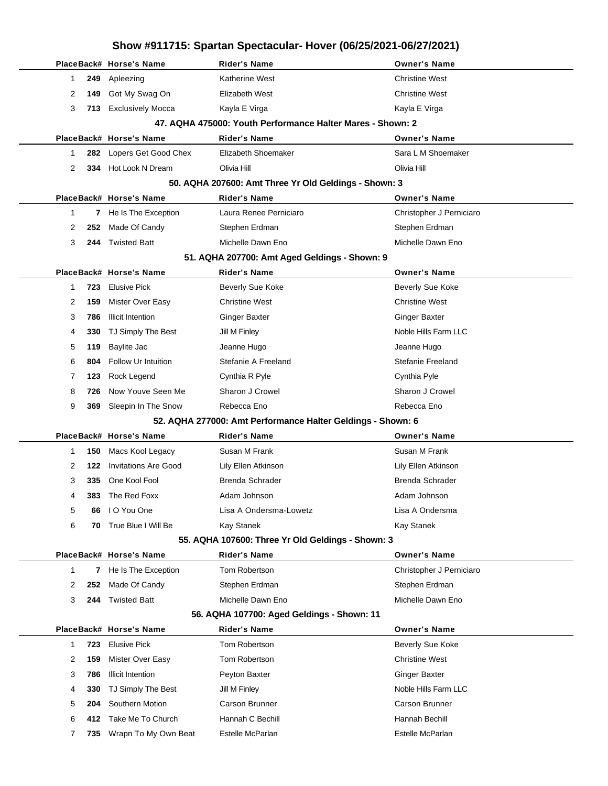## **Show #911715: Spartan Spectacular- Hover (06/25/2021-06/27/2021) PlaceBack# Horse's Name Rider's Name Owner's Name** 1 **249** Apleezing **Christian Christian Mest** Katherine West Christine West Christine West 2 **149** Got My Swag On **Elizabeth West** Christine West Christine West 3 713 Exclusively Mocca **Kayla E Virga** Kayla E Virga Kayla E Virga **47. AQHA 475000: Youth Performance Halter Mares - Shown: 2 PlaceBack# Horse's Name Rider's Name Owner's Name** 1 **282** Lopers Get Good Chex Elizabeth Shoemaker Sara L M Shoemaker 2 **334** Hot Look N Dream Olivia Hill Olivia Hill **50. AQHA 207600: Amt Three Yr Old Geldings - Shown: 3 PlaceBack# Horse's Name Rider's Name Owner's Name** 1 **7** He Is The Exception Laura Renee Perniciaro **Christopher J Perniciaro** 2 252 Made Of Candy Stephen Erdman Stephen Erdman Stephen Erdman 3 **244** Twisted Batt Michelle Dawn Eno Michelle Dawn Eno **51. AQHA 207700: Amt Aged Geldings - Shown: 9 PlaceBack# Horse's Name Rider's Name Owner's Name** 1 **723** Elusive Pick **Beverly Sue Koke** Beverly Sue Koke Beverly Sue Koke 2 **159** Mister Over Easy **Christine West** Christine West Christine West 3 786 Illicit Intention **Ginger Baxter** Ginger Baxter Ginger Baxter Ginger Baxter 4 **330** TJ Simply The Best Jill M Finley Jill The State Assembly the State Noble Hills Farm LLC 5 **119** Baylite Jac Jeanne Hugo Jeanne Hugo 6 **804** Follow Ur Intuition Stefanie A Freeland Stefanie Freeland 7 **123** Rock Legend Cynthia R Pyle Cynthia Pyle 8 **726** Now Youve Seen Me Sharon J Crowel Sharon J Crowel Sharon J Crowel 9 **369** Sleepin In The Snow Rebecca Eno Rebecca Eno Rebecca Eno **52. AQHA 277000: Amt Performance Halter Geldings - Shown: 6 PlaceBack# Horse's Name Rider's Name Owner's Name** 1 **150** Macs Kool Legacy Susan M Frank Susan M Susan M Frank 2 **122** Invitations Are Good Lily Ellen Atkinson Lily Ellen Atkinson 3 **335** One Kool Fool **Brenda Schrader** Brenda Schrader Brenda Schrader Brenda Schrader 4 **383** The Red Foxx **Adam Johnson** Adam Johnson Adam Johnson 5 **66** I O You One Lisa A Ondersma-Lowetz Lisa A Ondersma 6 **70** True Blue I Will Be Kay Stanek Kay Stanek **55. AQHA 107600: Three Yr Old Geldings - Shown: 3 PlaceBack# Horse's Name Rider's Name Owner's Name** 1 **7** He Is The Exception Tom Robertson Christopher J Perniciaro 2 **252** Made Of Candy Stephen Erdman Stephen Erdman 3 **244** Twisted Batt Michelle Dawn Eno Michelle Dawn Eno **56. AQHA 107700: Aged Geldings - Shown: 11 PlaceBack# Horse's Name Rider's Name Owner's Name** 1 **723** Elusive Pick **Tom Robertson Beverly Sue Koke** 2 **159** Mister Over Easy **Tom Robertson** Christine West 3 786 Illicit Intention **Peyton Baxter** Communication **Communication** Baxter Ginger Baxter 4 **330** TJ Simply The Best Jill M Finley Jill M Finley Noble Hills Farm LLC 5 **204** Southern Motion Carson Brunner Carson Brunner Carson Brunner 6 **412** Take Me To Church Hannah C Bechill Hannah Bechill 7 735 Wrapn To My Own Beat Estelle McParlan **Estelle McParlan** Estelle McParlan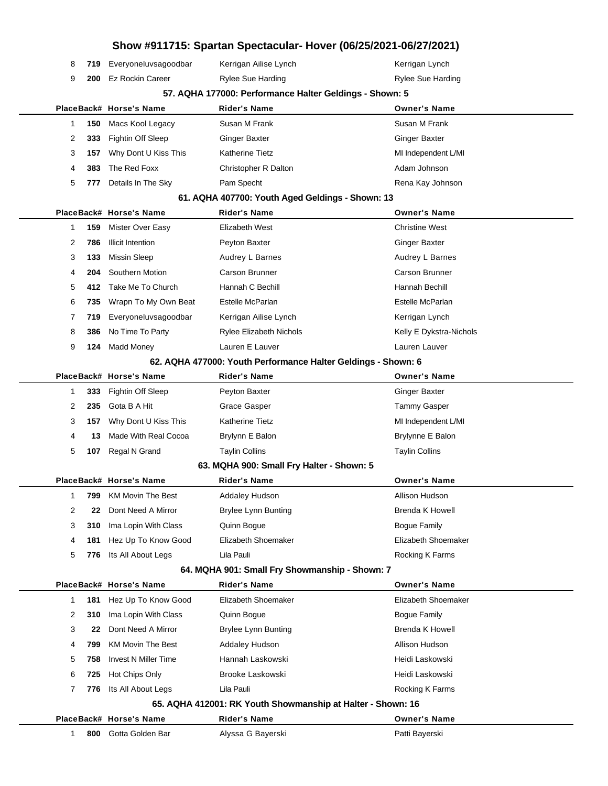|             |     |                             |                                                               | Show #911715: Spartan Spectacular- Hover (06/25/2021-06/27/2021) |
|-------------|-----|-----------------------------|---------------------------------------------------------------|------------------------------------------------------------------|
| 8           | 719 | Everyoneluvsagoodbar        | Kerrigan Ailise Lynch                                         | Kerrigan Lynch                                                   |
| 9           | 200 | <b>Ez Rockin Career</b>     | Rylee Sue Harding                                             | Rylee Sue Harding                                                |
|             |     |                             | 57. AQHA 177000: Performance Halter Geldings - Shown: 5       |                                                                  |
|             |     | PlaceBack# Horse's Name     | <b>Rider's Name</b>                                           | <b>Owner's Name</b>                                              |
| 1           | 150 | Macs Kool Legacy            | Susan M Frank                                                 | Susan M Frank                                                    |
| 2           | 333 | Fightin Off Sleep           | <b>Ginger Baxter</b>                                          | <b>Ginger Baxter</b>                                             |
| 3           | 157 | Why Dont U Kiss This        | <b>Katherine Tietz</b>                                        | MI Independent L/MI                                              |
| 4           | 383 | The Red Foxx                | Christopher R Dalton                                          | Adam Johnson                                                     |
| 5           | 777 | Details In The Sky          | Pam Specht                                                    | Rena Kay Johnson                                                 |
|             |     |                             | 61. AQHA 407700: Youth Aged Geldings - Shown: 13              |                                                                  |
|             |     | PlaceBack# Horse's Name     | <b>Rider's Name</b>                                           | <b>Owner's Name</b>                                              |
| 1           | 159 | Mister Over Easy            | Elizabeth West                                                | <b>Christine West</b>                                            |
| 2           | 786 | <b>Illicit Intention</b>    | Peyton Baxter                                                 | <b>Ginger Baxter</b>                                             |
| 3           | 133 | <b>Missin Sleep</b>         | Audrey L Barnes                                               | Audrey L Barnes                                                  |
| 4           | 204 | Southern Motion             | <b>Carson Brunner</b>                                         | Carson Brunner                                                   |
| 5           | 412 | Take Me To Church           | Hannah C Bechill                                              | Hannah Bechill                                                   |
| 6           | 735 | Wrapn To My Own Beat        | Estelle McParlan                                              | Estelle McParlan                                                 |
| 7           | 719 | Everyoneluvsagoodbar        | Kerrigan Ailise Lynch                                         | Kerrigan Lynch                                                   |
| 8           | 386 | No Time To Party            | Rylee Elizabeth Nichols                                       | Kelly E Dykstra-Nichols                                          |
| 9           | 124 | <b>Madd Money</b>           | Lauren E Lauver                                               | Lauren Lauver                                                    |
|             |     |                             | 62. AQHA 477000: Youth Performance Halter Geldings - Shown: 6 |                                                                  |
|             |     | PlaceBack# Horse's Name     | <b>Rider's Name</b>                                           | <b>Owner's Name</b>                                              |
| 1           | 333 | <b>Fightin Off Sleep</b>    | Peyton Baxter                                                 | <b>Ginger Baxter</b>                                             |
| 2           | 235 | Gota B A Hit                | <b>Grace Gasper</b>                                           | <b>Tammy Gasper</b>                                              |
| 3           | 157 | Why Dont U Kiss This        | <b>Katherine Tietz</b>                                        | MI Independent L/MI                                              |
| 4           | 13  | Made With Real Cocoa        | Brylynn E Balon                                               | Brylynne E Balon                                                 |
| 5           | 107 | Regal N Grand               | <b>Taylin Collins</b>                                         | <b>Taylin Collins</b>                                            |
|             |     |                             | 63. MQHA 900: Small Fry Halter - Shown: 5                     |                                                                  |
|             |     | PlaceBack# Horse's Name     | <b>Rider's Name</b>                                           | <b>Owner's Name</b>                                              |
| 1           | 799 | <b>KM Movin The Best</b>    | Addaley Hudson                                                | Allison Hudson                                                   |
| 2           | 22  | Dont Need A Mirror          | Brylee Lynn Bunting                                           | <b>Brenda K Howell</b>                                           |
| 3           | 310 | Ima Lopin With Class        | Quinn Bogue                                                   | <b>Bogue Family</b>                                              |
| 4           | 181 | Hez Up To Know Good         | Elizabeth Shoemaker                                           | Elizabeth Shoemaker                                              |
| 5           | 776 | Its All About Legs          | Lila Pauli<br>64. MQHA 901: Small Fry Showmanship - Shown: 7  | Rocking K Farms                                                  |
|             |     | PlaceBack# Horse's Name     | <b>Rider's Name</b>                                           | <b>Owner's Name</b>                                              |
| $\mathbf 1$ | 181 | Hez Up To Know Good         | Elizabeth Shoemaker                                           | Elizabeth Shoemaker                                              |
| 2           | 310 | Ima Lopin With Class        | Quinn Bogue                                                   | <b>Bogue Family</b>                                              |
| 3           | 22  | Dont Need A Mirror          | <b>Brylee Lynn Bunting</b>                                    | <b>Brenda K Howell</b>                                           |
| 4           | 799 | <b>KM Movin The Best</b>    | <b>Addaley Hudson</b>                                         | Allison Hudson                                                   |
| 5           | 758 | <b>Invest N Miller Time</b> | Hannah Laskowski                                              | Heidi Laskowski                                                  |
| 6           | 725 | Hot Chips Only              | Brooke Laskowski                                              | Heidi Laskowski                                                  |
| 7           | 776 | Its All About Legs          | Lila Pauli                                                    | Rocking K Farms                                                  |
|             |     |                             | 65. AQHA 412001: RK Youth Showmanship at Halter - Shown: 16   |                                                                  |
|             |     | PlaceBack# Horse's Name     | <b>Rider's Name</b>                                           | <b>Owner's Name</b>                                              |
| 1           | 800 | Gotta Golden Bar            | Alyssa G Bayerski                                             | Patti Bayerski                                                   |
|             |     |                             |                                                               |                                                                  |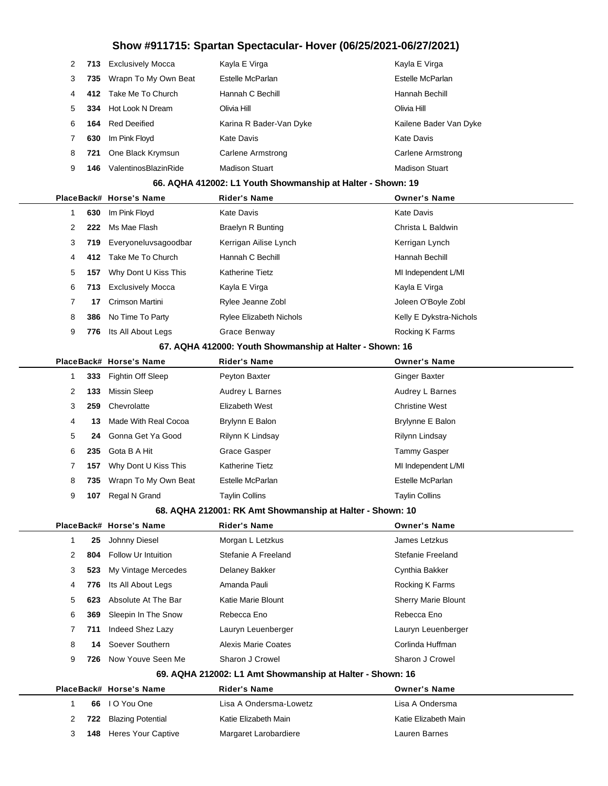| 2 |     | 713 Exclusively Mocca    | Kayla E Virga           | Kayla E Virga          |
|---|-----|--------------------------|-------------------------|------------------------|
| 3 |     | 735 Wrapn To My Own Beat | Estelle McParlan        | Estelle McParlan       |
| 4 |     | 412 Take Me To Church    | Hannah C Bechill        | Hannah Bechill         |
| 5 |     | 334 Hot Look N Dream     | Olivia Hill             | Olivia Hill            |
| 6 | 164 | Red Deeified             | Karina R Bader-Van Dyke | Kailene Bader Van Dyke |
|   | 630 | Im Pink Floyd            | Kate Davis              | Kate Davis             |
| 8 | 721 | One Black Krymsun        | Carlene Armstrong       | Carlene Armstrong      |
| 9 | 146 | ValentinosBlazinRide     | <b>Madison Stuart</b>   | <b>Madison Stuart</b>  |

#### **66. AQHA 412002: L1 Youth Showmanship at Halter - Shown: 19**

|                      |     | PlaceBack# Horse's Name  | <b>Rider's Name</b>            | <b>Owner's Name</b>     |
|----------------------|-----|--------------------------|--------------------------------|-------------------------|
|                      | 630 | Im Pink Floyd            | <b>Kate Davis</b>              | <b>Kate Davis</b>       |
| $\mathbf{2}^{\circ}$ | 222 | Ms Mae Flash             | Braelyn R Bunting              | Christa L Baldwin       |
| 3                    |     | 719 Everyoneluvsagoodbar | Kerrigan Ailise Lynch          | Kerrigan Lynch          |
| 4                    | 412 | Take Me To Church        | Hannah C Bechill               | Hannah Bechill          |
| 5                    | 157 | Why Dont U Kiss This     | <b>Katherine Tietz</b>         | MI Independent L/MI     |
| 6                    | 713 | <b>Exclusively Mocca</b> | Kayla E Virga                  | Kayla E Virga           |
| 7                    | 17  | Crimson Martini          | Rylee Jeanne Zobl              | Joleen O'Boyle Zobl     |
| 8                    | 386 | No Time To Party         | <b>Rylee Elizabeth Nichols</b> | Kelly E Dykstra-Nichols |
| 9                    | 776 | Its All About Legs       | Grace Benway                   | Rocking K Farms         |
|                      |     |                          |                                |                         |

#### **67. AQHA 412000: Youth Showmanship at Halter - Shown: 16**

|   |     | PlaceBack# Horse's Name  | <b>Rider's Name</b>    | <b>Owner's Name</b>   |
|---|-----|--------------------------|------------------------|-----------------------|
|   |     | 333 Fightin Off Sleep    | Peyton Baxter          | Ginger Baxter         |
| 2 | 133 | Missin Sleep             | Audrey L Barnes        | Audrey L Barnes       |
| 3 |     | 259 Chevrolatte          | Elizabeth West         | <b>Christine West</b> |
| 4 | 13. | Made With Real Cocoa     | Brylynn E Balon        | Brylynne E Balon      |
| 5 |     | 24 Gonna Get Ya Good     | Rilynn K Lindsay       | Rilynn Lindsay        |
| 6 |     | 235 Gota B A Hit         | Grace Gasper           | Tammy Gasper          |
|   | 157 | Why Dont U Kiss This     | <b>Katherine Tietz</b> | MI Independent L/MI   |
| 8 |     | 735 Wrapn To My Own Beat | Estelle McParlan       | Estelle McParlan      |
| 9 | 107 | Regal N Grand            | <b>Taylin Collins</b>  | <b>Taylin Collins</b> |

#### **68. AQHA 212001: RK Amt Showmanship at Halter - Shown: 10**

|    |     | PlaceBack# Horse's Name | <b>Rider's Name</b> | <b>Owner's Name</b>        |
|----|-----|-------------------------|---------------------|----------------------------|
|    | 25  | Johnny Diesel           | Morgan L Letzkus    | James Letzkus              |
| 2  | 804 | Follow Ur Intuition     | Stefanie A Freeland | Stefanie Freeland          |
| 3  | 523 | My Vintage Mercedes     | Delaney Bakker      | Cynthia Bakker             |
| 4  | 776 | Its All About Legs      | Amanda Pauli        | <b>Rocking K Farms</b>     |
| 5. | 623 | Absolute At The Bar     | Katie Marie Blount  | <b>Sherry Marie Blount</b> |
| 6  | 369 | Sleepin In The Snow     | Rebecca Eno         | Rebecca Eno                |
| 7  | 711 | Indeed Shez Lazy        | Lauryn Leuenberger  | Lauryn Leuenberger         |
| 8  | 14  | Soever Southern         | Alexis Marie Coates | Corlinda Huffman           |
| 9  | 726 | Now Youve Seen Me       | Sharon J Crowel     | Sharon J Crowel            |
|    |     |                         |                     |                            |

#### **69. AQHA 212002: L1 Amt Showmanship at Halter - Shown: 16**

|  | PlaceBack# Horse's Name       | Rider's Name           | <b>Owner's Name</b>  |
|--|-------------------------------|------------------------|----------------------|
|  | 66 IO You One                 | Lisa A Ondersma-Lowetz | Lisa A Ondersma      |
|  | 2 722 Blazing Potential       | Katie Elizabeth Main   | Katie Elizabeth Main |
|  | <b>148</b> Heres Your Captive | Margaret Larobardiere  | Lauren Barnes        |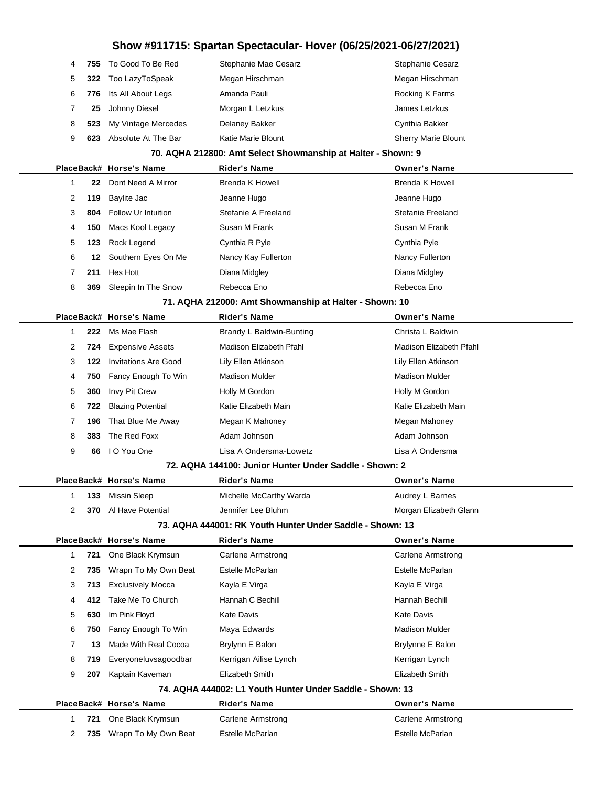|   |     |                             | Show #911715: Spartan Spectacular- Hover (06/25/2021-06/27/2021) |                          |
|---|-----|-----------------------------|------------------------------------------------------------------|--------------------------|
| 4 | 755 | To Good To Be Red           | Stephanie Mae Cesarz                                             | Stephanie Cesarz         |
| 5 | 322 | Too LazyToSpeak             | Megan Hirschman                                                  | Megan Hirschman          |
| 6 | 776 | Its All About Legs          | Amanda Pauli                                                     | Rocking K Farms          |
| 7 | 25  | Johnny Diesel               | Morgan L Letzkus                                                 | James Letzkus            |
| 8 | 523 | My Vintage Mercedes         | <b>Delaney Bakker</b>                                            | Cynthia Bakker           |
| 9 | 623 | Absolute At The Bar         | Katie Marie Blount                                               | Sherry Marie Blount      |
|   |     |                             | 70. AQHA 212800: Amt Select Showmanship at Halter - Shown: 9     |                          |
|   |     | PlaceBack# Horse's Name     | <b>Rider's Name</b>                                              | <b>Owner's Name</b>      |
| 1 | 22  | Dont Need A Mirror          | Brenda K Howell                                                  | <b>Brenda K Howell</b>   |
| 2 | 119 | Baylite Jac                 | Jeanne Hugo                                                      | Jeanne Hugo              |
| 3 | 804 | <b>Follow Ur Intuition</b>  | Stefanie A Freeland                                              | Stefanie Freeland        |
| 4 | 150 | Macs Kool Legacy            | Susan M Frank                                                    | Susan M Frank            |
| 5 | 123 | Rock Legend                 | Cynthia R Pyle                                                   | Cynthia Pyle             |
| 6 | 12  | Southern Eyes On Me         | Nancy Kay Fullerton                                              | Nancy Fullerton          |
| 7 | 211 | Hes Hott                    | Diana Midgley                                                    | Diana Midgley            |
| 8 | 369 | Sleepin In The Snow         | Rebecca Eno                                                      | Rebecca Eno              |
|   |     |                             | 71. AQHA 212000: Amt Showmanship at Halter - Shown: 10           |                          |
|   |     | PlaceBack# Horse's Name     | Rider's Name                                                     | <b>Owner's Name</b>      |
| 1 | 222 | Ms Mae Flash                | Brandy L Baldwin-Bunting                                         | Christa L Baldwin        |
| 2 | 724 | <b>Expensive Assets</b>     | Madison Elizabeth Pfahl                                          | Madison Elizabeth Pfahl  |
| 3 | 122 | <b>Invitations Are Good</b> | Lily Ellen Atkinson                                              | Lily Ellen Atkinson      |
| 4 | 750 | Fancy Enough To Win         | <b>Madison Mulder</b>                                            | <b>Madison Mulder</b>    |
| 5 | 360 | Invy Pit Crew               | Holly M Gordon                                                   | Holly M Gordon           |
| 6 | 722 | <b>Blazing Potential</b>    | Katie Elizabeth Main                                             | Katie Elizabeth Main     |
| 7 | 196 | That Blue Me Away           | Megan K Mahoney                                                  | Megan Mahoney            |
| 8 | 383 | The Red Foxx                | Adam Johnson                                                     | Adam Johnson             |
| 9 | 66  | I O You One                 | Lisa A Ondersma-Lowetz                                           | Lisa A Ondersma          |
|   |     |                             | 72. AQHA 144100: Junior Hunter Under Saddle - Shown: 2           |                          |
|   |     | PlaceBack# Horse's Name     | Rider's Name                                                     | Owner's Name             |
| 1 | 133 | Missin Sleep                | Michelle McCarthy Warda                                          | Audrey L Barnes          |
| 2 | 370 | Al Have Potential           | Jennifer Lee Bluhm                                               | Morgan Elizabeth Glann   |
|   |     |                             | 73. AQHA 444001: RK Youth Hunter Under Saddle - Shown: 13        |                          |
|   |     | PlaceBack# Horse's Name     | Rider's Name                                                     | <b>Owner's Name</b>      |
| 1 | 721 | One Black Krymsun           | <b>Carlene Armstrong</b>                                         | Carlene Armstrong        |
| 2 | 735 | Wrapn To My Own Beat        | Estelle McParlan                                                 | Estelle McParlan         |
| 3 | 713 | <b>Exclusively Mocca</b>    | Kayla E Virga                                                    | Kayla E Virga            |
| 4 | 412 | Take Me To Church           | Hannah C Bechill                                                 | Hannah Bechill           |
| 5 | 630 | Im Pink Floyd               | Kate Davis                                                       | <b>Kate Davis</b>        |
| 6 | 750 | Fancy Enough To Win         | Maya Edwards                                                     | <b>Madison Mulder</b>    |
| 7 | 13  | Made With Real Cocoa        | Brylynn E Balon                                                  | Brylynne E Balon         |
| 8 | 719 | Everyoneluvsagoodbar        | Kerrigan Ailise Lynch                                            | Kerrigan Lynch           |
| 9 | 207 | Kaptain Kaveman             | Elizabeth Smith                                                  | Elizabeth Smith          |
|   |     |                             | 74. AQHA 444002: L1 Youth Hunter Under Saddle - Shown: 13        |                          |
|   |     | PlaceBack# Horse's Name     | Rider's Name                                                     | <b>Owner's Name</b>      |
| 1 | 721 | One Black Krymsun           | <b>Carlene Armstrong</b>                                         | <b>Carlene Armstrong</b> |
| 2 | 735 | Wrapn To My Own Beat        | Estelle McParlan                                                 | Estelle McParlan         |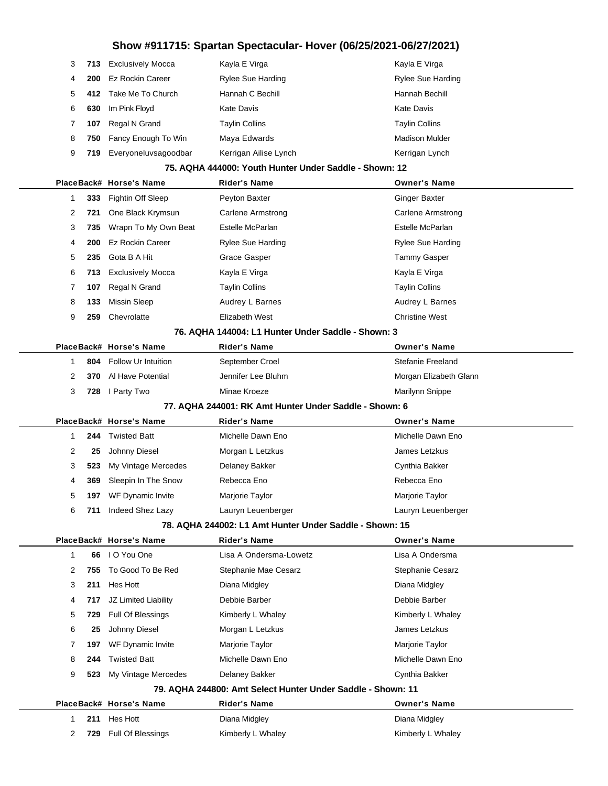| 3 |     | 713 Exclusively Mocca | Kayla E Virga         | Kayla E Virga            |
|---|-----|-----------------------|-----------------------|--------------------------|
| 4 | 200 | Ez Rockin Career      | Rylee Sue Harding     | <b>Rylee Sue Harding</b> |
| 5 | 412 | Take Me To Church     | Hannah C Bechill      | Hannah Bechill           |
| 6 | 630 | Im Pink Floyd         | Kate Davis            | Kate Davis               |
|   | 107 | Regal N Grand         | <b>Taylin Collins</b> | <b>Taylin Collins</b>    |
| 8 | 750 | Fancy Enough To Win   | Maya Edwards          | <b>Madison Mulder</b>    |
| 9 | 719 | Everyoneluvsagoodbar  | Kerrigan Ailise Lynch | Kerrigan Lynch           |
|   |     |                       |                       |                          |

#### **75. AQHA 444000: Youth Hunter Under Saddle - Shown: 12**

|   |     | PlaceBack# Horse's Name  | <b>Rider's Name</b>      | <b>Owner's Name</b>      |
|---|-----|--------------------------|--------------------------|--------------------------|
|   |     | 333 Fightin Off Sleep    | Peyton Baxter            | <b>Ginger Baxter</b>     |
| 2 | 721 | One Black Krymsun        | Carlene Armstrong        | Carlene Armstrong        |
| 3 |     | 735 Wrapn To My Own Beat | Estelle McParlan         | Estelle McParlan         |
| 4 |     | 200 Ez Rockin Career     | <b>Rylee Sue Harding</b> | <b>Rylee Sue Harding</b> |
| 5 | 235 | Gota B A Hit             | Grace Gasper             | Tammy Gasper             |
| 6 |     | 713 Exclusively Mocca    | Kayla E Virga            | Kayla E Virga            |
|   | 107 | Regal N Grand            | <b>Taylin Collins</b>    | <b>Taylin Collins</b>    |
| 8 | 133 | Missin Sleep             | Audrey L Barnes          | Audrey L Barnes          |
| 9 | 259 | Chevrolatte              | Elizabeth West           | <b>Christine West</b>    |
|   |     |                          |                          |                          |

#### **76. AQHA 144004: L1 Hunter Under Saddle - Shown: 3**

|   |     | PlaceBack# Horse's Name      | <b>Rider's Name</b> | <b>Owner's Name</b>    |
|---|-----|------------------------------|---------------------|------------------------|
|   | 804 | Follow Ur Intuition          | September Croel     | Stefanie Freeland      |
| 2 |     | <b>370</b> Al Have Potential | Jennifer Lee Bluhm  | Morgan Elizabeth Glann |
| 3 |     | 728 I Party Two              | Minae Kroeze        | Marilynn Snippe        |

#### **77. AQHA 244001: RK Amt Hunter Under Saddle - Shown: 6**

|   |     | PlaceBack# Horse's Name | <b>Rider's Name</b> | <b>Owner's Name</b> |
|---|-----|-------------------------|---------------------|---------------------|
|   | 244 | <b>Twisted Batt</b>     | Michelle Dawn Eno   | Michelle Dawn Eno   |
| 2 | 25  | Johnny Diesel           | Morgan L Letzkus    | James Letzkus       |
| 3 |     | 523 My Vintage Mercedes | Delaney Bakker      | Cynthia Bakker      |
| 4 |     | 369 Sleepin In The Snow | Rebecca Eno         | Rebecca Eno         |
| 5 | 197 | WF Dynamic Invite       | Marjorie Taylor     | Marjorie Taylor     |
| 6 | 711 | Indeed Shez Lazy        | Lauryn Leuenberger  | Lauryn Leuenberger  |
|   |     |                         |                     |                     |

### **78. AQHA 244002: L1 Amt Hunter Under Saddle - Shown: 15**

|   |     | PlaceBack# Horse's Name  | <b>Rider's Name</b>                                         | <b>Owner's Name</b> |
|---|-----|--------------------------|-------------------------------------------------------------|---------------------|
| 1 | 66  | I O You One              | Lisa A Ondersma-Lowetz                                      | Lisa A Ondersma     |
| 2 | 755 | To Good To Be Red        | Stephanie Mae Cesarz                                        | Stephanie Cesarz    |
| 3 | 211 | Hes Hott                 | Diana Midgley                                               | Diana Midgley       |
| 4 | 717 | JZ Limited Liability     | Debbie Barber                                               | Debbie Barber       |
| 5 | 729 | Full Of Blessings        | Kimberly L Whaley                                           | Kimberly L Whaley   |
| 6 | 25  | Johnny Diesel            | Morgan L Letzkus                                            | James Letzkus       |
| 7 | 197 | WF Dynamic Invite        | Marjorie Taylor                                             | Marjorie Taylor     |
| 8 | 244 | <b>Twisted Batt</b>      | Michelle Dawn Eno                                           | Michelle Dawn Eno   |
| 9 | 523 | My Vintage Mercedes      | Delaney Bakker                                              | Cynthia Bakker      |
|   |     |                          | 79. AQHA 244800: Amt Select Hunter Under Saddle - Shown: 11 |                     |
|   |     | PlaceBack# Horse's Name  | <b>Rider's Name</b>                                         | <b>Owner's Name</b> |
|   | 211 | Hes Hott                 | Diana Midgley                                               | Diana Midgley       |
| 2 | 729 | <b>Full Of Blessings</b> | Kimberly L Whaley                                           | Kimberly L Whaley   |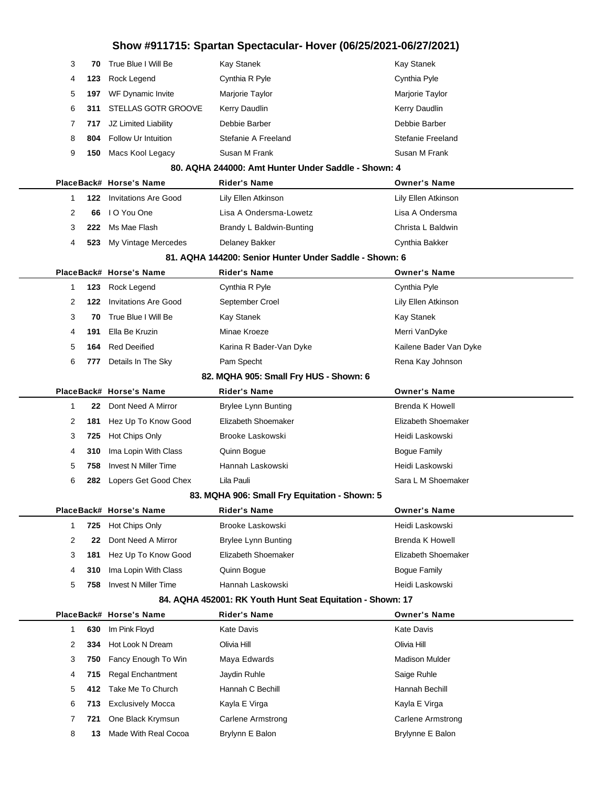| 3  | 70  | True Blue I Will Be         | Kay Stanek                                                 | <b>Kay Stanek</b>        |
|----|-----|-----------------------------|------------------------------------------------------------|--------------------------|
| 4  | 123 | Rock Legend                 | Cynthia R Pyle                                             | Cynthia Pyle             |
| 5  | 197 | WF Dynamic Invite           | Marjorie Taylor                                            | Marjorie Taylor          |
| 6  | 311 | STELLAS GOTR GROOVE         | Kerry Daudlin                                              | Kerry Daudlin            |
| 7  | 717 | JZ Limited Liability        | Debbie Barber                                              | Debbie Barber            |
| 8  | 804 | Follow Ur Intuition         | Stefanie A Freeland                                        | <b>Stefanie Freeland</b> |
| 9  | 150 | Macs Kool Legacy            | Susan M Frank                                              | Susan M Frank            |
|    |     |                             | 80. AQHA 244000: Amt Hunter Under Saddle - Shown: 4        |                          |
|    |     | PlaceBack# Horse's Name     | <b>Rider's Name</b>                                        | <b>Owner's Name</b>      |
| 1  | 122 | <b>Invitations Are Good</b> | Lily Ellen Atkinson                                        | Lily Ellen Atkinson      |
| 2  | 66  | I O You One                 | Lisa A Ondersma-Lowetz                                     | Lisa A Ondersma          |
| 3  | 222 | Ms Mae Flash                | Brandy L Baldwin-Bunting                                   | Christa L Baldwin        |
| 4  | 523 | My Vintage Mercedes         | Delaney Bakker                                             | Cynthia Bakker           |
|    |     |                             | 81. AQHA 144200: Senior Hunter Under Saddle - Shown: 6     |                          |
|    |     | PlaceBack# Horse's Name     | <b>Rider's Name</b>                                        | <b>Owner's Name</b>      |
| 1  | 123 | Rock Legend                 | Cynthia R Pyle                                             | Cynthia Pyle             |
| 2  | 122 | <b>Invitations Are Good</b> | September Croel                                            | Lily Ellen Atkinson      |
| 3  | 70  | True Blue I Will Be         | Kay Stanek                                                 | <b>Kay Stanek</b>        |
| 4  | 191 | Ella Be Kruzin              | Minae Kroeze                                               | Merri VanDyke            |
| 5  | 164 | <b>Red Deeified</b>         | Karina R Bader-Van Dyke                                    | Kailene Bader Van Dyke   |
| 6  | 777 | Details In The Sky          | Pam Specht                                                 | Rena Kay Johnson         |
|    |     |                             | 82. MQHA 905: Small Fry HUS - Shown: 6                     |                          |
|    |     | PlaceBack# Horse's Name     | <b>Rider's Name</b>                                        | <b>Owner's Name</b>      |
| -1 | 22  | Dont Need A Mirror          | <b>Brylee Lynn Bunting</b>                                 | <b>Brenda K Howell</b>   |
| 2  | 181 | Hez Up To Know Good         | Elizabeth Shoemaker                                        | Elizabeth Shoemaker      |
| 3  | 725 | Hot Chips Only              | <b>Brooke Laskowski</b>                                    | Heidi Laskowski          |
| 4  | 310 | Ima Lopin With Class        | Quinn Bogue                                                | <b>Bogue Family</b>      |
| 5  | 758 | Invest N Miller Time        | Hannah Laskowski                                           | Heidi Laskowski          |
| 6  | 282 | Lopers Get Good Chex        | Lila Pauli                                                 | Sara L M Shoemaker       |
|    |     |                             | 83. MQHA 906: Small Fry Equitation - Shown: 5              |                          |
|    |     | PlaceBack# Horse's Name     | <b>Rider's Name</b>                                        | <b>Owner's Name</b>      |
| 1  | 725 | Hot Chips Only              | Brooke Laskowski                                           | Heidi Laskowski          |
| 2  | 22  | Dont Need A Mirror          | <b>Brylee Lynn Bunting</b>                                 | Brenda K Howell          |
| 3  | 181 | Hez Up To Know Good         | Elizabeth Shoemaker                                        | Elizabeth Shoemaker      |
| 4  | 310 | Ima Lopin With Class        | Quinn Bogue                                                | <b>Bogue Family</b>      |
| 5  | 758 | <b>Invest N Miller Time</b> | Hannah Laskowski                                           | Heidi Laskowski          |
|    |     |                             | 84. AQHA 452001: RK Youth Hunt Seat Equitation - Shown: 17 |                          |
|    |     | PlaceBack# Horse's Name     | <b>Rider's Name</b>                                        | <b>Owner's Name</b>      |
| 1  | 630 | Im Pink Floyd               | <b>Kate Davis</b>                                          | Kate Davis               |
| 2  | 334 | Hot Look N Dream            | Olivia Hill                                                | Olivia Hill              |
| 3  | 750 | Fancy Enough To Win         | Maya Edwards                                               | <b>Madison Mulder</b>    |
| 4  | 715 | <b>Regal Enchantment</b>    | Jaydin Ruhle                                               | Saige Ruhle              |
| 5  | 412 | Take Me To Church           | Hannah C Bechill                                           | Hannah Bechill           |
| 6  | 713 | <b>Exclusively Mocca</b>    | Kayla E Virga                                              | Kayla E Virga            |
| 7  | 721 | One Black Krymsun           | Carlene Armstrong                                          | Carlene Armstrong        |
| 8  | 13  | Made With Real Cocoa        | Brylynn E Balon                                            | Brylynne E Balon         |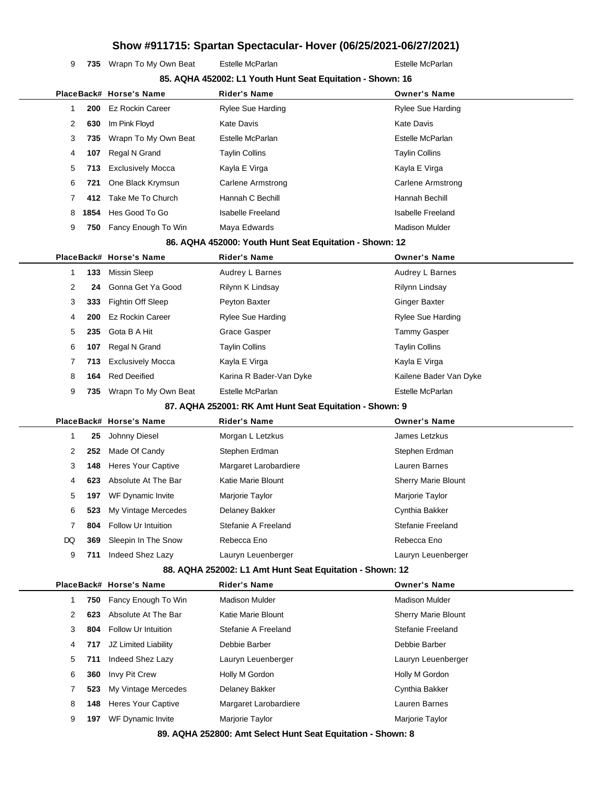9 735 Wrapn To My Own Beat Estelle McParlan **Example 20 Festelle McParlan** 

|  |    |      |                           | 85. AQHA 452002: L1 Youth Hunt Seat Equitation - Shown: 16 |                            |
|--|----|------|---------------------------|------------------------------------------------------------|----------------------------|
|  |    |      | PlaceBack# Horse's Name   | <b>Rider's Name</b>                                        | <b>Owner's Name</b>        |
|  | 1  | 200  | <b>Ez Rockin Career</b>   | <b>Rylee Sue Harding</b>                                   | Rylee Sue Harding          |
|  | 2  | 630  | Im Pink Floyd             | <b>Kate Davis</b>                                          | Kate Davis                 |
|  | 3  | 735  | Wrapn To My Own Beat      | Estelle McParlan                                           | Estelle McParlan           |
|  | 4  | 107  | Regal N Grand             | <b>Taylin Collins</b>                                      | <b>Taylin Collins</b>      |
|  | 5  | 713  | <b>Exclusively Mocca</b>  | Kayla E Virga                                              | Kayla E Virga              |
|  | 6  | 721  | One Black Krymsun         | <b>Carlene Armstrong</b>                                   | Carlene Armstrong          |
|  | 7  | 412  | Take Me To Church         | Hannah C Bechill                                           | Hannah Bechill             |
|  | 8  | 1854 | Hes Good To Go            | <b>Isabelle Freeland</b>                                   | <b>Isabelle Freeland</b>   |
|  | 9  | 750  | Fancy Enough To Win       | Maya Edwards                                               | <b>Madison Mulder</b>      |
|  |    |      |                           | 86. AQHA 452000: Youth Hunt Seat Equitation - Shown: 12    |                            |
|  |    |      | PlaceBack# Horse's Name   | <b>Rider's Name</b>                                        | <b>Owner's Name</b>        |
|  | 1  | 133  | Missin Sleep              | Audrey L Barnes                                            | Audrey L Barnes            |
|  | 2  | 24   | Gonna Get Ya Good         | Rilynn K Lindsay                                           | <b>Rilynn Lindsay</b>      |
|  | 3  | 333  | Fightin Off Sleep         | Peyton Baxter                                              | <b>Ginger Baxter</b>       |
|  | 4  | 200  | <b>Ez Rockin Career</b>   | <b>Rylee Sue Harding</b>                                   | Rylee Sue Harding          |
|  | 5  | 235  | Gota B A Hit              | Grace Gasper                                               | Tammy Gasper               |
|  | 6  | 107  | Regal N Grand             | <b>Taylin Collins</b>                                      | <b>Taylin Collins</b>      |
|  | 7  | 713  | <b>Exclusively Mocca</b>  | Kayla E Virga                                              | Kayla E Virga              |
|  | 8  | 164  | <b>Red Deeified</b>       | Karina R Bader-Van Dyke                                    | Kailene Bader Van Dyke     |
|  | 9  | 735  | Wrapn To My Own Beat      | Estelle McParlan                                           | Estelle McParlan           |
|  |    |      |                           | 87. AQHA 252001: RK Amt Hunt Seat Equitation - Shown: 9    |                            |
|  |    |      | PlaceBack# Horse's Name   | <b>Rider's Name</b>                                        | <b>Owner's Name</b>        |
|  | 1  | 25   | Johnny Diesel             | Morgan L Letzkus                                           | James Letzkus              |
|  | 2  | 252  | Made Of Candy             | Stephen Erdman                                             | Stephen Erdman             |
|  | 3  | 148  | <b>Heres Your Captive</b> | Margaret Larobardiere                                      | Lauren Barnes              |
|  | 4  | 623  | Absolute At The Bar       | Katie Marie Blount                                         | <b>Sherry Marie Blount</b> |
|  | 5  | 197  | WF Dynamic Invite         | Marjorie Taylor                                            | Marjorie Taylor            |
|  | 6  | 523  | My Vintage Mercedes       | Delaney Bakker                                             | Cynthia Bakker             |
|  | 7  | 804  | Follow Ur Intuition       | Stefanie A Freeland                                        | Stefanie Freeland          |
|  | DQ | 369  | Sleepin In The Snow       | Rebecca Eno                                                | Rebecca Eno                |
|  | 9  | 711  | Indeed Shez Lazy          | Lauryn Leuenberger                                         | Lauryn Leuenberger         |
|  |    |      |                           |                                                            |                            |
|  |    |      |                           | 88. AQHA 252002: L1 Amt Hunt Seat Equitation - Shown: 12   |                            |
|  |    |      | PlaceBack# Horse's Name   | <b>Rider's Name</b>                                        | <b>Owner's Name</b>        |
|  | 1  | 750  | Fancy Enough To Win       | <b>Madison Mulder</b>                                      | <b>Madison Mulder</b>      |
|  | 2  | 623  | Absolute At The Bar       | Katie Marie Blount                                         | <b>Sherry Marie Blount</b> |
|  | 3  | 804  | Follow Ur Intuition       | Stefanie A Freeland                                        | Stefanie Freeland          |
|  | 4  | 717  | JZ Limited Liability      | Debbie Barber                                              | Debbie Barber              |
|  | 5  | 711  | Indeed Shez Lazy          | Lauryn Leuenberger                                         | Lauryn Leuenberger         |
|  | 6  | 360  | Invy Pit Crew             | Holly M Gordon                                             | Holly M Gordon             |
|  | 7  | 523  | My Vintage Mercedes       | Delaney Bakker                                             | Cynthia Bakker             |
|  | 8  | 148  | <b>Heres Your Captive</b> | Margaret Larobardiere                                      | Lauren Barnes              |
|  | 9  | 197  | WF Dynamic Invite         | Marjorie Taylor                                            | Marjorie Taylor            |

**89. AQHA 252800: Amt Select Hunt Seat Equitation - Shown: 8**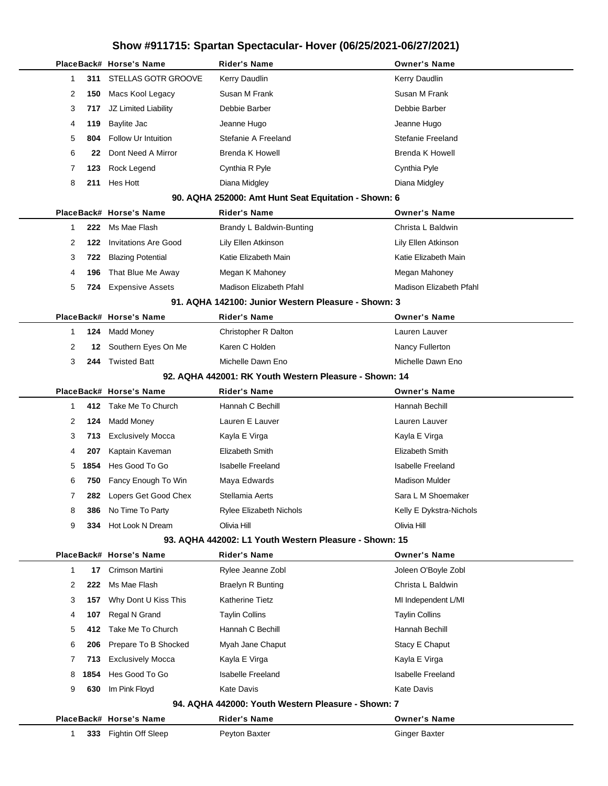|              |      | PlaceBack# Horse's Name     | <b>Rider's Name</b>                                    | <b>Owner's Name</b>      |
|--------------|------|-----------------------------|--------------------------------------------------------|--------------------------|
| 1            | 311  | STELLAS GOTR GROOVE         | Kerry Daudlin                                          | Kerry Daudlin            |
| 2            | 150  | Macs Kool Legacy            | Susan M Frank                                          | Susan M Frank            |
| 3            | 717  | JZ Limited Liability        | Debbie Barber                                          | Debbie Barber            |
| 4            | 119  | Baylite Jac                 | Jeanne Hugo                                            | Jeanne Hugo              |
| 5            | 804  | <b>Follow Ur Intuition</b>  | Stefanie A Freeland                                    | Stefanie Freeland        |
| 6            | 22   | Dont Need A Mirror          | <b>Brenda K Howell</b>                                 | <b>Brenda K Howell</b>   |
| 7            | 123  | Rock Legend                 | Cynthia R Pyle                                         | Cynthia Pyle             |
| 8            | 211  | Hes Hott                    | Diana Midgley                                          | Diana Midgley            |
|              |      |                             | 90. AQHA 252000: Amt Hunt Seat Equitation - Shown: 6   |                          |
|              |      | PlaceBack# Horse's Name     | <b>Rider's Name</b>                                    | <b>Owner's Name</b>      |
| 1            | 222  | Ms Mae Flash                | Brandy L Baldwin-Bunting                               | Christa L Baldwin        |
| 2            | 122  | <b>Invitations Are Good</b> | Lily Ellen Atkinson                                    | Lily Ellen Atkinson      |
| 3            | 722  | <b>Blazing Potential</b>    | Katie Elizabeth Main                                   | Katie Elizabeth Main     |
| 4            | 196  | That Blue Me Away           | Megan K Mahoney                                        | Megan Mahoney            |
| 5            | 724  | <b>Expensive Assets</b>     | Madison Elizabeth Pfahl                                | Madison Elizabeth Pfahl  |
|              |      |                             | 91. AQHA 142100: Junior Western Pleasure - Shown: 3    |                          |
|              |      | PlaceBack# Horse's Name     | Rider's Name                                           | <b>Owner's Name</b>      |
| 1            | 124  | <b>Madd Money</b>           | Christopher R Dalton                                   | Lauren Lauver            |
| 2            | 12   | Southern Eyes On Me         | Karen C Holden                                         | Nancy Fullerton          |
| 3            | 244  | <b>Twisted Batt</b>         | Michelle Dawn Eno                                      | Michelle Dawn Eno        |
|              |      |                             | 92. AQHA 442001: RK Youth Western Pleasure - Shown: 14 |                          |
|              |      | PlaceBack# Horse's Name     | <b>Rider's Name</b>                                    | <b>Owner's Name</b>      |
| 1            |      | 412 Take Me To Church       | Hannah C Bechill                                       | Hannah Bechill           |
| 2            | 124  | <b>Madd Money</b>           | Lauren E Lauver                                        | Lauren Lauver            |
| 3            | 713  | <b>Exclusively Mocca</b>    | Kayla E Virga                                          | Kayla E Virga            |
| 4            | 207  | Kaptain Kaveman             | Elizabeth Smith                                        | Elizabeth Smith          |
| 5            | 1854 | Hes Good To Go              | <b>Isabelle Freeland</b>                               | <b>Isabelle Freeland</b> |
| 6            | 750  | Fancy Enough To Win         | Maya Edwards                                           | <b>Madison Mulder</b>    |
| 7            | 282  | Lopers Get Good Chex        | Stellamia Aerts                                        | Sara L M Shoemaker       |
| 8            | 386  | No Time To Party            | Rylee Elizabeth Nichols                                | Kelly E Dykstra-Nichols  |
| 9            | 334  | Hot Look N Dream            | Olivia Hill                                            | Olivia Hill              |
|              |      |                             | 93. AQHA 442002: L1 Youth Western Pleasure - Shown: 15 |                          |
|              |      | PlaceBack# Horse's Name     | <b>Rider's Name</b>                                    | <b>Owner's Name</b>      |
| $\mathbf{1}$ | 17   | Crimson Martini             | Rylee Jeanne Zobl                                      | Joleen O'Boyle Zobl      |
| 2            | 222  | Ms Mae Flash                | <b>Braelyn R Bunting</b>                               | Christa L Baldwin        |
| 3            | 157  | Why Dont U Kiss This        | <b>Katherine Tietz</b>                                 | MI Independent L/MI      |
| 4            | 107  | Regal N Grand               | <b>Taylin Collins</b>                                  | <b>Taylin Collins</b>    |
| 5            | 412  | Take Me To Church           | Hannah C Bechill                                       | Hannah Bechill           |
| 6            | 206  | Prepare To B Shocked        | Myah Jane Chaput                                       | Stacy E Chaput           |
| 7            | 713  | <b>Exclusively Mocca</b>    | Kayla E Virga                                          | Kayla E Virga            |
| 8            | 1854 | Hes Good To Go              | <b>Isabelle Freeland</b>                               | <b>Isabelle Freeland</b> |
| 9            | 630  | Im Pink Floyd               | <b>Kate Davis</b>                                      | <b>Kate Davis</b>        |
|              |      |                             | 94. AQHA 442000: Youth Western Pleasure - Shown: 7     |                          |
|              |      | PlaceBack# Horse's Name     | <b>Rider's Name</b>                                    | <b>Owner's Name</b>      |
| 1            |      | 333 Fightin Off Sleep       | Peyton Baxter                                          | <b>Ginger Baxter</b>     |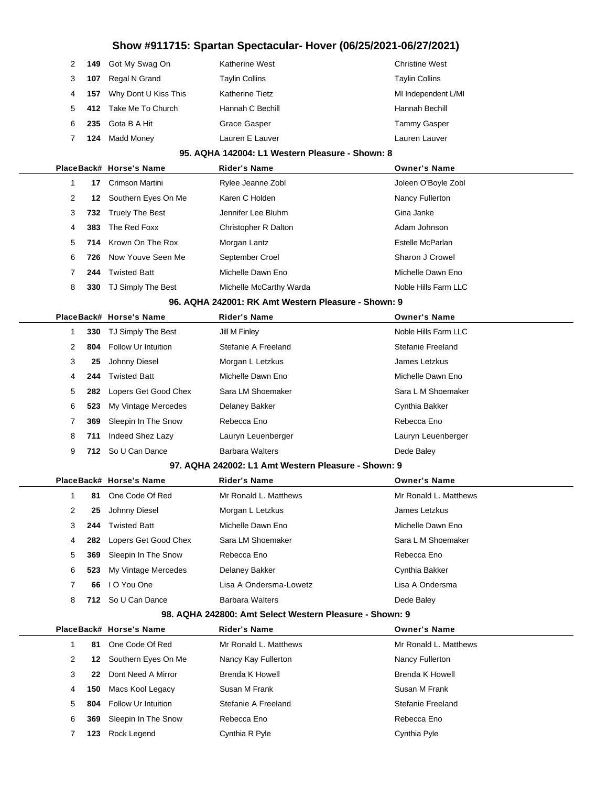|       | 2 149 Got My Swag On       | <b>Katherine West</b>  | <b>Christine West</b> |
|-------|----------------------------|------------------------|-----------------------|
| 3 107 | Regal N Grand              | <b>Taylin Collins</b>  | <b>Taylin Collins</b> |
|       | 4 157 Why Dont U Kiss This | <b>Katherine Tietz</b> | MI Independent L/MI   |
|       | 5 412 Take Me To Church    | Hannah C Bechill       | Hannah Bechill        |
|       | 6 235 Gota B A Hit         | Grace Gasper           | <b>Tammy Gasper</b>   |
| 7 124 | Madd Money                 | Lauren E Lauver        | Lauren Lauver         |

#### **95. AQHA 142004: L1 Western Pleasure - Shown: 8**

|   |     | PlaceBack# Horse's Name | <b>Rider's Name</b>     | <b>Owner's Name</b>  |
|---|-----|-------------------------|-------------------------|----------------------|
|   | 17  | Crimson Martini         | Rylee Jeanne Zobl       | Joleen O'Boyle Zobl  |
| 2 | 12  | Southern Eyes On Me     | Karen C Holden          | Nancy Fullerton      |
| 3 |     | 732 Truely The Best     | Jennifer Lee Bluhm      | Gina Janke           |
| 4 | 383 | The Red Foxx            | Christopher R Dalton    | Adam Johnson         |
| 5 | 714 | Krown On The Rox        | Morgan Lantz            | Estelle McParlan     |
| 6 | 726 | Now Youve Seen Me       | September Croel         | Sharon J Crowel      |
|   | 244 | <b>Twisted Batt</b>     | Michelle Dawn Eno       | Michelle Dawn Eno    |
| 8 | 330 | TJ Simply The Best      | Michelle McCarthy Warda | Noble Hills Farm LLC |

#### **96. AQHA 242001: RK Amt Western Pleasure - Shown: 9**

|   | PlaceBack# Horse's Name |                            | <b>Rider's Name</b>    | <b>Owner's Name</b>  |
|---|-------------------------|----------------------------|------------------------|----------------------|
|   | 330                     | TJ Simply The Best         | Jill M Finley          | Noble Hills Farm LLC |
|   | 2<br>804                | <b>Follow Ur Intuition</b> | Stefanie A Freeland    | Stefanie Freeland    |
| 3 | 25                      | Johnny Diesel              | Morgan L Letzkus       | James Letzkus        |
|   | 244<br>4                | <b>Twisted Batt</b>        | Michelle Dawn Eno      | Michelle Dawn Eno    |
| 5 | 282                     | Lopers Get Good Chex       | Sara LM Shoemaker      | Sara L M Shoemaker   |
| 6 | 523                     | My Vintage Mercedes        | Delaney Bakker         | Cynthia Bakker       |
|   | 369                     | Sleepin In The Snow        | Rebecca Eno            | Rebecca Eno          |
| 8 | 711                     | Indeed Shez Lazy           | Lauryn Leuenberger     | Lauryn Leuenberger   |
| 9 | 712                     | So U Can Dance             | <b>Barbara Walters</b> | Dede Baley           |

#### **97. AQHA 242002: L1 Amt Western Pleasure - Shown: 9**

|   |     | PlaceBack# Horse's Name | <b>Rider's Name</b>    | <b>Owner's Name</b>   |
|---|-----|-------------------------|------------------------|-----------------------|
|   | 81  | One Code Of Red         | Mr Ronald L. Matthews  | Mr Ronald L. Matthews |
| 2 | 25  | Johnny Diesel           | Morgan L Letzkus       | James Letzkus         |
| 3 | 244 | <b>Twisted Batt</b>     | Michelle Dawn Eno      | Michelle Dawn Eno     |
| 4 | 282 | Lopers Get Good Chex    | Sara LM Shoemaker      | Sara L M Shoemaker    |
| 5 | 369 | Sleepin In The Snow     | Rebecca Eno            | Rebecca Eno           |
| 6 | 523 | My Vintage Mercedes     | Delaney Bakker         | Cynthia Bakker        |
| 7 | 66. | I O You One             | Lisa A Ondersma-Lowetz | Lisa A Ondersma       |
| 8 |     | 712 So U Can Dance      | <b>Barbara Walters</b> | Dede Baley            |

#### **98. AQHA 242800: Amt Select Western Pleasure - Shown: 9**

|   |     | PlaceBack# Horse's Name | <b>Rider's Name</b>   | <b>Owner's Name</b>   |
|---|-----|-------------------------|-----------------------|-----------------------|
|   | 81  | One Code Of Red         | Mr Ronald L. Matthews | Mr Ronald L. Matthews |
| 2 | 12  | Southern Eyes On Me     | Nancy Kay Fullerton   | Nancy Fullerton       |
| 3 | 22  | Dont Need A Mirror      | Brenda K Howell       | Brenda K Howell       |
| 4 | 150 | Macs Kool Legacy        | Susan M Frank         | Susan M Frank         |
| 5 | 804 | Follow Ur Intuition     | Stefanie A Freeland   | Stefanie Freeland     |
| 6 | 369 | Sleepin In The Snow     | Rebecca Eno           | Rebecca Eno           |
|   | 123 | Rock Legend             | Cynthia R Pyle        | Cynthia Pyle          |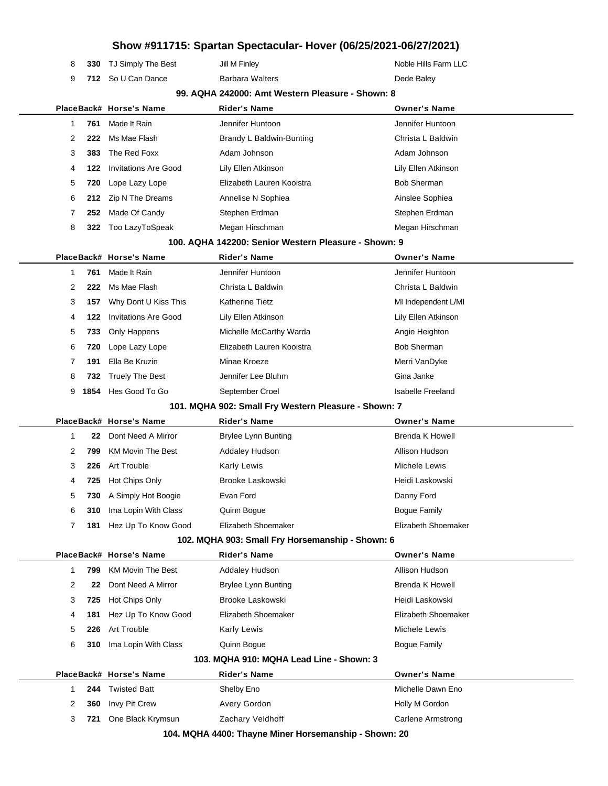|              |      |                             | Snow #911715: Spartan Spectacular- Hover (00/20/2021-00/21/2021) |                          |
|--------------|------|-----------------------------|------------------------------------------------------------------|--------------------------|
| 8            | 330  | TJ Simply The Best          | Jill M Finley                                                    | Noble Hills Farm LLC     |
| 9            | 712. | So U Can Dance              | <b>Barbara Walters</b>                                           | Dede Baley               |
|              |      |                             | 99. AQHA 242000: Amt Western Pleasure - Shown: 8                 |                          |
|              |      | PlaceBack# Horse's Name     | <b>Rider's Name</b>                                              | <b>Owner's Name</b>      |
| $\mathbf{1}$ | 761  | Made It Rain                | Jennifer Huntoon                                                 | Jennifer Huntoon         |
| 2            | 222  | Ms Mae Flash                | Brandy L Baldwin-Bunting                                         | Christa L Baldwin        |
| 3            | 383  | The Red Foxx                | Adam Johnson                                                     | Adam Johnson             |
| 4            | 122  | <b>Invitations Are Good</b> | Lily Ellen Atkinson                                              | Lily Ellen Atkinson      |
| 5            | 720  | Lope Lazy Lope              | Elizabeth Lauren Kooistra                                        | <b>Bob Sherman</b>       |
| 6            | 212  | Zip N The Dreams            | Annelise N Sophiea                                               | Ainslee Sophiea          |
| 7            | 252  | Made Of Candy               | Stephen Erdman                                                   | Stephen Erdman           |
| 8            | 322  | Too LazyToSpeak             | Megan Hirschman                                                  | Megan Hirschman          |
|              |      |                             | 100. AQHA 142200: Senior Western Pleasure - Shown: 9             |                          |
|              |      | PlaceBack# Horse's Name     | <b>Rider's Name</b>                                              | <b>Owner's Name</b>      |
| $\mathbf{1}$ | 761  | Made It Rain                | Jennifer Huntoon                                                 | Jennifer Huntoon         |
| 2            | 222  | Ms Mae Flash                | Christa L Baldwin                                                | Christa L Baldwin        |
| 3            | 157  | Why Dont U Kiss This        | <b>Katherine Tietz</b>                                           | MI Independent L/MI      |
| 4            | 122  | <b>Invitations Are Good</b> | Lily Ellen Atkinson                                              | Lily Ellen Atkinson      |
| 5            | 733  | Only Happens                | Michelle McCarthy Warda                                          | Angie Heighton           |
| 6            | 720  | Lope Lazy Lope              | Elizabeth Lauren Kooistra                                        | <b>Bob Sherman</b>       |
| 7            | 191  | Ella Be Kruzin              | Minae Kroeze                                                     | Merri VanDyke            |
| 8            | 732  | <b>Truely The Best</b>      | Jennifer Lee Bluhm                                               | Gina Janke               |
| 9            | 1854 | Hes Good To Go              | September Croel                                                  | <b>Isabelle Freeland</b> |
|              |      |                             | 101. MQHA 902: Small Fry Western Pleasure - Shown: 7             |                          |
|              |      | PlaceBack# Horse's Name     | <b>Rider's Name</b>                                              | <b>Owner's Name</b>      |
| $\mathbf{1}$ | 22   | Dont Need A Mirror          | <b>Brylee Lynn Bunting</b>                                       | <b>Brenda K Howell</b>   |
| 2            | 799  | <b>KM Movin The Best</b>    | <b>Addaley Hudson</b>                                            | Allison Hudson           |
| 3            | 226  | Art Trouble                 | <b>Karly Lewis</b>                                               | Michele Lewis            |
| 4            | 725  | Hot Chips Only              | Brooke Laskowski                                                 | Heidi Laskowski          |
| 5            | 730  | A Simply Hot Boogie         | Evan Ford                                                        | Danny Ford               |
| 6            | 310  | Ima Lopin With Class        | Quinn Bogue                                                      | <b>Bogue Family</b>      |
| 7            | 181  | Hez Up To Know Good         | Elizabeth Shoemaker                                              | Elizabeth Shoemaker      |
|              |      |                             | 102. MQHA 903: Small Fry Horsemanship - Shown: 6                 |                          |
|              |      | PlaceBack# Horse's Name     | <b>Rider's Name</b>                                              | <b>Owner's Name</b>      |
| $\mathbf{1}$ | 799  | <b>KM Movin The Best</b>    | Addaley Hudson                                                   | Allison Hudson           |
| 2            | 22   | Dont Need A Mirror          | <b>Brylee Lynn Bunting</b>                                       | Brenda K Howell          |
| 3            | 725  | Hot Chips Only              | Brooke Laskowski                                                 | Heidi Laskowski          |
| 4            | 181  | Hez Up To Know Good         | Elizabeth Shoemaker                                              | Elizabeth Shoemaker      |
| 5            | 226  | <b>Art Trouble</b>          | <b>Karly Lewis</b>                                               | Michele Lewis            |
| 6            | 310  | Ima Lopin With Class        | Quinn Bogue                                                      | <b>Bogue Family</b>      |
|              |      |                             | 103. MQHA 910: MQHA Lead Line - Shown: 3                         |                          |
|              |      | PlaceBack# Horse's Name     | <b>Rider's Name</b>                                              | <b>Owner's Name</b>      |
|              | 244  | <b>Twisted Batt</b>         | Shelby Eno                                                       | Michelle Dawn Eno        |
| 1            |      |                             |                                                                  |                          |
| 2            | 360  | Invy Pit Crew               | Avery Gordon                                                     | Holly M Gordon           |

**104. MQHA 4400: Thayne Miner Horsemanship - Shown: 20**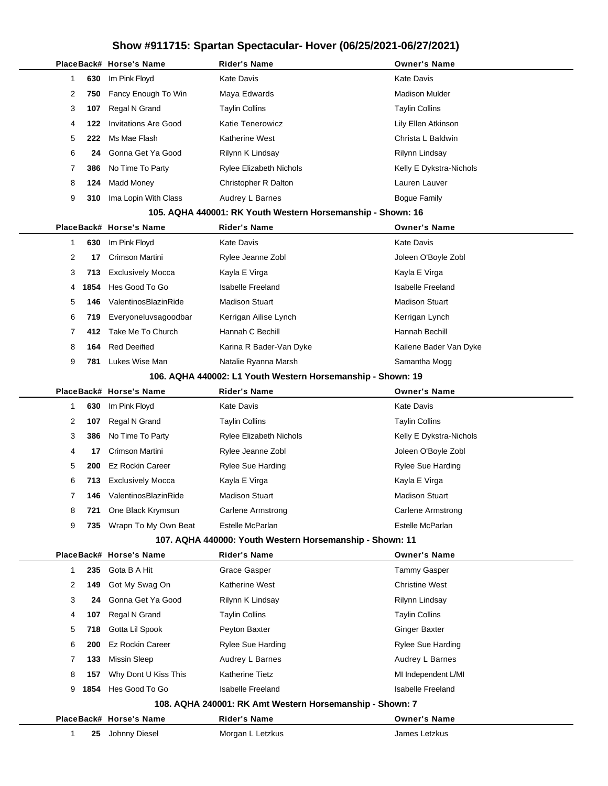|                       | PlaceBack# Horse's Name     | <b>Rider's Name</b>                                         | <b>Owner's Name</b>      |
|-----------------------|-----------------------------|-------------------------------------------------------------|--------------------------|
| 630<br>1              | Im Pink Floyd               | Kate Davis                                                  | <b>Kate Davis</b>        |
| 2<br>750              | Fancy Enough To Win         | Maya Edwards                                                | <b>Madison Mulder</b>    |
| 3<br>107              | Regal N Grand               | <b>Taylin Collins</b>                                       | <b>Taylin Collins</b>    |
| 4<br>122              | <b>Invitations Are Good</b> | Katie Tenerowicz                                            | Lily Ellen Atkinson      |
| 5<br>222              | Ms Mae Flash                | <b>Katherine West</b>                                       | Christa L Baldwin        |
| 6<br>24               | Gonna Get Ya Good           | Rilynn K Lindsay                                            | Rilynn Lindsay           |
| 7<br>386              | No Time To Party            | <b>Rylee Elizabeth Nichols</b>                              | Kelly E Dykstra-Nichols  |
| 8<br>124              | <b>Madd Money</b>           | Christopher R Dalton                                        | Lauren Lauver            |
| 9<br>310              | Ima Lopin With Class        | Audrey L Barnes                                             | <b>Bogue Family</b>      |
|                       |                             | 105. AQHA 440001: RK Youth Western Horsemanship - Shown: 16 |                          |
|                       | PlaceBack# Horse's Name     | <b>Rider's Name</b>                                         | <b>Owner's Name</b>      |
| 630<br>1              | Im Pink Floyd               | <b>Kate Davis</b>                                           | Kate Davis               |
| 2<br>17               | Crimson Martini             | Rylee Jeanne Zobl                                           | Joleen O'Boyle Zobl      |
| 3<br>713              | <b>Exclusively Mocca</b>    | Kayla E Virga                                               | Kayla E Virga            |
| 1854<br>4             | Hes Good To Go              | <b>Isabelle Freeland</b>                                    | <b>Isabelle Freeland</b> |
| 5<br>146              | ValentinosBlazinRide        | <b>Madison Stuart</b>                                       | <b>Madison Stuart</b>    |
| 6<br>719              | Everyoneluvsagoodbar        | Kerrigan Ailise Lynch                                       | Kerrigan Lynch           |
| 7<br>412              | Take Me To Church           | Hannah C Bechill                                            | Hannah Bechill           |
| 8<br>164              | <b>Red Deeified</b>         | Karina R Bader-Van Dyke                                     | Kailene Bader Van Dyke   |
| 9<br>781              | Lukes Wise Man              | Natalie Ryanna Marsh                                        | Samantha Mogg            |
|                       |                             | 106. AQHA 440002: L1 Youth Western Horsemanship - Shown: 19 |                          |
|                       | PlaceBack# Horse's Name     | <b>Rider's Name</b>                                         | <b>Owner's Name</b>      |
| 630<br>1              | Im Pink Floyd               | Kate Davis                                                  | <b>Kate Davis</b>        |
| 2<br>107              | Regal N Grand               | <b>Taylin Collins</b>                                       | <b>Taylin Collins</b>    |
| 3<br>386              | No Time To Party            | <b>Rylee Elizabeth Nichols</b>                              | Kelly E Dykstra-Nichols  |
| 4<br>17               | Crimson Martini             | Rylee Jeanne Zobl                                           | Joleen O'Boyle Zobl      |
| 5<br>200              | Ez Rockin Career            | <b>Rylee Sue Harding</b>                                    | <b>Rylee Sue Harding</b> |
| 6<br>713              | <b>Exclusively Mocca</b>    | Kayla E Virga                                               | Kayla E Virga            |
| $\overline{7}$<br>146 | ValentinosBlazinRide        | <b>Madison Stuart</b>                                       | <b>Madison Stuart</b>    |
| 8<br>721              | One Black Krymsun           | Carlene Armstrong                                           | Carlene Armstrong        |
| 9<br>735              | Wrapn To My Own Beat        | Estelle McParlan                                            | Estelle McParlan         |
|                       |                             | 107. AQHA 440000: Youth Western Horsemanship - Shown: 11    |                          |
|                       | PlaceBack# Horse's Name     | <b>Rider's Name</b>                                         | <b>Owner's Name</b>      |
| 235<br>1              | Gota B A Hit                | Grace Gasper                                                | <b>Tammy Gasper</b>      |
| 2<br>149              | Got My Swag On              | Katherine West                                              | <b>Christine West</b>    |
| 3<br>24               | Gonna Get Ya Good           | Rilynn K Lindsay                                            | Rilynn Lindsay           |
| 107<br>4              | Regal N Grand               | <b>Taylin Collins</b>                                       | <b>Taylin Collins</b>    |
| 5<br>718              | Gotta Lil Spook             | Peyton Baxter                                               | <b>Ginger Baxter</b>     |
| 6<br>200              | <b>Ez Rockin Career</b>     | Rylee Sue Harding                                           | <b>Rylee Sue Harding</b> |
| 7<br>133              | <b>Missin Sleep</b>         | Audrey L Barnes                                             | Audrey L Barnes          |
| 8<br>157              | Why Dont U Kiss This        | <b>Katherine Tietz</b>                                      | MI Independent L/MI      |
| 1854<br>9             | Hes Good To Go              | <b>Isabelle Freeland</b>                                    | <b>Isabelle Freeland</b> |
|                       |                             | 108. AQHA 240001: RK Amt Western Horsemanship - Shown: 7    |                          |
|                       | PlaceBack# Horse's Name     | <b>Rider's Name</b>                                         | <b>Owner's Name</b>      |
| $\mathbf{1}$          | 25 Johnny Diesel            | Morgan L Letzkus                                            | James Letzkus            |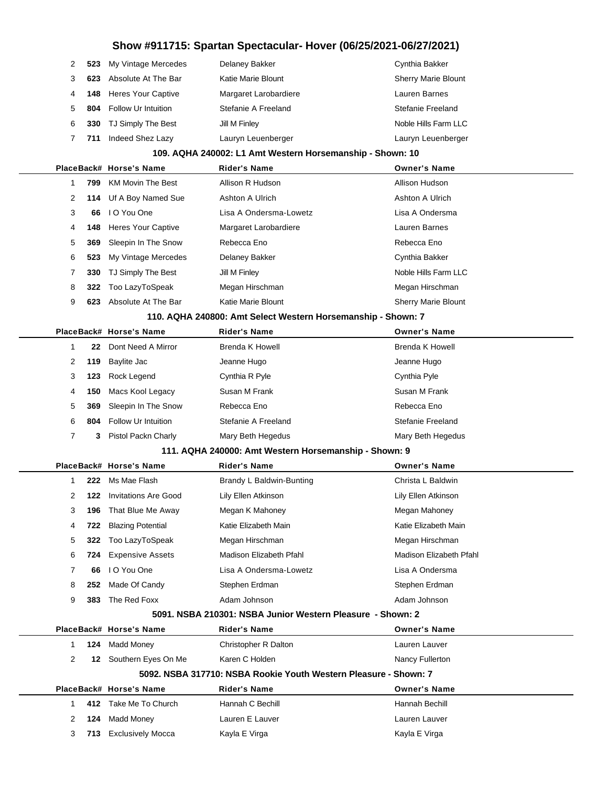| $\mathcal{P}$ |     | 523 My Vintage Mercedes    | Delaney Bakker        | Cynthia Bakker             |
|---------------|-----|----------------------------|-----------------------|----------------------------|
| 3             | 623 | Absolute At The Bar        | Katie Marie Blount    | <b>Sherry Marie Blount</b> |
|               |     | 148 Heres Your Captive     | Margaret Larobardiere | Lauren Barnes              |
| 5.            | 804 | <b>Follow Ur Intuition</b> | Stefanie A Freeland   | Stefanie Freeland          |
| 6             | 330 | TJ Simply The Best         | Jill M Finley         | Noble Hills Farm LLC       |
|               | 711 | Indeed Shez Lazy           | Lauryn Leuenberger    | Lauryn Leuenberger         |

#### **109. AQHA 240002: L1 Amt Western Horsemanship - Shown: 10**

|                                                                                  |     | PlaceBack# Horse's Name | <b>Rider's Name</b>    | <b>Owner's Name</b>        |
|----------------------------------------------------------------------------------|-----|-------------------------|------------------------|----------------------------|
|                                                                                  | 799 | KM Movin The Best       | Allison R Hudson       | Allison Hudson             |
| 2                                                                                |     | 114 Uf A Boy Named Sue  | Ashton A Ulrich        | Ashton A Ulrich            |
| 3                                                                                | 66  | I O You One             | Lisa A Ondersma-Lowetz | Lisa A Ondersma            |
| 4                                                                                |     | 148 Heres Your Captive  | Margaret Larobardiere  | Lauren Barnes              |
| 5                                                                                |     | 369 Sleepin In The Snow | Rebecca Eno            | Rebecca Eno                |
| 6                                                                                |     | 523 My Vintage Mercedes | Delaney Bakker         | Cynthia Bakker             |
| 7                                                                                | 330 | TJ Simply The Best      | Jill M Finley          | Noble Hills Farm LLC       |
| 8                                                                                | 322 | Too LazyToSpeak         | Megan Hirschman        | Megan Hirschman            |
| 9                                                                                | 623 | Absolute At The Bar     | Katie Marie Blount     | <b>Sherry Marie Blount</b> |
| $\mathbf{a}$ . A set a set of $\mathbf{a}$ , and $\mathbf{a}$ , and $\mathbf{a}$ |     |                         |                        |                            |

#### **110. AQHA 240800: Amt Select Western Horsemanship - Shown: 7**

|    |     | PlaceBack# Horse's Name    | <b>Rider's Name</b> | <b>Owner's Name</b> |
|----|-----|----------------------------|---------------------|---------------------|
|    | 22  | Dont Need A Mirror         | Brenda K Howell     | Brenda K Howell     |
| 2  |     | 119 Baylite Jac            | Jeanne Hugo         | Jeanne Hugo         |
| 3  | 123 | Rock Legend                | Cynthia R Pyle      | Cynthia Pyle        |
| 4  | 150 | Macs Kool Legacy           | Susan M Frank       | Susan M Frank       |
| 5  | 369 | Sleepin In The Snow        | Rebecca Eno         | Rebecca Eno         |
| 6. | 804 | <b>Follow Ur Intuition</b> | Stefanie A Freeland | Stefanie Freeland   |
|    | 3   | Pistol Packn Charly        | Mary Beth Hegedus   | Mary Beth Hegedus   |

#### **111. AQHA 240000: Amt Western Horsemanship - Shown: 9**

|    |     | PlaceBack# Horse's Name     | <b>Rider's Name</b>      | <b>Owner's Name</b>     |
|----|-----|-----------------------------|--------------------------|-------------------------|
|    | 222 | Ms Mae Flash                | Brandy L Baldwin-Bunting | Christa L Baldwin       |
| 2  | 122 | Invitations Are Good        | Lily Ellen Atkinson      | Lily Ellen Atkinson     |
| 3  | 196 | That Blue Me Away           | Megan K Mahoney          | Megan Mahoney           |
| 4  | 722 | <b>Blazing Potential</b>    | Katie Elizabeth Main     | Katie Elizabeth Main    |
| 5. |     | 322 Too LazyToSpeak         | Megan Hirschman          | Megan Hirschman         |
| 6  |     | <b>724</b> Expensive Assets | Madison Elizabeth Pfahl  | Madison Elizabeth Pfahl |
|    | 66  | I O You One                 | Lisa A Ondersma-Lowetz   | Lisa A Ondersma         |
| 8  | 252 | Made Of Candy               | Stephen Erdman           | Stephen Erdman          |
| 9  | 383 | The Red Foxx                | Adam Johnson             | Adam Johnson            |

#### **5091. NSBA 210301: NSBA Junior Western Pleasure - Shown: 2**

|                                                                       |      | PlaceBack# Horse's Name  | <b>Rider's Name</b>  | <b>Owner's Name</b> |  |  |  |
|-----------------------------------------------------------------------|------|--------------------------|----------------------|---------------------|--|--|--|
|                                                                       | 124  | Madd Money               | Christopher R Dalton | Lauren Lauver       |  |  |  |
| 2                                                                     | 12.  | Southern Eyes On Me      | Karen C Holden       | Nancy Fullerton     |  |  |  |
| 5092. NSBA 317710: NSBA Rookie Youth Western Pleasure - Shown: 7      |      |                          |                      |                     |  |  |  |
| PlaceBack# Horse's Name<br><b>Rider's Name</b><br><b>Owner's Name</b> |      |                          |                      |                     |  |  |  |
|                                                                       | 412  | Take Me To Church        | Hannah C Bechill     | Hannah Bechill      |  |  |  |
|                                                                       |      |                          |                      |                     |  |  |  |
| 2                                                                     | 124  | Madd Money               | Lauren E Lauver      | Lauren Lauver       |  |  |  |
| 3                                                                     | 713. | <b>Exclusively Mocca</b> | Kayla E Virga        | Kayla E Virga       |  |  |  |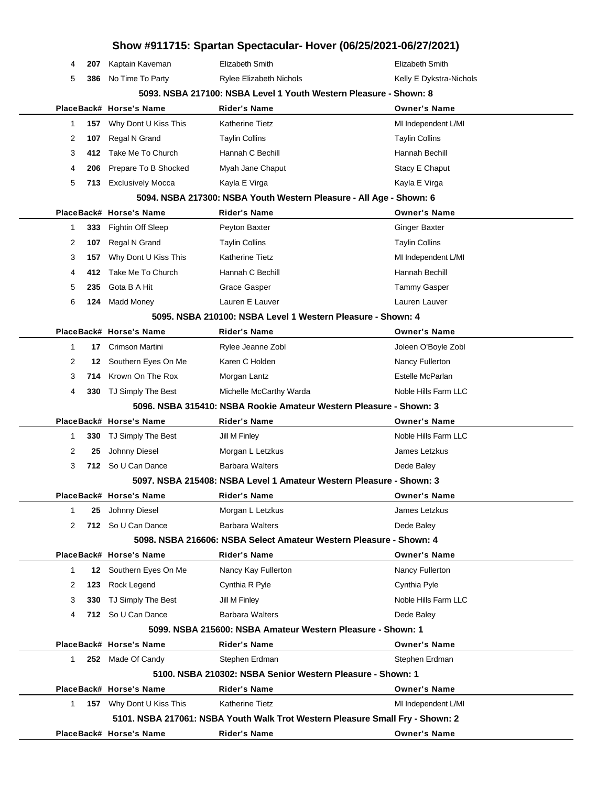| Show #911715: Spartan Spectacular- Hover (06/25/2021-06/27/2021)  |     |                          |                                                             |                                                                               |
|-------------------------------------------------------------------|-----|--------------------------|-------------------------------------------------------------|-------------------------------------------------------------------------------|
| 4                                                                 | 207 | Kaptain Kaveman          | Elizabeth Smith                                             | Elizabeth Smith                                                               |
| 5                                                                 | 386 | No Time To Party         | Rylee Elizabeth Nichols                                     | Kelly E Dykstra-Nichols                                                       |
| 5093. NSBA 217100: NSBA Level 1 Youth Western Pleasure - Shown: 8 |     |                          |                                                             |                                                                               |
|                                                                   |     | PlaceBack# Horse's Name  | <b>Rider's Name</b>                                         | <b>Owner's Name</b>                                                           |
| 1                                                                 | 157 | Why Dont U Kiss This     | Katherine Tietz                                             | MI Independent L/MI                                                           |
| 2                                                                 | 107 | Regal N Grand            | <b>Taylin Collins</b>                                       | <b>Taylin Collins</b>                                                         |
| 3                                                                 | 412 | Take Me To Church        | Hannah C Bechill                                            | Hannah Bechill                                                                |
| 4                                                                 | 206 | Prepare To B Shocked     | Myah Jane Chaput                                            | Stacy E Chaput                                                                |
| 5                                                                 | 713 | <b>Exclusively Mocca</b> | Kayla E Virga                                               | Kayla E Virga                                                                 |
|                                                                   |     |                          |                                                             | 5094. NSBA 217300: NSBA Youth Western Pleasure - All Age - Shown: 6           |
|                                                                   |     | PlaceBack# Horse's Name  | <b>Rider's Name</b>                                         | <b>Owner's Name</b>                                                           |
| 1                                                                 | 333 | Fightin Off Sleep        | Peyton Baxter                                               | Ginger Baxter                                                                 |
| 2                                                                 | 107 | Regal N Grand            | <b>Taylin Collins</b>                                       | <b>Taylin Collins</b>                                                         |
| 3                                                                 | 157 | Why Dont U Kiss This     | Katherine Tietz                                             | MI Independent L/MI                                                           |
| 4                                                                 | 412 | Take Me To Church        | Hannah C Bechill                                            | Hannah Bechill                                                                |
| 5                                                                 | 235 | Gota B A Hit             | Grace Gasper                                                | <b>Tammy Gasper</b>                                                           |
| 6                                                                 | 124 | <b>Madd Money</b>        | Lauren E Lauver                                             | Lauren Lauver                                                                 |
|                                                                   |     |                          | 5095. NSBA 210100: NSBA Level 1 Western Pleasure - Shown: 4 |                                                                               |
|                                                                   |     | PlaceBack# Horse's Name  | <b>Rider's Name</b>                                         | <b>Owner's Name</b>                                                           |
| 1                                                                 | 17  | Crimson Martini          | Rylee Jeanne Zobl                                           | Joleen O'Boyle Zobl                                                           |
| 2                                                                 | 12  | Southern Eyes On Me      | Karen C Holden                                              | Nancy Fullerton                                                               |
| 3                                                                 | 714 | Krown On The Rox         | Morgan Lantz                                                | Estelle McParlan                                                              |
| 4                                                                 | 330 | TJ Simply The Best       | Michelle McCarthy Warda                                     | Noble Hills Farm LLC                                                          |
|                                                                   |     |                          |                                                             | 5096. NSBA 315410: NSBA Rookie Amateur Western Pleasure - Shown: 3            |
|                                                                   |     | PlaceBack# Horse's Name  | <b>Rider's Name</b>                                         | <b>Owner's Name</b>                                                           |
| 1                                                                 | 330 | TJ Simply The Best       | Jill M Finley                                               | Noble Hills Farm LLC                                                          |
| 2                                                                 | 25  | Johnny Diesel            | Morgan L Letzkus                                            | James Letzkus                                                                 |
| 3                                                                 | 712 | So U Can Dance           | <b>Barbara Walters</b>                                      | Dede Baley                                                                    |
|                                                                   |     |                          |                                                             | 5097. NSBA 215408: NSBA Level 1 Amateur Western Pleasure - Shown: 3           |
|                                                                   |     | PlaceBack# Horse's Name  | <b>Rider's Name</b>                                         | <b>Owner's Name</b>                                                           |
| $\mathbf{1}$                                                      | 25  | Johnny Diesel            | Morgan L Letzkus                                            | James Letzkus                                                                 |
| 2                                                                 |     | 712 So U Can Dance       | <b>Barbara Walters</b>                                      | Dede Baley                                                                    |
|                                                                   |     |                          |                                                             | 5098. NSBA 216606: NSBA Select Amateur Western Pleasure - Shown: 4            |
|                                                                   |     | PlaceBack# Horse's Name  | Rider's Name                                                | <b>Owner's Name</b>                                                           |
| $\mathbf{1}$                                                      |     | 12 Southern Eyes On Me   | Nancy Kay Fullerton                                         | Nancy Fullerton                                                               |
| 2                                                                 | 123 | Rock Legend              | Cynthia R Pyle                                              | Cynthia Pyle                                                                  |
| 3                                                                 | 330 | TJ Simply The Best       | Jill M Finley                                               | Noble Hills Farm LLC                                                          |
| 4                                                                 |     | 712 So U Can Dance       | <b>Barbara Walters</b>                                      | Dede Baley                                                                    |
|                                                                   |     |                          | 5099. NSBA 215600: NSBA Amateur Western Pleasure - Shown: 1 |                                                                               |
|                                                                   |     | PlaceBack# Horse's Name  | <b>Rider's Name</b>                                         | <b>Owner's Name</b>                                                           |
| $\mathbf{1}$                                                      |     | 252 Made Of Candy        | Stephen Erdman                                              | Stephen Erdman                                                                |
|                                                                   |     |                          | 5100, NSBA 210302: NSBA Senior Western Pleasure - Shown: 1  |                                                                               |
|                                                                   |     | PlaceBack# Horse's Name  | <b>Rider's Name</b>                                         | <b>Owner's Name</b>                                                           |
| $\mathbf 1$                                                       |     | 157 Why Dont U Kiss This | Katherine Tietz                                             | MI Independent L/MI                                                           |
|                                                                   |     |                          |                                                             | 5101. NSBA 217061: NSBA Youth Walk Trot Western Pleasure Small Fry - Shown: 2 |
|                                                                   |     | PlaceBack# Horse's Name  | <b>Rider's Name</b>                                         | <b>Owner's Name</b>                                                           |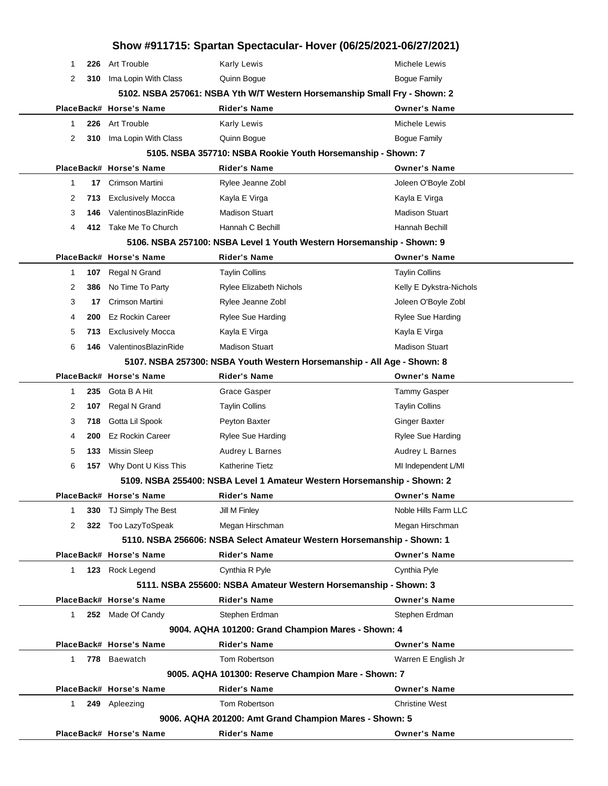| Show #911715: Spartan Spectacular- Hover (06/25/2021-06/27/2021)        |     |                          |                                                                           |                          |  |
|-------------------------------------------------------------------------|-----|--------------------------|---------------------------------------------------------------------------|--------------------------|--|
| -1                                                                      | 226 | <b>Art Trouble</b>       | Karly Lewis                                                               | Michele Lewis            |  |
| 2                                                                       | 310 | Ima Lopin With Class     | Quinn Bogue                                                               | <b>Bogue Family</b>      |  |
|                                                                         |     |                          | 5102. NSBA 257061: NSBA Yth W/T Western Horsemanship Small Fry - Shown: 2 |                          |  |
|                                                                         |     | PlaceBack# Horse's Name  | <b>Rider's Name</b>                                                       | <b>Owner's Name</b>      |  |
| 1                                                                       | 226 | Art Trouble              | <b>Karly Lewis</b>                                                        | Michele Lewis            |  |
| 2                                                                       | 310 | Ima Lopin With Class     | Quinn Bogue                                                               | <b>Bogue Family</b>      |  |
|                                                                         |     |                          | 5105. NSBA 357710: NSBA Rookie Youth Horsemanship - Shown: 7              |                          |  |
|                                                                         |     | PlaceBack# Horse's Name  | <b>Rider's Name</b>                                                       | <b>Owner's Name</b>      |  |
| 1                                                                       | 17  | Crimson Martini          | Rylee Jeanne Zobl                                                         | Joleen O'Boyle Zobl      |  |
| 2                                                                       | 713 | <b>Exclusively Mocca</b> | Kayla E Virga                                                             | Kayla E Virga            |  |
| 3                                                                       | 146 | ValentinosBlazinRide     | <b>Madison Stuart</b>                                                     | <b>Madison Stuart</b>    |  |
| 4                                                                       | 412 | Take Me To Church        | Hannah C Bechill                                                          | Hannah Bechill           |  |
|                                                                         |     |                          | 5106. NSBA 257100: NSBA Level 1 Youth Western Horsemanship - Shown: 9     |                          |  |
|                                                                         |     | PlaceBack# Horse's Name  | <b>Rider's Name</b>                                                       | <b>Owner's Name</b>      |  |
| 1                                                                       | 107 | Regal N Grand            | <b>Taylin Collins</b>                                                     | <b>Taylin Collins</b>    |  |
| 2                                                                       | 386 | No Time To Party         | <b>Rylee Elizabeth Nichols</b>                                            | Kelly E Dykstra-Nichols  |  |
| 3                                                                       | 17  | Crimson Martini          | Rylee Jeanne Zobl                                                         | Joleen O'Boyle Zobl      |  |
| 4                                                                       | 200 | <b>Ez Rockin Career</b>  | <b>Rylee Sue Harding</b>                                                  | <b>Rylee Sue Harding</b> |  |
| 5                                                                       | 713 | <b>Exclusively Mocca</b> | Kayla E Virga                                                             | Kayla E Virga            |  |
| 6                                                                       | 146 | ValentinosBlazinRide     | <b>Madison Stuart</b>                                                     | <b>Madison Stuart</b>    |  |
| 5107. NSBA 257300: NSBA Youth Western Horsemanship - All Age - Shown: 8 |     |                          |                                                                           |                          |  |
|                                                                         |     | PlaceBack# Horse's Name  | <b>Rider's Name</b>                                                       | <b>Owner's Name</b>      |  |
| 1                                                                       | 235 | Gota B A Hit             | Grace Gasper                                                              | <b>Tammy Gasper</b>      |  |
| 2                                                                       | 107 | Regal N Grand            | <b>Taylin Collins</b>                                                     | <b>Taylin Collins</b>    |  |
| 3                                                                       | 718 | Gotta Lil Spook          | Peyton Baxter                                                             | <b>Ginger Baxter</b>     |  |
| 4                                                                       | 200 | <b>Ez Rockin Career</b>  | <b>Rylee Sue Harding</b>                                                  | <b>Rylee Sue Harding</b> |  |
| 5                                                                       | 133 | <b>Missin Sleep</b>      | Audrey L Barnes                                                           | Audrey L Barnes          |  |
| 6                                                                       | 157 | Why Dont U Kiss This     | <b>Katherine Tietz</b>                                                    | MI Independent L/MI      |  |
|                                                                         |     |                          | 5109. NSBA 255400: NSBA Level 1 Amateur Western Horsemanship - Shown: 2   |                          |  |
|                                                                         |     | PlaceBack# Horse's Name  | <b>Rider's Name</b>                                                       | <b>Owner's Name</b>      |  |
| 1                                                                       |     | 330 TJ Simply The Best   | Jill M Finley                                                             | Noble Hills Farm LLC     |  |
| 2                                                                       |     | 322 Too LazyToSpeak      | Megan Hirschman                                                           | Megan Hirschman          |  |
|                                                                         |     |                          | 5110. NSBA 256606: NSBA Select Amateur Western Horsemanship - Shown: 1    |                          |  |
|                                                                         |     | PlaceBack# Horse's Name  | <b>Rider's Name</b>                                                       | <b>Owner's Name</b>      |  |
| $\mathbf{1}$                                                            |     | 123 Rock Legend          | Cynthia R Pyle                                                            | Cynthia Pyle             |  |
|                                                                         |     |                          | 5111. NSBA 255600: NSBA Amateur Western Horsemanship - Shown: 3           |                          |  |
|                                                                         |     | PlaceBack# Horse's Name  | <b>Rider's Name</b>                                                       | <b>Owner's Name</b>      |  |
| $\mathbf{1}$                                                            |     | 252 Made Of Candy        | Stephen Erdman                                                            | Stephen Erdman           |  |
| 9004. AQHA 101200: Grand Champion Mares - Shown: 4                      |     |                          |                                                                           |                          |  |
|                                                                         |     | PlaceBack# Horse's Name  | <b>Rider's Name</b>                                                       | <b>Owner's Name</b>      |  |
| 1                                                                       |     | 778 Baewatch             | Tom Robertson                                                             | Warren E English Jr      |  |
|                                                                         |     |                          | 9005. AQHA 101300: Reserve Champion Mare - Shown: 7                       |                          |  |
|                                                                         |     | PlaceBack# Horse's Name  | <b>Rider's Name</b>                                                       | <b>Owner's Name</b>      |  |
| $\mathbf{1}$                                                            |     | 249 Apleezing            | Tom Robertson                                                             | <b>Christine West</b>    |  |
|                                                                         |     |                          | 9006. AQHA 201200: Amt Grand Champion Mares - Shown: 5                    |                          |  |
|                                                                         |     | PlaceBack# Horse's Name  | <b>Rider's Name</b>                                                       | <b>Owner's Name</b>      |  |